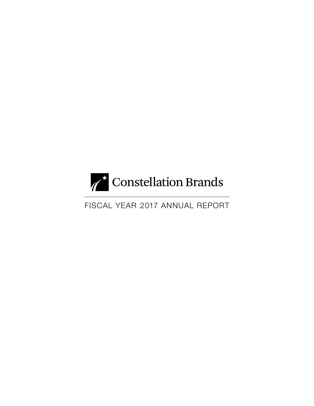

# FISCAL YEAR 2017 ANNUAL REPORT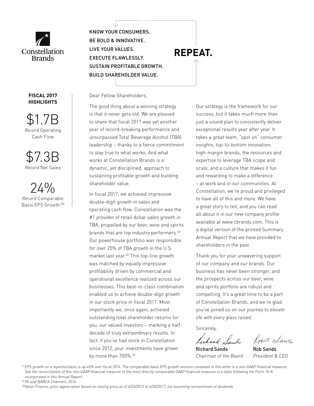

# **FISCAL 2017 HIGHLIGHTS**

\$1.7B *Record* Operating Cash Flow

\$7.3B *Record* Net Sales

24% *Record* Comparable Basis EPS Growth (1)

KNOW YOUR CONSUMERS. BE BOLD & INNOVATIVE. LIVE YOUR VALUES. EXECUTE FLAWLESSLY. SUSTAIN PROFITABLE GROWTH. BUILD SHAREHOLDER VALUE.

**REPEAT.**

Dear Fellow Shareholders,

The good thing about a winning strategy is that it never gets old. We are pleased to share that fiscal 2017 was yet another year of record-breaking performance and unsurpassed Total Beverage Alcohol (TBA) leadership – thanks to a fierce commitment to stay true to what works. And what works at Constellation Brands is a dynamic, yet disciplined, approach to sustaining profitable growth and building shareholder value.

In fiscal 2017, we achieved impressive double-digit growth in sales and operating cash flow. Constellation was the #1 provider of retail dollar sales growth in TBA, propelled by our beer, wine and spirits brands that are top industry performers.<sup>(2)</sup> Our powerhouse portfolio was responsible for over 25% of TBA growth in the U.S. market last year.<sup>(2)</sup> This top-line growth was matched by equally impressive profitability driven by commercial and operational excellence realized across our businesses. This best-in-class combination enabled us to achieve double-digit growth in our stock price in fiscal 2017. Most importantly we, once again, achieved outstanding total shareholder returns for you, our valued investors – marking a halfdecade of truly extraordinary results. In fact, if you've had stock in Constellation since 2012, your investments have grown by more than 700%.<sup>[3]</sup>

Our strategy is the framework for our success, but it takes much more than just a sound plan to consistently deliver exceptional results year after year. It takes a great team, "spot on" consumer insights, top-to-bottom innovation, high-margin brands, the resources and expertise to leverage TBA scope and scale, and a culture that makes it fun and rewarding to make a difference – at work and in our communities. At Constellation, we're proud and privileged to have all of this and more. We have a great story to tell, and you can read all about it in our new company profile available at www.cbrands.com. This is a digital version of the printed Summary Annual Report that we have provided to shareholders in the past.

Thank you for your unwavering support of our company and our brands. Our business has never been stronger, and the prospects across our beer, wine and spirits portfolio are robust and compelling. It's a great time to be a part of Constellation Brands, and we're glad you've joined us on our journey to *elevate life with every glass raised*.

Sincerely,

ichard Sa  $\varrho$ 

Richard Sands *Chairman of the Board*

Robert Sand

Rob Sands *President & CEO*

*(1)* EPS growth on a reported basis is up 45% over fiscal 2016. The comparable basis EPS growth amount contained in this letter is a non-GAAP financial measure. See the reconciliation of this non-GAAP financial measure to the most directly comparable GAAP financial measure in a table following the Form 10-K incorporated in this Annual Report.

(2) IRI and NABCA Channels, 2016

*(3)*Yahoo Finance; price appreciation based on closing price as of 4/23/2012 to 4/20/2017, not assuming reinvestment of dividends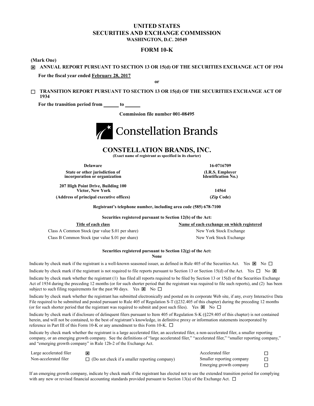# **UNITED STATES SECURITIES AND EXCHANGE COMMISSION WASHINGTON, D.C. 20549**

#### **FORM 10-K**

**(Mark One)**

# **ANNUAL REPORT PURSUANT TO SECTION 13 OR 15(d) OF THE SECURITIES EXCHANGE ACT OF 1934**

**For the fiscal year ended February 28, 2017**

**or**

**TRANSITION REPORT PURSUANT TO SECTION 13 OR 15(d) OF THE SECURITIES EXCHANGE ACT OF 1934**

For the transition period from <u>to be a set of the set of  $\sim$ </u>

**Commission file number 001-08495**



# **CONSTELLATION BRANDS, INC.**

**(Exact name of registrant as specified in its charter)**

**Delaware 16-0716709 State or other jurisdiction of incorporation or organization**

**(I.R.S. Employer Identification No.)**

**207 High Point Drive, Building 100 Victor, New York 14564**

**(Address of principal executive offices) (Zip Code)**

**Registrant's telephone number, including area code (585) 678-7100**

**Securities registered pursuant to Section 12(b) of the Act:**

**Title of each class Name of each exchange on which registered** Class A Common Stock (par value \$.01 per share) New York Stock Exchange

Class B Common Stock (par value \$.01 per share) New York Stock Exchange

#### **Securities registered pursuant to Section 12(g) of the Act:**

**None**

Indicate by check mark if the registrant is a well-known seasoned issuer, as defined in Rule 405 of the Securities Act. Yes  $\boxtimes$  No  $\square$ 

Indicate by check mark if the registrant is not required to file reports pursuant to Section 13 or Section 15(d) of the Act. Yes  $\Box$  No  $\boxtimes$ 

Indicate by check mark whether the registrant (1) has filed all reports required to be filed by Section 13 or 15(d) of the Securities Exchange Act of 1934 during the preceding 12 months (or for such shorter period that the registrant was required to file such reports), and (2) has been subject to such filing requirements for the past 90 days. Yes  $\boxtimes$  No  $\Box$ 

Indicate by check mark whether the registrant has submitted electronically and posted on its corporate Web site, if any, every Interactive Data File required to be submitted and posted pursuant to Rule 405 of Regulation S-T (§232.405 of this chapter) during the preceding 12 months (or for such shorter period that the registrant was required to submit and post such files). Yes  $\boxtimes$  No  $\square$ 

Indicate by check mark if disclosure of delinquent filers pursuant to Item 405 of Regulation S-K (§229.405 of this chapter) is not contained herein, and will not be contained, to the best of registrant's knowledge, in definitive proxy or information statements incorporated by reference in Part III of this Form 10-K or any amendment to this Form 10-K.  $\Box$ 

Indicate by check mark whether the registrant is a large accelerated filer, an accelerated filer, a non-accelerated filer, a smaller reporting company, or an emerging growth company. See the definitions of "large accelerated filer," "accelerated filer," "smaller reporting company," and "emerging growth company" in Rule 12b-2 of the Exchange Act.

| Large accelerated filer | x                                                    | Accelerated filer         |  |
|-------------------------|------------------------------------------------------|---------------------------|--|
| Non-accelerated filer   | $\Box$ (Do not check if a smaller reporting company) | Smaller reporting company |  |
|                         |                                                      | Emerging growth company   |  |

If an emerging growth company, indicate by check mark if the registrant has elected not to use the extended transition period for complying with any new or revised financial accounting standards provided pursuant to Section 13(a) of the Exchange Act.  $\Box$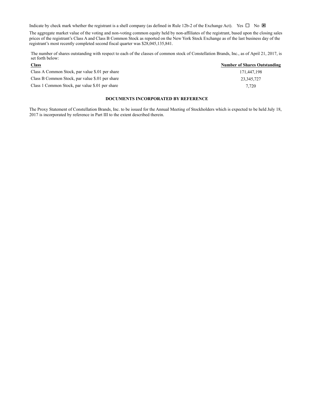Indicate by check mark whether the registrant is a shell company (as defined in Rule 12b-2 of the Exchange Act). Yes  $\Box$  No  $\boxtimes$ 

The aggregate market value of the voting and non-voting common equity held by non-affiliates of the registrant, based upon the closing sales prices of the registrant's Class A and Class B Common Stock as reported on the New York Stock Exchange as of the last business day of the registrant's most recently completed second fiscal quarter was \$28,045,135,841.

The number of shares outstanding with respect to each of the classes of common stock of Constellation Brands, Inc., as of April 21, 2017, is set forth below:

| <b>Class</b>                                    | <b>Number of Shares Outstanding</b> |
|-------------------------------------------------|-------------------------------------|
| Class A Common Stock, par value \$.01 per share | 171.447.198                         |
| Class B Common Stock, par value \$.01 per share | 23.345.727                          |
| Class 1 Common Stock, par value \$.01 per share | 7.720                               |

#### **DOCUMENTS INCORPORATED BY REFERENCE**

The Proxy Statement of Constellation Brands, Inc. to be issued for the Annual Meeting of Stockholders which is expected to be held July 18, 2017 is incorporated by reference in Part III to the extent described therein.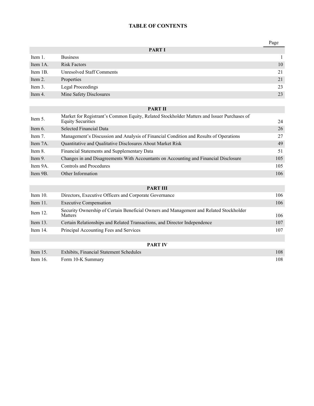# **TABLE OF CONTENTS**

|          |                                  | Page |
|----------|----------------------------------|------|
|          | <b>PART I</b>                    |      |
| Item 1.  | <b>Business</b>                  |      |
| Item 1A. | <b>Risk Factors</b>              | 10   |
| Item 1B. | <b>Unresolved Staff Comments</b> | 21   |
| Item 2.  | Properties                       | 21   |
| Item 3.  | <b>Legal Proceedings</b>         | 23   |
| Item 4.  | Mine Safety Disclosures          | 23   |

# **PART II**

| Item 5.    | Market for Registrant's Common Equity, Related Stockholder Matters and Issuer Purchases of<br><b>Equity Securities</b> | 24  |
|------------|------------------------------------------------------------------------------------------------------------------------|-----|
| Item $6$ . | Selected Financial Data                                                                                                | 26  |
| Item 7.    | Management's Discussion and Analysis of Financial Condition and Results of Operations                                  | 27  |
| Item 7A.   | Quantitative and Qualitative Disclosures About Market Risk                                                             | 49  |
| Item 8.    | Financial Statements and Supplementary Data                                                                            | 51  |
| Item 9.    | Changes in and Disagreements With Accountants on Accounting and Financial Disclosure                                   | 105 |
| Item 9A.   | Controls and Procedures                                                                                                | 105 |
| Item 9B.   | Other Information                                                                                                      | 106 |

# **PART III**

| Item $10$ . | Directors, Executive Officers and Corporate Governance                                                   | 106 |
|-------------|----------------------------------------------------------------------------------------------------------|-----|
| Item $11$ . | <b>Executive Compensation</b>                                                                            | 106 |
| Item $12$ . | Security Ownership of Certain Beneficial Owners and Management and Related Stockholder<br><b>Matters</b> | 106 |
| Item $13$ . | Certain Relationships and Related Transactions, and Director Independence                                | 107 |
| Item $14$ . | Principal Accounting Fees and Services                                                                   | 107 |

# **PART IV**

| Item $15$ . | Exhibits, Financial Statement Schedules | 108 |
|-------------|-----------------------------------------|-----|
| Item $16$ . | Form 10-K Summary                       | 108 |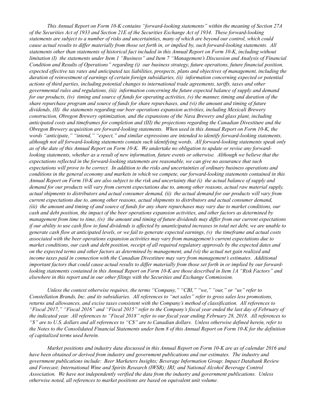*This Annual Report on Form 10-K contains "forward-looking statements" within the meaning of Section 27A of the Securities Act of 1933 and Section 21E of the Securities Exchange Act of 1934. These forward-looking statements are subject to a number of risks and uncertainties, many of which are beyond our control, which could cause actual results to differ materially from those set forth in, or implied by, such forward-looking statements. All statements other than statements of historical fact included in this Annual Report on Form 10-K, including without limitation (I) the statements under Item 1 "Business" and Item 7 "Management's Discussion and Analysis of Financial Condition and Results of Operations" regarding (i) our business strategy, future operations, future financial position, expected effective tax rates and anticipated tax liabilities, prospects, plans and objectives of management, including the duration of reinvestment of earnings of certain foreign subsidiaries, (ii) information concerning expected or potential actions of third parties, including potential changes to international trade agreements, tariffs, taxes and other governmental rules and regulations, (iii) information concerning the future expected balance of supply and demand for our products, (iv) timing and source of funds for operating activities, (v) the manner, timing and duration of the share repurchase program and source of funds for share repurchases, and (vi) the amount and timing of future dividends, (II) the statements regarding our beer operations expansion activities, including Mexicali Brewery construction, Obregon Brewery optimization, and the expansions of the Nava Brewery and glass plant, including anticipated costs and timeframes for completion and (III) the projections regarding the Canadian Divestiture and the Obregon Brewery acquisition are forward-looking statements. When used in this Annual Report on Form 10-K, the*  words "anticipate," "intend," "expect," and similar expressions are intended to identify forward-looking statements, *although not all forward-looking statements contain such identifying words. All forward-looking statements speak only as of the date of this Annual Report on Form 10-K. We undertake no obligation to update or revise any forward*looking statements, whether as a result of new information, future events or otherwise. Although we believe that the *expectations reflected in the forward-looking statements are reasonable, we can give no assurance that such expectations will prove to be correct. In addition to the risks and uncertainties of ordinary business operations and conditions in the general economy and markets in which we compete, our forward-looking statements contained in this Annual Report on Form 10-K are also subject to the risk and uncertainty that (i) the actual balance of supply and demand for our products will vary from current expectations due to, among other reasons, actual raw material supply, actual shipments to distributors and actual consumer demand, (ii) the actual demand for our products will vary from current expectations due to, among other reasons, actual shipments to distributors and actual consumer demand, (iii) the amount and timing of and source of funds for any share repurchases may vary due to market conditions, our cash and debt position, the impact of the beer operations expansion activities, and other factors as determined by management from time to time, (iv) the amount and timing of future dividends may differ from our current expectations if our ability to use cash flow to fund dividends is affected by unanticipated increases in total net debt, we are unable to generate cash flow at anticipated levels, or we fail to generate expected earnings, (v) the timeframe and actual costs associated with the beer operations expansion activities may vary from management's current expectations due to market conditions, our cash and debt position, receipt of all required regulatory approvals by the expected dates and on the expected terms and other factors as determined by management, and (vi) the actual net gain realized and income taxes paid in connection with the Canadian Divestiture may vary from management's estimates. Additional important factors that could cause actual results to differ materially from those set forth in or implied by our forwardlooking statements contained in this Annual Report on Form 10-K are those described in Item 1A "Risk Factors" and elsewhere in this report and in our other filings with the Securities and Exchange Commission.*

*Unless the context otherwise requires, the terms "Company," "CBI," "we," "our," or "us" refer to Constellation Brands, Inc. and its subsidiaries. All references to "net sales" refer to gross sales less promotions, returns and allowances, and excise taxes consistent with the Company's method of classification. All references to "Fiscal 2017," "Fiscal 2016" and "Fiscal 2015" refer to the Company's fiscal year ended the last day of February of the indicated year. All references to "Fiscal 2018" refer to our fiscal year ending February 28, 2018. All references to "\$" are to U.S. dollars and all references to "C\$" are to Canadian dollars. Unless otherwise defined herein, refer to the Notes to the Consolidated Financial Statements under Item 8 of this Annual Report on Form 10-K for the definition of capitalized terms used herein.*

*Market positions and industry data discussed in this Annual Report on Form 10-K are as of calendar 2016 and have been obtained or derived from industry and government publications and our estimates. The industry and government publications include: Beer Marketers Insights; Beverage Information Group; Impact Databank Review and Forecast; International Wine and Spirits Research (IWSR); IRI; and National Alcohol Beverage Control Association. We have not independently verified the data from the industry and government publications. Unless otherwise noted, all references to market positions are based on equivalent unit volume.*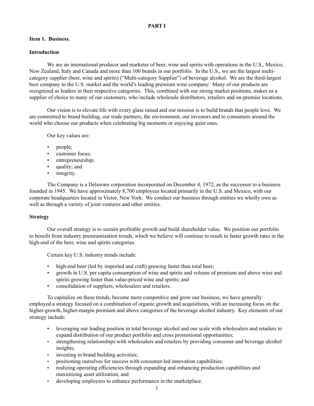#### **Item 1. Business.**

# **Introduction**

We are an international producer and marketer of beer, wine and spirits with operations in the U.S., Mexico, New Zealand, Italy and Canada and more than 100 brands in our portfolio. In the U.S., we are the largest multicategory supplier (beer, wine and spirits) ("Multi-category Supplier") of beverage alcohol. We are the third-largest beer company in the U.S. market and the world's leading premium wine company. Many of our products are recognized as leaders in their respective categories. This, combined with our strong market positions, makes us a supplier of choice to many of our customers, who include wholesale distributors, retailers and on-premise locations.

Our vision is to elevate life with every glass raised and our mission is to build brands that people love. We are committed to brand building, our trade partners, the environment, our investors and to consumers around the world who choose our products when celebrating big moments or enjoying quiet ones.

Our key values are:

- people;
- customer focus;
- entrepreneurship;
- quality; and
- integrity.

The Company is a Delaware corporation incorporated on December 4, 1972, as the successor to a business founded in 1945. We have approximately 8,700 employees located primarily in the U.S. and Mexico, with our corporate headquarters located in Victor, New York. We conduct our business through entities we wholly own as well as through a variety of joint ventures and other entities.

#### **Strategy**

Our overall strategy is to sustain profitable growth and build shareholder value. We position our portfolio to benefit from industry premiumization trends, which we believe will continue to result in faster growth rates in the high-end of the beer, wine and spirits categories.

Certain key U.S. industry trends include:

- high-end beer (led by imported and craft) growing faster than total beer;
- growth in U.S. per capita consumption of wine and spirits and volume of premium and above wine and spirits growing faster than value-priced wine and spirits; and
- consolidation of suppliers, wholesalers and retailers.

To capitalize on these trends, become more competitive and grow our business, we have generally employed a strategy focused on a combination of organic growth and acquisitions, with an increasing focus on the higher-growth, higher-margin premium and above categories of the beverage alcohol industry. Key elements of our strategy include:

- leveraging our leading position in total beverage alcohol and our scale with wholesalers and retailers to expand distribution of our product portfolio and cross promotional opportunities;
- strengthening relationships with wholesalers and retailers by providing consumer and beverage alcohol insights;
- investing in brand building activities;
- positioning ourselves for success with consumer-led innovation capabilities;
- realizing operating efficiencies through expanding and enhancing production capabilities and maximizing asset utilization; and
- developing employees to enhance performance in the marketplace.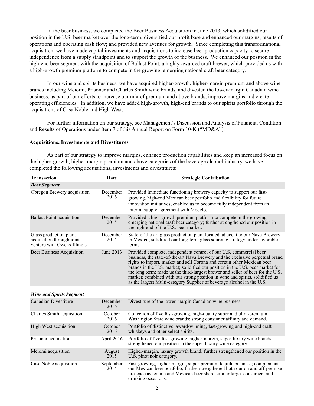In the beer business, we completed the Beer Business Acquisition in June 2013, which solidified our position in the U.S. beer market over the long-term; diversified our profit base and enhanced our margins, results of operations and operating cash flow; and provided new avenues for growth. Since completing this transformational acquisition, we have made capital investments and acquisitions to increase beer production capacity to secure independence from a supply standpoint and to support the growth of the business. We enhanced our position in the high-end beer segment with the acquisition of Ballast Point, a highly-awarded craft brewer, which provided us with a high-growth premium platform to compete in the growing, emerging national craft beer category.

In our wine and spirits business, we have acquired higher-growth, higher-margin premium and above wine brands including Meiomi, Prisoner and Charles Smith wine brands, and divested the lower-margin Canadian wine business, as part of our efforts to increase our mix of premium and above brands, improve margins and create operating efficiencies. In addition, we have added high-growth, high-end brands to our spirits portfolio through the acquisitions of Casa Noble and High West.

For further information on our strategy, see Management's Discussion and Analysis of Financial Condition and Results of Operations under Item 7 of this Annual Report on Form 10-K ("MD&A").

#### **Acquisitions, Investments and Divestitures**

As part of our strategy to improve margins, enhance production capabilities and keep an increased focus on the higher-growth, higher-margin premium and above categories of the beverage alcohol industry, we have completed the following acquisitions, investments and divestitures:

| <b>Transaction</b>                                                                 | <b>Date</b>       | <b>Strategic Contribution</b>                                                                                                                                                                                                                                                                                                                                                                                                                                                                                                                                 |
|------------------------------------------------------------------------------------|-------------------|---------------------------------------------------------------------------------------------------------------------------------------------------------------------------------------------------------------------------------------------------------------------------------------------------------------------------------------------------------------------------------------------------------------------------------------------------------------------------------------------------------------------------------------------------------------|
| <b>Beer Segment</b>                                                                |                   |                                                                                                                                                                                                                                                                                                                                                                                                                                                                                                                                                               |
| Obregon Brewery acquisition                                                        | December<br>2016  | Provided immediate functioning brewery capacity to support our fast-<br>growing, high-end Mexican beer portfolio and flexibility for future<br>innovation initiatives; enabled us to become fully independent from an<br>interim supply agreement with Modelo.                                                                                                                                                                                                                                                                                                |
| <b>Ballast Point acquisition</b>                                                   | December<br>2015  | Provided a high-growth premium platform to compete in the growing,<br>emerging national craft beer category; further strengthened our position in<br>the high-end of the U.S. beer market.                                                                                                                                                                                                                                                                                                                                                                    |
| Glass production plant<br>acquisition through joint<br>venture with Owens-Illinois | December<br>2014  | State-of-the-art glass production plant located adjacent to our Nava Brewery<br>in Mexico; solidified our long-term glass sourcing strategy under favorable<br>terms.                                                                                                                                                                                                                                                                                                                                                                                         |
| <b>Beer Business Acquisition</b>                                                   | June 2013         | Provided complete, independent control of our U.S. commercial beer<br>business, the state-of-the-art Nava Brewery and the exclusive perpetual brand<br>rights to import, market and sell Corona and certain other Mexican beer<br>brands in the U.S. market; solidified our position in the U.S. beer market for<br>the long term; made us the third-largest brewer and seller of beer for the U.S.<br>market; combined with our strong position in wine and spirits, solidified us<br>as the largest Multi-category Supplier of beverage alcohol in the U.S. |
| <b>Wine and Spirits Segment</b>                                                    |                   |                                                                                                                                                                                                                                                                                                                                                                                                                                                                                                                                                               |
| Canadian Divestiture                                                               | December<br>2016  | Divestiture of the lower-margin Canadian wine business.                                                                                                                                                                                                                                                                                                                                                                                                                                                                                                       |
| Charles Smith acquisition                                                          | October<br>2016   | Collection of five fast-growing, high-quality super and ultra-premium<br>Washington State wine brands; strong consumer affinity and demand.                                                                                                                                                                                                                                                                                                                                                                                                                   |
| High West acquisition                                                              | October<br>2016   | Portfolio of distinctive, award-winning, fast-growing and high-end craft<br>whiskeys and other select spirits.                                                                                                                                                                                                                                                                                                                                                                                                                                                |
| Prisoner acquisition                                                               | April 2016        | Portfolio of five fast-growing, higher-margin, super-luxury wine brands;<br>strengthened our position in the super-luxury wine category.                                                                                                                                                                                                                                                                                                                                                                                                                      |
| Meiomi acquisition                                                                 | August<br>2015    | Higher-margin, luxury growth brand; further strengthened our position in the<br>U.S. pinot noir category.                                                                                                                                                                                                                                                                                                                                                                                                                                                     |
| Casa Noble acquisition                                                             | September<br>2014 | Fast-growing, higher-margin, super-premium tequila business; complements<br>our Mexican beer portfolio; further strengthened both our on and off-premise<br>presence as tequila and Mexican beer share similar target consumers and<br>drinking occasions.                                                                                                                                                                                                                                                                                                    |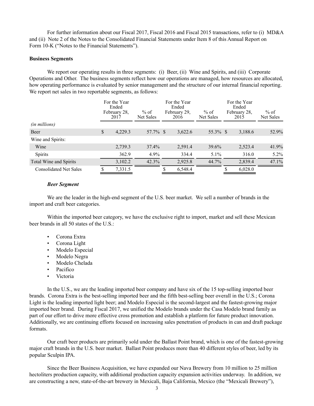For further information about our Fiscal 2017, Fiscal 2016 and Fiscal 2015 transactions, refer to (i) MD&A and (ii) Note 2 of the Notes to the Consolidated Financial Statements under Item 8 of this Annual Report on Form 10-K ("Notes to the Financial Statements").

#### **Business Segments**

We report our operating results in three segments: (i) Beer, (ii) Wine and Spirits, and (iii) Corporate Operations and Other. The business segments reflect how our operations are managed, how resources are allocated, how operating performance is evaluated by senior management and the structure of our internal financial reporting. We report net sales in two reportable segments, as follows:

|                               |   | For the Year<br>Ended<br>February 28,<br>2017 | % of<br>Net Sales | For the Year<br>Ended<br>February 29,<br>2016 | % of<br>Net Sales | For the Year<br>Ended<br>February 28,<br>2015 | $%$ of<br><b>Net Sales</b> |
|-------------------------------|---|-----------------------------------------------|-------------------|-----------------------------------------------|-------------------|-----------------------------------------------|----------------------------|
| (in millions)                 |   |                                               |                   |                                               |                   |                                               |                            |
| Beer                          | S | 4,229.3                                       | 57.7% \$          | 3,622.6                                       | $55.3\%$ \$       | 3,188.6                                       | 52.9%                      |
| Wine and Spirits:             |   |                                               |                   |                                               |                   |                                               |                            |
| Wine                          |   | 2,739.3                                       | $37.4\%$          | 2,591.4                                       | 39.6%             | 2,523.4                                       | 41.9%                      |
| Spirits                       |   | 362.9                                         | $4.9\%$           | 334.4                                         | $5.1\%$           | 316.0                                         | 5.2%                       |
| Total Wine and Spirits        |   | 3,102.2                                       | 42.3%             | 2.925.8                                       | 44.7%             | 2.839.4                                       | 47.1%                      |
| <b>Consolidated Net Sales</b> |   | 7,331.5                                       |                   | 6,548.4                                       |                   | 6,028.0                                       |                            |

#### *Beer Segment*

We are the leader in the high-end segment of the U.S. beer market. We sell a number of brands in the import and craft beer categories.

Within the imported beer category, we have the exclusive right to import, market and sell these Mexican beer brands in all 50 states of the U.S.:

- Corona Extra
- Corona Light
- Modelo Especial
- Modelo Negra
- Modelo Chelada
- Pacifico
- Victoria

In the U.S., we are the leading imported beer company and have six of the 15 top-selling imported beer brands. Corona Extra is the best-selling imported beer and the fifth best-selling beer overall in the U.S.; Corona Light is the leading imported light beer; and Modelo Especial is the second-largest and the fastest-growing major imported beer brand. During Fiscal 2017, we unified the Modelo brands under the Casa Modelo brand family as part of our effort to drive more effective cross promotion and establish a platform for future product innovation. Additionally, we are continuing efforts focused on increasing sales penetration of products in can and draft package formats.

Our craft beer products are primarily sold under the Ballast Point brand, which is one of the fastest-growing major craft brands in the U.S. beer market. Ballast Point produces more than 40 different styles of beer, led by its popular Sculpin IPA.

Since the Beer Business Acquisition, we have expanded our Nava Brewery from 10 million to 25 million hectoliters production capacity, with additional production capacity expansion activities underway. In addition, we are constructing a new, state-of-the-art brewery in Mexicali, Baja California, Mexico (the "Mexicali Brewery"),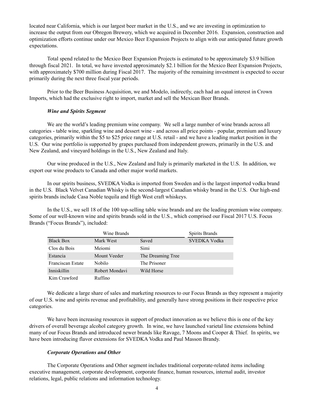located near California, which is our largest beer market in the U.S., and we are investing in optimization to increase the output from our Obregon Brewery, which we acquired in December 2016. Expansion, construction and optimization efforts continue under our Mexico Beer Expansion Projects to align with our anticipated future growth expectations.

Total spend related to the Mexico Beer Expansion Projects is estimated to be approximately \$3.9 billion through fiscal 2021. In total, we have invested approximately \$2.1 billion for the Mexico Beer Expansion Projects, with approximately \$700 million during Fiscal 2017. The majority of the remaining investment is expected to occur primarily during the next three fiscal year periods.

Prior to the Beer Business Acquisition, we and Modelo, indirectly, each had an equal interest in Crown Imports, which had the exclusive right to import, market and sell the Mexican Beer Brands.

#### *Wine and Spirits Segment*

We are the world's leading premium wine company. We sell a large number of wine brands across all categories - table wine, sparkling wine and dessert wine - and across all price points - popular, premium and luxury categories, primarily within the \$5 to \$25 price range at U.S. retail - and we have a leading market position in the U.S. Our wine portfolio is supported by grapes purchased from independent growers, primarily in the U.S. and New Zealand, and vineyard holdings in the U.S., New Zealand and Italy.

Our wine produced in the U.S., New Zealand and Italy is primarily marketed in the U.S. In addition, we export our wine products to Canada and other major world markets.

In our spirits business, SVEDKA Vodka is imported from Sweden and is the largest imported vodka brand in the U.S. Black Velvet Canadian Whisky is the second-largest Canadian whisky brand in the U.S. Our high-end spirits brands include Casa Noble tequila and High West craft whiskeys.

In the U.S., we sell 18 of the 100 top-selling table wine brands and are the leading premium wine company. Some of our well-known wine and spirits brands sold in the U.S., which comprised our Fiscal 2017 U.S. Focus Brands ("Focus Brands"), included:

|                   | Wine Brands    |                   | Spirits Brands      |
|-------------------|----------------|-------------------|---------------------|
| <b>Black Box</b>  | Mark West      | Saved             | <b>SVEDKA Vodka</b> |
| Clos du Bois      | Meiomi         | Simi              |                     |
| Estancia          | Mount Veeder   | The Dreaming Tree |                     |
| Franciscan Estate | Nobilo         | The Prisoner      |                     |
| Inniskillin       | Robert Mondavi | Wild Horse        |                     |
| Kim Crawford      | Ruffino        |                   |                     |

We dedicate a large share of sales and marketing resources to our Focus Brands as they represent a majority of our U.S. wine and spirits revenue and profitability, and generally have strong positions in their respective price categories.

We have been increasing resources in support of product innovation as we believe this is one of the key drivers of overall beverage alcohol category growth. In wine, we have launched varietal line extensions behind many of our Focus Brands and introduced newer brands like Ravage, 7 Moons and Cooper & Thief. In spirits, we have been introducing flavor extensions for SVEDKA Vodka and Paul Masson Brandy.

# *Corporate Operations and Other*

The Corporate Operations and Other segment includes traditional corporate-related items including executive management, corporate development, corporate finance, human resources, internal audit, investor relations, legal, public relations and information technology.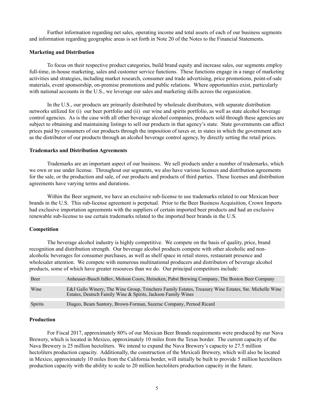Further information regarding net sales, operating income and total assets of each of our business segments and information regarding geographic areas is set forth in Note 20 of the Notes to the Financial Statements.

#### **Marketing and Distribution**

To focus on their respective product categories, build brand equity and increase sales, our segments employ full-time, in-house marketing, sales and customer service functions. These functions engage in a range of marketing activities and strategies, including market research, consumer and trade advertising, price promotions, point-of-sale materials, event sponsorship, on-premise promotions and public relations. Where opportunities exist, particularly with national accounts in the U.S., we leverage our sales and marketing skills across the organization.

In the U.S., our products are primarily distributed by wholesale distributors, with separate distribution networks utilized for (i) our beer portfolio and (ii) our wine and spirits portfolio, as well as state alcohol beverage control agencies. As is the case with all other beverage alcohol companies, products sold through these agencies are subject to obtaining and maintaining listings to sell our products in that agency's state. State governments can affect prices paid by consumers of our products through the imposition of taxes or, in states in which the government acts as the distributor of our products through an alcohol beverage control agency, by directly setting the retail prices.

#### **Trademarks and Distribution Agreements**

Trademarks are an important aspect of our business. We sell products under a number of trademarks, which we own or use under license. Throughout our segments, we also have various licenses and distribution agreements for the sale, or the production and sale, of our products and products of third parties. These licenses and distribution agreements have varying terms and durations.

Within the Beer segment, we have an exclusive sub-license to use trademarks related to our Mexican beer brands in the U.S. This sub-license agreement is perpetual. Prior to the Beer Business Acquisition, Crown Imports had exclusive importation agreements with the suppliers of certain imported beer products and had an exclusive renewable sub-license to use certain trademarks related to the imported beer brands in the U.S.

#### **Competition**

The beverage alcohol industry is highly competitive. We compete on the basis of quality, price, brand recognition and distribution strength. Our beverage alcohol products compete with other alcoholic and nonalcoholic beverages for consumer purchases, as well as shelf space in retail stores, restaurant presence and wholesaler attention. We compete with numerous multinational producers and distributors of beverage alcohol products, some of which have greater resources than we do. Our principal competitors include:

| Beer           | Anheuser-Busch InBev, Molson Coors, Heineken, Pabst Brewing Company, The Boston Beer Company                                                                          |
|----------------|-----------------------------------------------------------------------------------------------------------------------------------------------------------------------|
| Wine           | E&J Gallo Winery, The Wine Group, Trinchero Family Estates, Treasury Wine Estates, Ste. Michelle Wine<br>Estates, Deutsch Family Wine & Spirits, Jackson Family Wines |
| <b>Spirits</b> | Diageo, Beam Suntory, Brown-Forman, Sazerac Company, Pernod Ricard                                                                                                    |

#### **Production**

For Fiscal 2017, approximately 80% of our Mexican Beer Brands requirements were produced by our Nava Brewery, which is located in Mexico, approximately 10 miles from the Texas border. The current capacity of the Nava Brewery is 25 million hectoliters. We intend to expand the Nava Brewery's capacity to 27.5 million hectoliters production capacity. Additionally, the construction of the Mexicali Brewery, which will also be located in Mexico, approximately 10 miles from the California border, will initially be built to provide 5 million hectoliters production capacity with the ability to scale to 20 million hectoliters production capacity in the future.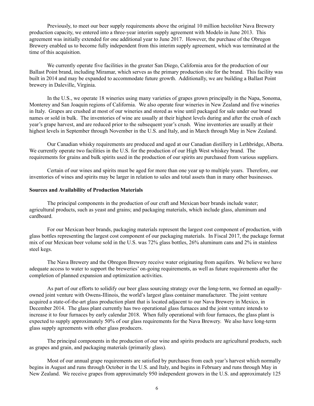Previously, to meet our beer supply requirements above the original 10 million hectoliter Nava Brewery production capacity, we entered into a three-year interim supply agreement with Modelo in June 2013. This agreement was initially extended for one additional year to June 2017. However, the purchase of the Obregon Brewery enabled us to become fully independent from this interim supply agreement, which was terminated at the time of this acquisition.

We currently operate five facilities in the greater San Diego, California area for the production of our Ballast Point brand, including Miramar, which serves as the primary production site for the brand. This facility was built in 2014 and may be expanded to accommodate future growth. Additionally, we are building a Ballast Point brewery in Daleville, Virginia.

In the U.S., we operate 18 wineries using many varieties of grapes grown principally in the Napa, Sonoma, Monterey and San Joaquin regions of California. We also operate four wineries in New Zealand and five wineries in Italy. Grapes are crushed at most of our wineries and stored as wine until packaged for sale under our brand names or sold in bulk. The inventories of wine are usually at their highest levels during and after the crush of each year's grape harvest, and are reduced prior to the subsequent year's crush. Wine inventories are usually at their highest levels in September through November in the U.S. and Italy, and in March through May in New Zealand.

Our Canadian whisky requirements are produced and aged at our Canadian distillery in Lethbridge, Alberta. We currently operate two facilities in the U.S. for the production of our High West whiskey brand. The requirements for grains and bulk spirits used in the production of our spirits are purchased from various suppliers.

Certain of our wines and spirits must be aged for more than one year up to multiple years. Therefore, our inventories of wines and spirits may be larger in relation to sales and total assets than in many other businesses.

# **Sources and Availability of Production Materials**

The principal components in the production of our craft and Mexican beer brands include water; agricultural products, such as yeast and grains; and packaging materials, which include glass, aluminum and cardboard.

For our Mexican beer brands, packaging materials represent the largest cost component of production, with glass bottles representing the largest cost component of our packaging materials. In Fiscal 2017, the package format mix of our Mexican beer volume sold in the U.S. was 72% glass bottles, 26% aluminum cans and 2% in stainless steel kegs.

The Nava Brewery and the Obregon Brewery receive water originating from aquifers. We believe we have adequate access to water to support the breweries' on-going requirements, as well as future requirements after the completion of planned expansion and optimization activities.

As part of our efforts to solidify our beer glass sourcing strategy over the long-term, we formed an equallyowned joint venture with Owens-Illinois, the world's largest glass container manufacturer. The joint venture acquired a state-of-the-art glass production plant that is located adjacent to our Nava Brewery in Mexico, in December 2014. The glass plant currently has two operational glass furnaces and the joint venture intends to increase it to four furnaces by early calendar 2018. When fully operational with four furnaces, the glass plant is expected to supply approximately 50% of our glass requirements for the Nava Brewery. We also have long-term glass supply agreements with other glass producers.

The principal components in the production of our wine and spirits products are agricultural products, such as grapes and grain, and packaging materials (primarily glass).

Most of our annual grape requirements are satisfied by purchases from each year's harvest which normally begins in August and runs through October in the U.S. and Italy, and begins in February and runs through May in New Zealand. We receive grapes from approximately 950 independent growers in the U.S. and approximately 125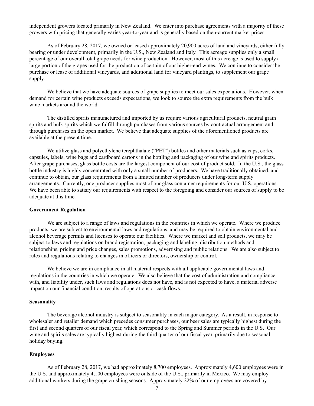independent growers located primarily in New Zealand. We enter into purchase agreements with a majority of these growers with pricing that generally varies year-to-year and is generally based on then-current market prices.

As of February 28, 2017, we owned or leased approximately 20,900 acres of land and vineyards, either fully bearing or under development, primarily in the U.S., New Zealand and Italy. This acreage supplies only a small percentage of our overall total grape needs for wine production. However, most of this acreage is used to supply a large portion of the grapes used for the production of certain of our higher-end wines. We continue to consider the purchase or lease of additional vineyards, and additional land for vineyard plantings, to supplement our grape supply.

We believe that we have adequate sources of grape supplies to meet our sales expectations. However, when demand for certain wine products exceeds expectations, we look to source the extra requirements from the bulk wine markets around the world.

The distilled spirits manufactured and imported by us require various agricultural products, neutral grain spirits and bulk spirits which we fulfill through purchases from various sources by contractual arrangement and through purchases on the open market. We believe that adequate supplies of the aforementioned products are available at the present time.

We utilize glass and polyethylene terephthalate ("PET") bottles and other materials such as caps, corks, capsules, labels, wine bags and cardboard cartons in the bottling and packaging of our wine and spirits products. After grape purchases, glass bottle costs are the largest component of our cost of product sold. In the U.S., the glass bottle industry is highly concentrated with only a small number of producers. We have traditionally obtained, and continue to obtain, our glass requirements from a limited number of producers under long-term supply arrangements. Currently, one producer supplies most of our glass container requirements for our U.S. operations. We have been able to satisfy our requirements with respect to the foregoing and consider our sources of supply to be adequate at this time.

#### **Government Regulation**

We are subject to a range of laws and regulations in the countries in which we operate. Where we produce products, we are subject to environmental laws and regulations, and may be required to obtain environmental and alcohol beverage permits and licenses to operate our facilities. Where we market and sell products, we may be subject to laws and regulations on brand registration, packaging and labeling, distribution methods and relationships, pricing and price changes, sales promotions, advertising and public relations. We are also subject to rules and regulations relating to changes in officers or directors, ownership or control.

We believe we are in compliance in all material respects with all applicable governmental laws and regulations in the countries in which we operate. We also believe that the cost of administration and compliance with, and liability under, such laws and regulations does not have, and is not expected to have, a material adverse impact on our financial condition, results of operations or cash flows.

#### **Seasonality**

The beverage alcohol industry is subject to seasonality in each major category. As a result, in response to wholesaler and retailer demand which precedes consumer purchases, our beer sales are typically highest during the first and second quarters of our fiscal year, which correspond to the Spring and Summer periods in the U.S. Our wine and spirits sales are typically highest during the third quarter of our fiscal year, primarily due to seasonal holiday buying.

#### **Employees**

As of February 28, 2017, we had approximately 8,700 employees. Approximately 4,600 employees were in the U.S. and approximately 4,100 employees were outside of the U.S., primarily in Mexico. We may employ additional workers during the grape crushing seasons. Approximately 22% of our employees are covered by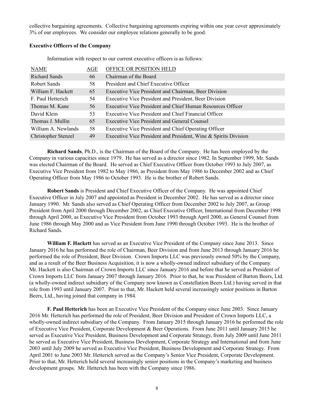collective bargaining agreements. Collective bargaining agreements expiring within one year cover approximately 3% of our employees. We consider our employee relations generally to be good.

# **Executive Officers of the Company**

| NAME                 | AGE | OFFICE OR POSITION HELD                                         |
|----------------------|-----|-----------------------------------------------------------------|
| <b>Richard Sands</b> | 66  | Chairman of the Board                                           |
| Robert Sands         | 58  | President and Chief Executive Officer                           |
| William F. Hackett   | 65  | Executive Vice President and Chairman, Beer Division            |
| F. Paul Hetterich    | 54  | Executive Vice President and President, Beer Division           |
| Thomas M. Kane       | 56  | Executive Vice President and Chief Human Resources Officer      |
| David Klein          | 53  | <b>Executive Vice President and Chief Financial Officer</b>     |
| Thomas J. Mullin     | 65  | <b>Executive Vice President and General Counsel</b>             |
| William A. Newlands  | 58  | <b>Executive Vice President and Chief Operating Officer</b>     |
| Christopher Stenzel  | 49  | Executive Vice President and President, Wine & Spirits Division |

Information with respect to our current executive officers is as follows:

**Richard Sands**, Ph.D., is the Chairman of the Board of the Company. He has been employed by the Company in various capacities since 1979. He has served as a director since 1982. In September 1999, Mr. Sands was elected Chairman of the Board. He served as Chief Executive Officer from October 1993 to July 2007, as Executive Vice President from 1982 to May 1986, as President from May 1986 to December 2002 and as Chief Operating Officer from May 1986 to October 1993. He is the brother of Robert Sands.

**Robert Sands** is President and Chief Executive Officer of the Company. He was appointed Chief Executive Officer in July 2007 and appointed as President in December 2002. He has served as a director since January 1990. Mr. Sands also served as Chief Operating Officer from December 2002 to July 2007, as Group President from April 2000 through December 2002, as Chief Executive Officer, International from December 1998 through April 2000, as Executive Vice President from October 1993 through April 2000, as General Counsel from June 1986 through May 2000 and as Vice President from June 1990 through October 1993. He is the brother of Richard Sands.

**William F. Hackett** has served as an Executive Vice President of the Company since June 2013. Since January 2016 he has performed the role of Chairman, Beer Division and from June 2013 through January 2016 he performed the role of President, Beer Division. Crown Imports LLC was previously owned 50% by the Company, and as a result of the Beer Business Acquisition, it is now a wholly-owned indirect subsidiary of the Company. Mr. Hackett is also Chairman of Crown Imports LLC since January 2016 and before that he served as President of Crown Imports LLC from January 2007 through January 2016. Prior to that, he was President of Barton Beers, Ltd. (a wholly-owned indirect subsidiary of the Company now known as Constellation Beers Ltd.) having served in that role from 1993 until January 2007. Prior to that, Mr. Hackett held several increasingly senior positions in Barton Beers, Ltd., having joined that company in 1984.

**F. Paul Hetterich** has been an Executive Vice President of the Company since June 2003. Since January 2016 Mr. Hetterich has performed the role of President, Beer Division and President of Crown Imports LLC, a wholly-owned indirect subsidiary of the Company. From January 2015 through January 2016 he performed the role of Executive Vice President, Corporate Development & Beer Operations. From June 2011 until January 2015 he served as Executive Vice President, Business Development and Corporate Strategy, from July 2009 until June 2011 he served as Executive Vice President, Business Development, Corporate Strategy and International and from June 2003 until July 2009 he served as Executive Vice President, Business Development and Corporate Strategy. From April 2001 to June 2003 Mr. Hetterich served as the Company's Senior Vice President, Corporate Development. Prior to that, Mr. Hetterich held several increasingly senior positions in the Company's marketing and business development groups. Mr. Hetterich has been with the Company since 1986.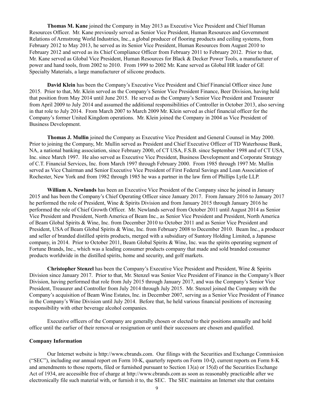**Thomas M. Kane** joined the Company in May 2013 as Executive Vice President and Chief Human Resources Officer. Mr. Kane previously served as Senior Vice President, Human Resources and Government Relations of Armstrong World Industries, Inc., a global producer of flooring products and ceiling systems, from February 2012 to May 2013, he served as its Senior Vice President, Human Resources from August 2010 to February 2012 and served as its Chief Compliance Officer from February 2011 to February 2012. Prior to that, Mr. Kane served as Global Vice President, Human Resources for Black & Decker Power Tools, a manufacturer of power and hand tools, from 2002 to 2010. From 1999 to 2002 Mr. Kane served as Global HR leader of GE Specialty Materials, a large manufacturer of silicone products.

**David Klein** has been the Company's Executive Vice President and Chief Financial Officer since June 2015. Prior to that, Mr. Klein served as the Company's Senior Vice President Finance, Beer Division, having held that position from May 2014 until June 2015. He served as the Company's Senior Vice President and Treasurer from April 2009 to July 2014 and assumed the additional responsibilities of Controller in October 2013, also serving in that role to July 2014. From March 2007 to March 2009 Mr. Klein served as chief financial officer for the Company's former United Kingdom operations. Mr. Klein joined the Company in 2004 as Vice President of Business Development.

**Thomas J. Mullin** joined the Company as Executive Vice President and General Counsel in May 2000. Prior to joining the Company, Mr. Mullin served as President and Chief Executive Officer of TD Waterhouse Bank, NA, a national banking association, since February 2000, of CT USA, F.S.B. since September 1998 and of CT USA, Inc. since March 1997. He also served as Executive Vice President, Business Development and Corporate Strategy of C.T. Financial Services, Inc. from March 1997 through February 2000. From 1985 through 1997 Mr. Mullin served as Vice Chairman and Senior Executive Vice President of First Federal Savings and Loan Association of Rochester, New York and from 1982 through 1985 he was a partner in the law firm of Phillips Lytle LLP.

**William A. Newlands** has been an Executive Vice President of the Company since he joined in January 2015 and has been the Company's Chief Operating Officer since January 2017. From January 2016 to January 2017 he performed the role of President, Wine & Spirits Division and from January 2015 through January 2016 he performed the role of Chief Growth Officer. Mr. Newlands served from October 2011 until August 2014 as Senior Vice President and President, North America of Beam Inc., as Senior Vice President and President, North America of Beam Global Spirits & Wine, Inc. from December 2010 to October 2011 and as Senior Vice President and President, USA of Beam Global Spirits & Wine, Inc. from February 2008 to December 2010. Beam Inc., a producer and seller of branded distilled spirits products, merged with a subsidiary of Suntory Holding Limited, a Japanese company, in 2014. Prior to October 2011, Beam Global Spirits & Wine, Inc. was the spirits operating segment of Fortune Brands, Inc., which was a leading consumer products company that made and sold branded consumer products worldwide in the distilled spirits, home and security, and golf markets.

**Christopher Stenzel** has been the Company's Executive Vice President and President, Wine & Spirits Division since January 2017. Prior to that, Mr. Stenzel was Senior Vice President of Finance in the Company's Beer Division, having performed that role from July 2015 through January 2017, and was the Company's Senior Vice President, Treasurer and Controller from July 2014 through July 2015. Mr. Stenzel joined the Company with the Company's acquisition of Beam Wine Estates, Inc. in December 2007, serving as a Senior Vice President of Finance in the Company's Wine Division until July 2014. Before that, he held various financial positions of increasing responsibility with other beverage alcohol companies.

Executive officers of the Company are generally chosen or elected to their positions annually and hold office until the earlier of their removal or resignation or until their successors are chosen and qualified.

#### **Company Information**

Our Internet website is http://www.cbrands.com. Our filings with the Securities and Exchange Commission ("SEC"), including our annual report on Form 10-K, quarterly reports on Form 10-Q, current reports on Form 8-K and amendments to those reports, filed or furnished pursuant to Section  $13(a)$  or  $15(d)$  of the Securities Exchange Act of 1934, are accessible free of charge at http://www.cbrands.com as soon as reasonably practicable after we electronically file such material with, or furnish it to, the SEC. The SEC maintains an Internet site that contains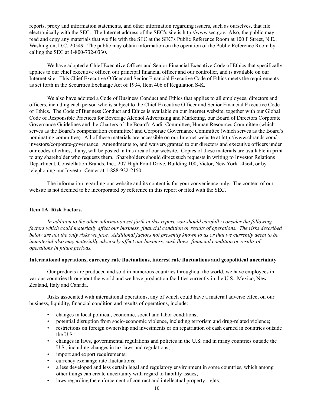reports, proxy and information statements, and other information regarding issuers, such as ourselves, that file electronically with the SEC. The Internet address of the SEC's site is http://www.sec.gov. Also, the public may read and copy any materials that we file with the SEC at the SEC's Public Reference Room at 100 F Street, N.E., Washington, D.C. 20549. The public may obtain information on the operation of the Public Reference Room by calling the SEC at 1-800-732-0330.

We have adopted a Chief Executive Officer and Senior Financial Executive Code of Ethics that specifically applies to our chief executive officer, our principal financial officer and our controller, and is available on our Internet site. This Chief Executive Officer and Senior Financial Executive Code of Ethics meets the requirements as set forth in the Securities Exchange Act of 1934, Item 406 of Regulation S-K.

We also have adopted a Code of Business Conduct and Ethics that applies to all employees, directors and officers, including each person who is subject to the Chief Executive Officer and Senior Financial Executive Code of Ethics. The Code of Business Conduct and Ethics is available on our Internet website, together with our Global Code of Responsible Practices for Beverage Alcohol Advertising and Marketing, our Board of Directors Corporate Governance Guidelines and the Charters of the Board's Audit Committee, Human Resources Committee (which serves as the Board's compensation committee) and Corporate Governance Committee (which serves as the Board's nominating committee). All of these materials are accessible on our Internet website at http://www.cbrands.com/ investors/corporate-governance. Amendments to, and waivers granted to our directors and executive officers under our codes of ethics, if any, will be posted in this area of our website. Copies of these materials are available in print to any shareholder who requests them. Shareholders should direct such requests in writing to Investor Relations Department, Constellation Brands, Inc., 207 High Point Drive, Building 100, Victor, New York 14564, or by telephoning our Investor Center at 1-888-922-2150.

The information regarding our website and its content is for your convenience only. The content of our website is not deemed to be incorporated by reference in this report or filed with the SEC.

#### **Item 1A. Risk Factors.**

*In addition to the other information set forth in this report, you should carefully consider the following factors which could materially affect our business, financial condition or results of operations. The risks described below are not the only risks we face. Additional factors not presently known to us or that we currently deem to be immaterial also may materially adversely affect our business, cash flows, financial condition or results of operations in future periods.*

#### **International operations, currency rate fluctuations, interest rate fluctuations and geopolitical uncertainty**

Our products are produced and sold in numerous countries throughout the world, we have employees in various countries throughout the world and we have production facilities currently in the U.S., Mexico, New Zealand, Italy and Canada.

Risks associated with international operations, any of which could have a material adverse effect on our business, liquidity, financial condition and results of operations, include:

- changes in local political, economic, social and labor conditions;
- potential disruption from socio-economic violence, including terrorism and drug-related violence;
- restrictions on foreign ownership and investments or on repatriation of cash earned in countries outside the U.S.;
- changes in laws, governmental regulations and policies in the U.S. and in many countries outside the U.S., including changes in tax laws and regulations;
- import and export requirements;
- currency exchange rate fluctuations;
- a less developed and less certain legal and regulatory environment in some countries, which among other things can create uncertainty with regard to liability issues;
- laws regarding the enforcement of contract and intellectual property rights;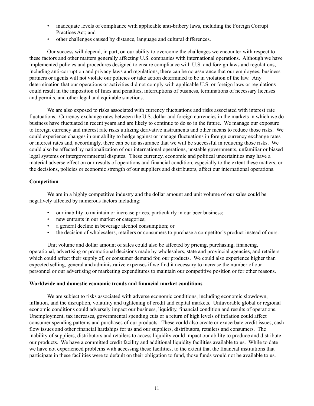- inadequate levels of compliance with applicable anti-bribery laws, including the Foreign Corrupt Practices Act; and
- other challenges caused by distance, language and cultural differences.

Our success will depend, in part, on our ability to overcome the challenges we encounter with respect to these factors and other matters generally affecting U.S. companies with international operations. Although we have implemented policies and procedures designed to ensure compliance with U.S. and foreign laws and regulations, including anti-corruption and privacy laws and regulations, there can be no assurance that our employees, business partners or agents will not violate our policies or take action determined to be in violation of the law. Any determination that our operations or activities did not comply with applicable U.S. or foreign laws or regulations could result in the imposition of fines and penalties, interruptions of business, terminations of necessary licenses and permits, and other legal and equitable sanctions.

We are also exposed to risks associated with currency fluctuations and risks associated with interest rate fluctuations. Currency exchange rates between the U.S. dollar and foreign currencies in the markets in which we do business have fluctuated in recent years and are likely to continue to do so in the future. We manage our exposure to foreign currency and interest rate risks utilizing derivative instruments and other means to reduce those risks. We could experience changes in our ability to hedge against or manage fluctuations in foreign currency exchange rates or interest rates and, accordingly, there can be no assurance that we will be successful in reducing those risks. We could also be affected by nationalization of our international operations, unstable governments, unfamiliar or biased legal systems or intergovernmental disputes. These currency, economic and political uncertainties may have a material adverse effect on our results of operations and financial condition, especially to the extent these matters, or the decisions, policies or economic strength of our suppliers and distributors, affect our international operations.

# **Competition**

We are in a highly competitive industry and the dollar amount and unit volume of our sales could be negatively affected by numerous factors including:

- our inability to maintain or increase prices, particularly in our beer business;
- new entrants in our market or categories;
- a general decline in beverage alcohol consumption; or
- the decision of wholesalers, retailers or consumers to purchase a competitor's product instead of ours.

Unit volume and dollar amount of sales could also be affected by pricing, purchasing, financing, operational, advertising or promotional decisions made by wholesalers, state and provincial agencies, and retailers which could affect their supply of, or consumer demand for, our products. We could also experience higher than expected selling, general and administrative expenses if we find it necessary to increase the number of our personnel or our advertising or marketing expenditures to maintain our competitive position or for other reasons.

#### **Worldwide and domestic economic trends and financial market conditions**

We are subject to risks associated with adverse economic conditions, including economic slowdown, inflation, and the disruption, volatility and tightening of credit and capital markets. Unfavorable global or regional economic conditions could adversely impact our business, liquidity, financial condition and results of operations. Unemployment, tax increases, governmental spending cuts or a return of high levels of inflation could affect consumer spending patterns and purchases of our products. These could also create or exacerbate credit issues, cash flow issues and other financial hardships for us and our suppliers, distributors, retailers and consumers. The inability of suppliers, distributors and retailers to access liquidity could impact our ability to produce and distribute our products. We have a committed credit facility and additional liquidity facilities available to us. While to date we have not experienced problems with accessing these facilities, to the extent that the financial institutions that participate in these facilities were to default on their obligation to fund, those funds would not be available to us.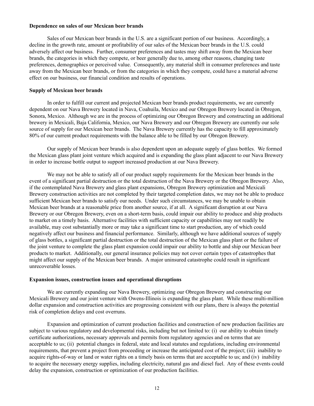#### **Dependence on sales of our Mexican beer brands**

Sales of our Mexican beer brands in the U.S. are a significant portion of our business. Accordingly, a decline in the growth rate, amount or profitability of our sales of the Mexican beer brands in the U.S. could adversely affect our business. Further, consumer preferences and tastes may shift away from the Mexican beer brands, the categories in which they compete, or beer generally due to, among other reasons, changing taste preferences, demographics or perceived value. Consequently, any material shift in consumer preferences and taste away from the Mexican beer brands, or from the categories in which they compete, could have a material adverse effect on our business, our financial condition and results of operations.

# **Supply of Mexican beer brands**

In order to fulfill our current and projected Mexican beer brands product requirements, we are currently dependent on our Nava Brewery located in Nava, Coahuila, Mexico and our Obregon Brewery located in Obregon, Sonora, Mexico. Although we are in the process of optimizing our Obregon Brewery and constructing an additional brewery in Mexicali, Baja California, Mexico, our Nava Brewery and our Obregon Brewery are currently our sole source of supply for our Mexican beer brands. The Nava Brewery currently has the capacity to fill approximately 80% of our current product requirements with the balance able to be filled by our Obregon Brewery.

Our supply of Mexican beer brands is also dependent upon an adequate supply of glass bottles. We formed the Mexican glass plant joint venture which acquired and is expanding the glass plant adjacent to our Nava Brewery in order to increase bottle output to support increased production at our Nava Brewery.

We may not be able to satisfy all of our product supply requirements for the Mexican beer brands in the event of a significant partial destruction or the total destruction of the Nava Brewery or the Obregon Brewery. Also, if the contemplated Nava Brewery and glass plant expansions, Obregon Brewery optimization and Mexicali Brewery construction activities are not completed by their targeted completion dates, we may not be able to produce sufficient Mexican beer brands to satisfy our needs. Under such circumstances, we may be unable to obtain Mexican beer brands at a reasonable price from another source, if at all. A significant disruption at our Nava Brewery or our Obregon Brewery, even on a short-term basis, could impair our ability to produce and ship products to market on a timely basis. Alternative facilities with sufficient capacity or capabilities may not readily be available, may cost substantially more or may take a significant time to start production, any of which could negatively affect our business and financial performance. Similarly, although we have additional sources of supply of glass bottles, a significant partial destruction or the total destruction of the Mexican glass plant or the failure of the joint venture to complete the glass plant expansion could impair our ability to bottle and ship our Mexican beer products to market. Additionally, our general insurance policies may not cover certain types of catastrophes that might affect our supply of the Mexican beer brands. A major uninsured catastrophe could result in significant unrecoverable losses.

#### **Expansion issues, construction issues and operational disruptions**

We are currently expanding our Nava Brewery, optimizing our Obregon Brewery and constructing our Mexicali Brewery and our joint venture with Owens-Illinois is expanding the glass plant. While these multi-million dollar expansion and construction activities are progressing consistent with our plans, there is always the potential risk of completion delays and cost overruns.

Expansion and optimization of current production facilities and construction of new production facilities are subject to various regulatory and developmental risks, including but not limited to: (i) our ability to obtain timely certificate authorizations, necessary approvals and permits from regulatory agencies and on terms that are acceptable to us; (ii) potential changes in federal, state and local statutes and regulations, including environmental requirements, that prevent a project from proceeding or increase the anticipated cost of the project; (iii) inability to acquire rights-of-way or land or water rights on a timely basis on terms that are acceptable to us; and (iv) inability to acquire the necessary energy supplies, including electricity, natural gas and diesel fuel. Any of these events could delay the expansion, construction or optimization of our production facilities.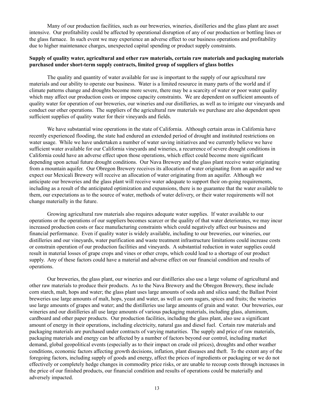Many of our production facilities, such as our breweries, wineries, distilleries and the glass plant are asset intensive. Our profitability could be affected by operational disruption of any of our production or bottling lines or the glass furnace. In such event we may experience an adverse effect to our business operations and profitability due to higher maintenance charges, unexpected capital spending or product supply constraints.

# **Supply of quality water, agricultural and other raw materials, certain raw materials and packaging materials purchased under short-term supply contracts, limited group of suppliers of glass bottles**

The quality and quantity of water available for use is important to the supply of our agricultural raw materials and our ability to operate our business. Water is a limited resource in many parts of the world and if climate patterns change and droughts become more severe, there may be a scarcity of water or poor water quality which may affect our production costs or impose capacity constraints. We are dependent on sufficient amounts of quality water for operation of our breweries, our wineries and our distilleries, as well as to irrigate our vineyards and conduct our other operations. The suppliers of the agricultural raw materials we purchase are also dependent upon sufficient supplies of quality water for their vineyards and fields.

We have substantial wine operations in the state of California. Although certain areas in California have recently experienced flooding, the state had endured an extended period of drought and instituted restrictions on water usage. While we have undertaken a number of water saving initiatives and we currently believe we have sufficient water available for our California vineyards and wineries, a recurrence of severe drought conditions in California could have an adverse effect upon those operations, which effect could become more significant depending upon actual future drought conditions. Our Nava Brewery and the glass plant receive water originating from a mountain aquifer. Our Obregon Brewery receives its allocation of water originating from an aquifer and we expect our Mexicali Brewery will receive an allocation of water originating from an aquifer. Although we anticipate our breweries and the glass plant will receive water adequate to support their on-going requirements, including as a result of the anticipated optimization and expansions, there is no guarantee that the water available to them, our expectations as to the source of water, methods of water delivery, or their water requirements will not change materially in the future.

Growing agricultural raw materials also requires adequate water supplies. If water available to our operations or the operations of our suppliers becomes scarcer or the quality of that water deteriorates, we may incur increased production costs or face manufacturing constraints which could negatively affect our business and financial performance. Even if quality water is widely available, including to our breweries, our wineries, our distilleries and our vineyards, water purification and waste treatment infrastructure limitations could increase costs or constrain operation of our production facilities and vineyards. A substantial reduction in water supplies could result in material losses of grape crops and vines or other crops, which could lead to a shortage of our product supply. Any of these factors could have a material and adverse effect on our financial condition and results of operations.

Our breweries, the glass plant, our wineries and our distilleries also use a large volume of agricultural and other raw materials to produce their products. As to the Nava Brewery and the Obregon Brewery, these include corn starch, malt, hops and water; the glass plant uses large amounts of soda ash and silica sand; the Ballast Point breweries use large amounts of malt, hops, yeast and water, as well as corn sugars, spices and fruits; the wineries use large amounts of grapes and water; and the distilleries use large amounts of grain and water. Our breweries, our wineries and our distilleries all use large amounts of various packaging materials, including glass, aluminum, cardboard and other paper products. Our production facilities, including the glass plant, also use a significant amount of energy in their operations, including electricity, natural gas and diesel fuel. Certain raw materials and packaging materials are purchased under contracts of varying maturities. The supply and price of raw materials, packaging materials and energy can be affected by a number of factors beyond our control, including market demand, global geopolitical events (especially as to their impact on crude oil prices), droughts and other weather conditions, economic factors affecting growth decisions, inflation, plant diseases and theft. To the extent any of the foregoing factors, including supply of goods and energy, affect the prices of ingredients or packaging or we do not effectively or completely hedge changes in commodity price risks, or are unable to recoup costs through increases in the price of our finished products, our financial condition and results of operations could be materially and adversely impacted.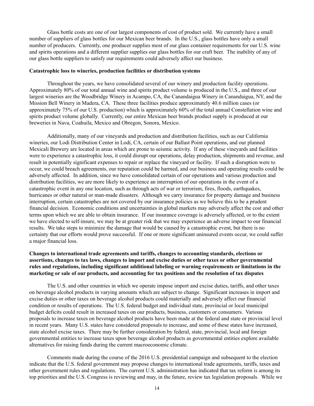Glass bottle costs are one of our largest components of cost of product sold. We currently have a small number of suppliers of glass bottles for our Mexican beer brands. In the U.S., glass bottles have only a small number of producers. Currently, one producer supplies most of our glass container requirements for our U.S. wine and spirits operations and a different supplier supplies our glass bottles for our craft beer. The inability of any of our glass bottle suppliers to satisfy our requirements could adversely affect our business.

#### **Catastrophic loss to wineries, production facilities or distribution systems**

Throughout the years, we have consolidated several of our winery and production facility operations. Approximately 80% of our total annual wine and spirits product volume is produced in the U.S., and three of our largest wineries are the Woodbridge Winery in Acampo, CA, the Canandaigua Winery in Canandaigua, NY, and the Mission Bell Winery in Madera, CA. These three facilities produce approximately 40.6 million cases (or approximately 75% of our U.S. production) which is approximately 60% of the total annual Constellation wine and spirits product volume globally. Currently, our entire Mexican beer brands product supply is produced at our breweries in Nava, Coahuila, Mexico and Obregon, Sonora, Mexico.

Additionally, many of our vineyards and production and distribution facilities, such as our California wineries, our Lodi Distribution Center in Lodi, CA, certain of our Ballast Point operations, and our planned Mexicali Brewery are located in areas which are prone to seismic activity. If any of these vineyards and facilities were to experience a catastrophic loss, it could disrupt our operations, delay production, shipments and revenue, and result in potentially significant expenses to repair or replace the vineyard or facility. If such a disruption were to occur, we could breach agreements, our reputation could be harmed, and our business and operating results could be adversely affected. In addition, since we have consolidated certain of our operations and various production and distribution facilities, we are more likely to experience an interruption of our operations in the event of a catastrophic event in any one location, such as through acts of war or terrorism, fires, floods, earthquakes, hurricanes or other natural or man-made disasters. Although we carry insurance for property damage and business interruption, certain catastrophes are not covered by our insurance policies as we believe this to be a prudent financial decision. Economic conditions and uncertainties in global markets may adversely affect the cost and other terms upon which we are able to obtain insurance. If our insurance coverage is adversely affected, or to the extent we have elected to self-insure, we may be at greater risk that we may experience an adverse impact to our financial results. We take steps to minimize the damage that would be caused by a catastrophic event, but there is no certainty that our efforts would prove successful. If one or more significant uninsured events occur, we could suffer a major financial loss.

# **Changes to international trade agreements and tariffs, changes to accounting standards, elections or assertions, changes to tax laws, changes to import and excise duties or other taxes or other governmental rules and regulations, including significant additional labeling or warning requirements or limitations in the marketing or sale of our products, and accounting for tax positions and the resolution of tax disputes**

The U.S. and other countries in which we operate impose import and excise duties, tariffs, and other taxes on beverage alcohol products in varying amounts which are subject to change. Significant increases in import and excise duties or other taxes on beverage alcohol products could materially and adversely affect our financial condition or results of operations. The U.S. federal budget and individual state, provincial or local municipal budget deficits could result in increased taxes on our products, business, customers or consumers. Various proposals to increase taxes on beverage alcohol products have been made at the federal and state or provincial level in recent years. Many U.S. states have considered proposals to increase, and some of these states have increased, state alcohol excise taxes. There may be further consideration by federal, state, provincial, local and foreign governmental entities to increase taxes upon beverage alcohol products as governmental entities explore available alternatives for raising funds during the current macroeconomic climate.

Comments made during the course of the 2016 U.S. presidential campaign and subsequent to the election indicate that the U.S. federal government may propose changes to international trade agreements, tariffs, taxes and other government rules and regulations. The current U.S. administration has indicated that tax reform is among its top priorities and the U.S. Congress is reviewing and may, in the future, review tax legislation proposals. While we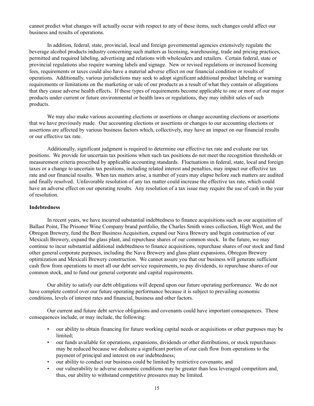cannot predict what changes will actually occur with respect to any of these items, such changes could affect our business and results of operations.

In addition, federal, state, provincial, local and foreign governmental agencies extensively regulate the beverage alcohol products industry concerning such matters as licensing, warehousing, trade and pricing practices, permitted and required labeling, advertising and relations with wholesalers and retailers. Certain federal, state or provincial regulations also require warning labels and signage. New or revised regulations or increased licensing fees, requirements or taxes could also have a material adverse effect on our financial condition or results of operations. Additionally, various jurisdictions may seek to adopt significant additional product labeling or warning requirements or limitations on the marketing or sale of our products as a result of what they contain or allegations that they cause adverse health effects. If these types of requirements become applicable to one or more of our major products under current or future environmental or health laws or regulations, they may inhibit sales of such products.

We may also make various accounting elections or assertions or change accounting elections or assertions that we have previously made. Our accounting elections or assertions or changes to our accounting elections or assertions are affected by various business factors which, collectively, may have an impact on our financial results or our effective tax rate.

Additionally, significant judgment is required to determine our effective tax rate and evaluate our tax positions. We provide for uncertain tax positions when such tax positions do not meet the recognition thresholds or measurement criteria prescribed by applicable accounting standards. Fluctuations in federal, state, local and foreign taxes or a change to uncertain tax positions, including related interest and penalties, may impact our effective tax rate and our financial results. When tax matters arise, a number of years may elapse before such matters are audited and finally resolved. Unfavorable resolution of any tax matter could increase the effective tax rate, which could have an adverse effect on our operating results. Any resolution of a tax issue may require the use of cash in the year of resolution.

#### **Indebtedness**

In recent years, we have incurred substantial indebtedness to finance acquisitions such as our acquisition of Ballast Point, The Prisoner Wine Company brand portfolio, the Charles Smith wines collection, High West, and the Obregon Brewery, fund the Beer Business Acquisition, expand our Nava Brewery and begin construction of our Mexicali Brewery, expand the glass plant, and repurchase shares of our common stock. In the future, we may continue to incur substantial additional indebtedness to finance acquisitions, repurchase shares of our stock and fund other general corporate purposes, including the Nava Brewery and glass plant expansions, Obregon Brewery optimization and Mexicali Brewery construction. We cannot assure you that our business will generate sufficient cash flow from operations to meet all our debt service requirements, to pay dividends, to repurchase shares of our common stock, and to fund our general corporate and capital requirements.

Our ability to satisfy our debt obligations will depend upon our future operating performance. We do not have complete control over our future operating performance because it is subject to prevailing economic conditions, levels of interest rates and financial, business and other factors.

Our current and future debt service obligations and covenants could have important consequences. These consequences include, or may include, the following:

- our ability to obtain financing for future working capital needs or acquisitions or other purposes may be limited;
- our funds available for operations, expansions, dividends or other distributions, or stock repurchases may be reduced because we dedicate a significant portion of our cash flow from operations to the payment of principal and interest on our indebtedness;
- our ability to conduct our business could be limited by restrictive covenants; and
- our vulnerability to adverse economic conditions may be greater than less leveraged competitors and, thus, our ability to withstand competitive pressures may be limited.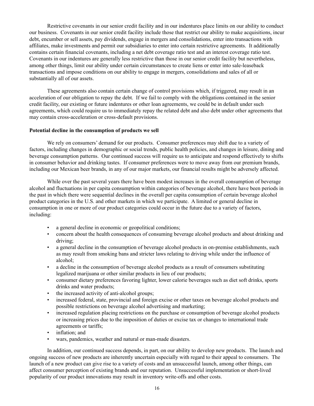Restrictive covenants in our senior credit facility and in our indentures place limits on our ability to conduct our business. Covenants in our senior credit facility include those that restrict our ability to make acquisitions, incur debt, encumber or sell assets, pay dividends, engage in mergers and consolidations, enter into transactions with affiliates, make investments and permit our subsidiaries to enter into certain restrictive agreements. It additionally contains certain financial covenants, including a net debt coverage ratio test and an interest coverage ratio test. Covenants in our indentures are generally less restrictive than those in our senior credit facility but nevertheless, among other things, limit our ability under certain circumstances to create liens or enter into sale-leaseback transactions and impose conditions on our ability to engage in mergers, consolidations and sales of all or substantially all of our assets.

These agreements also contain certain change of control provisions which, if triggered, may result in an acceleration of our obligation to repay the debt. If we fail to comply with the obligations contained in the senior credit facility, our existing or future indentures or other loan agreements, we could be in default under such agreements, which could require us to immediately repay the related debt and also debt under other agreements that may contain cross-acceleration or cross-default provisions.

#### **Potential decline in the consumption of products we sell**

We rely on consumers' demand for our products. Consumer preferences may shift due to a variety of factors, including changes in demographic or social trends, public health policies, and changes in leisure, dining and beverage consumption patterns. Our continued success will require us to anticipate and respond effectively to shifts in consumer behavior and drinking tastes. If consumer preferences were to move away from our premium brands, including our Mexican beer brands, in any of our major markets, our financial results might be adversely affected.

While over the past several years there have been modest increases in the overall consumption of beverage alcohol and fluctuations in per capita consumption within categories of beverage alcohol, there have been periods in the past in which there were sequential declines in the overall per capita consumption of certain beverage alcohol product categories in the U.S. and other markets in which we participate. A limited or general decline in consumption in one or more of our product categories could occur in the future due to a variety of factors, including:

- a general decline in economic or geopolitical conditions;
- concern about the health consequences of consuming beverage alcohol products and about drinking and driving;
- a general decline in the consumption of beverage alcohol products in on-premise establishments, such as may result from smoking bans and stricter laws relating to driving while under the influence of alcohol;
- a decline in the consumption of beverage alcohol products as a result of consumers substituting legalized marijuana or other similar products in lieu of our products;
- consumer dietary preferences favoring lighter, lower calorie beverages such as diet soft drinks, sports drinks and water products;
- the increased activity of anti-alcohol groups;
- increased federal, state, provincial and foreign excise or other taxes on beverage alcohol products and possible restrictions on beverage alcohol advertising and marketing;
- increased regulation placing restrictions on the purchase or consumption of beverage alcohol products or increasing prices due to the imposition of duties or excise tax or changes to international trade agreements or tariffs;
- inflation; and
- wars, pandemics, weather and natural or man-made disasters.

In addition, our continued success depends, in part, on our ability to develop new products. The launch and ongoing success of new products are inherently uncertain especially with regard to their appeal to consumers. The launch of a new product can give rise to a variety of costs and an unsuccessful launch, among other things, can affect consumer perception of existing brands and our reputation. Unsuccessful implementation or short-lived popularity of our product innovations may result in inventory write-offs and other costs.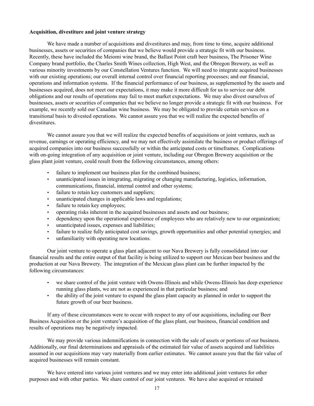#### **Acquisition, divestiture and joint venture strategy**

We have made a number of acquisitions and divestitures and may, from time to time, acquire additional businesses, assets or securities of companies that we believe would provide a strategic fit with our business. Recently, these have included the Meiomi wine brand, the Ballast Point craft beer business, The Prisoner Wine Company brand portfolio, the Charles Smith Wines collection, High West, and the Obregon Brewery, as well as various minority investments by our Constellation Ventures function. We will need to integrate acquired businesses with our existing operations; our overall internal control over financial reporting processes; and our financial, operations and information systems. If the financial performance of our business, as supplemented by the assets and businesses acquired, does not meet our expectations, it may make it more difficult for us to service our debt obligations and our results of operations may fail to meet market expectations. We may also divest ourselves of businesses, assets or securities of companies that we believe no longer provide a strategic fit with our business. For example, we recently sold our Canadian wine business. We may be obligated to provide certain services on a transitional basis to divested operations. We cannot assure you that we will realize the expected benefits of divestitures.

We cannot assure you that we will realize the expected benefits of acquisitions or joint ventures, such as revenue, earnings or operating efficiency, and we may not effectively assimilate the business or product offerings of acquired companies into our business successfully or within the anticipated costs or timeframes. Complications with on-going integration of any acquisition or joint venture, including our Obregon Brewery acquisition or the glass plant joint venture, could result from the following circumstances, among others:

- failure to implement our business plan for the combined business;
- unanticipated issues in integrating, migrating or changing manufacturing, logistics, information, communications, financial, internal control and other systems;
- failure to retain key customers and suppliers;
- unanticipated changes in applicable laws and regulations;
- failure to retain key employees;
- operating risks inherent in the acquired businesses and assets and our business;
- dependency upon the operational experience of employees who are relatively new to our organization;
- unanticipated issues, expenses and liabilities;
- failure to realize fully anticipated cost savings, growth opportunities and other potential synergies; and
- unfamiliarity with operating new locations.

Our joint venture to operate a glass plant adjacent to our Nava Brewery is fully consolidated into our financial results and the entire output of that facility is being utilized to support our Mexican beer business and the production at our Nava Brewery. The integration of the Mexican glass plant can be further impacted by the following circumstances:

- we share control of the joint venture with Owens-Illinois and while Owens-Illinois has deep experience running glass plants, we are not as experienced in that particular business; and
- the ability of the joint venture to expand the glass plant capacity as planned in order to support the future growth of our beer business.

If any of these circumstances were to occur with respect to any of our acquisitions, including our Beer Business Acquisition or the joint venture's acquisition of the glass plant, our business, financial condition and results of operations may be negatively impacted.

We may provide various indemnifications in connection with the sale of assets or portions of our business. Additionally, our final determinations and appraisals of the estimated fair value of assets acquired and liabilities assumed in our acquisitions may vary materially from earlier estimates. We cannot assure you that the fair value of acquired businesses will remain constant.

We have entered into various joint ventures and we may enter into additional joint ventures for other purposes and with other parties. We share control of our joint ventures. We have also acquired or retained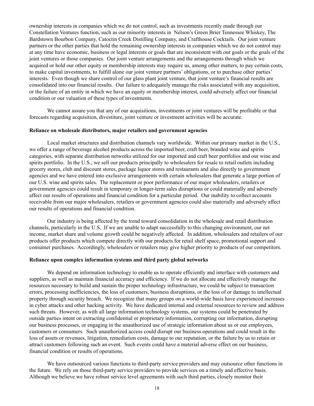ownership interests in companies which we do not control, such as investments recently made through our Constellation Ventures function, such as our minority interests in Nelson's Green Brier Tennessee Whiskey, The Bardstown Bourbon Company, Catoctin Creek Distilling Company, and Crafthouse Cocktails. Our joint venture partners or the other parties that hold the remaining ownership interests in companies which we do not control may at any time have economic, business or legal interests or goals that are inconsistent with our goals or the goals of the joint ventures or those companies. Our joint venture arrangements and the arrangements through which we acquired or hold our other equity or membership interests may require us, among other matters, to pay certain costs, to make capital investments, to fulfill alone our joint venture partners' obligations, or to purchase other parties' interests. Even though we share control of our glass plant joint venture, that joint venture's financial results are consolidated into our financial results. Our failure to adequately manage the risks associated with any acquisition, or the failure of an entity in which we have an equity or membership interest, could adversely affect our financial condition or our valuation of these types of investments.

We cannot assure you that any of our acquisitions, investments or joint ventures will be profitable or that forecasts regarding acquisition, divestiture, joint venture or investment activities will be accurate.

#### **Reliance on wholesale distributors, major retailers and government agencies**

Local market structures and distribution channels vary worldwide. Within our primary market in the U.S., we offer a range of beverage alcohol products across the imported beer, craft beer, branded wine and spirits categories, with separate distribution networks utilized for our imported and craft beer portfolios and our wine and spirits portfolio. In the U.S., we sell our products principally to wholesalers for resale to retail outlets including grocery stores, club and discount stores, package liquor stores and restaurants and also directly to government agencies and we have entered into exclusive arrangements with certain wholesalers that generate a large portion of our U.S. wine and spirits sales. The replacement or poor performance of our major wholesalers, retailers or government agencies could result in temporary or longer-term sales disruptions or could materially and adversely affect our results of operations and financial condition for a particular period. Our inability to collect accounts receivable from our major wholesalers, retailers or government agencies could also materially and adversely affect our results of operations and financial condition.

Our industry is being affected by the trend toward consolidation in the wholesale and retail distribution channels, particularly in the U.S. If we are unable to adapt successfully to this changing environment, our net income, market share and volume growth could be negatively affected. In addition, wholesalers and retailers of our products offer products which compete directly with our products for retail shelf space, promotional support and consumer purchases. Accordingly, wholesalers or retailers may give higher priority to products of our competitors.

#### **Reliance upon complex information systems and third party global networks**

We depend on information technology to enable us to operate efficiently and interface with customers and suppliers, as well as maintain financial accuracy and efficiency. If we do not allocate and effectively manage the resources necessary to build and sustain the proper technology infrastructure, we could be subject to transaction errors, processing inefficiencies, the loss of customers, business disruptions, or the loss of or damage to intellectual property through security breach. We recognize that many groups on a world-wide basis have experienced increases in cyber attacks and other hacking activity. We have dedicated internal and external resources to review and address such threats. However, as with all large information technology systems, our systems could be penetrated by outside parties intent on extracting confidential or proprietary information, corrupting our information, disrupting our business processes, or engaging in the unauthorized use of strategic information about us or our employees, customers or consumers. Such unauthorized access could disrupt our business operations and could result in the loss of assets or revenues, litigation, remediation costs, damage to our reputation, or the failure by us to retain or attract customers following such an event. Such events could have a material adverse effect on our business, financial condition or results of operations.

We have outsourced various functions to third-party service providers and may outsource other functions in the future. We rely on those third-party service providers to provide services on a timely and effective basis. Although we believe we have robust service level agreements with such third parties, closely monitor their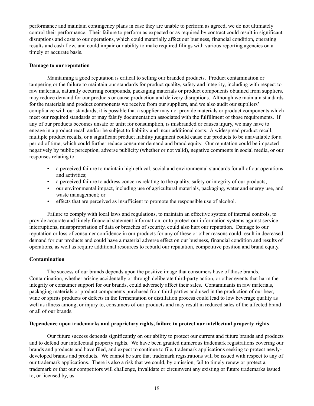performance and maintain contingency plans in case they are unable to perform as agreed, we do not ultimately control their performance. Their failure to perform as expected or as required by contract could result in significant disruptions and costs to our operations, which could materially affect our business, financial condition, operating results and cash flow, and could impair our ability to make required filings with various reporting agencies on a timely or accurate basis.

#### **Damage to our reputation**

Maintaining a good reputation is critical to selling our branded products. Product contamination or tampering or the failure to maintain our standards for product quality, safety and integrity, including with respect to raw materials, naturally occurring compounds, packaging materials or product components obtained from suppliers, may reduce demand for our products or cause production and delivery disruptions. Although we maintain standards for the materials and product components we receive from our suppliers, and we also audit our suppliers' compliance with our standards, it is possible that a supplier may not provide materials or product components which meet our required standards or may falsify documentation associated with the fulfillment of those requirements. If any of our products becomes unsafe or unfit for consumption, is misbranded or causes injury, we may have to engage in a product recall and/or be subject to liability and incur additional costs. A widespread product recall, multiple product recalls, or a significant product liability judgment could cause our products to be unavailable for a period of time, which could further reduce consumer demand and brand equity. Our reputation could be impacted negatively by public perception, adverse publicity (whether or not valid), negative comments in social media, or our responses relating to:

- a perceived failure to maintain high ethical, social and environmental standards for all of our operations and activities;
- a perceived failure to address concerns relating to the quality, safety or integrity of our products;
- our environmental impact, including use of agricultural materials, packaging, water and energy use, and waste management; or
- effects that are perceived as insufficient to promote the responsible use of alcohol.

Failure to comply with local laws and regulations, to maintain an effective system of internal controls, to provide accurate and timely financial statement information, or to protect our information systems against service interruptions, misappropriation of data or breaches of security, could also hurt our reputation. Damage to our reputation or loss of consumer confidence in our products for any of these or other reasons could result in decreased demand for our products and could have a material adverse effect on our business, financial condition and results of operations, as well as require additional resources to rebuild our reputation, competitive position and brand equity.

#### **Contamination**

The success of our brands depends upon the positive image that consumers have of those brands. Contamination, whether arising accidentally or through deliberate third-party action, or other events that harm the integrity or consumer support for our brands, could adversely affect their sales. Contaminants in raw materials, packaging materials or product components purchased from third parties and used in the production of our beer, wine or spirits products or defects in the fermentation or distillation process could lead to low beverage quality as well as illness among, or injury to, consumers of our products and may result in reduced sales of the affected brand or all of our brands.

#### **Dependence upon trademarks and proprietary rights, failure to protect our intellectual property rights**

Our future success depends significantly on our ability to protect our current and future brands and products and to defend our intellectual property rights. We have been granted numerous trademark registrations covering our brands and products and have filed, and expect to continue to file, trademark applications seeking to protect newlydeveloped brands and products. We cannot be sure that trademark registrations will be issued with respect to any of our trademark applications. There is also a risk that we could, by omission, fail to timely renew or protect a trademark or that our competitors will challenge, invalidate or circumvent any existing or future trademarks issued to, or licensed by, us.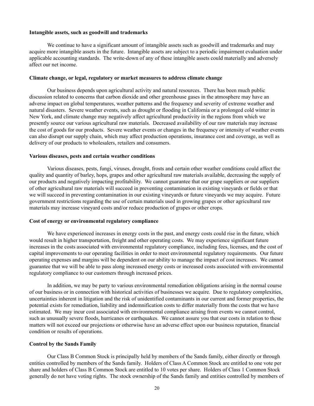#### **Intangible assets, such as goodwill and trademarks**

We continue to have a significant amount of intangible assets such as goodwill and trademarks and may acquire more intangible assets in the future. Intangible assets are subject to a periodic impairment evaluation under applicable accounting standards. The write-down of any of these intangible assets could materially and adversely affect our net income.

#### **Climate change, or legal, regulatory or market measures to address climate change**

Our business depends upon agricultural activity and natural resources. There has been much public discussion related to concerns that carbon dioxide and other greenhouse gases in the atmosphere may have an adverse impact on global temperatures, weather patterns and the frequency and severity of extreme weather and natural disasters. Severe weather events, such as drought or flooding in California or a prolonged cold winter in New York, and climate change may negatively affect agricultural productivity in the regions from which we presently source our various agricultural raw materials. Decreased availability of our raw materials may increase the cost of goods for our products. Severe weather events or changes in the frequency or intensity of weather events can also disrupt our supply chain, which may affect production operations, insurance cost and coverage, as well as delivery of our products to wholesalers, retailers and consumers.

#### **Various diseases, pests and certain weather conditions**

Various diseases, pests, fungi, viruses, drought, frosts and certain other weather conditions could affect the quality and quantity of barley, hops, grapes and other agricultural raw materials available, decreasing the supply of our products and negatively impacting profitability. We cannot guarantee that our grape suppliers or our suppliers of other agricultural raw materials will succeed in preventing contamination in existing vineyards or fields or that we will succeed in preventing contamination in our existing vineyards or future vineyards we may acquire. Future government restrictions regarding the use of certain materials used in growing grapes or other agricultural raw materials may increase vineyard costs and/or reduce production of grapes or other crops.

#### **Cost of energy or environmental regulatory compliance**

We have experienced increases in energy costs in the past, and energy costs could rise in the future, which would result in higher transportation, freight and other operating costs. We may experience significant future increases in the costs associated with environmental regulatory compliance, including fees, licenses, and the cost of capital improvements to our operating facilities in order to meet environmental regulatory requirements. Our future operating expenses and margins will be dependent on our ability to manage the impact of cost increases. We cannot guarantee that we will be able to pass along increased energy costs or increased costs associated with environmental regulatory compliance to our customers through increased prices.

In addition, we may be party to various environmental remediation obligations arising in the normal course of our business or in connection with historical activities of businesses we acquire. Due to regulatory complexities, uncertainties inherent in litigation and the risk of unidentified contaminants in our current and former properties, the potential exists for remediation, liability and indemnification costs to differ materially from the costs that we have estimated. We may incur cost associated with environmental compliance arising from events we cannot control, such as unusually severe floods, hurricanes or earthquakes. We cannot assure you that our costs in relation to these matters will not exceed our projections or otherwise have an adverse effect upon our business reputation, financial condition or results of operations.

#### **Control by the Sands Family**

Our Class B Common Stock is principally held by members of the Sands family, either directly or through entities controlled by members of the Sands family. Holders of Class A Common Stock are entitled to one vote per share and holders of Class B Common Stock are entitled to 10 votes per share. Holders of Class 1 Common Stock generally do not have voting rights. The stock ownership of the Sands family and entities controlled by members of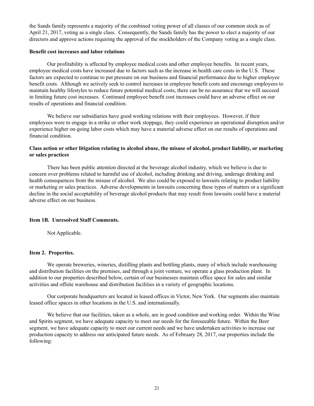the Sands family represents a majority of the combined voting power of all classes of our common stock as of April 21, 2017, voting as a single class. Consequently, the Sands family has the power to elect a majority of our directors and approve actions requiring the approval of the stockholders of the Company voting as a single class.

#### **Benefit cost increases and labor relations**

Our profitability is affected by employee medical costs and other employee benefits. In recent years, employee medical costs have increased due to factors such as the increase in health care costs in the U.S. These factors are expected to continue to put pressure on our business and financial performance due to higher employee benefit costs. Although we actively seek to control increases in employee benefit costs and encourage employees to maintain healthy lifestyles to reduce future potential medical costs, there can be no assurance that we will succeed in limiting future cost increases. Continued employee benefit cost increases could have an adverse effect on our results of operations and financial condition.

We believe our subsidiaries have good working relations with their employees. However, if their employees were to engage in a strike or other work stoppage, they could experience an operational disruption and/or experience higher on-going labor costs which may have a material adverse effect on our results of operations and financial condition.

# **Class action or other litigation relating to alcohol abuse, the misuse of alcohol, product liability, or marketing or sales practices**

There has been public attention directed at the beverage alcohol industry, which we believe is due to concern over problems related to harmful use of alcohol, including drinking and driving, underage drinking and health consequences from the misuse of alcohol. We also could be exposed to lawsuits relating to product liability or marketing or sales practices. Adverse developments in lawsuits concerning these types of matters or a significant decline in the social acceptability of beverage alcohol products that may result from lawsuits could have a material adverse effect on our business.

#### **Item 1B. Unresolved Staff Comments.**

Not Applicable.

#### **Item 2. Properties.**

We operate breweries, wineries, distilling plants and bottling plants, many of which include warehousing and distribution facilities on the premises, and through a joint venture, we operate a glass production plant. In addition to our properties described below, certain of our businesses maintain office space for sales and similar activities and offsite warehouse and distribution facilities in a variety of geographic locations.

Our corporate headquarters are located in leased offices in Victor, New York. Our segments also maintain leased office spaces in other locations in the U.S. and internationally.

We believe that our facilities, taken as a whole, are in good condition and working order. Within the Wine and Spirits segment, we have adequate capacity to meet our needs for the foreseeable future. Within the Beer segment, we have adequate capacity to meet our current needs and we have undertaken activities to increase our production capacity to address our anticipated future needs. As of February 28, 2017, our properties include the following: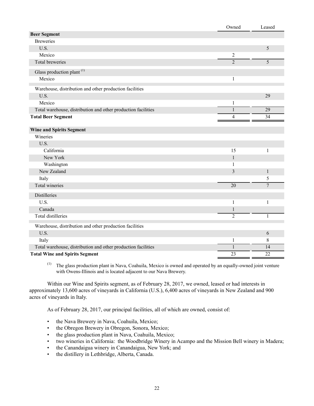|                                                               | Owned           | Leased          |
|---------------------------------------------------------------|-----------------|-----------------|
| <b>Beer Segment</b>                                           |                 |                 |
| <b>Breweries</b>                                              |                 |                 |
| U.S.                                                          |                 | 5               |
| Mexico                                                        | 2               |                 |
| <b>Total breweries</b>                                        | $\overline{2}$  | 5               |
| Glass production plant <sup>(1)</sup>                         |                 |                 |
| Mexico                                                        | $\mathbf{1}$    |                 |
| Warehouse, distribution and other production facilities       |                 |                 |
| U.S.                                                          |                 | 29              |
| Mexico                                                        | 1               |                 |
| Total warehouse, distribution and other production facilities | $\mathbf{1}$    | 29              |
| <b>Total Beer Segment</b>                                     | 4               | $\overline{34}$ |
|                                                               |                 |                 |
| <b>Wine and Spirits Segment</b>                               |                 |                 |
| Wineries                                                      |                 |                 |
| U.S.                                                          |                 |                 |
| California                                                    | 15              | 1               |
| New York                                                      | $\mathbf{1}$    |                 |
| Washington                                                    | 1               |                 |
| New Zealand                                                   | 3               | $\mathbf{1}$    |
| Italy                                                         |                 | 5               |
| Total wineries                                                | 20              | $\overline{7}$  |
| Distilleries                                                  |                 |                 |
| U.S.                                                          | $\mathbf{1}$    | $\mathbf{1}$    |
| Canada                                                        | 1               |                 |
| Total distilleries                                            | $\overline{2}$  | $\mathbf{1}$    |
| Warehouse, distribution and other production facilities       |                 |                 |
| U.S.                                                          |                 | 6               |
| Italy                                                         | 1               | 8               |
| Total warehouse, distribution and other production facilities | $\mathbf{1}$    | 14              |
| <b>Total Wine and Spirits Segment</b>                         | $\overline{23}$ | $\overline{22}$ |

(1) The glass production plant in Nava, Coahuila, Mexico is owned and operated by an equally-owned joint venture with Owens-Illinois and is located adjacent to our Nava Brewery.

Within our Wine and Spirits segment, as of February 28, 2017, we owned, leased or had interests in approximately 13,600 acres of vineyards in California (U.S.), 6,400 acres of vineyards in New Zealand and 900 acres of vineyards in Italy.

As of February 28, 2017, our principal facilities, all of which are owned, consist of:

- the Nava Brewery in Nava, Coahuila, Mexico;
- the Obregon Brewery in Obregon, Sonora, Mexico;
- the glass production plant in Nava, Coahuila, Mexico;
- two wineries in California: the Woodbridge Winery in Acampo and the Mission Bell winery in Madera;
- the Canandaigua winery in Canandaigua, New York; and
- the distillery in Lethbridge, Alberta, Canada.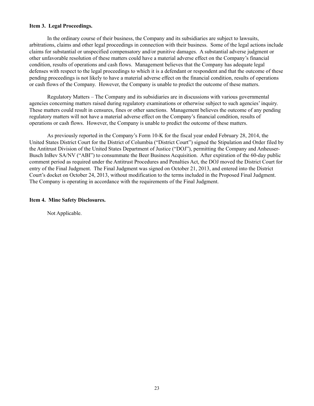# **Item 3. Legal Proceedings.**

In the ordinary course of their business, the Company and its subsidiaries are subject to lawsuits, arbitrations, claims and other legal proceedings in connection with their business. Some of the legal actions include claims for substantial or unspecified compensatory and/or punitive damages. A substantial adverse judgment or other unfavorable resolution of these matters could have a material adverse effect on the Company's financial condition, results of operations and cash flows. Management believes that the Company has adequate legal defenses with respect to the legal proceedings to which it is a defendant or respondent and that the outcome of these pending proceedings is not likely to have a material adverse effect on the financial condition, results of operations or cash flows of the Company. However, the Company is unable to predict the outcome of these matters.

Regulatory Matters – The Company and its subsidiaries are in discussions with various governmental agencies concerning matters raised during regulatory examinations or otherwise subject to such agencies' inquiry. These matters could result in censures, fines or other sanctions. Management believes the outcome of any pending regulatory matters will not have a material adverse effect on the Company's financial condition, results of operations or cash flows. However, the Company is unable to predict the outcome of these matters.

As previously reported in the Company's Form 10-K for the fiscal year ended February 28, 2014, the United States District Court for the District of Columbia ("District Court") signed the Stipulation and Order filed by the Antitrust Division of the United States Department of Justice ("DOJ"), permitting the Company and Anheuser-Busch InBev SA/NV ("ABI") to consummate the Beer Business Acquisition. After expiration of the 60-day public comment period as required under the Antitrust Procedures and Penalties Act, the DOJ moved the District Court for entry of the Final Judgment. The Final Judgment was signed on October 21, 2013, and entered into the District Court's docket on October 24, 2013, without modification to the terms included in the Proposed Final Judgment. The Company is operating in accordance with the requirements of the Final Judgment.

#### **Item 4. Mine Safety Disclosures.**

Not Applicable.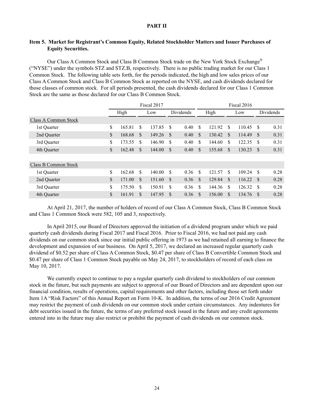#### **PART II**

# **Item 5. Market for Registrant's Common Equity, Related Stockholder Matters and Issuer Purchases of Equity Securities.**

Our Class A Common Stock and Class B Common Stock trade on the New York Stock Exchange® ("NYSE") under the symbols STZ and STZ.B, respectively. There is no public trading market for our Class 1 Common Stock. The following table sets forth, for the periods indicated, the high and low sales prices of our Class A Common Stock and Class B Common Stock as reported on the NYSE, and cash dividends declared for those classes of common stock. For all periods presented, the cash dividends declared for our Class 1 Common Stock are the same as those declared for our Class B Common Stock.

|                      | Fiscal 2017 |        |               |        |               |           |               | Fiscal 2016 |               |          |              |           |  |
|----------------------|-------------|--------|---------------|--------|---------------|-----------|---------------|-------------|---------------|----------|--------------|-----------|--|
|                      |             | High   |               | Low    |               | Dividends |               | High        |               | Low      |              | Dividends |  |
| Class A Common Stock |             |        |               |        |               |           |               |             |               |          |              |           |  |
| 1st Ouarter          | \$          | 165.81 | <b>S</b>      | 137.85 | \$.           | 0.40      | \$            | 121.92      | -S            | 110.45   | - S          | 0.31      |  |
| 2nd Quarter          | \$          | 168.68 | <sup>\$</sup> | 149.26 | <sup>\$</sup> | 0.40      | \$            | 130.42      | <sup>\$</sup> | 114.49   | -S           | 0.31      |  |
| 3rd Quarter          | \$          | 173.55 | <b>S</b>      | 146.90 | \$            | 0.40      | \$            | 144.60      | S             | 122.35   | \$.          | 0.31      |  |
| 4th Quarter          | \$          | 162.48 | <sup>\$</sup> | 144.00 | <sup>\$</sup> | 0.40      | S             | 155.68      | <sup>S</sup>  | 130.23   | <sup>S</sup> | 0.31      |  |
|                      |             |        |               |        |               |           |               |             |               |          |              |           |  |
| Class B Common Stock |             |        |               |        |               |           |               |             |               |          |              |           |  |
| 1st Ouarter          | \$          | 162.68 | \$            | 140.00 | \$            | 0.36      | S             | 121.57      | <sup>\$</sup> | 109.24   | S            | 0.28      |  |
| 2nd Quarter          | \$          | 171.00 | <sup>\$</sup> | 151.60 | \$.           | 0.36      | <sup>\$</sup> | 129.84      | \$.           | 116.22 S |              | 0.28      |  |
| 3rd Quarter          | \$          | 175.50 | \$.           | 150.91 | \$            | 0.36      | \$.           | 144.36      | S             | 126.32   | -S           | 0.28      |  |
| 4th Quarter          | \$          | 161.91 | <sup>\$</sup> | 147.95 | \$.           | 0.36      | <sup>\$</sup> | 156.00      | <sup>\$</sup> | 134.76   | -S           | 0.28      |  |

At April 21, 2017, the number of holders of record of our Class A Common Stock, Class B Common Stock and Class 1 Common Stock were 582, 105 and 3, respectively.

In April 2015, our Board of Directors approved the initiation of a dividend program under which we paid quarterly cash dividends during Fiscal 2017 and Fiscal 2016. Prior to Fiscal 2016, we had not paid any cash dividends on our common stock since our initial public offering in 1973 as we had retained all earning to finance the development and expansion of our business. On April 5, 2017, we declared an increased regular quarterly cash dividend of \$0.52 per share of Class A Common Stock, \$0.47 per share of Class B Convertible Common Stock and \$0.47 per share of Class 1 Common Stock payable on May 24, 2017, to stockholders of record of each class on May 10, 2017.

We currently expect to continue to pay a regular quarterly cash dividend to stockholders of our common stock in the future, but such payments are subject to approval of our Board of Directors and are dependent upon our financial condition, results of operations, capital requirements and other factors, including those set forth under Item 1A "Risk Factors" of this Annual Report on Form 10-K. In addition, the terms of our 2016 Credit Agreement may restrict the payment of cash dividends on our common stock under certain circumstances. Any indentures for debt securities issued in the future, the terms of any preferred stock issued in the future and any credit agreements entered into in the future may also restrict or prohibit the payment of cash dividends on our common stock.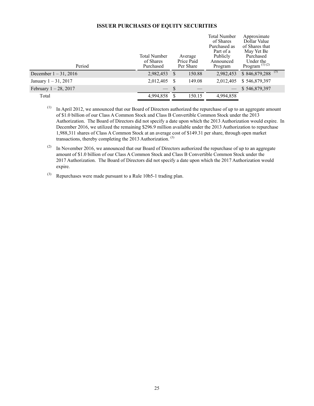#### **ISSUER PURCHASES OF EQUITY SECURITIES**

| Period                   | <b>Total Number</b><br>of Shares<br>Purchased |    | Average<br>Price Paid<br>Per Share | <b>Total Number</b><br>of Shares<br>Purchased as<br>Part of a<br>Publicly<br>Announced<br>Program | Approximate<br>Dollar Value<br>of Shares that<br>May Yet Be<br>Purchased<br>Under the<br>Program $(1)(2)$ |     |  |
|--------------------------|-----------------------------------------------|----|------------------------------------|---------------------------------------------------------------------------------------------------|-----------------------------------------------------------------------------------------------------------|-----|--|
| December $1 - 31, 2016$  | 2,982,453                                     | S  | 150.88                             | 2,982,453                                                                                         | \$846,879,288                                                                                             | (3) |  |
| January $1 - 31$ , 2017  | 2,012,405                                     | S  | 149.08                             | 2,012,405                                                                                         | \$546,879,397                                                                                             |     |  |
| February $1 - 28$ , 2017 | $-$ \$                                        |    |                                    |                                                                                                   | \$546,879,397                                                                                             |     |  |
| Total                    | 4,994,858                                     | -S | 150.15                             | 4,994,858                                                                                         |                                                                                                           |     |  |

(1) In April 2012, we announced that our Board of Directors authorized the repurchase of up to an aggregate amount of \$1.0 billion of our Class A Common Stock and Class B Convertible Common Stock under the 2013 Authorization. The Board of Directors did not specify a date upon which the 2013 Authorization would expire. In December 2016, we utilized the remaining \$296.9 million available under the 2013 Authorization to repurchase 1,988,311 shares of Class A Common Stock at an average cost of \$149.31 per share, through open market transactions, thereby completing the 2013 Authorization. (3)

(2) In November 2016, we announced that our Board of Directors authorized the repurchase of up to an aggregate amount of \$1.0 billion of our Class A Common Stock and Class B Convertible Common Stock under the 2017 Authorization. The Board of Directors did not specify a date upon which the 2017 Authorization would expire.

(3) Repurchases were made pursuant to a Rule 10b5-1 trading plan.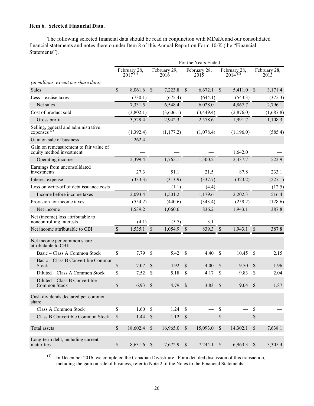# **Item 6. Selected Financial Data.**

The following selected financial data should be read in conjunction with MD&A and our consolidated financial statements and notes thereto under Item 8 of this Annual Report on Form 10-K (the "Financial Statements").

|                                                                             | For the Years Ended |                                     |               |                      |               |                      |               |                                     |               |                      |
|-----------------------------------------------------------------------------|---------------------|-------------------------------------|---------------|----------------------|---------------|----------------------|---------------|-------------------------------------|---------------|----------------------|
|                                                                             |                     | February 28,<br>2017 <sup>(1)</sup> |               | February 29,<br>2016 |               | February 28,<br>2015 |               | February 28,<br>2014 <sup>(2)</sup> |               | February 28,<br>2013 |
| (in millions, except per share data)                                        |                     |                                     |               |                      |               |                      |               |                                     |               |                      |
| Sales                                                                       | $\mathcal{S}$       | 8,061.6                             | $\mathbb{S}$  | 7,223.8              | $\mathcal{S}$ | 6,672.1              | $\mathbb{S}$  | 5,411.0                             | $\mathcal{S}$ | 3,171.4              |
| $Less - excise taxes$                                                       |                     | (730.1)                             |               | (675.4)              |               | (644.1)              |               | (543.3)                             |               | (375.3)              |
| Net sales                                                                   |                     | 7,331.5                             |               | 6,548.4              |               | 6,028.0              |               | 4,867.7                             |               | 2,796.1              |
| Cost of product sold                                                        |                     | (3,802.1)                           |               | (3,606.1)            |               | (3,449.4)            |               | (2,876.0)                           |               | (1,687.8)            |
| Gross profit                                                                |                     | 3,529.4                             |               | 2,942.3              |               | 2,578.6              |               | 1,991.7                             |               | 1,108.3              |
| Selling, general and administrative<br>expenses <sup><math>(3)</math></sup> |                     | (1,392.4)                           |               | (1,177.2)            |               | (1,078.4)            |               | (1,196.0)                           |               | (585.4)              |
| Gain on sale of business                                                    |                     | 262.4                               |               |                      |               |                      |               |                                     |               |                      |
| Gain on remeasurement to fair value of<br>equity method investment          |                     |                                     |               |                      |               |                      |               | 1,642.0                             |               |                      |
| Operating income                                                            |                     | 2,399.4                             |               | 1,765.1              |               | 1,500.2              |               | 2,437.7                             |               | 522.9                |
| Earnings from unconsolidated<br>investments                                 |                     | 27.3                                |               | 51.1                 |               | 21.5                 |               | 87.8                                |               | 233.1                |
| Interest expense                                                            |                     | (333.3)                             |               | (313.9)              |               | (337.7)              |               | (323.2)                             |               | (227.1)              |
| Loss on write-off of debt issuance costs                                    |                     |                                     |               | (1.1)                |               | (4.4)                |               |                                     |               | (12.5)               |
| Income before income taxes                                                  |                     | 2,093.4                             |               | 1,501.2              |               | 1,179.6              |               | 2,202.3                             |               | 516.4                |
| Provision for income taxes                                                  |                     | (554.2)                             |               | (440.6)              |               | (343.4)              |               | (259.2)                             |               | (128.6)              |
| Net income                                                                  |                     | 1,539.2                             |               | 1,060.6              |               | 836.2                |               | 1,943.1                             |               | 387.8                |
| Net (income) loss attributable to<br>noncontrolling interests               |                     | (4.1)                               |               | (5.7)                |               | 3.1                  |               |                                     |               |                      |
| Net income attributable to CBI                                              | $\mathcal{S}$       | 1,535.1                             | $\mathcal{S}$ | 1,054.9              | $\mathcal{S}$ | 839.3                | $\mathbb{S}$  | 1,943.1                             | $\mathbb{S}$  | 387.8                |
| Net income per common share<br>attributable to CBI:                         |                     |                                     |               |                      |               |                      |               |                                     |               |                      |
| Basic – Class A Common Stock                                                | \$                  | 7.79                                | S             | 5.42                 | S             | 4.40                 | $\mathbb{S}$  | 10.45                               | $\mathcal{S}$ | 2.15                 |
| Basic – Class B Convertible Common<br><b>Stock</b>                          | \$                  | 7.07                                | $\mathcal{S}$ | 4.92                 | $\mathcal{S}$ | 4.00                 | $\mathbb{S}$  | 9.50                                | $\mathcal{S}$ | 1.96                 |
| Diluted – Class A Common Stock                                              | \$                  | 7.52                                | \$            | 5.18                 | \$            | 4.17                 | \$            | 9.83                                | \$            | 2.04                 |
| Diluted – Class B Convertible<br>Common Stock                               | \$                  | 6.93                                | <sup>\$</sup> | 4.79                 | <sup>S</sup>  | 3.83                 | <sup>\$</sup> | 9.04                                | <sup>S</sup>  | 1.87                 |
| Cash dividends declared per common<br>share:                                |                     |                                     |               |                      |               |                      |               |                                     |               |                      |
| Class A Common Stock                                                        | $\mathbb S$         | 1.60                                | $\mathbb{S}$  | 1.24                 | $\mathbb S$   |                      | $\mathbb{S}$  |                                     | \$            |                      |
| Class B Convertible Common Stock                                            | \$                  | 1.44                                | $\mathbb S$   | 1.12                 | $\mathbb{S}$  |                      | $\mathbb S$   |                                     | \$            |                      |
| Total assets                                                                | $\mathbb{S}$        | 18,602.4                            | $\sqrt{\ }$   | 16,965.0             | $\sqrt{\ }$   | 15,093.0             | $\mathbb{S}$  | 14,302.1                            | $\mathbb{S}$  | 7,638.1              |
| Long-term debt, including current<br>maturities                             | $\$$                | 8,631.6 \$                          |               | 7,672.9 \$           |               | 7,244.1              | $\mathbb{S}$  | $6,963.3$ \$                        |               | 3,305.4              |

(1) In December 2016, we completed the Canadian Divestiture. For a detailed discussion of this transaction, including the gain on sale of business, refer to Note 2 of the Notes to the Financial Statements.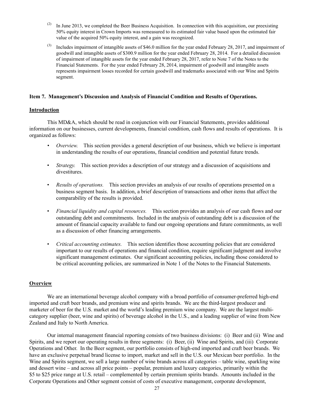- $(2)$  In June 2013, we completed the Beer Business Acquisition. In connection with this acquisition, our preexisting 50% equity interest in Crown Imports was remeasured to its estimated fair value based upon the estimated fair value of the acquired 50% equity interest, and a gain was recognized.
- (3) Includes impairment of intangible assets of \$46.0 million for the year ended February 28, 2017, and impairment of goodwill and intangible assets of \$300.9 million for the year ended February 28, 2014. For a detailed discussion of impairment of intangible assets for the year ended February 28, 2017, refer to Note 7 of the Notes to the Financial Statements. For the year ended February 28, 2014, impairment of goodwill and intangible assets represents impairment losses recorded for certain goodwill and trademarks associated with our Wine and Spirits segment.

# **Item 7. Management's Discussion and Analysis of Financial Condition and Results of Operations.**

#### **Introduction**

This MD&A, which should be read in conjunction with our Financial Statements, provides additional information on our businesses, current developments, financial condition, cash flows and results of operations. It is organized as follows:

- *Overview.* This section provides a general description of our business, which we believe is important in understanding the results of our operations, financial condition and potential future trends.
- *Strategy.* This section provides a description of our strategy and a discussion of acquisitions and divestitures.
- *Results of operations.* This section provides an analysis of our results of operations presented on a business segment basis. In addition, a brief description of transactions and other items that affect the comparability of the results is provided.
- *Financial liquidity and capital resources.* This section provides an analysis of our cash flows and our outstanding debt and commitments. Included in the analysis of outstanding debt is a discussion of the amount of financial capacity available to fund our ongoing operations and future commitments, as well as a discussion of other financing arrangements.
- *Critical accounting estimates.* This section identifies those accounting policies that are considered important to our results of operations and financial condition, require significant judgment and involve significant management estimates. Our significant accounting policies, including those considered to be critical accounting policies, are summarized in Note 1 of the Notes to the Financial Statements.

# **Overview**

We are an international beverage alcohol company with a broad portfolio of consumer-preferred high-end imported and craft beer brands, and premium wine and spirits brands. We are the third-largest producer and marketer of beer for the U.S. market and the world's leading premium wine company. We are the largest multicategory supplier (beer, wine and spirits) of beverage alcohol in the U.S., and a leading supplier of wine from New Zealand and Italy to North America.

Our internal management financial reporting consists of two business divisions: (i) Beer and (ii) Wine and Spirits, and we report our operating results in three segments: (i) Beer, (ii) Wine and Spirits, and (iii) Corporate Operations and Other. In the Beer segment, our portfolio consists of high-end imported and craft beer brands. We have an exclusive perpetual brand license to import, market and sell in the U.S. our Mexican beer portfolio. In the Wine and Spirits segment, we sell a large number of wine brands across all categories – table wine, sparkling wine and dessert wine – and across all price points – popular, premium and luxury categories, primarily within the \$5 to \$25 price range at U.S. retail – complemented by certain premium spirits brands. Amounts included in the Corporate Operations and Other segment consist of costs of executive management, corporate development,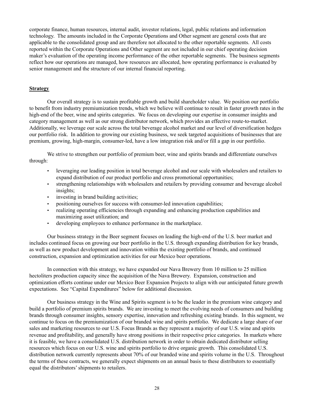corporate finance, human resources, internal audit, investor relations, legal, public relations and information technology. The amounts included in the Corporate Operations and Other segment are general costs that are applicable to the consolidated group and are therefore not allocated to the other reportable segments. All costs reported within the Corporate Operations and Other segment are not included in our chief operating decision maker's evaluation of the operating income performance of the other reportable segments. The business segments reflect how our operations are managed, how resources are allocated, how operating performance is evaluated by senior management and the structure of our internal financial reporting.

# **Strategy**

Our overall strategy is to sustain profitable growth and build shareholder value. We position our portfolio to benefit from industry premiumization trends, which we believe will continue to result in faster growth rates in the high-end of the beer, wine and spirits categories. We focus on developing our expertise in consumer insights and category management as well as our strong distributor network, which provides an effective route-to-market. Additionally, we leverage our scale across the total beverage alcohol market and our level of diversification hedges our portfolio risk. In addition to growing our existing business, we seek targeted acquisitions of businesses that are premium, growing, high-margin, consumer-led, have a low integration risk and/or fill a gap in our portfolio.

We strive to strengthen our portfolio of premium beer, wine and spirits brands and differentiate ourselves through:

- leveraging our leading position in total beverage alcohol and our scale with wholesalers and retailers to expand distribution of our product portfolio and cross promotional opportunities;
- strengthening relationships with wholesalers and retailers by providing consumer and beverage alcohol insights;
- investing in brand building activities;
- positioning ourselves for success with consumer-led innovation capabilities;
- realizing operating efficiencies through expanding and enhancing production capabilities and maximizing asset utilization; and
- developing employees to enhance performance in the marketplace.

Our business strategy in the Beer segment focuses on leading the high-end of the U.S. beer market and includes continued focus on growing our beer portfolio in the U.S. through expanding distribution for key brands, as well as new product development and innovation within the existing portfolio of brands, and continued construction, expansion and optimization activities for our Mexico beer operations.

In connection with this strategy, we have expanded our Nava Brewery from 10 million to 25 million hectoliters production capacity since the acquisition of the Nava Brewery. Expansion, construction and optimization efforts continue under our Mexico Beer Expansion Projects to align with our anticipated future growth expectations. See "Capital Expenditures" below for additional discussion.

Our business strategy in the Wine and Spirits segment is to be the leader in the premium wine category and build a portfolio of premium spirits brands. We are investing to meet the evolving needs of consumers and building brands through consumer insights, sensory expertise, innovation and refreshing existing brands. In this segment, we continue to focus on the premiumization of our branded wine and spirits portfolio. We dedicate a large share of our sales and marketing resources to our U.S. Focus Brands as they represent a majority of our U.S. wine and spirits revenue and profitability, and generally have strong positions in their respective price categories. In markets where it is feasible, we have a consolidated U.S. distribution network in order to obtain dedicated distributor selling resources which focus on our U.S. wine and spirits portfolio to drive organic growth. This consolidated U.S. distribution network currently represents about 70% of our branded wine and spirits volume in the U.S. Throughout the terms of these contracts, we generally expect shipments on an annual basis to these distributors to essentially equal the distributors' shipments to retailers.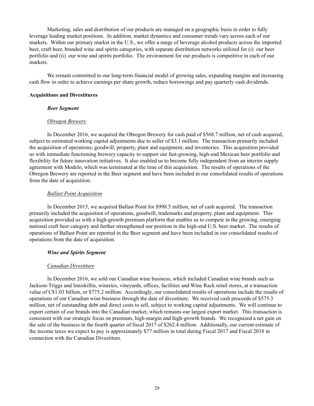Marketing, sales and distribution of our products are managed on a geographic basis in order to fully leverage leading market positions. In addition, market dynamics and consumer trends vary across each of our markets. Within our primary market in the U.S., we offer a range of beverage alcohol products across the imported beer, craft beer, branded wine and spirits categories, with separate distribution networks utilized for (i) our beer portfolio and (ii) our wine and spirits portfolio. The environment for our products is competitive in each of our markets.

We remain committed to our long-term financial model of growing sales, expanding margins and increasing cash flow in order to achieve earnings per share growth, reduce borrowings and pay quarterly cash dividends.

#### **Acquisitions and Divestitures**

#### *Beer Segment*

#### *Obregon Brewery*

In December 2016, we acquired the Obregon Brewery for cash paid of \$568.7 million, net of cash acquired, subject to estimated working capital adjustments due to seller of \$3.1 million. The transaction primarily included the acquisition of operations; goodwill; property, plant and equipment; and inventories. This acquisition provided us with immediate functioning brewery capacity to support our fast-growing, high-end Mexican beer portfolio and flexibility for future innovation initiatives. It also enabled us to become fully independent from an interim supply agreement with Modelo, which was terminated at the time of this acquisition. The results of operations of the Obregon Brewery are reported in the Beer segment and have been included in our consolidated results of operations from the date of acquisition.

#### *Ballast Point Acquisition*

In December 2015, we acquired Ballast Point for \$998.5 million, net of cash acquired. The transaction primarily included the acquisition of operations, goodwill, trademarks and property, plant and equipment. This acquisition provided us with a high-growth premium platform that enables us to compete in the growing, emerging national craft beer category and further strengthened our position in the high-end U.S. beer market. The results of operations of Ballast Point are reported in the Beer segment and have been included in our consolidated results of operations from the date of acquisition.

#### *Wine and Spirits Segment*

#### *Canadian Divestiture*

In December 2016, we sold our Canadian wine business, which included Canadian wine brands such as Jackson-Triggs and Inniskillin, wineries, vineyards, offices, facilities and Wine Rack retail stores, at a transaction value of C\$1.03 billion, or \$775.2 million. Accordingly, our consolidated results of operations include the results of operations of our Canadian wine business through the date of divestiture. We received cash proceeds of \$575.3 million, net of outstanding debt and direct costs to sell, subject to working capital adjustments. We will continue to export certain of our brands into the Canadian market, which remains our largest export market. This transaction is consistent with our strategic focus on premium, high-margin and high-growth brands. We recognized a net gain on the sale of the business in the fourth quarter of fiscal 2017 of \$262.4 million. Additionally, our current estimate of the income taxes we expect to pay is approximately \$77 million in total during Fiscal 2017 and Fiscal 2018 in connection with the Canadian Divestiture.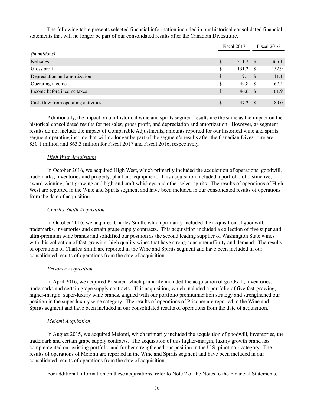The following table presents selected financial information included in our historical consolidated financial statements that will no longer be part of our consolidated results after the Canadian Divestiture.

|                                     |    | Fiscal 2017 |  | Fiscal 2016 |  |
|-------------------------------------|----|-------------|--|-------------|--|
| ( <i>in millions</i> )              |    |             |  |             |  |
| Net sales                           | \$ | 311.2 \$    |  | 365.1       |  |
| Gross profit                        | \$ | 131.2 \$    |  | 152.9       |  |
| Depreciation and amortization       | \$ | 9.1 S       |  | 11.1        |  |
| Operating income                    | \$ | 49.8 \$     |  | 62.5        |  |
| Income before income taxes          | \$ | $46.6$ \$   |  | 61.9        |  |
|                                     |    |             |  |             |  |
| Cash flow from operating activities | S  | 47.2 \$     |  | 80.0        |  |

Additionally, the impact on our historical wine and spirits segment results are the same as the impact on the historical consolidated results for net sales, gross profit, and depreciation and amortization. However, as segment results do not include the impact of Comparable Adjustments, amounts reported for our historical wine and spirits segment operating income that will no longer be part of the segment's results after the Canadian Divestiture are \$50.1 million and \$63.3 million for Fiscal 2017 and Fiscal 2016, respectively.

# *High West Acquisition*

In October 2016, we acquired High West, which primarily included the acquisition of operations, goodwill, trademarks, inventories and property, plant and equipment. This acquisition included a portfolio of distinctive, award-winning, fast-growing and high-end craft whiskeys and other select spirits. The results of operations of High West are reported in the Wine and Spirits segment and have been included in our consolidated results of operations from the date of acquisition.

#### *Charles Smith Acquisition*

In October 2016, we acquired Charles Smith, which primarily included the acquisition of goodwill, trademarks, inventories and certain grape supply contracts. This acquisition included a collection of five super and ultra-premium wine brands and solidified our position as the second leading supplier of Washington State wines with this collection of fast-growing, high quality wines that have strong consumer affinity and demand. The results of operations of Charles Smith are reported in the Wine and Spirits segment and have been included in our consolidated results of operations from the date of acquisition.

#### *Prisoner Acquisition*

In April 2016, we acquired Prisoner, which primarily included the acquisition of goodwill, inventories, trademarks and certain grape supply contracts. This acquisition, which included a portfolio of five fast-growing, higher-margin, super-luxury wine brands, aligned with our portfolio premiumization strategy and strengthened our position in the super-luxury wine category. The results of operations of Prisoner are reported in the Wine and Spirits segment and have been included in our consolidated results of operations from the date of acquisition.

#### *Meiomi Acquisition*

In August 2015, we acquired Meiomi, which primarily included the acquisition of goodwill, inventories, the trademark and certain grape supply contracts. The acquisition of this higher-margin, luxury growth brand has complemented our existing portfolio and further strengthened our position in the U.S. pinot noir category. The results of operations of Meiomi are reported in the Wine and Spirits segment and have been included in our consolidated results of operations from the date of acquisition.

For additional information on these acquisitions, refer to Note 2 of the Notes to the Financial Statements.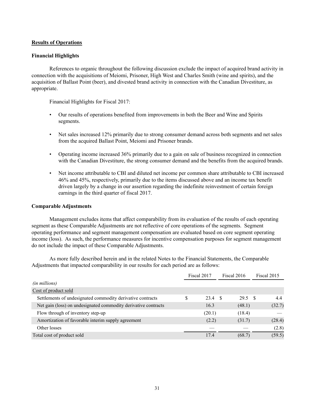# **Results of Operations**

### **Financial Highlights**

References to organic throughout the following discussion exclude the impact of acquired brand activity in connection with the acquisitions of Meiomi, Prisoner, High West and Charles Smith (wine and spirits), and the acquisition of Ballast Point (beer), and divested brand activity in connection with the Canadian Divestiture, as appropriate.

Financial Highlights for Fiscal 2017:

- Our results of operations benefited from improvements in both the Beer and Wine and Spirits segments.
- Net sales increased 12% primarily due to strong consumer demand across both segments and net sales from the acquired Ballast Point, Meiomi and Prisoner brands.
- Operating income increased 36% primarily due to a gain on sale of business recognized in connection with the Canadian Divestiture, the strong consumer demand and the benefits from the acquired brands.
- Net income attributable to CBI and diluted net income per common share attributable to CBI increased 46% and 45%, respectively, primarily due to the items discussed above and an income tax benefit driven largely by a change in our assertion regarding the indefinite reinvestment of certain foreign earnings in the third quarter of fiscal 2017.

### **Comparable Adjustments**

Management excludes items that affect comparability from its evaluation of the results of each operating segment as these Comparable Adjustments are not reflective of core operations of the segments. Segment operating performance and segment management compensation are evaluated based on core segment operating income (loss). As such, the performance measures for incentive compensation purposes for segment management do not include the impact of these Comparable Adjustments.

As more fully described herein and in the related Notes to the Financial Statements, the Comparable Adjustments that impacted comparability in our results for each period are as follows:

|                                                                | Fiscal 2017 |         | Fiscal 2016 |         | Fiscal 2015 |        |
|----------------------------------------------------------------|-------------|---------|-------------|---------|-------------|--------|
| <i>(in millions)</i>                                           |             |         |             |         |             |        |
| Cost of product sold                                           |             |         |             |         |             |        |
| Settlements of undesignated commodity derivative contracts     | \$          | 23.4 \$ |             | 29.5 \$ |             | 4.4    |
| Net gain (loss) on undesignated commodity derivative contracts |             | 16.3    |             | (48.1)  |             | (32.7) |
| Flow through of inventory step-up                              |             | (20.1)  |             | (18.4)  |             |        |
| Amortization of favorable interim supply agreement             |             | (2.2)   |             | (31.7)  |             | (28.4) |
| Other losses                                                   |             |         |             |         |             | (2.8)  |
| Total cost of product sold                                     |             | 174     |             | (68.7)  |             | (59.5) |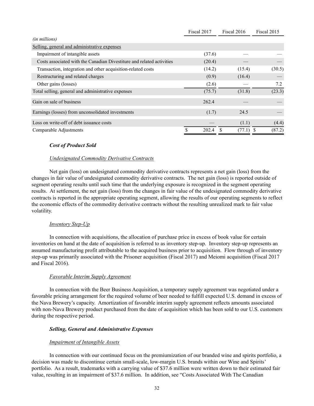|                                                                       | Fiscal 2017 | Fiscal 2016 | Fiscal 2015 |
|-----------------------------------------------------------------------|-------------|-------------|-------------|
| (in millions)                                                         |             |             |             |
| Selling, general and administrative expenses                          |             |             |             |
| Impairment of intangible assets                                       | (37.6)      |             |             |
| Costs associated with the Canadian Divestiture and related activities | (20.4)      |             |             |
| Transaction, integration and other acquisition-related costs          | (14.2)      | (15.4)      | (30.5)      |
| Restructuring and related charges                                     | (0.9)       | (16.4)      |             |
| Other gains (losses)                                                  | (2.6)       |             | 7.2         |
| Total selling, general and administrative expenses                    | (75.7)      | (31.8)      | (23.3)      |
| Gain on sale of business                                              | 262.4       |             |             |
| Earnings (losses) from unconsolidated investments                     | (1.7)       | 24.5        |             |
| Loss on write-off of debt issuance costs                              |             | (1.1)       | (4.4)       |
| Comparable Adjustments                                                | 202.4       | (77.1)      | (87.2)      |

# *Cost of Product Sold*

# *Undesignated Commodity Derivative Contracts*

Net gain (loss) on undesignated commodity derivative contracts represents a net gain (loss) from the changes in fair value of undesignated commodity derivative contracts. The net gain (loss) is reported outside of segment operating results until such time that the underlying exposure is recognized in the segment operating results. At settlement, the net gain (loss) from the changes in fair value of the undesignated commodity derivative contracts is reported in the appropriate operating segment, allowing the results of our operating segments to reflect the economic effects of the commodity derivative contracts without the resulting unrealized mark to fair value volatility.

# *Inventory Step-Up*

In connection with acquisitions, the allocation of purchase price in excess of book value for certain inventories on hand at the date of acquisition is referred to as inventory step-up. Inventory step-up represents an assumed manufacturing profit attributable to the acquired business prior to acquisition. Flow through of inventory step-up was primarily associated with the Prisoner acquisition (Fiscal 2017) and Meiomi acquisition (Fiscal 2017 and Fiscal 2016).

# *Favorable Interim Supply Agreement*

In connection with the Beer Business Acquisition, a temporary supply agreement was negotiated under a favorable pricing arrangement for the required volume of beer needed to fulfill expected U.S. demand in excess of the Nava Brewery's capacity. Amortization of favorable interim supply agreement reflects amounts associated with non-Nava Brewery product purchased from the date of acquisition which has been sold to our U.S. customers during the respective period.

# *Selling, General and Administrative Expenses*

# *Impairment of Intangible Assets*

In connection with our continued focus on the premiumization of our branded wine and spirits portfolio, a decision was made to discontinue certain small-scale, low-margin U.S. brands within our Wine and Spirits' portfolio. As a result, trademarks with a carrying value of \$37.6 million were written down to their estimated fair value, resulting in an impairment of \$37.6 million. In addition, see "Costs Associated With The Canadian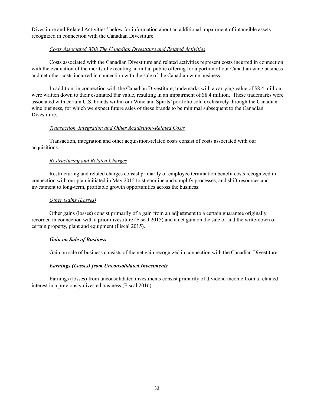Divestiture and Related Activities" below for information about an additional impairment of intangible assets recognized in connection with the Canadian Divestiture.

# *Costs Associated With The Canadian Divestiture and Related Activities*

Costs associated with the Canadian Divestiture and related activities represent costs incurred in connection with the evaluation of the merits of executing an initial public offering for a portion of our Canadian wine business and net other costs incurred in connection with the sale of the Canadian wine business.

In addition, in connection with the Canadian Divestiture, trademarks with a carrying value of \$8.4 million were written down to their estimated fair value, resulting in an impairment of \$8.4 million. These trademarks were associated with certain U.S. brands within our Wine and Spirits' portfolio sold exclusively through the Canadian wine business, for which we expect future sales of these brands to be minimal subsequent to the Canadian Divestiture.

### *Transaction, Integration and Other Acquisition-Related Costs*

Transaction, integration and other acquisition-related costs consist of costs associated with our acquisitions.

### *Restructuring and Related Charges*

Restructuring and related charges consist primarily of employee termination benefit costs recognized in connection with our plan initiated in May 2015 to streamline and simplify processes, and shift resources and investment to long-term, profitable growth opportunities across the business.

### *Other Gains (Losses)*

Other gains (losses) consist primarily of a gain from an adjustment to a certain guarantee originally recorded in connection with a prior divestiture (Fiscal 2015) and a net gain on the sale of and the write-down of certain property, plant and equipment (Fiscal 2015).

### *Gain on Sale of Business*

Gain on sale of business consists of the net gain recognized in connection with the Canadian Divestiture.

### *Earnings (Losses) from Unconsolidated Investments*

Earnings (losses) from unconsolidated investments consist primarily of dividend income from a retained interest in a previously divested business (Fiscal 2016).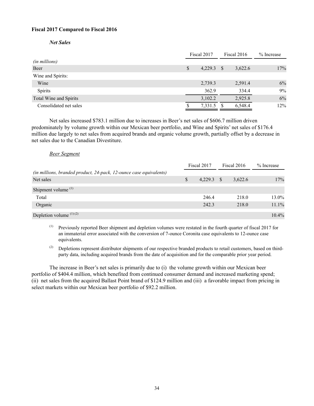### **Fiscal 2017 Compared to Fiscal 2016**

### *Net Sales*

| Fiscal 2017            |    | Fiscal 2016 |     | % Increase |     |
|------------------------|----|-------------|-----|------------|-----|
| (in millions)          |    |             |     |            |     |
| Beer                   | \$ | 4,229.3     | - S | 3,622.6    | 17% |
| Wine and Spirits:      |    |             |     |            |     |
| Wine                   |    | 2,739.3     |     | 2,591.4    | 6%  |
| Spirits                |    | 362.9       |     | 334.4      | 9%  |
| Total Wine and Spirits |    | 3,102.2     |     | 2,925.8    | 6%  |
| Consolidated net sales |    | 7,331.5     | - S | 6,548.4    | 12% |

Net sales increased \$783.1 million due to increases in Beer's net sales of \$606.7 million driven predominately by volume growth within our Mexican beer portfolio, and Wine and Spirits' net sales of \$176.4 million due largely to net sales from acquired brands and organic volume growth, partially offset by a decrease in net sales due to the Canadian Divestiture.

#### *Beer Segment*

|                                                                    |    | Fiscal 2017  | Fiscal 2016 |         | % Increase |  |
|--------------------------------------------------------------------|----|--------------|-------------|---------|------------|--|
| (in millions, branded product, 24-pack, 12-ounce case equivalents) |    |              |             |         |            |  |
| Net sales                                                          | S. | $4.229.3$ \$ |             | 3,622.6 | 17%        |  |
| Shipment volume <sup>(1)</sup>                                     |    |              |             |         |            |  |
| Total                                                              |    | 246.4        |             | 218.0   | 13.0%      |  |
| Organic                                                            |    | 242.3        |             | 218.0   | 11.1%      |  |
| Depletion volume $(1)(2)$                                          |    |              |             |         | 10.4%      |  |

(1) Previously reported Beer shipment and depletion volumes were restated in the fourth quarter of fiscal 2017 for an immaterial error associated with the conversion of 7-ounce Coronita case equivalents to 12-ounce case equivalents.

(2) Depletions represent distributor shipments of our respective branded products to retail customers, based on thirdparty data, including acquired brands from the date of acquisition and for the comparable prior year period.

The increase in Beer's net sales is primarily due to (i) the volume growth within our Mexican beer portfolio of \$404.4 million, which benefited from continued consumer demand and increased marketing spend; (ii) net sales from the acquired Ballast Point brand of \$124.9 million and (iii) a favorable impact from pricing in select markets within our Mexican beer portfolio of \$92.2 million.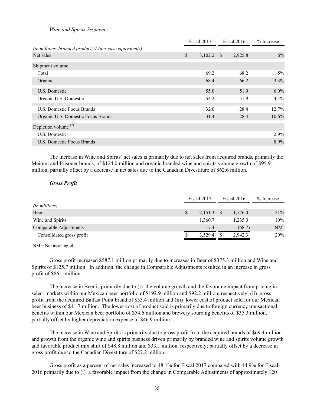#### *Wine and Spirits Segment*

|                                                          |    | Fiscal 2017  | Fiscal 2016 |         | % Increase |  |
|----------------------------------------------------------|----|--------------|-------------|---------|------------|--|
| (in millions, branded product, 9-liter case equivalents) |    |              |             |         |            |  |
| Net sales                                                | \$ | $3,102.2$ \$ |             | 2,925.8 | 6%         |  |
| Shipment volume                                          |    |              |             |         |            |  |
| Total                                                    |    | 69.2         |             | 68.2    | 1.5%       |  |
| Organic                                                  |    | 68.4         |             | 66.2    | 3.3%       |  |
| U.S. Domestic                                            |    | 55.0         |             | 51.9    | $6.0\%$    |  |
| Organic U.S. Domestic                                    |    | 54.2         |             | 51.9    | $4.4\%$    |  |
| U.S. Domestic Focus Brands                               |    | 32.0         |             | 28.4    | 12.7%      |  |
| Organic U.S. Domestic Focus Brands                       |    | 31.4         |             | 28.4    | 10.6%      |  |
| Depletion volume <sup>(2)</sup>                          |    |              |             |         |            |  |
| U.S. Domestic                                            |    |              |             |         | 2.9%       |  |
| U.S. Domestic Focus Brands                               |    |              |             |         | 8.9%       |  |

The increase in Wine and Spirits' net sales is primarily due to net sales from acquired brands, primarily the Meiomi and Prisoner brands, of \$124.0 million and organic branded wine and spirits volume growth of \$95.9 million, partially offset by a decrease in net sales due to the Canadian Divestiture of \$62.6 million.

#### *Gross Profit*

|                           |   | Fiscal 2017  |    | Fiscal 2016 | $%$ Increase |  |
|---------------------------|---|--------------|----|-------------|--------------|--|
| <i>(in millions)</i>      |   |              |    |             |              |  |
| Beer                      | S | $2,151.3$ \$ |    | 1,776.0     | 21%          |  |
| Wine and Spirits          |   | 1,360.7      |    | 1.235.0     | 10%          |  |
| Comparable Adjustments    |   | 17.4         |    | (68.7)      | NM           |  |
| Consolidated gross profit |   | 3.529.4      | -S | 2,942.3     | 20%          |  |

NM = Not meaningful

Gross profit increased \$587.1 million primarily due to increases in Beer of \$375.3 million and Wine and Spirits of \$125.7 million. In addition, the change in Comparable Adjustments resulted in an increase in gross profit of \$86.1 million.

The increase in Beer is primarily due to (i) the volume growth and the favorable impact from pricing in select markets within our Mexican beer portfolio of \$192.9 million and \$92.2 million, respectively; (ii) gross profit from the acquired Ballast Point brand of \$53.4 million and (iii) lower cost of product sold for our Mexican beer business of \$41.7 million. The lower cost of product sold is primarily due to foreign currency transactional benefits within our Mexican beer portfolio of \$54.6 million and brewery sourcing benefits of \$35.3 million, partially offset by higher depreciation expense of \$46.9 million.

The increase in Wine and Spirits is primarily due to gross profit from the acquired brands of \$69.4 million and growth from the organic wine and spirits business driven primarily by branded wine and spirits volume growth and favorable product mix shift of \$48.8 million and \$33.1 million, respectively; partially offset by a decrease in gross profit due to the Canadian Divestiture of \$27.2 million.

Gross profit as a percent of net sales increased to 48.1% for Fiscal 2017 compared with 44.9% for Fiscal 2016 primarily due to (i) a favorable impact from the change in Comparable Adjustments of approximately 120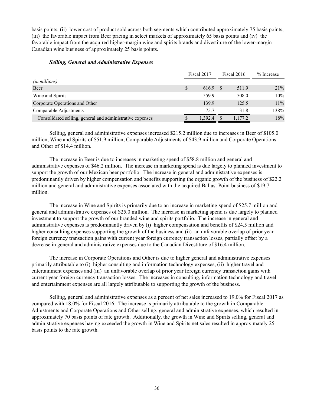basis points, (ii) lower cost of product sold across both segments which contributed approximately 75 basis points, (iii) the favorable impact from Beer pricing in select markets of approximately 65 basis points and (iv) the favorable impact from the acquired higher-margin wine and spirits brands and divestiture of the lower-margin Canadian wine business of approximately 25 basis points.

# *Selling, General and Administrative Expenses*

|                                                           |    | Fiscal 2017 |     | Fiscal 2016 | % Increase |  |
|-----------------------------------------------------------|----|-------------|-----|-------------|------------|--|
| (in millions)                                             |    |             |     |             |            |  |
| Beer                                                      | \$ | 616.9       | - S | 511.9       | 21%        |  |
| Wine and Spirits                                          |    | 559.9       |     | 508.0       | 10%        |  |
| Corporate Operations and Other                            |    | 139.9       |     | 125.5       | 11%        |  |
| Comparable Adjustments                                    |    | 75.7        |     | 31.8        | 138%       |  |
| Consolidated selling, general and administrative expenses |    | 1.392.4     |     | 1,177.2     | 18%        |  |

Selling, general and administrative expenses increased \$215.2 million due to increases in Beer of \$105.0 million, Wine and Spirits of \$51.9 million, Comparable Adjustments of \$43.9 million and Corporate Operations and Other of \$14.4 million.

The increase in Beer is due to increases in marketing spend of \$58.8 million and general and administrative expenses of \$46.2 million. The increase in marketing spend is due largely to planned investment to support the growth of our Mexican beer portfolio. The increase in general and administrative expenses is predominantly driven by higher compensation and benefits supporting the organic growth of the business of \$22.2 million and general and administrative expenses associated with the acquired Ballast Point business of \$19.7 million.

The increase in Wine and Spirits is primarily due to an increase in marketing spend of \$25.7 million and general and administrative expenses of \$25.0 million. The increase in marketing spend is due largely to planned investment to support the growth of our branded wine and spirits portfolio. The increase in general and administrative expenses is predominantly driven by (i) higher compensation and benefits of \$24.5 million and higher consulting expenses supporting the growth of the business and (ii) an unfavorable overlap of prior year foreign currency transaction gains with current year foreign currency transaction losses, partially offset by a decrease in general and administrative expenses due to the Canadian Divestiture of \$16.4 million.

The increase in Corporate Operations and Other is due to higher general and administrative expenses primarily attributable to (i) higher consulting and information technology expenses, (ii) higher travel and entertainment expenses and (iii) an unfavorable overlap of prior year foreign currency transaction gains with current year foreign currency transaction losses. The increases in consulting, information technology and travel and entertainment expenses are all largely attributable to supporting the growth of the business.

Selling, general and administrative expenses as a percent of net sales increased to 19.0% for Fiscal 2017 as compared with 18.0% for Fiscal 2016. The increase is primarily attributable to the growth in Comparable Adjustments and Corporate Operations and Other selling, general and administrative expenses, which resulted in approximately 70 basis points of rate growth. Additionally, the growth in Wine and Spirits selling, general and administrative expenses having exceeded the growth in Wine and Spirits net sales resulted in approximately 25 basis points to the rate growth.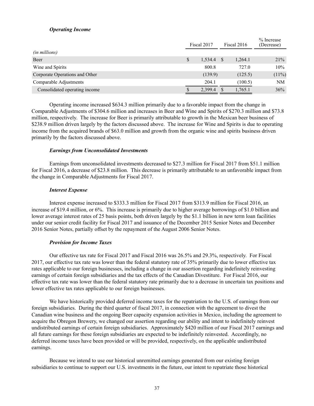### *Operating Income*

|                                |    | Fiscal 2017 |     | Fiscal 2016 | $%$ Increase<br>(Decrease) |  |
|--------------------------------|----|-------------|-----|-------------|----------------------------|--|
| ( <i>in millions</i> )         |    |             |     |             |                            |  |
| Beer                           | \$ | 1,534.4     | - S | 1,264.1     | 21%                        |  |
| Wine and Spirits               |    | 800.8       |     | 727.0       | $10\%$                     |  |
| Corporate Operations and Other |    | (139.9)     |     | (125.5)     | (11%)                      |  |
| Comparable Adjustments         |    | 204.1       |     | (100.5)     | NM                         |  |
| Consolidated operating income  | S  | 2,399.4     | S   | 1,765.1     | 36%                        |  |

Operating income increased \$634.3 million primarily due to a favorable impact from the change in Comparable Adjustments of \$304.6 million and increases in Beer and Wine and Spirits of \$270.3 million and \$73.8 million, respectively. The increase for Beer is primarily attributable to growth in the Mexican beer business of \$238.9 million driven largely by the factors discussed above. The increase for Wine and Spirits is due to operating income from the acquired brands of \$63.0 million and growth from the organic wine and spirits business driven primarily by the factors discussed above.

### *Earnings from Unconsolidated Investments*

Earnings from unconsolidated investments decreased to \$27.3 million for Fiscal 2017 from \$51.1 million for Fiscal 2016, a decrease of \$23.8 million. This decrease is primarily attributable to an unfavorable impact from the change in Comparable Adjustments for Fiscal 2017.

### *Interest Expense*

Interest expense increased to \$333.3 million for Fiscal 2017 from \$313.9 million for Fiscal 2016, an increase of \$19.4 million, or 6%. This increase is primarily due to higher average borrowings of \$1.0 billion and lower average interest rates of 25 basis points, both driven largely by the \$1.1 billion in new term loan facilities under our senior credit facility for Fiscal 2017 and issuance of the December 2015 Senior Notes and December 2016 Senior Notes, partially offset by the repayment of the August 2006 Senior Notes.

# *Provision for Income Taxes*

Our effective tax rate for Fiscal 2017 and Fiscal 2016 was 26.5% and 29.3%, respectively. For Fiscal 2017, our effective tax rate was lower than the federal statutory rate of 35% primarily due to lower effective tax rates applicable to our foreign businesses, including a change in our assertion regarding indefinitely reinvesting earnings of certain foreign subsidiaries and the tax effects of the Canadian Divestiture. For Fiscal 2016, our effective tax rate was lower than the federal statutory rate primarily due to a decrease in uncertain tax positions and lower effective tax rates applicable to our foreign businesses.

We have historically provided deferred income taxes for the repatriation to the U.S. of earnings from our foreign subsidiaries. During the third quarter of fiscal 2017, in connection with the agreement to divest the Canadian wine business and the ongoing Beer capacity expansion activities in Mexico, including the agreement to acquire the Obregon Brewery, we changed our assertion regarding our ability and intent to indefinitely reinvest undistributed earnings of certain foreign subsidiaries. Approximately \$420 million of our Fiscal 2017 earnings and all future earnings for these foreign subsidiaries are expected to be indefinitely reinvested. Accordingly, no deferred income taxes have been provided or will be provided, respectively, on the applicable undistributed earnings.

Because we intend to use our historical unremitted earnings generated from our existing foreign subsidiaries to continue to support our U.S. investments in the future, our intent to repatriate those historical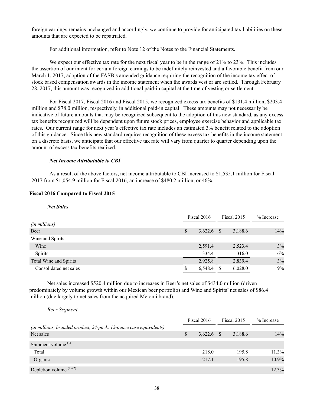foreign earnings remains unchanged and accordingly, we continue to provide for anticipated tax liabilities on these amounts that are expected to be repatriated.

For additional information, refer to Note 12 of the Notes to the Financial Statements.

We expect our effective tax rate for the next fiscal year to be in the range of 21% to 23%. This includes the assertion of our intent for certain foreign earnings to be indefinitely reinvested and a favorable benefit from our March 1, 2017, adoption of the FASB's amended guidance requiring the recognition of the income tax effect of stock based compensation awards in the income statement when the awards vest or are settled. Through February 28, 2017, this amount was recognized in additional paid-in capital at the time of vesting or settlement.

For Fiscal 2017, Fiscal 2016 and Fiscal 2015, we recognized excess tax benefits of \$131.4 million, \$203.4 million and \$78.0 million, respectively, in additional paid-in capital. These amounts may not necessarily be indicative of future amounts that may be recognized subsequent to the adoption of this new standard, as any excess tax benefits recognized will be dependent upon future stock prices, employee exercise behavior and applicable tax rates. Our current range for next year's effective tax rate includes an estimated 3% benefit related to the adoption of this guidance. Since this new standard requires recognition of these excess tax benefits in the income statement on a discrete basis, we anticipate that our effective tax rate will vary from quarter to quarter depending upon the amount of excess tax benefits realized.

# *Net Income Attributable to CBI*

As a result of the above factors, net income attributable to CBI increased to \$1,535.1 million for Fiscal 2017 from \$1,054.9 million for Fiscal 2016, an increase of \$480.2 million, or 46%.

### **Fiscal 2016 Compared to Fiscal 2015**

## *Net Sales*

|                        |    | Fiscal 2016  |    | Fiscal 2015 | % Increase |  |
|------------------------|----|--------------|----|-------------|------------|--|
| (in millions)          |    |              |    |             |            |  |
| Beer                   | \$ | $3,622.6$ \$ |    | 3,188.6     | 14%        |  |
| Wine and Spirits:      |    |              |    |             |            |  |
| Wine                   |    | 2,591.4      |    | 2,523.4     | 3%         |  |
| Spirits                |    | 334.4        |    | 316.0       | 6%         |  |
| Total Wine and Spirits |    | 2,925.8      |    | 2,839.4     | 3%         |  |
| Consolidated net sales |    | 6,548.4      | -S | 6,028.0     | 9%         |  |

Net sales increased \$520.4 million due to increases in Beer's net sales of \$434.0 million (driven predominately by volume growth within our Mexican beer portfolio) and Wine and Spirits' net sales of \$86.4 million (due largely to net sales from the acquired Meiomi brand).

#### *Beer Segment*

|                                                                    | Fiscal 2016  |              | Fiscal 2015 |         | % Increase |  |
|--------------------------------------------------------------------|--------------|--------------|-------------|---------|------------|--|
| (in millions, branded product, 24-pack, 12-ounce case equivalents) |              |              |             |         |            |  |
| Net sales                                                          | <sup>S</sup> | $3,622.6$ \$ |             | 3,188.6 | 14%        |  |
| Shipment volume <sup>(1)</sup>                                     |              |              |             |         |            |  |
| Total                                                              |              | 218.0        |             | 195.8   | 11.3%      |  |
| Organic                                                            |              | 217.1        |             | 195.8   | 10.9%      |  |
| Depletion volume $(1)(2)$                                          |              |              |             |         | 12.3%      |  |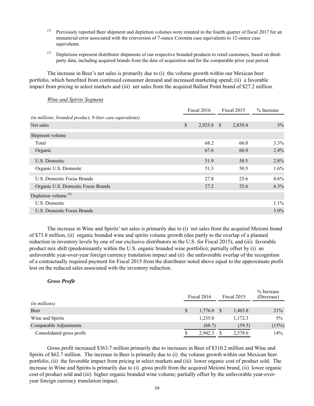- (1) Previously reported Beer shipment and depletion volumes were restated in the fourth quarter of fiscal 2017 for an immaterial error associated with the conversion of 7-ounce Coronita case equivalents to 12-ounce case equivalents.
- $(2)$  Depletions represent distributor shipments of our respective branded products to retail customers, based on thirdparty data, including acquired brands from the date of acquisition and for the comparable prior year period.

The increase in Beer's net sales is primarily due to (i) the volume growth within our Mexican beer portfolio, which benefited from continued consumer demand and increased marketing spend; (ii) a favorable impact from pricing in select markets and (iii) net sales from the acquired Ballast Point brand of \$27.2 million.

|                                                          |               | Fiscal 2016  |  | Fiscal 2015 | % Increase |  |
|----------------------------------------------------------|---------------|--------------|--|-------------|------------|--|
| (in millions, branded product, 9-liter case equivalents) |               |              |  |             |            |  |
| Net sales                                                | $\mathcal{S}$ | $2,925.8$ \$ |  | 2,839.4     | 3%         |  |
| Shipment volume                                          |               |              |  |             |            |  |
| Total                                                    |               | 68.2         |  | 66.0        | $3.3\%$    |  |
| Organic                                                  |               | 67.6         |  | 66.0        | 2.4%       |  |
| U.S. Domestic                                            |               | 51.9         |  | 50.5        | 2.8%       |  |
| Organic U.S. Domestic                                    |               | 51.3         |  | 50.5        | $1.6\%$    |  |
| U.S. Domestic Focus Brands                               |               | 27.8         |  | 25.6        | 8.6%       |  |
| Organic U.S. Domestic Focus Brands                       |               | 27.2         |  | 25.6        | $6.3\%$    |  |
| Depletion volume $(2)$                                   |               |              |  |             |            |  |
| U.S. Domestic                                            |               |              |  |             | 1.1%       |  |
| U.S. Domestic Focus Brands                               |               |              |  |             | 5.0%       |  |

### *Wine and Spirits Segment*

The increase in Wine and Spirits' net sales is primarily due to (i) net sales from the acquired Meiomi brand of \$73.8 million, (ii) organic branded wine and spirits volume growth (due partly to the overlap of a planned reduction in inventory levels by one of our exclusive distributors in the U.S. for Fiscal 2015); and (iii) favorable product mix shift (predominantly within the U.S. organic branded wine portfolio); partially offset by (i) an unfavorable year-over-year foreign currency translation impact and (ii) the unfavorable overlap of the recognition of a contractually required payment for Fiscal 2015 from the distributor noted above equal to the approximate profit lost on the reduced sales associated with the inventory reduction.

### *Gross Profit*

|              |         | Fiscal 2015 |              | % Increase<br>(Decrease) |  |
|--------------|---------|-------------|--------------|--------------------------|--|
|              |         |             |              |                          |  |
| <sup>S</sup> |         |             | 1,465.8      | 21%                      |  |
|              | 1,235.0 |             | 1,172.3      | $5\%$                    |  |
|              | (68.7)  |             | (59.5)       | (15%)                    |  |
|              | 2.942.3 |             | 2,578.6      | 14%                      |  |
|              |         | Fiscal 2016 | $1,776.0$ \$ |                          |  |

Gross profit increased \$363.7 million primarily due to increases in Beer of \$310.2 million and Wine and Spirits of \$62.7 million. The increase in Beer is primarily due to (i) the volume growth within our Mexican beer portfolio, (ii) the favorable impact from pricing in select markets and (iii) lower organic cost of product sold. The increase in Wine and Spirits is primarily due to (i) gross profit from the acquired Meiomi brand, (ii) lower organic cost of product sold and (iii) higher organic branded wine volume; partially offset by the unfavorable year-overyear foreign currency translation impact.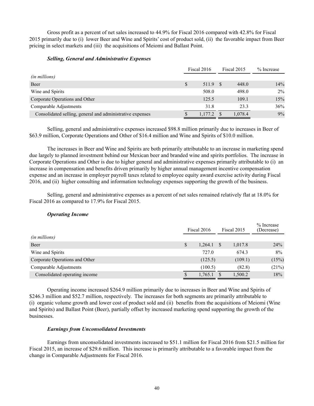Gross profit as a percent of net sales increased to 44.9% for Fiscal 2016 compared with 42.8% for Fiscal 2015 primarily due to (i) lower Beer and Wine and Spirits' cost of product sold, (ii) the favorable impact from Beer pricing in select markets and (iii) the acquisitions of Meiomi and Ballast Point.

### *Selling, General and Administrative Expenses*

|                                                           | Fiscal 2016 |         |      | Fiscal 2015 | % Increase |  |
|-----------------------------------------------------------|-------------|---------|------|-------------|------------|--|
| (in millions)                                             |             |         |      |             |            |  |
| Beer                                                      | \$          | 511.9   | - \$ | 448.0       | 14%        |  |
| Wine and Spirits                                          |             | 508.0   |      | 498.0       | 2%         |  |
| Corporate Operations and Other                            |             | 125.5   |      | 109.1       | 15%        |  |
| Comparable Adjustments                                    |             | 31.8    |      | 23.3        | 36%        |  |
| Consolidated selling, general and administrative expenses |             | 1.177.2 |      | 1,078.4     | 9%         |  |

Selling, general and administrative expenses increased \$98.8 million primarily due to increases in Beer of \$63.9 million, Corporate Operations and Other of \$16.4 million and Wine and Spirits of \$10.0 million.

The increases in Beer and Wine and Spirits are both primarily attributable to an increase in marketing spend due largely to planned investment behind our Mexican beer and branded wine and spirits portfolios. The increase in Corporate Operations and Other is due to higher general and administrative expenses primarily attributable to (i) an increase in compensation and benefits driven primarily by higher annual management incentive compensation expense and an increase in employer payroll taxes related to employee equity award exercise activity during Fiscal 2016, and (ii) higher consulting and information technology expenses supporting the growth of the business.

Selling, general and administrative expenses as a percent of net sales remained relatively flat at 18.0% for Fiscal 2016 as compared to 17.9% for Fiscal 2015.

# *Operating Income*

|                                | Fiscal 2016 |         |     | Fiscal 2015 | % Increase<br>(Decrease) |  |
|--------------------------------|-------------|---------|-----|-------------|--------------------------|--|
| (in millions)                  |             |         |     |             |                          |  |
| Beer                           | S           | 1,264.1 | - S | 1,017.8     | 24%                      |  |
| Wine and Spirits               |             | 727.0   |     | 674.3       | 8%                       |  |
| Corporate Operations and Other |             | (125.5) |     | (109.1)     | (15%)                    |  |
| Comparable Adjustments         |             | (100.5) |     | (82.8)      | (21%)                    |  |
| Consolidated operating income  |             | 1,765.1 |     | 1,500.2     | 18%                      |  |

Operating income increased \$264.9 million primarily due to increases in Beer and Wine and Spirits of \$246.3 million and \$52.7 million, respectively. The increases for both segments are primarily attributable to (i) organic volume growth and lower cost of product sold and (ii) benefits from the acquisitions of Meiomi (Wine and Spirits) and Ballast Point (Beer), partially offset by increased marketing spend supporting the growth of the businesses.

### *Earnings from Unconsolidated Investments*

Earnings from unconsolidated investments increased to \$51.1 million for Fiscal 2016 from \$21.5 million for Fiscal 2015, an increase of \$29.6 million. This increase is primarily attributable to a favorable impact from the change in Comparable Adjustments for Fiscal 2016.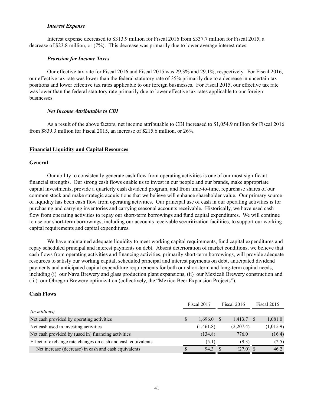### *Interest Expense*

Interest expense decreased to \$313.9 million for Fiscal 2016 from \$337.7 million for Fiscal 2015, a decrease of \$23.8 million, or (7%). This decrease was primarily due to lower average interest rates.

#### *Provision for Income Taxes*

Our effective tax rate for Fiscal 2016 and Fiscal 2015 was 29.3% and 29.1%, respectively. For Fiscal 2016, our effective tax rate was lower than the federal statutory rate of 35% primarily due to a decrease in uncertain tax positions and lower effective tax rates applicable to our foreign businesses. For Fiscal 2015, our effective tax rate was lower than the federal statutory rate primarily due to lower effective tax rates applicable to our foreign businesses.

### *Net Income Attributable to CBI*

As a result of the above factors, net income attributable to CBI increased to \$1,054.9 million for Fiscal 2016 from \$839.3 million for Fiscal 2015, an increase of \$215.6 million, or 26%.

# **Financial Liquidity and Capital Resources**

#### **General**

Our ability to consistently generate cash flow from operating activities is one of our most significant financial strengths. Our strong cash flows enable us to invest in our people and our brands, make appropriate capital investments, provide a quarterly cash dividend program, and from time-to-time, repurchase shares of our common stock and make strategic acquisitions that we believe will enhance shareholder value. Our primary source of liquidity has been cash flow from operating activities. Our principal use of cash in our operating activities is for purchasing and carrying inventories and carrying seasonal accounts receivable. Historically, we have used cash flow from operating activities to repay our short-term borrowings and fund capital expenditures. We will continue to use our short-term borrowings, including our accounts receivable securitization facilities, to support our working capital requirements and capital expenditures.

We have maintained adequate liquidity to meet working capital requirements, fund capital expenditures and repay scheduled principal and interest payments on debt. Absent deterioration of market conditions, we believe that cash flows from operating activities and financing activities, primarily short-term borrowings, will provide adequate resources to satisfy our working capital, scheduled principal and interest payments on debt, anticipated dividend payments and anticipated capital expenditure requirements for both our short-term and long-term capital needs, including (i) our Nava Brewery and glass production plant expansions, (ii) our Mexicali Brewery construction and (iii) our Obregon Brewery optimization (collectively, the "Mexico Beer Expansion Projects").

### **Cash Flows**

|                                                              | Fiscal 2017 |              | Fiscal 2016 |              | Fiscal 2015 |
|--------------------------------------------------------------|-------------|--------------|-------------|--------------|-------------|
| (in millions)                                                |             |              |             |              |             |
| Net cash provided by operating activities                    | S.          | $1.696.0$ \$ |             | $1,413.7$ \$ | 1,081.0     |
| Net cash used in investing activities                        |             | (1,461.8)    |             | (2,207.4)    | (1,015.9)   |
| Net cash provided by (used in) financing activities          |             | (134.8)      |             | 776.0        | (16.4)      |
| Effect of exchange rate changes on cash and cash equivalents |             | (5.1)        |             | (9.3)        | (2.5)       |
| Net increase (decrease) in cash and cash equivalents         |             | 94.3         |             | $(27.0)$ \$  | 46.2        |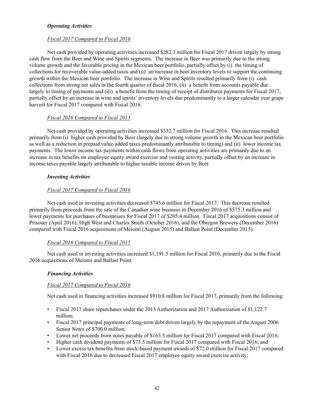# *Operating Activities*

# *Fiscal 2017 Compared to Fiscal 2016*

Net cash provided by operating activities increased \$282.3 million for Fiscal 2017 driven largely by strong cash flow from the Beer and Wine and Spirits segments. The increase in Beer was primarily due to the strong volume growth and the favorable pricing in the Mexican beer portfolio, partially offset by (i) the timing of collections for recoverable value-added taxes and (ii) an increase in beer inventory levels to support the continuing growth within the Mexican beer portfolio. The increase in Wine and Spirits resulted primarily from (i) cash collections from strong net sales in the fourth quarter of fiscal 2016, (ii) a benefit from accounts payable due largely to timing of payments and (iii) a benefit from the timing of receipt of distributor payments for Fiscal 2017; partially offset by an increase in wine and spirits' inventory levels due predominantly to a larger calendar year grape harvest for Fiscal 2017 compared with Fiscal 2016.

# *Fiscal 2016 Compared to Fiscal 2015*

Net cash provided by operating activities increased \$332.7 million for Fiscal 2016. This increase resulted primarily from (i) higher cash provided by Beer (largely due to strong volume growth in the Mexican beer portfolio as well as a reduction in prepaid value-added taxes predominantly attributable to timing) and (ii) lower income tax payments. The lower income tax payments within cash flows from operating activities are primarily due to an increase in tax benefits on employee equity award exercise and vesting activity, partially offset by an increase in income taxes payable largely attributable to higher taxable income driven by Beer.

# *Investing Activities*

# *Fiscal 2017 Compared to Fiscal 2016*

Net cash used in investing activities decreased \$745.6 million for Fiscal 2017. This decrease resulted primarily from proceeds from the sale of the Canadian wine business in December 2016 of \$575.3 million and lower payments for purchases of businesses for Fiscal 2017 of \$205.4 million. Fiscal 2017 acquisitions consist of Prisoner (April 2016), High West and Charles Smith (October 2016), and the Obregon Brewery (December 2016) compared with Fiscal 2016 acquisitions of Meiomi (August 2015) and Ballast Point (December 2015).

# *Fiscal 2016 Compared to Fiscal 2015*

Net cash used in investing activities increased \$1,191.5 million for Fiscal 2016, primarily due to the Fiscal 2016 acquisitions of Meiomi and Ballast Point.

### *Financing Activities*

### *Fiscal 2017 Compared to Fiscal 2016*

Net cash used in financing activities increased \$910.8 million for Fiscal 2017, primarily from the following:

- Fiscal 2017 share repurchases under the 2013 Authorization and 2017 Authorization of \$1,122.7 million;
- Fiscal 2017 principal payments of long-term debt driven largely by the repayment of the August 2006 Senior Notes of \$700.0 million;
- Lower net proceeds from notes payable of \$163.5 million for Fiscal 2017 compared with Fiscal 2016;
- Higher cash dividend payments of \$73.5 million for Fiscal 2017 compared with Fiscal 2016; and
- Lower excess tax benefits from stock-based payment awards of \$72.0 million for Fiscal 2017 compared with Fiscal 2016 due to decreased Fiscal 2017 employee equity award exercise activity;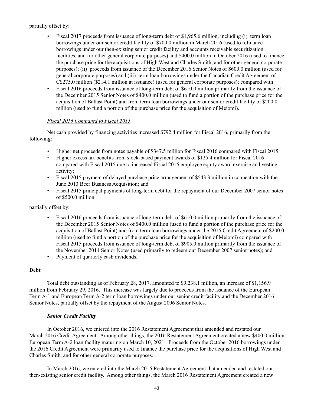# partially offset by:

- Fiscal 2017 proceeds from issuance of long-term debt of \$1,965.6 million, including (i) term loan borrowings under our senior credit facility of \$700.0 million in March 2016 (used to refinance borrowings under our then-existing senior credit facility and accounts receivable securitization facilities, and for other general corporate purposes) and \$400.0 million in October 2016 (used to finance the purchase price for the acquisitions of High West and Charles Smith, and for other general corporate purposes); (ii) proceeds from issuance of the December 2016 Senior Notes of \$600.0 million (used for general corporate purposes) and (iii) term loan borrowings under the Canadian Credit Agreement of C\$275.0 million (\$214.1 million at issuance) (used for general corporate purposes); compared with
- Fiscal 2016 proceeds from issuance of long-term debt of \$610.0 million primarily from the issuance of the December 2015 Senior Notes of \$400.0 million (used to fund a portion of the purchase price for the acquisition of Ballast Point) and from term loan borrowings under our senior credit facility of \$200.0 million (used to fund a portion of the purchase price for the acquisition of Meiomi).

# *Fiscal 2016 Compared to Fiscal 2015*

Net cash provided by financing activities increased \$792.4 million for Fiscal 2016, primarily from the following:

- Higher net proceeds from notes payable of \$347.5 million for Fiscal 2016 compared with Fiscal 2015;
- Higher excess tax benefits from stock-based payment awards of \$125.4 million for Fiscal 2016 compared with Fiscal 2015 due to increased Fiscal 2016 employee equity award exercise and vesting activity;
- Fiscal 2015 payment of delayed purchase price arrangement of \$543.3 million in connection with the June 2013 Beer Business Acquisition; and
- Fiscal 2015 principal payments of long-term debt for the repayment of our December 2007 senior notes of \$500.0 million;

partially offset by:

- Fiscal 2016 proceeds from issuance of long-term debt of \$610.0 million primarily from the issuance of the December 2015 Senior Notes of \$400.0 million (used to fund a portion of the purchase price for the acquisition of Ballast Point) and from term loan borrowings under the 2015 Credit Agreement of \$200.0 million (used to fund a portion of the purchase price for the acquisition of Meiomi) compared with Fiscal 2015 proceeds from issuance of long-term debt of \$905.0 million primarily from the issuance of the November 2014 Senior Notes (used primarily to redeem our December 2007 senior notes); and
- Payment of quarterly cash dividends.

# **Debt**

Total debt outstanding as of February 28, 2017, amounted to \$9,238.1 million, an increase of \$1,156.9 million from February 29, 2016. This increase was largely due to proceeds from the issuance of the European Term A-1 and European Term A-2 term loan borrowings under our senior credit facility and the December 2016 Senior Notes, partially offset by the repayment of the August 2006 Senior Notes.

# *Senior Credit Facility*

In October 2016, we entered into the 2016 Restatement Agreement that amended and restated our March 2016 Credit Agreement. Among other things, the 2016 Restatement Agreement created a new \$400.0 million European Term A-2 loan facility maturing on March 10, 2021. Proceeds from the October 2016 borrowings under the 2016 Credit Agreement were primarily used to finance the purchase price for the acquisitions of High West and Charles Smith, and for other general corporate purposes.

In March 2016, we entered into the March 2016 Restatement Agreement that amended and restated our then-existing senior credit facility. Among other things, the March 2016 Restatement Agreement created a new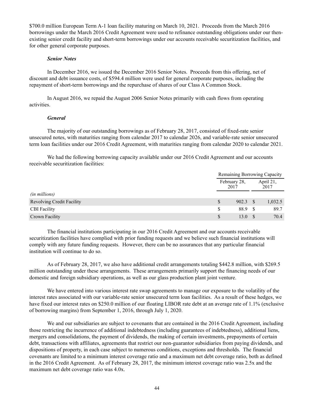\$700.0 million European Term A-1 loan facility maturing on March 10, 2021. Proceeds from the March 2016 borrowings under the March 2016 Credit Agreement were used to refinance outstanding obligations under our thenexisting senior credit facility and short-term borrowings under our accounts receivable securitization facilities, and for other general corporate purposes.

### *Senior Notes*

In December 2016, we issued the December 2016 Senior Notes. Proceeds from this offering, net of discount and debt issuance costs, of \$594.4 million were used for general corporate purposes, including the repayment of short-term borrowings and the repurchase of shares of our Class A Common Stock.

In August 2016, we repaid the August 2006 Senior Notes primarily with cash flows from operating activities.

#### *General*

The majority of our outstanding borrowings as of February 28, 2017, consisted of fixed-rate senior unsecured notes, with maturities ranging from calendar 2017 to calendar 2026, and variable-rate senior unsecured term loan facilities under our 2016 Credit Agreement, with maturities ranging from calendar 2020 to calendar 2021.

We had the following borrowing capacity available under our 2016 Credit Agreement and our accounts receivable securitization facilities:

|                           | Remaining Borrowing Capacity |                      |               |                   |  |  |  |
|---------------------------|------------------------------|----------------------|---------------|-------------------|--|--|--|
|                           |                              | February 28,<br>2017 |               | April 21,<br>2017 |  |  |  |
| (in millions)             |                              |                      |               |                   |  |  |  |
| Revolving Credit Facility | S                            | 902.3                | $\mathcal{S}$ | 1,032.5           |  |  |  |
| <b>CBI</b> Facility       | S                            | 88.9                 | - \$          | 89.7              |  |  |  |
| Crown Facility            | S                            | 13.0                 |               | 70.4              |  |  |  |

The financial institutions participating in our 2016 Credit Agreement and our accounts receivable securitization facilities have complied with prior funding requests and we believe such financial institutions will comply with any future funding requests. However, there can be no assurances that any particular financial institution will continue to do so.

As of February 28, 2017, we also have additional credit arrangements totaling \$442.8 million, with \$269.5 million outstanding under these arrangements. These arrangements primarily support the financing needs of our domestic and foreign subsidiary operations, as well as our glass production plant joint venture.

We have entered into various interest rate swap agreements to manage our exposure to the volatility of the interest rates associated with our variable-rate senior unsecured term loan facilities. As a result of these hedges, we have fixed our interest rates on \$250.0 million of our floating LIBOR rate debt at an average rate of 1.1% (exclusive of borrowing margins) from September 1, 2016, through July 1, 2020.

We and our subsidiaries are subject to covenants that are contained in the 2016 Credit Agreement, including those restricting the incurrence of additional indebtedness (including guarantees of indebtedness), additional liens, mergers and consolidations, the payment of dividends, the making of certain investments, prepayments of certain debt, transactions with affiliates, agreements that restrict our non-guarantor subsidiaries from paying dividends, and dispositions of property, in each case subject to numerous conditions, exceptions and thresholds. The financial covenants are limited to a minimum interest coverage ratio and a maximum net debt coverage ratio, both as defined in the 2016 Credit Agreement. As of February 28, 2017, the minimum interest coverage ratio was 2.5x and the maximum net debt coverage ratio was 4.0x.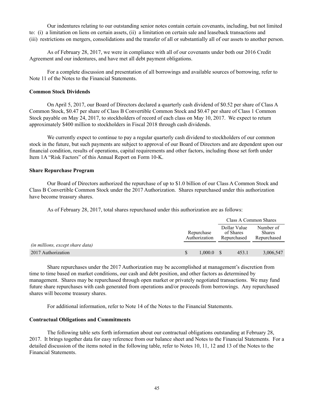Our indentures relating to our outstanding senior notes contain certain covenants, including, but not limited to: (i) a limitation on liens on certain assets, (ii) a limitation on certain sale and leaseback transactions and (iii) restrictions on mergers, consolidations and the transfer of all or substantially all of our assets to another person.

As of February 28, 2017, we were in compliance with all of our covenants under both our 2016 Credit Agreement and our indentures, and have met all debt payment obligations.

For a complete discussion and presentation of all borrowings and available sources of borrowing, refer to Note 11 of the Notes to the Financial Statements.

#### **Common Stock Dividends**

On April 5, 2017, our Board of Directors declared a quarterly cash dividend of \$0.52 per share of Class A Common Stock, \$0.47 per share of Class B Convertible Common Stock and \$0.47 per share of Class 1 Common Stock payable on May 24, 2017, to stockholders of record of each class on May 10, 2017. We expect to return approximately \$400 million to stockholders in Fiscal 2018 through cash dividends.

We currently expect to continue to pay a regular quarterly cash dividend to stockholders of our common stock in the future, but such payments are subject to approval of our Board of Directors and are dependent upon our financial condition, results of operations, capital requirements and other factors, including those set forth under Item 1A "Risk Factors" of this Annual Report on Form 10-K.

### **Share Repurchase Program**

Our Board of Directors authorized the repurchase of up to \$1.0 billion of our Class A Common Stock and Class B Convertible Common Stock under the 2017 Authorization. Shares repurchased under this authorization have become treasury shares.

As of February 28, 2017, total shares repurchased under this authorization are as follows:

|                                  |              |                             |  |                                          | Class A Common Shares                     |  |
|----------------------------------|--------------|-----------------------------|--|------------------------------------------|-------------------------------------------|--|
|                                  |              | Repurchase<br>Authorization |  | Dollar Value<br>of Shares<br>Repurchased | Number of<br><b>Shares</b><br>Repurchased |  |
| (in millions, except share data) |              |                             |  |                                          |                                           |  |
| 2017 Authorization               | <sup>S</sup> | $1,000.0$ \$                |  | 453.1                                    | 3,006,547                                 |  |

Share repurchases under the 2017 Authorization may be accomplished at management's discretion from time to time based on market conditions, our cash and debt position, and other factors as determined by management. Shares may be repurchased through open market or privately negotiated transactions. We may fund future share repurchases with cash generated from operations and/or proceeds from borrowings. Any repurchased shares will become treasury shares.

For additional information, refer to Note 14 of the Notes to the Financial Statements.

#### **Contractual Obligations and Commitments**

The following table sets forth information about our contractual obligations outstanding at February 28, 2017. It brings together data for easy reference from our balance sheet and Notes to the Financial Statements. For a detailed discussion of the items noted in the following table, refer to Notes 10, 11, 12 and 13 of the Notes to the Financial Statements.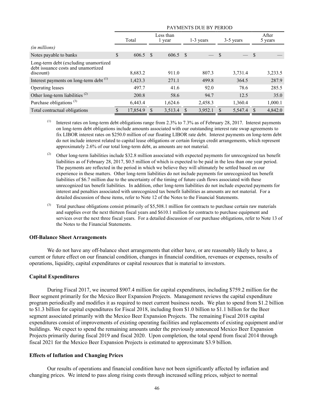|                                                                                           |          |          |                     |          |           | PAYMENTS DUE BY PERIOD |               |         |               |                  |
|-------------------------------------------------------------------------------------------|----------|----------|---------------------|----------|-----------|------------------------|---------------|---------|---------------|------------------|
|                                                                                           | Total    |          | Less than<br>1 year |          | 1-3 years |                        | 3-5 years     |         |               | After<br>5 years |
| (in millions)                                                                             |          |          |                     |          |           |                        |               |         |               |                  |
| Notes payable to banks                                                                    | \$       | 606.5    | - \$                | 606.5 \$ |           |                        | <sup>\$</sup> |         | -S            |                  |
| Long-term debt (excluding unamortized<br>debt issuance costs and unamortized<br>discount) |          | 8,683.2  |                     | 911.0    |           | 807.3                  |               | 3,731.4 |               | 3,233.5          |
| Interest payments on long-term debt <sup>(1)</sup>                                        |          | 1,423.3  |                     | 271.1    |           | 499.8                  |               | 364.5   |               | 287.9            |
| Operating leases                                                                          |          | 497.7    |                     | 41.6     |           | 92.0                   |               | 78.6    |               | 285.5            |
| Other long-term liabilities $(2)$                                                         |          | 200.8    |                     | 58.6     |           | 94.7                   |               | 12.5    |               | 35.0             |
| Purchase obligations <sup>(3)</sup>                                                       |          | 6.443.4  |                     | 1,624.6  |           | 2,458.3                |               | 1,360.4 |               | 1,000.1          |
| Total contractual obligations                                                             | <b>S</b> | 17,854.9 | \$.                 | 3,513.4  | -S        | 3.952.1                | <sup>\$</sup> | 5.547.4 | <sup>\$</sup> | 4.842.0          |

- (1) Interest rates on long-term debt obligations range from 2.3% to 7.3% as of February 28, 2017. Interest payments on long-term debt obligations include amounts associated with our outstanding interest rate swap agreements to fix LIBOR interest rates on \$250.0 million of our floating LIBOR rate debt. Interest payments on long-term debt do not include interest related to capital lease obligations or certain foreign credit arrangements, which represent approximately 2.6% of our total long-term debt, as amounts are not material.
- (2) Other long-term liabilities include \$32.8 million associated with expected payments for unrecognized tax benefit liabilities as of February 28, 2017, \$0.5 million of which is expected to be paid in the less than one year period. The payments are reflected in the period in which we believe they will ultimately be settled based on our experience in these matters. Other long-term liabilities do not include payments for unrecognized tax benefit liabilities of \$6.7 million due to the uncertainty of the timing of future cash flows associated with these unrecognized tax benefit liabilities. In addition, other long-term liabilities do not include expected payments for interest and penalties associated with unrecognized tax benefit liabilities as amounts are not material. For a detailed discussion of these items, refer to Note 12 of the Notes to the Financial Statements.
- $^{(3)}$  Total purchase obligations consist primarily of \$5,508.1 million for contracts to purchase certain raw materials and supplies over the next thirteen fiscal years and \$610.1 million for contracts to purchase equipment and services over the next three fiscal years. For a detailed discussion of our purchase obligations, refer to Note 13 of the Notes to the Financial Statements.

### **Off-Balance Sheet Arrangements**

We do not have any off-balance sheet arrangements that either have, or are reasonably likely to have, a current or future effect on our financial condition, changes in financial condition, revenues or expenses, results of operations, liquidity, capital expenditures or capital resources that is material to investors.

### **Capital Expenditures**

During Fiscal 2017, we incurred \$907.4 million for capital expenditures, including \$759.2 million for the Beer segment primarily for the Mexico Beer Expansion Projects. Management reviews the capital expenditure program periodically and modifies it as required to meet current business needs. We plan to spend from \$1.2 billion to \$1.3 billion for capital expenditures for Fiscal 2018, including from \$1.0 billion to \$1.1 billion for the Beer segment associated primarily with the Mexico Beer Expansion Projects. The remaining Fiscal 2018 capital expenditures consist of improvements of existing operating facilities and replacements of existing equipment and/or buildings. We expect to spend the remaining amounts under the previously announced Mexico Beer Expansion Projects primarily during fiscal 2019 and fiscal 2020. Upon completion, the total spend from fiscal 2014 through fiscal 2021 for the Mexico Beer Expansion Projects is estimated to approximate \$3.9 billion.

### **Effects of Inflation and Changing Prices**

Our results of operations and financial condition have not been significantly affected by inflation and changing prices. We intend to pass along rising costs through increased selling prices, subject to normal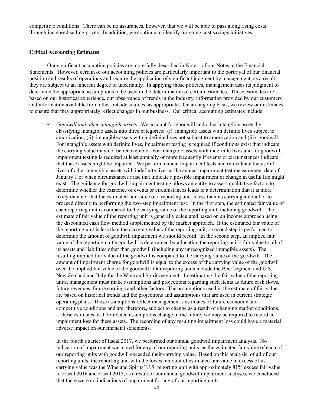competitive conditions. There can be no assurances, however, that we will be able to pass along rising costs through increased selling prices. In addition, we continue to identify on-going cost savings initiatives.

### **Critical Accounting Estimates**

Our significant accounting policies are more fully described in Note 1 of our Notes to the Financial Statements. However, certain of our accounting policies are particularly important to the portrayal of our financial position and results of operations and require the application of significant judgment by management; as a result, they are subject to an inherent degree of uncertainty. In applying those policies, management uses its judgment to determine the appropriate assumptions to be used in the determination of certain estimates. Those estimates are based on our historical experience, our observance of trends in the industry, information provided by our customers and information available from other outside sources, as appropriate. On an ongoing basis, we review our estimates to ensure that they appropriately reflect changes in our business. Our critical accounting estimates include:

• *Goodwill and other intangible assets.* We account for goodwill and other intangible assets by classifying intangible assets into three categories: (i) intangible assets with definite lives subject to amortization, (ii) intangible assets with indefinite lives not subject to amortization and (iii) goodwill. For intangible assets with definite lives, impairment testing is required if conditions exist that indicate the carrying value may not be recoverable. For intangible assets with indefinite lives and for goodwill, impairment testing is required at least annually or more frequently if events or circumstances indicate that these assets might be impaired. We perform annual impairment tests and re-evaluate the useful lives of other intangible assets with indefinite lives at the annual impairment test measurement date of January 1 or when circumstances arise that indicate a possible impairment or change in useful life might exist. The guidance for goodwill impairment testing allows an entity to assess qualitative factors to determine whether the existence of events or circumstances leads to a determination that it is more likely than not that the estimated fair value of a reporting unit is less than its carrying amount or to proceed directly to performing the two-step impairment test. In the first step, the estimated fair value of each reporting unit is compared to the carrying value of the reporting unit, including goodwill. The estimate of fair value of the reporting unit is generally calculated based on an income approach using the discounted cash flow method supplemented by the market approach. If the estimated fair value of the reporting unit is less than the carrying value of the reporting unit, a second step is performed to determine the amount of goodwill impairment we should record. In the second step, an implied fair value of the reporting unit's goodwill is determined by allocating the reporting unit's fair value to all of its assets and liabilities other than goodwill (including any unrecognized intangible assets). The resulting implied fair value of the goodwill is compared to the carrying value of the goodwill. The amount of impairment charge for goodwill is equal to the excess of the carrying value of the goodwill over the implied fair value of the goodwill. Our reporting units include the Beer segment and U.S., New Zealand and Italy for the Wine and Spirits segment. In estimating the fair value of the reporting units, management must make assumptions and projections regarding such items as future cash flows, future revenues, future earnings and other factors. The assumptions used in the estimate of fair value are based on historical trends and the projections and assumptions that are used in current strategic operating plans. These assumptions reflect management's estimates of future economic and competitive conditions and are, therefore, subject to change as a result of changing market conditions. If these estimates or their related assumptions change in the future, we may be required to record an impairment loss for these assets. The recording of any resulting impairment loss could have a material adverse impact on our financial statements.

In the fourth quarter of fiscal 2017, we performed our annual goodwill impairment analysis. No indication of impairment was noted for any of our reporting units, as the estimated fair value of each of our reporting units with goodwill exceeded their carrying value. Based on this analysis, of all of our reporting units, the reporting unit with the lowest amount of estimated fair value in excess of its carrying value was the Wine and Spirits' U.S. reporting unit with approximately 81% excess fair value. In Fiscal 2016 and Fiscal 2015, as a result of our annual goodwill impairment analyses, we concluded that there were no indications of impairment for any of our reporting units.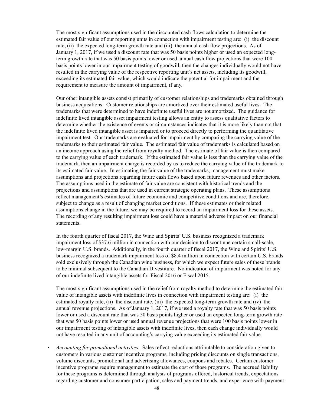The most significant assumptions used in the discounted cash flows calculation to determine the estimated fair value of our reporting units in connection with impairment testing are: (i) the discount rate, (ii) the expected long-term growth rate and (iii) the annual cash flow projections. As of January 1, 2017, if we used a discount rate that was 50 basis points higher or used an expected longterm growth rate that was 50 basis points lower or used annual cash flow projections that were 100 basis points lower in our impairment testing of goodwill, then the changes individually would not have resulted in the carrying value of the respective reporting unit's net assets, including its goodwill, exceeding its estimated fair value, which would indicate the potential for impairment and the requirement to measure the amount of impairment, if any.

Our other intangible assets consist primarily of customer relationships and trademarks obtained through business acquisitions. Customer relationships are amortized over their estimated useful lives. The trademarks that were determined to have indefinite useful lives are not amortized. The guidance for indefinite lived intangible asset impairment testing allows an entity to assess qualitative factors to determine whether the existence of events or circumstances indicates that it is more likely than not that the indefinite lived intangible asset is impaired or to proceed directly to performing the quantitative impairment test. Our trademarks are evaluated for impairment by comparing the carrying value of the trademarks to their estimated fair value. The estimated fair value of trademarks is calculated based on an income approach using the relief from royalty method. The estimate of fair value is then compared to the carrying value of each trademark. If the estimated fair value is less than the carrying value of the trademark, then an impairment charge is recorded by us to reduce the carrying value of the trademark to its estimated fair value. In estimating the fair value of the trademarks, management must make assumptions and projections regarding future cash flows based upon future revenues and other factors. The assumptions used in the estimate of fair value are consistent with historical trends and the projections and assumptions that are used in current strategic operating plans. These assumptions reflect management's estimates of future economic and competitive conditions and are, therefore, subject to change as a result of changing market conditions. If these estimates or their related assumptions change in the future, we may be required to record an impairment loss for these assets. The recording of any resulting impairment loss could have a material adverse impact on our financial statements.

In the fourth quarter of fiscal 2017, the Wine and Spirits' U.S. business recognized a trademark impairment loss of \$37.6 million in connection with our decision to discontinue certain small-scale, low-margin U.S. brands. Additionally, in the fourth quarter of fiscal 2017, the Wine and Spirits' U.S. business recognized a trademark impairment loss of \$8.4 million in connection with certain U.S. brands sold exclusively through the Canadian wine business, for which we expect future sales of these brands to be minimal subsequent to the Canadian Divestiture. No indication of impairment was noted for any of our indefinite lived intangible assets for Fiscal 2016 or Fiscal 2015.

The most significant assumptions used in the relief from royalty method to determine the estimated fair value of intangible assets with indefinite lives in connection with impairment testing are: (i) the estimated royalty rate, (ii) the discount rate, (iii) the expected long-term growth rate and (iv) the annual revenue projections. As of January 1, 2017, if we used a royalty rate that was 50 basis points lower or used a discount rate that was 50 basis points higher or used an expected long-term growth rate that was 50 basis points lower or used annual revenue projections that were 100 basis points lower in our impairment testing of intangible assets with indefinite lives, then each change individually would not have resulted in any unit of accounting's carrying value exceeding its estimated fair value.

*• Accounting for promotional activities.* Sales reflect reductions attributable to consideration given to customers in various customer incentive programs, including pricing discounts on single transactions, volume discounts, promotional and advertising allowances, coupons and rebates. Certain customer incentive programs require management to estimate the cost of those programs. The accrued liability for these programs is determined through analysis of programs offered, historical trends, expectations regarding customer and consumer participation, sales and payment trends, and experience with payment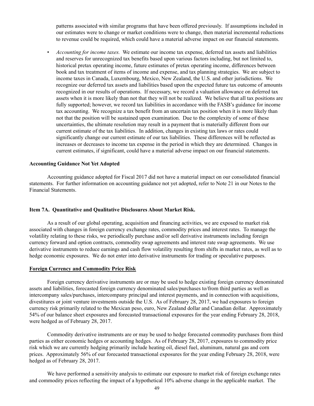patterns associated with similar programs that have been offered previously. If assumptions included in our estimates were to change or market conditions were to change, then material incremental reductions to revenue could be required, which could have a material adverse impact on our financial statements.

• *Accounting for income taxes.* We estimate our income tax expense, deferred tax assets and liabilities and reserves for unrecognized tax benefits based upon various factors including, but not limited to, historical pretax operating income, future estimates of pretax operating income, differences between book and tax treatment of items of income and expense, and tax planning strategies. We are subject to income taxes in Canada, Luxembourg, Mexico, New Zealand, the U.S. and other jurisdictions. We recognize our deferred tax assets and liabilities based upon the expected future tax outcome of amounts recognized in our results of operations. If necessary, we record a valuation allowance on deferred tax assets when it is more likely than not that they will not be realized. We believe that all tax positions are fully supported; however, we record tax liabilities in accordance with the FASB's guidance for income tax accounting. We recognize a tax benefit from an uncertain tax position when it is more likely than not that the position will be sustained upon examination. Due to the complexity of some of these uncertainties, the ultimate resolution may result in a payment that is materially different from our current estimate of the tax liabilities. In addition, changes in existing tax laws or rates could significantly change our current estimate of our tax liabilities. These differences will be reflected as increases or decreases to income tax expense in the period in which they are determined. Changes in current estimates, if significant, could have a material adverse impact on our financial statements.

#### **Accounting Guidance Not Yet Adopted**

Accounting guidance adopted for Fiscal 2017 did not have a material impact on our consolidated financial statements. For further information on accounting guidance not yet adopted, refer to Note 21 in our Notes to the Financial Statements.

#### **Item 7A. Quantitative and Qualitative Disclosures About Market Risk.**

As a result of our global operating, acquisition and financing activities, we are exposed to market risk associated with changes in foreign currency exchange rates, commodity prices and interest rates. To manage the volatility relating to these risks, we periodically purchase and/or sell derivative instruments including foreign currency forward and option contracts, commodity swap agreements and interest rate swap agreements. We use derivative instruments to reduce earnings and cash flow volatility resulting from shifts in market rates, as well as to hedge economic exposures. We do not enter into derivative instruments for trading or speculative purposes.

### **Foreign Currency and Commodity Price Risk**

Foreign currency derivative instruments are or may be used to hedge existing foreign currency denominated assets and liabilities, forecasted foreign currency denominated sales/purchases to/from third parties as well as intercompany sales/purchases, intercompany principal and interest payments, and in connection with acquisitions, divestitures or joint venture investments outside the U.S. As of February 28, 2017, we had exposures to foreign currency risk primarily related to the Mexican peso, euro, New Zealand dollar and Canadian dollar. Approximately 54% of our balance sheet exposures and forecasted transactional exposures for the year ending February 28, 2018, were hedged as of February 28, 2017.

Commodity derivative instruments are or may be used to hedge forecasted commodity purchases from third parties as either economic hedges or accounting hedges. As of February 28, 2017, exposures to commodity price risk which we are currently hedging primarily include heating oil, diesel fuel, aluminum, natural gas and corn prices. Approximately 56% of our forecasted transactional exposures for the year ending February 28, 2018, were hedged as of February 28, 2017.

We have performed a sensitivity analysis to estimate our exposure to market risk of foreign exchange rates and commodity prices reflecting the impact of a hypothetical 10% adverse change in the applicable market. The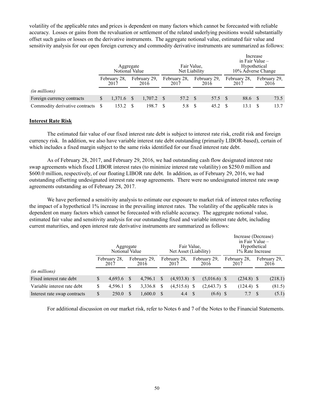volatility of the applicable rates and prices is dependent on many factors which cannot be forecasted with reliable accuracy. Losses or gains from the revaluation or settlement of the related underlying positions would substantially offset such gains or losses on the derivative instruments. The aggregate notional value, estimated fair value and sensitivity analysis for our open foreign currency and commodity derivative instruments are summarized as follows:

|                                | Aggregate<br>Notional Value |              |                      |         | Fair Value,<br>Net Liability |      |                      |      |                      | Increase<br>in Fair Value –<br>Hypothetical<br>10% Adverse Change |                      |      |  |
|--------------------------------|-----------------------------|--------------|----------------------|---------|------------------------------|------|----------------------|------|----------------------|-------------------------------------------------------------------|----------------------|------|--|
|                                | February 28.<br>2017        |              | February 29,<br>2016 |         | February 28,<br>2017         |      | February 29,<br>2016 |      | February 28,<br>2017 |                                                                   | February 29.<br>2016 |      |  |
| (in millions)                  |                             |              |                      |         |                              |      |                      |      |                      |                                                                   |                      |      |  |
| Foreign currency contracts     | S                           | $1,371.6$ \$ |                      | 1,707.2 | -S                           | 57.2 | - S                  | 57.5 | - \$                 | 88.6 \$                                                           |                      | 73.5 |  |
| Commodity derivative contracts |                             | 153.2        | S                    | 198.7   |                              | 5.8  |                      | 45.2 |                      | 13.1                                                              |                      | 13.7 |  |

### **Interest Rate Risk**

The estimated fair value of our fixed interest rate debt is subject to interest rate risk, credit risk and foreign currency risk. In addition, we also have variable interest rate debt outstanding (primarily LIBOR-based), certain of which includes a fixed margin subject to the same risks identified for our fixed interest rate debt.

As of February 28, 2017, and February 29, 2016, we had outstanding cash flow designated interest rate swap agreements which fixed LIBOR interest rates (to minimize interest rate volatility) on \$250.0 million and \$600.0 million, respectively, of our floating LIBOR rate debt. In addition, as of February 29, 2016, we had outstanding offsetting undesignated interest rate swap agreements. There were no undesignated interest rate swap agreements outstanding as of February 28, 2017.

We have performed a sensitivity analysis to estimate our exposure to market risk of interest rates reflecting the impact of a hypothetical 1% increase in the prevailing interest rates. The volatility of the applicable rates is dependent on many factors which cannot be forecasted with reliable accuracy. The aggregate notional value, estimated fair value and sensitivity analysis for our outstanding fixed and variable interest rate debt, including current maturities, and open interest rate derivative instruments are summarized as follows:

|                              | Aggregate<br>Notional Value |   |                      |                                              | Fair Value,<br>Net Asset (Liability) |      | Increase (Decrease)<br>in Fair Value –<br>Hypothetical<br>1% Rate Increase |  |                      |  |         |
|------------------------------|-----------------------------|---|----------------------|----------------------------------------------|--------------------------------------|------|----------------------------------------------------------------------------|--|----------------------|--|---------|
|                              | February 28,<br>2017        |   | February 29.<br>2016 | February 28,<br>February 29,<br>2016<br>2017 |                                      |      | February 28,<br>2017                                                       |  | February 29,<br>2016 |  |         |
| <i>(in millions)</i>         |                             |   |                      |                                              |                                      |      |                                                                            |  |                      |  |         |
| Fixed interest rate debt     | \$<br>4,693.6               | S | 4,796.1              | -S                                           | $(4,933.8)$ \$                       |      | $(5,016.6)$ \$                                                             |  | $(234.8)$ \$         |  | (218.1) |
| Variable interest rate debt  | \$<br>4,596.1               | S | 3,336.8              | -S                                           | $(4,515.6)$ \$                       |      | $(2,643.7)$ \$                                                             |  | $(124.4)$ \$         |  | (81.5)  |
| Interest rate swap contracts | \$<br>250.0                 | S | 1,600.0              |                                              | 4.4                                  | - \$ | $(6.6)$ \$                                                                 |  | 7.7                  |  | (5.1)   |

For additional discussion on our market risk, refer to Notes 6 and 7 of the Notes to the Financial Statements.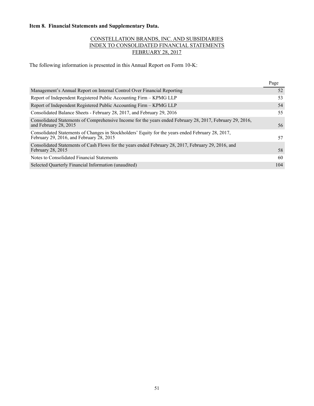# **Item 8. Financial Statements and Supplementary Data.**

# CONSTELLATION BRANDS, INC. AND SUBSIDIARIES INDEX TO CONSOLIDATED FINANCIAL STATEMENTS FEBRUARY 28, 2017

The following information is presented in this Annual Report on Form 10-K:

|                                                                                                                                               | Page |
|-----------------------------------------------------------------------------------------------------------------------------------------------|------|
| Management's Annual Report on Internal Control Over Financial Reporting                                                                       | 52   |
| Report of Independent Registered Public Accounting Firm - KPMG LLP                                                                            | 53   |
| Report of Independent Registered Public Accounting Firm - KPMG LLP                                                                            | 54   |
| Consolidated Balance Sheets - February 28, 2017, and February 29, 2016                                                                        | 55   |
| Consolidated Statements of Comprehensive Income for the years ended February 28, 2017, February 29, 2016,<br>and February 28, 2015            | 56   |
| Consolidated Statements of Changes in Stockholders' Equity for the years ended February 28, 2017,<br>February 29, 2016, and February 28, 2015 | 57   |
| Consolidated Statements of Cash Flows for the years ended February 28, 2017, February 29, 2016, and<br>February 28, 2015                      | 58   |
| Notes to Consolidated Financial Statements                                                                                                    | 60   |
| Selected Ouarterly Financial Information (unaudited)                                                                                          | 104  |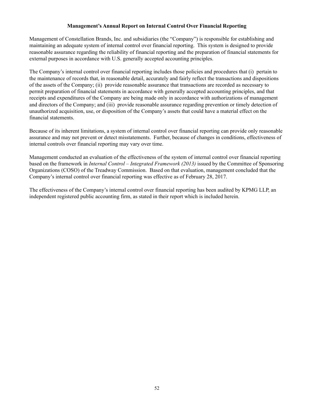# **Management's Annual Report on Internal Control Over Financial Reporting**

Management of Constellation Brands, Inc. and subsidiaries (the "Company") is responsible for establishing and maintaining an adequate system of internal control over financial reporting. This system is designed to provide reasonable assurance regarding the reliability of financial reporting and the preparation of financial statements for external purposes in accordance with U.S. generally accepted accounting principles.

The Company's internal control over financial reporting includes those policies and procedures that (i) pertain to the maintenance of records that, in reasonable detail, accurately and fairly reflect the transactions and dispositions of the assets of the Company; (ii) provide reasonable assurance that transactions are recorded as necessary to permit preparation of financial statements in accordance with generally accepted accounting principles, and that receipts and expenditures of the Company are being made only in accordance with authorizations of management and directors of the Company; and (iii) provide reasonable assurance regarding prevention or timely detection of unauthorized acquisition, use, or disposition of the Company's assets that could have a material effect on the financial statements.

Because of its inherent limitations, a system of internal control over financial reporting can provide only reasonable assurance and may not prevent or detect misstatements. Further, because of changes in conditions, effectiveness of internal controls over financial reporting may vary over time.

Management conducted an evaluation of the effectiveness of the system of internal control over financial reporting based on the framework in *Internal Control – Integrated Framework (2013)* issued by the Committee of Sponsoring Organizations (COSO) of the Treadway Commission. Based on that evaluation, management concluded that the Company's internal control over financial reporting was effective as of February 28, 2017.

The effectiveness of the Company's internal control over financial reporting has been audited by KPMG LLP, an independent registered public accounting firm, as stated in their report which is included herein.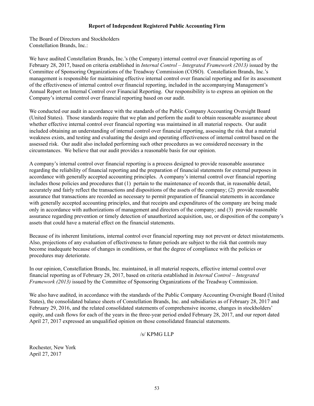# **Report of Independent Registered Public Accounting Firm**

The Board of Directors and Stockholders Constellation Brands, Inc.:

We have audited Constellation Brands, Inc.'s (the Company) internal control over financial reporting as of February 28, 2017, based on criteria established in *Internal Control – Integrated Framework (2013)* issued by the Committee of Sponsoring Organizations of the Treadway Commission (COSO). Constellation Brands, Inc.'s management is responsible for maintaining effective internal control over financial reporting and for its assessment of the effectiveness of internal control over financial reporting, included in the accompanying Management's Annual Report on Internal Control over Financial Reporting. Our responsibility is to express an opinion on the Company's internal control over financial reporting based on our audit.

We conducted our audit in accordance with the standards of the Public Company Accounting Oversight Board (United States). Those standards require that we plan and perform the audit to obtain reasonable assurance about whether effective internal control over financial reporting was maintained in all material respects. Our audit included obtaining an understanding of internal control over financial reporting, assessing the risk that a material weakness exists, and testing and evaluating the design and operating effectiveness of internal control based on the assessed risk. Our audit also included performing such other procedures as we considered necessary in the circumstances. We believe that our audit provides a reasonable basis for our opinion.

A company's internal control over financial reporting is a process designed to provide reasonable assurance regarding the reliability of financial reporting and the preparation of financial statements for external purposes in accordance with generally accepted accounting principles. A company's internal control over financial reporting includes those policies and procedures that (1) pertain to the maintenance of records that, in reasonable detail, accurately and fairly reflect the transactions and dispositions of the assets of the company; (2) provide reasonable assurance that transactions are recorded as necessary to permit preparation of financial statements in accordance with generally accepted accounting principles, and that receipts and expenditures of the company are being made only in accordance with authorizations of management and directors of the company; and (3) provide reasonable assurance regarding prevention or timely detection of unauthorized acquisition, use, or disposition of the company's assets that could have a material effect on the financial statements.

Because of its inherent limitations, internal control over financial reporting may not prevent or detect misstatements. Also, projections of any evaluation of effectiveness to future periods are subject to the risk that controls may become inadequate because of changes in conditions, or that the degree of compliance with the policies or procedures may deteriorate.

In our opinion, Constellation Brands, Inc. maintained, in all material respects, effective internal control over financial reporting as of February 28, 2017, based on criteria established in *Internal Control – Integrated Framework (2013)* issued by the Committee of Sponsoring Organizations of the Treadway Commission.

We also have audited, in accordance with the standards of the Public Company Accounting Oversight Board (United States), the consolidated balance sheets of Constellation Brands, Inc. and subsidiaries as of February 28, 2017 and February 29, 2016, and the related consolidated statements of comprehensive income, changes in stockholders' equity, and cash flows for each of the years in the three-year period ended February 28, 2017, and our report dated April 27, 2017 expressed an unqualified opinion on those consolidated financial statements.

# /s/ KPMG LLP

Rochester, New York April 27, 2017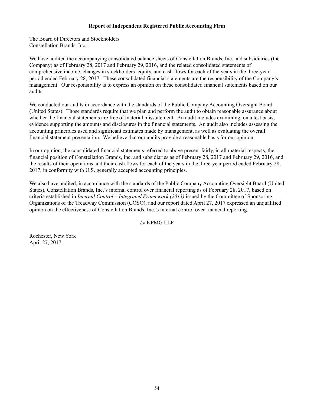# **Report of Independent Registered Public Accounting Firm**

The Board of Directors and Stockholders Constellation Brands, Inc.:

We have audited the accompanying consolidated balance sheets of Constellation Brands, Inc. and subsidiaries (the Company) as of February 28, 2017 and February 29, 2016, and the related consolidated statements of comprehensive income, changes in stockholders' equity, and cash flows for each of the years in the three-year period ended February 28, 2017. These consolidated financial statements are the responsibility of the Company's management. Our responsibility is to express an opinion on these consolidated financial statements based on our audits.

We conducted our audits in accordance with the standards of the Public Company Accounting Oversight Board (United States). Those standards require that we plan and perform the audit to obtain reasonable assurance about whether the financial statements are free of material misstatement. An audit includes examining, on a test basis, evidence supporting the amounts and disclosures in the financial statements. An audit also includes assessing the accounting principles used and significant estimates made by management, as well as evaluating the overall financial statement presentation. We believe that our audits provide a reasonable basis for our opinion.

In our opinion, the consolidated financial statements referred to above present fairly, in all material respects, the financial position of Constellation Brands, Inc. and subsidiaries as of February 28, 2017 and February 29, 2016, and the results of their operations and their cash flows for each of the years in the three-year period ended February 28, 2017, in conformity with U.S. generally accepted accounting principles.

We also have audited, in accordance with the standards of the Public Company Accounting Oversight Board (United States), Constellation Brands, Inc.'s internal control over financial reporting as of February 28, 2017, based on criteria established in *Internal Control – Integrated Framework (2013)* issued by the Committee of Sponsoring Organizations of the Treadway Commission (COSO), and our report dated April 27, 2017 expressed an unqualified opinion on the effectiveness of Constellation Brands, Inc.'s internal control over financial reporting.

/s/ KPMG LLP

Rochester, New York April 27, 2017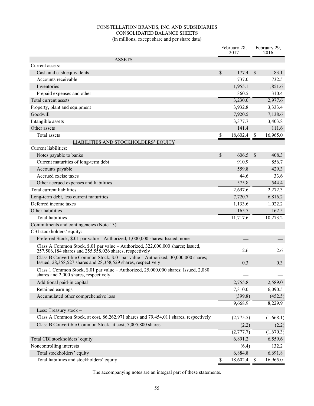# CONSTELLATION BRANDS, INC. AND SUBSIDIARIES CONSOLIDATED BALANCE SHEETS (in millions, except share and per share data)

|                                                                                                                                                     |               | February 28,<br>2017     | February 29,<br>2016 |                          |  |
|-----------------------------------------------------------------------------------------------------------------------------------------------------|---------------|--------------------------|----------------------|--------------------------|--|
| <b>ASSETS</b>                                                                                                                                       |               |                          |                      |                          |  |
| Current assets:                                                                                                                                     |               |                          |                      |                          |  |
| Cash and cash equivalents                                                                                                                           | $\mathcal{S}$ | 177.4                    | $\mathcal{S}$        | 83.1                     |  |
| Accounts receivable                                                                                                                                 |               | 737.0                    |                      | 732.5                    |  |
| Inventories                                                                                                                                         |               | 1,955.1                  |                      | 1,851.6                  |  |
| Prepaid expenses and other                                                                                                                          |               | 360.5                    |                      | 310.4                    |  |
| Total current assets                                                                                                                                |               | 3,230.0                  |                      | 2,977.6                  |  |
| Property, plant and equipment                                                                                                                       |               | 3,932.8                  |                      | 3,333.4                  |  |
| Goodwill                                                                                                                                            |               | 7,920.5                  |                      | 7,138.6                  |  |
| Intangible assets                                                                                                                                   |               | 3,377.7                  |                      | 3,403.8                  |  |
| Other assets                                                                                                                                        |               | 141.4                    |                      | 111.6                    |  |
| Total assets                                                                                                                                        | \$            | 18,602.4                 | $\mathbb{S}$         | 16,965.0                 |  |
| LIABILITIES AND STOCKHOLDERS' EQUITY                                                                                                                |               |                          |                      |                          |  |
| Current liabilities:                                                                                                                                |               |                          |                      |                          |  |
| Notes payable to banks                                                                                                                              | $\$$          | 606.5                    | $\mathcal{S}$        | 408.3                    |  |
| Current maturities of long-term debt                                                                                                                |               | 910.9                    |                      | 856.7                    |  |
| Accounts payable                                                                                                                                    |               | 559.8                    |                      | 429.3                    |  |
| Accrued excise taxes                                                                                                                                |               | 44.6                     |                      | 33.6                     |  |
| Other accrued expenses and liabilities                                                                                                              |               | 575.8                    |                      | 544.4                    |  |
| Total current liabilities                                                                                                                           |               | 2,697.6                  |                      | 2,272.3                  |  |
| Long-term debt, less current maturities                                                                                                             |               | 7,720.7                  |                      | 6,816.2                  |  |
| Deferred income taxes                                                                                                                               |               | 1,133.6                  |                      | 1,022.2                  |  |
| Other liabilities                                                                                                                                   |               | 165.7                    |                      | 162.5                    |  |
| Total liabilities                                                                                                                                   |               | 11,717.6                 |                      | 10,273.2                 |  |
| Commitments and contingencies (Note 13)                                                                                                             |               |                          |                      |                          |  |
| CBI stockholders' equity:                                                                                                                           |               |                          |                      |                          |  |
| Preferred Stock, \$.01 par value - Authorized, 1,000,000 shares; Issued, none                                                                       |               |                          |                      |                          |  |
| Class A Common Stock, \$.01 par value - Authorized, 322,000,000 shares; Issued,<br>257,506,184 shares and 255,558,026 shares, respectively          |               | 2.6                      |                      | 2.6                      |  |
| Class B Convertible Common Stock, \$.01 par value - Authorized, 30,000,000 shares;<br>Issued, 28,358,527 shares and 28,358,529 shares, respectively |               | 0.3                      |                      | 0.3                      |  |
| Class 1 Common Stock, \$.01 par value - Authorized, 25,000,000 shares; Issued, 2,080<br>shares and 2,000 shares, respectively                       |               | $\overline{\phantom{m}}$ |                      | $\overline{\phantom{a}}$ |  |
| Additional paid-in capital                                                                                                                          |               | 2,755.8                  |                      | 2,589.0                  |  |
| Retained earnings                                                                                                                                   |               | 7,310.0                  |                      | 6,090.5                  |  |
| Accumulated other comprehensive loss                                                                                                                |               | (399.8)                  |                      | (452.5)                  |  |
|                                                                                                                                                     |               | 9,668.9                  |                      | 8,229.9                  |  |
| Less: Treasury stock -                                                                                                                              |               |                          |                      |                          |  |
| Class A Common Stock, at cost, 86,262,971 shares and 79,454,011 shares, respectively                                                                |               | (2,775.5)                |                      | (1,668.1)                |  |
| Class B Convertible Common Stock, at cost, 5,005,800 shares                                                                                         |               | (2.2)                    |                      | (2.2)                    |  |
|                                                                                                                                                     |               | (2,777.7)                |                      | (1,670.3)                |  |
| Total CBI stockholders' equity                                                                                                                      |               | 6,891.2                  |                      | 6,559.6                  |  |
| Noncontrolling interests                                                                                                                            |               | (6.4)                    |                      | 132.2                    |  |
| Total stockholders' equity                                                                                                                          |               | 6,884.8                  |                      | 6,691.8                  |  |
| Total liabilities and stockholders' equity                                                                                                          | $\mathbb{S}$  | 18,602.4                 | $\mathbb{S}$         | 16,965.0                 |  |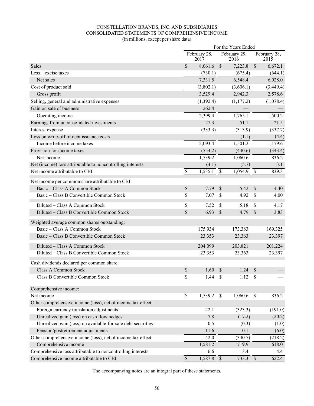# CONSTELLATION BRANDS, INC. AND SUBSIDIARIES CONSOLIDATED STATEMENTS OF COMPREHENSIVE INCOME (in millions, except per share data)

|                                                              | For the Years Ended      |                      |                           |                      |               |                      |  |  |
|--------------------------------------------------------------|--------------------------|----------------------|---------------------------|----------------------|---------------|----------------------|--|--|
|                                                              |                          | February 28,<br>2017 |                           | February 29,<br>2016 |               | February 28,<br>2015 |  |  |
| <b>Sales</b>                                                 | $\overline{\mathcal{S}}$ | $8,061.6$ \$         |                           | $7,223.8$ \$         |               | 6,672.1              |  |  |
| $Less - excise taxes$                                        |                          | (730.1)              |                           | (675.4)              |               | (644.1)              |  |  |
| Net sales                                                    |                          | 7,331.5              |                           | 6,548.4              |               | 6,028.0              |  |  |
| Cost of product sold                                         |                          | (3,802.1)            |                           | (3,606.1)            |               | (3,449.4)            |  |  |
| Gross profit                                                 |                          | 3,529.4              |                           | 2,942.3              |               | 2,578.6              |  |  |
| Selling, general and administrative expenses                 |                          | (1,392.4)            |                           | (1, 177.2)           |               | (1,078.4)            |  |  |
| Gain on sale of business                                     |                          | 262.4                |                           |                      |               |                      |  |  |
| Operating income                                             |                          | 2,399.4              |                           | 1,765.1              |               | 1,500.2              |  |  |
| Earnings from unconsolidated investments                     |                          | 27.3                 |                           | 51.1                 |               | 21.5                 |  |  |
| Interest expense                                             |                          | (333.3)              |                           | (313.9)              |               | (337.7)              |  |  |
| Loss on write-off of debt issuance costs                     |                          |                      |                           | (1.1)                |               | (4.4)                |  |  |
| Income before income taxes                                   |                          | 2,093.4              |                           | 1,501.2              |               | 1,179.6              |  |  |
| Provision for income taxes                                   |                          | (554.2)              |                           | (440.6)              |               | (343.4)              |  |  |
| Net income                                                   |                          | 1,539.2              |                           | 1,060.6              |               | 836.2                |  |  |
| Net (income) loss attributable to noncontrolling interests   |                          | (4.1)                |                           | (5.7)                |               | 3.1                  |  |  |
| Net income attributable to CBI                               | \$                       | $1,535.1$ \$         |                           | $1,054.9$ \$         |               | 839.3                |  |  |
| Net income per common share attributable to CBI:             |                          |                      |                           |                      |               |                      |  |  |
| Basic - Class A Common Stock                                 | \$                       | 7.79                 | $\mathcal{S}$             | 5.42                 | $\mathcal{S}$ | 4.40                 |  |  |
| Basic - Class B Convertible Common Stock                     | \$                       | 7.07                 | \$                        | 4.92                 | $\mathbb{S}$  | 4.00                 |  |  |
|                                                              |                          |                      |                           |                      |               |                      |  |  |
| Diluted - Class A Common Stock                               | \$                       | 7.52                 | \$                        | 5.18                 | \$            | 4.17                 |  |  |
| Diluted - Class B Convertible Common Stock                   | \$                       | 6.93                 | $\mathcal{S}$             | 4.79                 | $\mathcal{S}$ | 3.83                 |  |  |
| Weighted average common shares outstanding:                  |                          |                      |                           |                      |               |                      |  |  |
| Basic - Class A Common Stock                                 |                          | 175.934              |                           | 173.383              |               | 169.325              |  |  |
| Basic - Class B Convertible Common Stock                     |                          | 23.353               |                           | 23.363               |               | 23.397               |  |  |
| Diluted - Class A Common Stock                               |                          | 204.099              |                           | 203.821              |               | 201.224              |  |  |
| Diluted - Class B Convertible Common Stock                   |                          | 23.353               |                           | 23.363               |               | 23.397               |  |  |
|                                                              |                          |                      |                           |                      |               |                      |  |  |
| Cash dividends declared per common share:                    |                          |                      |                           |                      |               |                      |  |  |
| Class A Common Stock                                         | \$                       | 1.60                 | $\mathcal{S}$             | $1.24$ \$            |               |                      |  |  |
| Class B Convertible Common Stock                             | \$                       | 1.44S                |                           | 1.12S                |               |                      |  |  |
| Comprehensive income:                                        |                          |                      |                           |                      |               |                      |  |  |
| Net income                                                   | \$                       | 1,539.2              | $\boldsymbol{\mathsf{S}}$ | 1,060.6              | $\mathbb{S}$  | 836.2                |  |  |
| Other comprehensive income (loss), net of income tax effect: |                          |                      |                           |                      |               |                      |  |  |
| Foreign currency translation adjustments                     |                          | 22.1                 |                           | (323.3)              |               | (191.0)              |  |  |
| Unrealized gain (loss) on cash flow hedges                   |                          | 7.8                  |                           | (17.2)               |               | (20.2)               |  |  |
| Unrealized gain (loss) on available-for-sale debt securities |                          | 0.5                  |                           | (0.3)                |               | (1.0)                |  |  |
| Pension/postretirement adjustments                           |                          | 11.6                 |                           | 0.1                  |               | (6.0)                |  |  |
| Other comprehensive income (loss), net of income tax effect  |                          | 42.0                 |                           | (340.7)              |               | (218.2)              |  |  |
| Comprehensive income                                         |                          | 1,581.2              |                           | 719.9                |               | 618.0                |  |  |
| Comprehensive loss attributable to noncontrolling interests  |                          | 6.6                  |                           | 13.4                 |               | 4.4                  |  |  |
| Comprehensive income attributable to CBI                     | $\overline{\mathcal{S}}$ | $1,587.8$ \$         |                           | $733.3$ \$           |               | 622.4                |  |  |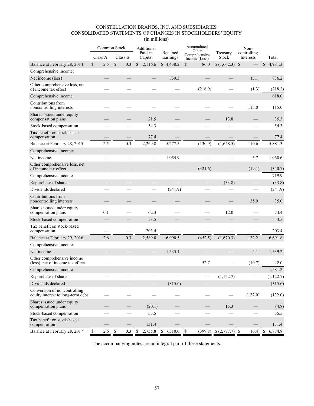# CONSTELLATION BRANDS, INC. AND SUBSIDIARIES CONSOLIDATED STATEMENTS OF CHANGES IN STOCKHOLDERS' EQUITY (in millions)

|                                                                   | Accumulated<br>Common Stock<br>Additional<br>Other |                     |                          |                      |                                | Non-                     |                          |                         |  |  |
|-------------------------------------------------------------------|----------------------------------------------------|---------------------|--------------------------|----------------------|--------------------------------|--------------------------|--------------------------|-------------------------|--|--|
|                                                                   | Class A                                            | Class B             | Paid-in<br>Capital       | Retained<br>Earnings | Comprehensive<br>Income (Loss) | Treasury<br><b>Stock</b> | controlling<br>Interests | Total                   |  |  |
| Balance at February 28, 2014                                      | \$<br>2.5                                          | $\mathbb{S}$<br>0.3 | $\mathsf{\$}$<br>2,116.6 | \$4,438.2            | $\mathbf S$<br>86.0            | $(1,662.3)$ \$           |                          | $\mathbb{S}$<br>4,981.3 |  |  |
| Comprehensive income:                                             |                                                    |                     |                          |                      |                                |                          |                          |                         |  |  |
| Net income (loss)                                                 |                                                    |                     |                          | 839.3                |                                |                          | (3.1)                    | 836.2                   |  |  |
| Other comprehensive loss, net<br>of income tax effect             |                                                    |                     |                          |                      | (216.9)                        |                          | (1.3)                    | (218.2)                 |  |  |
| Comprehensive income                                              |                                                    |                     |                          |                      |                                |                          |                          | 618.0                   |  |  |
| Contributions from<br>noncontrolling interests                    |                                                    |                     |                          |                      |                                |                          | 115.0                    | 115.0                   |  |  |
| Shares issued under equity<br>compensation plans                  |                                                    |                     | 21.5                     |                      |                                | 13.8                     |                          | 35.3                    |  |  |
| Stock-based compensation                                          |                                                    |                     | 54.3                     |                      |                                |                          |                          | 54.3                    |  |  |
| Tax benefit on stock-based<br>compensation                        |                                                    |                     | 77.4                     |                      |                                |                          |                          | 77.4                    |  |  |
| Balance at February 28, 2015                                      | 2.5                                                | 0.3                 | 2,269.8                  | 5,277.5              | (130.9)                        | (1,648.5)                | 110.6                    | 5,881.3                 |  |  |
| Comprehensive income:                                             |                                                    |                     |                          |                      |                                |                          |                          |                         |  |  |
| Net income                                                        |                                                    |                     |                          | 1,054.9              |                                |                          | 5.7                      | 1,060.6                 |  |  |
| Other comprehensive loss, net<br>of income tax effect             |                                                    |                     |                          |                      | (321.6)                        |                          | (19.1)                   | (340.7)                 |  |  |
| Comprehensive income                                              |                                                    |                     |                          |                      |                                |                          |                          | 719.9                   |  |  |
| Repurchase of shares                                              |                                                    |                     |                          |                      |                                | (33.8)                   |                          | (33.8)                  |  |  |
| Dividends declared                                                |                                                    |                     |                          | (241.9)              |                                |                          |                          | (241.9)                 |  |  |
| Contributions from<br>noncontrolling interests                    |                                                    |                     |                          |                      |                                |                          | 35.0                     | 35.0                    |  |  |
| Shares issued under equity<br>compensation plans                  | 0.1                                                |                     | 62.3                     |                      |                                | 12.0                     |                          | 74.4                    |  |  |
| Stock-based compensation                                          |                                                    |                     | 53.5                     |                      |                                |                          |                          | 53.5                    |  |  |
| Tax benefit on stock-based<br>compensation                        |                                                    |                     | 203.4                    |                      |                                |                          |                          | 203.4                   |  |  |
| Balance at February 29, 2016                                      | 2.6                                                | 0.3                 | 2,589.0                  | 6,090.5              | (452.5)                        | (1,670.3)                | 132.2                    | 6,691.8                 |  |  |
| Comprehensive income:                                             |                                                    |                     |                          |                      |                                |                          |                          |                         |  |  |
| Net income                                                        |                                                    |                     |                          | 1,535.1              |                                |                          | 4.1                      | 1,539.2                 |  |  |
| Other comprehensive income<br>(loss), net of income tax effect    |                                                    |                     |                          |                      | 52.7                           |                          | (10.7)                   | 42.0                    |  |  |
| Comprehensive income                                              |                                                    |                     |                          |                      |                                |                          |                          | 1,581.2                 |  |  |
| Repurchase of shares                                              |                                                    |                     |                          |                      |                                | (1, 122.7)               |                          | (1, 122.7)              |  |  |
| Dividends declared                                                |                                                    |                     |                          | (315.6)              |                                |                          |                          | (315.6)                 |  |  |
| Conversion of noncontrolling<br>equity interest to long-term debt |                                                    |                     |                          |                      |                                |                          | (132.0)                  | (132.0)                 |  |  |
| Shares issued under equity<br>compensation plans                  |                                                    |                     | (20.1)                   |                      |                                | 15.3                     |                          | (4.8)                   |  |  |
| Stock-based compensation                                          |                                                    |                     | 55.5                     |                      |                                |                          |                          | 55.5                    |  |  |
| Tax benefit on stock-based<br>compensation                        |                                                    |                     | 131.4                    |                      |                                |                          |                          | 131.4                   |  |  |
| Balance at February 28, 2017                                      | \$<br>2.6                                          | \$<br>0.3           | $\mathbb S$<br>2,755.8   | \$7,310.0            | -S<br>(399.8)                  | (2,777.7)                | - \$<br>(6.4)            | $\mathbb S$<br>6,884.8  |  |  |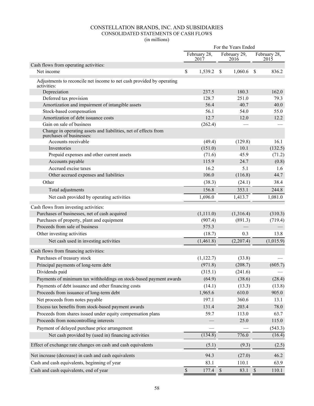# CONSTELLATION BRANDS, INC. AND SUBSIDIARIES CONSOLIDATED STATEMENTS OF CASH FLOWS (in millions)

|                                                                                             | For the Years Ended  |            |                      |           |                      |           |
|---------------------------------------------------------------------------------------------|----------------------|------------|----------------------|-----------|----------------------|-----------|
|                                                                                             | February 28,<br>2017 |            | February 29,<br>2016 |           | February 28,<br>2015 |           |
| Cash flows from operating activities:<br>Net income                                         | \$                   | 1,539.2    | $\mathcal{S}$        | 1,060.6   | <sup>\$</sup>        | 836.2     |
| Adjustments to reconcile net income to net cash provided by operating<br>activities:        |                      |            |                      |           |                      |           |
| Depreciation                                                                                |                      | 237.5      |                      | 180.3     |                      | 162.0     |
| Deferred tax provision                                                                      |                      | 128.7      |                      | 251.0     |                      | 79.3      |
| Amortization and impairment of intangible assets                                            |                      | 56.4       |                      | 40.7      |                      | 40.0      |
| Stock-based compensation                                                                    |                      | 56.1       |                      | 54.0      |                      | 55.0      |
| Amortization of debt issuance costs                                                         |                      | 12.7       |                      | 12.0      |                      | 12.2      |
| Gain on sale of business                                                                    |                      | (262.4)    |                      |           |                      |           |
| Change in operating assets and liabilities, net of effects from<br>purchases of businesses: |                      |            |                      |           |                      |           |
| Accounts receivable                                                                         |                      | (49.4)     |                      | (129.8)   |                      | 16.1      |
| Inventories                                                                                 |                      | (151.0)    |                      | 10.1      |                      | (132.5)   |
| Prepaid expenses and other current assets                                                   |                      | (71.6)     |                      | 45.9      |                      | (71.2)    |
| Accounts payable                                                                            |                      | 115.9      |                      | 24.7      |                      | (0.8)     |
| Accrued excise taxes                                                                        |                      | 16.2       |                      | 5.1       |                      | 1.6       |
| Other accrued expenses and liabilities                                                      |                      | 106.0      |                      | (116.8)   |                      | 44.7      |
| Other                                                                                       |                      | (38.3)     |                      | (24.1)    |                      | 38.4      |
| Total adjustments                                                                           |                      | 156.8      |                      | 353.1     |                      | 244.8     |
| Net cash provided by operating activities                                                   |                      | 1,696.0    |                      | 1,413.7   |                      | 1,081.0   |
| Cash flows from investing activities:                                                       |                      |            |                      |           |                      |           |
| Purchases of businesses, net of cash acquired                                               |                      | (1,111.0)  |                      | (1,316.4) |                      | (310.3)   |
| Purchases of property, plant and equipment                                                  |                      | (907.4)    |                      | (891.3)   |                      | (719.4)   |
| Proceeds from sale of business                                                              |                      | 575.3      |                      |           |                      |           |
| Other investing activities                                                                  |                      | (18.7)     |                      | 0.3       |                      | 13.8      |
| Net cash used in investing activities                                                       |                      | (1,461.8)  |                      | (2,207.4) |                      | (1,015.9) |
| Cash flows from financing activities:                                                       |                      |            |                      |           |                      |           |
| Purchases of treasury stock                                                                 |                      | (1, 122.7) |                      | (33.8)    |                      |           |
| Principal payments of long-term debt                                                        |                      | (971.8)    |                      | (208.7)   |                      | (605.7)   |
| Dividends paid                                                                              |                      | (315.1)    |                      | (241.6)   |                      |           |
| Payments of minimum tax withholdings on stock-based payment awards                          |                      | (64.9)     |                      | (38.6)    |                      | (28.4)    |
| Payments of debt issuance and other financing costs                                         |                      | (14.1)     |                      | (13.3)    |                      | (13.8)    |
| Proceeds from issuance of long-term debt                                                    |                      | 1,965.6    |                      | 610.0     |                      | 905.0     |
| Net proceeds from notes payable                                                             |                      | 197.1      |                      | 360.6     |                      | 13.1      |
| Excess tax benefits from stock-based payment awards                                         |                      | 131.4      |                      | 203.4     |                      | 78.0      |
| Proceeds from shares issued under equity compensation plans                                 |                      | 59.7       |                      | 113.0     |                      | 63.7      |
| Proceeds from noncontrolling interests                                                      |                      |            |                      | 25.0      |                      | 115.0     |
| Payment of delayed purchase price arrangement                                               |                      |            |                      |           |                      | (543.3)   |
| Net cash provided by (used in) financing activities                                         |                      | (134.8)    |                      | 776.0     |                      | (16.4)    |
| Effect of exchange rate changes on cash and cash equivalents                                |                      | (5.1)      |                      | (9.3)     |                      | (2.5)     |
| Net increase (decrease) in cash and cash equivalents                                        |                      | 94.3       |                      | (27.0)    |                      | 46.2      |
| Cash and cash equivalents, beginning of year                                                |                      | 83.1       |                      | 110.1     |                      | 63.9      |
| Cash and cash equivalents, end of year                                                      | $\mathbb{S}$         | $177.4$ \$ |                      | 83.1      | $\mathcal{S}$        | 110.1     |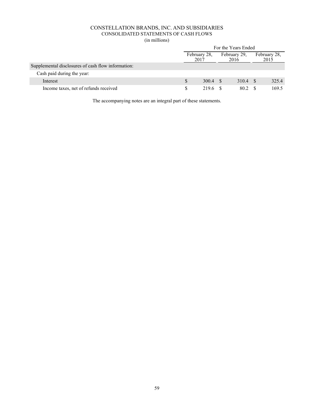### CONSTELLATION BRANDS, INC. AND SUBSIDIARIES CONSOLIDATED STATEMENTS OF CASH FLOWS (in millions)

|                                                    |     | For the Years Ended                          |  |       |                      |       |
|----------------------------------------------------|-----|----------------------------------------------|--|-------|----------------------|-------|
|                                                    |     | February 28,<br>February 29,<br>2017<br>2016 |  |       | February 28,<br>2015 |       |
| Supplemental disclosures of cash flow information: |     |                                              |  |       |                      |       |
| Cash paid during the year:                         |     |                                              |  |       |                      |       |
| Interest                                           | S   | $300.4$ \$                                   |  | 310.4 | - S                  | 325.4 |
| Income taxes, net of refunds received              | \$. | 2196 \$                                      |  | 80.2  |                      | 169.5 |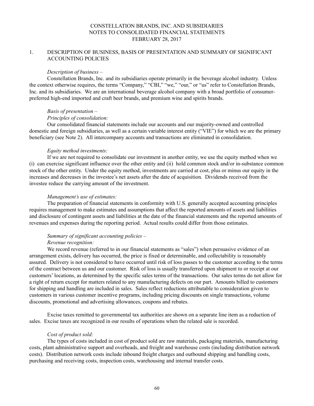# CONSTELLATION BRANDS, INC. AND SUBSIDIARIES NOTES TO CONSOLIDATED FINANCIAL STATEMENTS FEBRUARY 28, 2017

# 1. DESCRIPTION OF BUSINESS, BASIS OF PRESENTATION AND SUMMARY OF SIGNIFICANT ACCOUNTING POLICIES

#### *Description of business –*

Constellation Brands, Inc. and its subsidiaries operate primarily in the beverage alcohol industry. Unless the context otherwise requires, the terms "Company," "CBI," "we," "our," or "us" refer to Constellation Brands, Inc. and its subsidiaries. We are an international beverage alcohol company with a broad portfolio of consumerpreferred high-end imported and craft beer brands, and premium wine and spirits brands.

#### *Basis of presentation –*

#### *Principles of consolidation:*

Our consolidated financial statements include our accounts and our majority-owned and controlled domestic and foreign subsidiaries, as well as a certain variable interest entity ("VIE") for which we are the primary beneficiary (see Note 2). All intercompany accounts and transactions are eliminated in consolidation.

### *Equity method investments:*

If we are not required to consolidate our investment in another entity, we use the equity method when we (i) can exercise significant influence over the other entity and (ii) hold common stock and/or in-substance common stock of the other entity. Under the equity method, investments are carried at cost, plus or minus our equity in the increases and decreases in the investee's net assets after the date of acquisition. Dividends received from the investee reduce the carrying amount of the investment.

#### *Management's use of estimates:*

The preparation of financial statements in conformity with U.S. generally accepted accounting principles requires management to make estimates and assumptions that affect the reported amounts of assets and liabilities and disclosure of contingent assets and liabilities at the date of the financial statements and the reported amounts of revenues and expenses during the reporting period. Actual results could differ from those estimates.

#### *Summary of significant accounting policies – Revenue recognition:*

We record revenue (referred to in our financial statements as "sales") when persuasive evidence of an arrangement exists, delivery has occurred, the price is fixed or determinable, and collectability is reasonably assured. Delivery is not considered to have occurred until risk of loss passes to the customer according to the terms of the contract between us and our customer. Risk of loss is usually transferred upon shipment to or receipt at our customers' locations, as determined by the specific sales terms of the transactions. Our sales terms do not allow for a right of return except for matters related to any manufacturing defects on our part. Amounts billed to customers for shipping and handling are included in sales. Sales reflect reductions attributable to consideration given to customers in various customer incentive programs, including pricing discounts on single transactions, volume discounts, promotional and advertising allowances, coupons and rebates.

Excise taxes remitted to governmental tax authorities are shown on a separate line item as a reduction of sales. Excise taxes are recognized in our results of operations when the related sale is recorded.

### *Cost of product sold:*

The types of costs included in cost of product sold are raw materials, packaging materials, manufacturing costs, plant administrative support and overheads, and freight and warehouse costs (including distribution network costs). Distribution network costs include inbound freight charges and outbound shipping and handling costs, purchasing and receiving costs, inspection costs, warehousing and internal transfer costs.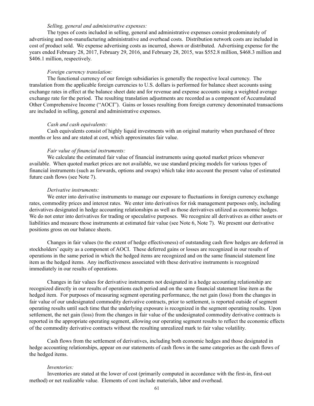### *Selling, general and administrative expenses:*

The types of costs included in selling, general and administrative expenses consist predominately of advertising and non-manufacturing administrative and overhead costs. Distribution network costs are included in cost of product sold. We expense advertising costs as incurred, shown or distributed. Advertising expense for the years ended February 28, 2017, February 29, 2016, and February 28, 2015, was \$552.8 million, \$468.3 million and \$406.1 million, respectively.

#### *Foreign currency translation:*

The functional currency of our foreign subsidiaries is generally the respective local currency. The translation from the applicable foreign currencies to U.S. dollars is performed for balance sheet accounts using exchange rates in effect at the balance sheet date and for revenue and expense accounts using a weighted average exchange rate for the period. The resulting translation adjustments are recorded as a component of Accumulated Other Comprehensive Income ("AOCI"). Gains or losses resulting from foreign currency denominated transactions are included in selling, general and administrative expenses.

#### *Cash and cash equivalents:*

Cash equivalents consist of highly liquid investments with an original maturity when purchased of three months or less and are stated at cost, which approximates fair value.

#### *Fair value of financial instruments:*

We calculate the estimated fair value of financial instruments using quoted market prices whenever available. When quoted market prices are not available, we use standard pricing models for various types of financial instruments (such as forwards, options and swaps) which take into account the present value of estimated future cash flows (see Note 7).

#### *Derivative instruments:*

We enter into derivative instruments to manage our exposure to fluctuations in foreign currency exchange rates, commodity prices and interest rates. We enter into derivatives for risk management purposes only, including derivatives designated in hedge accounting relationships as well as those derivatives utilized as economic hedges. We do not enter into derivatives for trading or speculative purposes. We recognize all derivatives as either assets or liabilities and measure those instruments at estimated fair value (see Note 6, Note 7). We present our derivative positions gross on our balance sheets.

Changes in fair values (to the extent of hedge effectiveness) of outstanding cash flow hedges are deferred in stockholders' equity as a component of AOCI. These deferred gains or losses are recognized in our results of operations in the same period in which the hedged items are recognized and on the same financial statement line item as the hedged items. Any ineffectiveness associated with these derivative instruments is recognized immediately in our results of operations.

Changes in fair values for derivative instruments not designated in a hedge accounting relationship are recognized directly in our results of operations each period and on the same financial statement line item as the hedged item. For purposes of measuring segment operating performance, the net gain (loss) from the changes in fair value of our undesignated commodity derivative contracts, prior to settlement, is reported outside of segment operating results until such time that the underlying exposure is recognized in the segment operating results. Upon settlement, the net gain (loss) from the changes in fair value of the undesignated commodity derivative contracts is reported in the appropriate operating segment, allowing our operating segment results to reflect the economic effects of the commodity derivative contracts without the resulting unrealized mark to fair value volatility.

Cash flows from the settlement of derivatives, including both economic hedges and those designated in hedge accounting relationships, appear on our statements of cash flows in the same categories as the cash flows of the hedged items.

#### *Inventories:*

Inventories are stated at the lower of cost (primarily computed in accordance with the first-in, first-out method) or net realizable value. Elements of cost include materials, labor and overhead.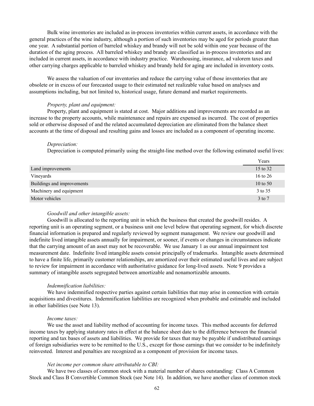Bulk wine inventories are included as in-process inventories within current assets, in accordance with the general practices of the wine industry, although a portion of such inventories may be aged for periods greater than one year. A substantial portion of barreled whiskey and brandy will not be sold within one year because of the duration of the aging process. All barreled whiskey and brandy are classified as in-process inventories and are included in current assets, in accordance with industry practice. Warehousing, insurance, ad valorem taxes and other carrying charges applicable to barreled whiskey and brandy held for aging are included in inventory costs.

We assess the valuation of our inventories and reduce the carrying value of those inventories that are obsolete or in excess of our forecasted usage to their estimated net realizable value based on analyses and assumptions including, but not limited to, historical usage, future demand and market requirements.

#### *Property, plant and equipment:*

Property, plant and equipment is stated at cost. Major additions and improvements are recorded as an increase to the property accounts, while maintenance and repairs are expensed as incurred. The cost of properties sold or otherwise disposed of and the related accumulated depreciation are eliminated from the balance sheet accounts at the time of disposal and resulting gains and losses are included as a component of operating income.

#### *Depreciation:*

Depreciation is computed primarily using the straight-line method over the following estimated useful lives:

|                            | Years      |
|----------------------------|------------|
| Land improvements          | 15 to 32   |
| Vineyards                  | 16 to 26   |
| Buildings and improvements | 10 to 50   |
| Machinery and equipment    | 3 to 35    |
| Motor vehicles             | $3$ to $7$ |

#### *Goodwill and other intangible assets:*

Goodwill is allocated to the reporting unit in which the business that created the goodwill resides. A reporting unit is an operating segment, or a business unit one level below that operating segment, for which discrete financial information is prepared and regularly reviewed by segment management. We review our goodwill and indefinite lived intangible assets annually for impairment, or sooner, if events or changes in circumstances indicate that the carrying amount of an asset may not be recoverable. We use January 1 as our annual impairment test measurement date. Indefinite lived intangible assets consist principally of trademarks. Intangible assets determined to have a finite life, primarily customer relationships, are amortized over their estimated useful lives and are subject to review for impairment in accordance with authoritative guidance for long-lived assets. Note 9 provides a summary of intangible assets segregated between amortizable and nonamortizable amounts.

#### *Indemnification liabilities:*

We have indemnified respective parties against certain liabilities that may arise in connection with certain acquisitions and divestitures. Indemnification liabilities are recognized when probable and estimable and included in other liabilities (see Note 13).

#### *Income taxes:*

We use the asset and liability method of accounting for income taxes. This method accounts for deferred income taxes by applying statutory rates in effect at the balance sheet date to the difference between the financial reporting and tax bases of assets and liabilities. We provide for taxes that may be payable if undistributed earnings of foreign subsidiaries were to be remitted to the U.S., except for those earnings that we consider to be indefinitely reinvested. Interest and penalties are recognized as a component of provision for income taxes.

#### *Net income per common share attributable to CBI:*

We have two classes of common stock with a material number of shares outstanding: Class A Common Stock and Class B Convertible Common Stock (see Note 14). In addition, we have another class of common stock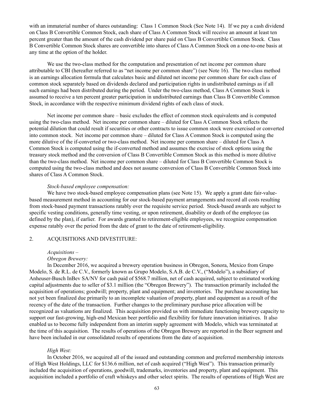with an immaterial number of shares outstanding: Class 1 Common Stock (See Note 14). If we pay a cash dividend on Class B Convertible Common Stock, each share of Class A Common Stock will receive an amount at least ten percent greater than the amount of the cash dividend per share paid on Class B Convertible Common Stock. Class B Convertible Common Stock shares are convertible into shares of Class A Common Stock on a one-to-one basis at any time at the option of the holder.

We use the two-class method for the computation and presentation of net income per common share attributable to CBI (hereafter referred to as "net income per common share") (see Note 16). The two-class method is an earnings allocation formula that calculates basic and diluted net income per common share for each class of common stock separately based on dividends declared and participation rights in undistributed earnings as if all such earnings had been distributed during the period. Under the two-class method, Class A Common Stock is assumed to receive a ten percent greater participation in undistributed earnings than Class B Convertible Common Stock, in accordance with the respective minimum dividend rights of each class of stock.

Net income per common share – basic excludes the effect of common stock equivalents and is computed using the two-class method. Net income per common share – diluted for Class A Common Stock reflects the potential dilution that could result if securities or other contracts to issue common stock were exercised or converted into common stock. Net income per common share – diluted for Class A Common Stock is computed using the more dilutive of the if-converted or two-class method. Net income per common share – diluted for Class A Common Stock is computed using the if-converted method and assumes the exercise of stock options using the treasury stock method and the conversion of Class B Convertible Common Stock as this method is more dilutive than the two-class method. Net income per common share – diluted for Class B Convertible Common Stock is computed using the two-class method and does not assume conversion of Class B Convertible Common Stock into shares of Class A Common Stock.

#### *Stock-based employee compensation:*

We have two stock-based employee compensation plans (see Note 15). We apply a grant date fair-valuebased measurement method in accounting for our stock-based payment arrangements and record all costs resulting from stock-based payment transactions ratably over the requisite service period. Stock-based awards are subject to specific vesting conditions, generally time vesting, or upon retirement, disability or death of the employee (as defined by the plan), if earlier. For awards granted to retirement-eligible employees, we recognize compensation expense ratably over the period from the date of grant to the date of retirement-eligibility.

#### 2. ACQUISITIONS AND DIVESTITURE:

#### *Acquisitions –*

#### *Obregon Brewery:*

In December 2016, we acquired a brewery operation business in Obregon, Sonora, Mexico from Grupo Modelo, S. de R.L. de C.V., formerly known as Grupo Modelo, S.A.B. de C.V., ("Modelo"), a subsidiary of Anheuser-Busch InBev SA/NV for cash paid of \$568.7 million, net of cash acquired, subject to estimated working capital adjustments due to seller of \$3.1 million (the "Obregon Brewery"). The transaction primarily included the acquisition of operations; goodwill; property, plant and equipment; and inventories. The purchase accounting has not yet been finalized due primarily to an incomplete valuation of property, plant and equipment as a result of the recency of the date of the transaction. Further changes to the preliminary purchase price allocation will be recognized as valuations are finalized. This acquisition provided us with immediate functioning brewery capacity to support our fast-growing, high-end Mexican beer portfolio and flexibility for future innovation initiatives. It also enabled us to become fully independent from an interim supply agreement with Modelo, which was terminated at the time of this acquisition. The results of operations of the Obregon Brewery are reported in the Beer segment and have been included in our consolidated results of operations from the date of acquisition.

#### *High West:*

In October 2016, we acquired all of the issued and outstanding common and preferred membership interests of High West Holdings, LLC for \$136.6 million, net of cash acquired ("High West"). This transaction primarily included the acquisition of operations, goodwill, trademarks, inventories and property, plant and equipment. This acquisition included a portfolio of craft whiskeys and other select spirits. The results of operations of High West are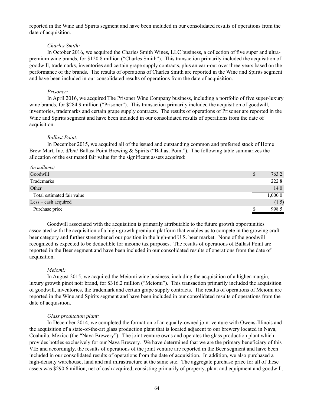reported in the Wine and Spirits segment and have been included in our consolidated results of operations from the date of acquisition.

#### *Charles Smith:*

In October 2016, we acquired the Charles Smith Wines, LLC business, a collection of five super and ultrapremium wine brands, for \$120.8 million ("Charles Smith"). This transaction primarily included the acquisition of goodwill, trademarks, inventories and certain grape supply contracts, plus an earn-out over three years based on the performance of the brands. The results of operations of Charles Smith are reported in the Wine and Spirits segment and have been included in our consolidated results of operations from the date of acquisition.

#### *Prisoner:*

In April 2016, we acquired The Prisoner Wine Company business, including a portfolio of five super-luxury wine brands, for \$284.9 million ("Prisoner"). This transaction primarily included the acquisition of goodwill, inventories, trademarks and certain grape supply contracts. The results of operations of Prisoner are reported in the Wine and Spirits segment and have been included in our consolidated results of operations from the date of acquisition.

#### *Ballast Point:*

In December 2015, we acquired all of the issued and outstanding common and preferred stock of Home Brew Mart, Inc. d/b/a/ Ballast Point Brewing & Spirits ("Ballast Point"). The following table summarizes the allocation of the estimated fair value for the significant assets acquired:

| (in millions)              |             |
|----------------------------|-------------|
| Goodwill                   | \$<br>763.2 |
| Trademarks                 | 222.8       |
| Other                      | 14.0        |
| Total estimated fair value | 1,000.0     |
| Less - cash acquired       | (1.5)       |
| Purchase price             | 998.5       |

Goodwill associated with the acquisition is primarily attributable to the future growth opportunities associated with the acquisition of a high-growth premium platform that enables us to compete in the growing craft beer category and further strengthened our position in the high-end U.S. beer market. None of the goodwill recognized is expected to be deductible for income tax purposes. The results of operations of Ballast Point are reported in the Beer segment and have been included in our consolidated results of operations from the date of acquisition.

#### *Meiomi:*

In August 2015, we acquired the Meiomi wine business, including the acquisition of a higher-margin, luxury growth pinot noir brand, for \$316.2 million ("Meiomi"). This transaction primarily included the acquisition of goodwill, inventories, the trademark and certain grape supply contracts. The results of operations of Meiomi are reported in the Wine and Spirits segment and have been included in our consolidated results of operations from the date of acquisition.

### *Glass production plant:*

In December 2014, we completed the formation of an equally-owned joint venture with Owens-Illinois and the acquisition of a state-of-the-art glass production plant that is located adjacent to our brewery located in Nava, Coahuila, Mexico (the "Nava Brewery"). The joint venture owns and operates the glass production plant which provides bottles exclusively for our Nava Brewery. We have determined that we are the primary beneficiary of this VIE and accordingly, the results of operations of the joint venture are reported in the Beer segment and have been included in our consolidated results of operations from the date of acquisition. In addition, we also purchased a high-density warehouse, land and rail infrastructure at the same site. The aggregate purchase price for all of these assets was \$290.6 million, net of cash acquired, consisting primarily of property, plant and equipment and goodwill.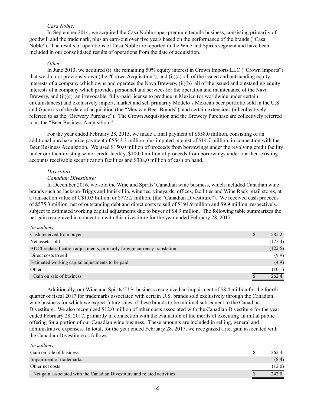# *Casa Noble:*

In September 2014, we acquired the Casa Noble super-premium tequila business, consisting primarily of goodwill and the trademark, plus an earn-out over five years based on the performance of the brands ("Casa Noble"). The results of operations of Casa Noble are reported in the Wine and Spirits segment and have been included in our consolidated results of operations from the date of acquisition.

#### *Other:*

In June 2013, we acquired (i) the remaining 50% equity interest in Crown Imports LLC ("Crown Imports") that we did not previously own (the "Crown Acquisition"); and (ii)(a) all of the issued and outstanding equity interests of a company which owns and operates the Nava Brewery, (ii)(b) all of the issued and outstanding equity interests of a company which provides personnel and services for the operation and maintenance of the Nava Brewery, and (ii)(c) an irrevocable, fully-paid license to produce in Mexico (or worldwide under certain circumstances) and exclusively import, market and sell primarily Modelo's Mexican beer portfolio sold in the U.S. and Guam as of the date of acquisition (the "Mexican Beer Brands"), and certain extensions (all collectively referred to as the "Brewery Purchase"). The Crown Acquisition and the Brewery Purchase are collectively referred to as the "Beer Business Acquisition."

For the year ended February 28, 2015, we made a final payment of \$558.0 million, consisting of an additional purchase price payment of \$543.3 million plus imputed interest of \$14.7 million, in connection with the Beer Business Acquisition. We used \$150.0 million of proceeds from borrowings under the revolving credit facility under our then-existing senior credit facility, \$100.0 million of proceeds from borrowings under our then-existing accounts receivable securitization facilities and \$308.0 million of cash on hand.

#### *Divestiture –*

### *Canadian Divestiture:*

In December 2016, we sold the Wine and Spirits' Canadian wine business, which included Canadian wine brands such as Jackson-Triggs and Inniskillin, wineries, vineyards, offices, facilities and Wine Rack retail stores, at a transaction value of C\$1.03 billion, or \$775.2 million, (the "Canadian Divestiture"). We received cash proceeds of \$575.3 million, net of outstanding debt and direct costs to sell of \$194.9 million and \$9.9 million, respectively, subject to estimated working capital adjustments due to buyer of \$4.9 million. The following table summarizes the net gain recognized in connection with this divestiture for the year ended February 28, 2017:

| (in millions) |  |
|---------------|--|
|               |  |

*(in millions)*

| Cash received from buyer                                                  | \$<br>585.2 |
|---------------------------------------------------------------------------|-------------|
| Net assets sold                                                           | (175.4)     |
| AOCI reclassification adjustments, primarily foreign currency translation | (122.5)     |
| Direct costs to sell                                                      | (9.9)       |
| Estimated working capital adjustments to be paid                          | (4.9)       |
| Other                                                                     | (10.1)      |
| Gain on sale of business                                                  | 262.4       |

Additionally, our Wine and Spirits' U.S. business recognized an impairment of \$8.4 million for the fourth quarter of fiscal 2017 for trademarks associated with certain U.S. brands sold exclusively through the Canadian wine business for which we expect future sales of these brands to be minimal subsequent to the Canadian Divestiture. We also recognized \$12.0 million of other costs associated with the Canadian Divestiture for the year ended February 28, 2017, primarily in connection with the evaluation of the merits of executing an initial public offering for a portion of our Canadian wine business. These amounts are included in selling, general and administrative expenses. In total, for the year ended February 28, 2017, we recognized a net gain associated with the Canadian Divestiture as follows:

| <i>(in munions)</i>                                                      |        |
|--------------------------------------------------------------------------|--------|
| Gain on sale of business                                                 | 262.4  |
| Impairment of trademarks                                                 | (8.4)  |
| Other net costs                                                          | (12.0) |
| Net gain associated with the Canadian Divestiture and related activities | 242.0  |
|                                                                          |        |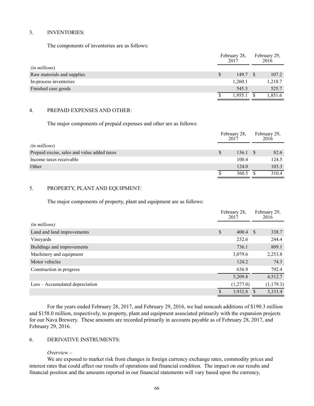# 3. INVENTORIES:

The components of inventories are as follows:

|                            | February 28,<br>2017 |         | February 29,<br>2016 |         |
|----------------------------|----------------------|---------|----------------------|---------|
| <i>(in millions)</i>       |                      |         |                      |         |
| Raw materials and supplies | S                    | 149.7 S |                      | 107.2   |
| In-process inventories     |                      | 1,260.1 |                      | 1,218.7 |
| Finished case goods        |                      | 545.3   |                      | 525.7   |
|                            |                      | 1,955.1 |                      | 1,851.6 |

# 4. PREPAID EXPENSES AND OTHER:

The major components of prepaid expenses and other are as follows:

|                                             | February 28,<br>2017 |       |    | February 29,<br>2016 |
|---------------------------------------------|----------------------|-------|----|----------------------|
| <i>(in millions)</i>                        |                      |       |    |                      |
| Prepaid excise, sales and value added taxes | \$                   | 136.1 | S. | 82.6                 |
| Income taxes receivable                     |                      | 100.4 |    | 124.5                |
| Other                                       |                      | 124.0 |    | 103.3                |
|                                             | G.                   | 360.5 |    | 310.4                |

# 5. PROPERTY, PLANT AND EQUIPMENT:

The major components of property, plant and equipment are as follows:

|                                 |               | February 28,<br>2017 |      |           |  |  |  |  |  | February 29,<br>2016 |
|---------------------------------|---------------|----------------------|------|-----------|--|--|--|--|--|----------------------|
| (in millions)                   |               |                      |      |           |  |  |  |  |  |                      |
| Land and land improvements      | \$            | $400.4$ \$           |      | 338.7     |  |  |  |  |  |                      |
| Vineyards                       |               | 232.6                |      | 244.4     |  |  |  |  |  |                      |
| Buildings and improvements      |               | 736.1                |      | 809.1     |  |  |  |  |  |                      |
| Machinery and equipment         |               | 3,079.6              |      | 2,253.8   |  |  |  |  |  |                      |
| Motor vehicles                  |               | 124.2                |      | 74.3      |  |  |  |  |  |                      |
| Construction in progress        |               | 636.9                |      | 792.4     |  |  |  |  |  |                      |
|                                 |               | 5,209.8              |      | 4,512.7   |  |  |  |  |  |                      |
| Less – Accumulated depreciation |               | (1,277.0)            |      | (1,179.3) |  |  |  |  |  |                      |
|                                 | <sup>\$</sup> | 3,932.8              | - \$ | 3,333.4   |  |  |  |  |  |                      |

For the years ended February 28, 2017, and February 29, 2016, we had noncash additions of \$190.3 million and \$158.0 million, respectively, to property, plant and equipment associated primarily with the expansion projects for our Nava Brewery. These amounts are recorded primarily in accounts payable as of February 28, 2017, and February 29, 2016.

# 6. DERIVATIVE INSTRUMENTS:

# *Overview –*

We are exposed to market risk from changes in foreign currency exchange rates, commodity prices and interest rates that could affect our results of operations and financial condition. The impact on our results and financial position and the amounts reported in our financial statements will vary based upon the currency,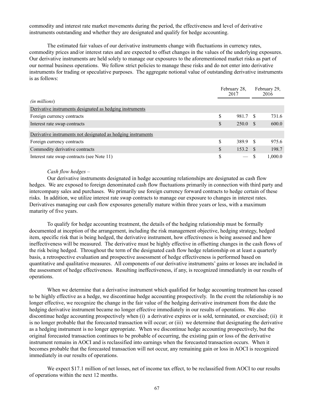commodity and interest rate market movements during the period, the effectiveness and level of derivative instruments outstanding and whether they are designated and qualify for hedge accounting.

The estimated fair values of our derivative instruments change with fluctuations in currency rates, commodity prices and/or interest rates and are expected to offset changes in the values of the underlying exposures. Our derivative instruments are held solely to manage our exposures to the aforementioned market risks as part of our normal business operations. We follow strict policies to manage these risks and do not enter into derivative instruments for trading or speculative purposes. The aggregate notional value of outstanding derivative instruments is as follows:

|                                                              |    | February 28,<br>2017     | February 29,<br>2016 |         |
|--------------------------------------------------------------|----|--------------------------|----------------------|---------|
| ( <i>in millions</i> )                                       |    |                          |                      |         |
| Derivative instruments designated as hedging instruments     |    |                          |                      |         |
| Foreign currency contracts                                   | \$ | 981.7 \$                 |                      | 731.6   |
| Interest rate swap contracts                                 | \$ | 250.0 \$                 |                      | 600.0   |
| Derivative instruments not designated as hedging instruments |    |                          |                      |         |
| Foreign currency contracts                                   | \$ | 389.9 \$                 |                      | 975.6   |
| Commodity derivative contracts                               | \$ | 153.2 S                  |                      | 198.7   |
| Interest rate swap contracts (see Note 11)                   | \$ | $\overline{\phantom{0}}$ | - \$                 | 1,000.0 |

#### *Cash flow hedges –*

Our derivative instruments designated in hedge accounting relationships are designated as cash flow hedges. We are exposed to foreign denominated cash flow fluctuations primarily in connection with third party and intercompany sales and purchases. We primarily use foreign currency forward contracts to hedge certain of these risks. In addition, we utilize interest rate swap contracts to manage our exposure to changes in interest rates. Derivatives managing our cash flow exposures generally mature within three years or less, with a maximum maturity of five years.

To qualify for hedge accounting treatment, the details of the hedging relationship must be formally documented at inception of the arrangement, including the risk management objective, hedging strategy, hedged item, specific risk that is being hedged, the derivative instrument, how effectiveness is being assessed and how ineffectiveness will be measured. The derivative must be highly effective in offsetting changes in the cash flows of the risk being hedged. Throughout the term of the designated cash flow hedge relationship on at least a quarterly basis, a retrospective evaluation and prospective assessment of hedge effectiveness is performed based on quantitative and qualitative measures. All components of our derivative instruments' gains or losses are included in the assessment of hedge effectiveness. Resulting ineffectiveness, if any, is recognized immediately in our results of operations.

When we determine that a derivative instrument which qualified for hedge accounting treatment has ceased to be highly effective as a hedge, we discontinue hedge accounting prospectively. In the event the relationship is no longer effective, we recognize the change in the fair value of the hedging derivative instrument from the date the hedging derivative instrument became no longer effective immediately in our results of operations. We also discontinue hedge accounting prospectively when (i) a derivative expires or is sold, terminated, or exercised; (ii) it is no longer probable that the forecasted transaction will occur; or (iii) we determine that designating the derivative as a hedging instrument is no longer appropriate. When we discontinue hedge accounting prospectively, but the original forecasted transaction continues to be probable of occurring, the existing gain or loss of the derivative instrument remains in AOCI and is reclassified into earnings when the forecasted transaction occurs. When it becomes probable that the forecasted transaction will not occur, any remaining gain or loss in AOCI is recognized immediately in our results of operations.

We expect \$17.1 million of net losses, net of income tax effect, to be reclassified from AOCI to our results of operations within the next 12 months.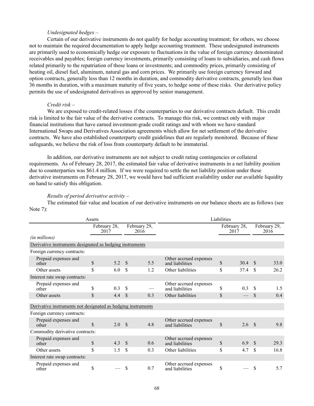## *Undesignated hedges –*

Certain of our derivative instruments do not qualify for hedge accounting treatment; for others, we choose not to maintain the required documentation to apply hedge accounting treatment. These undesignated instruments are primarily used to economically hedge our exposure to fluctuations in the value of foreign currency denominated receivables and payables; foreign currency investments, primarily consisting of loans to subsidiaries, and cash flows related primarily to the repatriation of those loans or investments; and commodity prices, primarily consisting of heating oil, diesel fuel, aluminum, natural gas and corn prices. We primarily use foreign currency forward and option contracts, generally less than 12 months in duration, and commodity derivative contracts, generally less than 36 months in duration, with a maximum maturity of five years, to hedge some of these risks. Our derivative policy permits the use of undesignated derivatives as approved by senior management.

## *Credit risk –*

We are exposed to credit-related losses if the counterparties to our derivative contracts default. This credit risk is limited to the fair value of the derivative contracts. To manage this risk, we contract only with major financial institutions that have earned investment-grade credit ratings and with whom we have standard International Swaps and Derivatives Association agreements which allow for net settlement of the derivative contracts. We have also established counterparty credit guidelines that are regularly monitored. Because of these safeguards, we believe the risk of loss from counterparty default to be immaterial.

In addition, our derivative instruments are not subject to credit rating contingencies or collateral requirements. As of February 28, 2017, the estimated fair value of derivative instruments in a net liability position due to counterparties was \$61.4 million. If we were required to settle the net liability position under these derivative instruments on February 28, 2017, we would have had sufficient availability under our available liquidity on hand to satisfy this obligation.

# *Results of period derivative activity –*

The estimated fair value and location of our derivative instruments on our balance sheets are as follows (see Note 7):

| Assets                                                       |              |              |               |                      | Liabilities                               |              |                      |               |                      |
|--------------------------------------------------------------|--------------|--------------|---------------|----------------------|-------------------------------------------|--------------|----------------------|---------------|----------------------|
|                                                              | 2017         | February 28, |               | February 29,<br>2016 |                                           |              | February 28,<br>2017 |               | February 29,<br>2016 |
| (in millions)                                                |              |              |               |                      |                                           |              |                      |               |                      |
| Derivative instruments designated as hedging instruments     |              |              |               |                      |                                           |              |                      |               |                      |
| Foreign currency contracts:                                  |              |              |               |                      |                                           |              |                      |               |                      |
| Prepaid expenses and<br>other                                | $\mathbb{S}$ | 5.2          | <b>S</b>      | 5.5                  | Other accrued expenses<br>and liabilities | $\mathbb{S}$ | 30.4                 | - \$          | 33.0                 |
| Other assets                                                 | \$           | 6.0          | S             | 1.2                  | Other liabilities                         | \$           | 37.4                 | S             | 26.2                 |
| Interest rate swap contracts:                                |              |              |               |                      |                                           |              |                      |               |                      |
| Prepaid expenses and<br>other                                | \$           | 0.3          | <sup>\$</sup> |                      | Other accrued expenses<br>and liabilities | \$           | 0.3                  | $\mathcal{S}$ | 1.5                  |
| Other assets                                                 | \$           | 4.4          | <sup>\$</sup> | 0.3                  | Other liabilities                         | \$           |                      | \$            | 0.4                  |
| Derivative instruments not designated as hedging instruments |              |              |               |                      |                                           |              |                      |               |                      |
| Foreign currency contracts:                                  |              |              |               |                      |                                           |              |                      |               |                      |
| Prepaid expenses and<br>other                                | $\mathbb{S}$ | 2.0 S        |               | 4.8                  | Other accrued expenses<br>and liabilities | \$           | $2.6$ \$             |               | 9.8                  |
| Commodity derivative contracts:                              |              |              |               |                      |                                           |              |                      |               |                      |
| Prepaid expenses and<br>other                                | $\mathbb{S}$ | $4.3 \quad$  |               | 0.6                  | Other accrued expenses<br>and liabilities | $\mathbb{S}$ | 6.9                  | - \$          | 29.3                 |
| Other assets                                                 | \$           | 1.5          | \$.           | 0.3                  | Other liabilities                         | \$           | 4.7                  | <sup>\$</sup> | 16.8                 |
| Interest rate swap contracts:                                |              |              |               |                      |                                           |              |                      |               |                      |
| Prepaid expenses and<br>other                                | \$           |              | \$            | 0.7                  | Other accrued expenses<br>and liabilities | \$           |                      | <sup>\$</sup> | 5.7                  |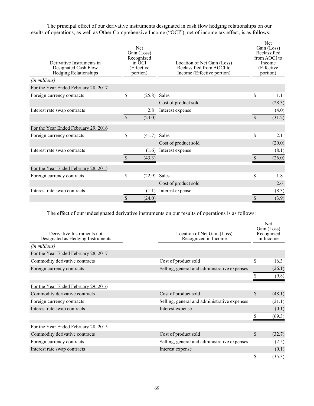The principal effect of our derivative instruments designated in cash flow hedging relationships on our results of operations, as well as Other Comprehensive Income ("OCI"), net of income tax effect, is as follows:

| Derivative Instruments in<br>Designated Cash Flow<br>Hedging Relationships |             | <b>Net</b><br>Gain (Loss)<br>Recognized<br>in OCI<br>(Effective<br>portion) | Location of Net Gain (Loss)<br>Reclassified from AOCI to<br>Income (Effective portion) |             | <b>Net</b><br>Gain (Loss)<br>Reclassified<br>from AOCI to<br>Income<br>(Effective<br>portion) |
|----------------------------------------------------------------------------|-------------|-----------------------------------------------------------------------------|----------------------------------------------------------------------------------------|-------------|-----------------------------------------------------------------------------------------------|
| <i>(in millions)</i>                                                       |             |                                                                             |                                                                                        |             |                                                                                               |
| For the Year Ended February 28, 2017                                       |             |                                                                             |                                                                                        |             |                                                                                               |
| Foreign currency contracts                                                 | \$          | (25.8)                                                                      | Sales                                                                                  | \$          | 1.1                                                                                           |
|                                                                            |             |                                                                             | Cost of product sold                                                                   |             | (28.3)                                                                                        |
| Interest rate swap contracts                                               |             | 2.8                                                                         | Interest expense                                                                       |             | (4.0)                                                                                         |
|                                                                            | $\mathbb S$ | (23.0)                                                                      |                                                                                        | $\mathbb S$ | (31.2)                                                                                        |
| For the Year Ended February 29, 2016                                       |             |                                                                             |                                                                                        |             |                                                                                               |
| Foreign currency contracts                                                 | \$          | (41.7)                                                                      | Sales                                                                                  | \$          | 2.1                                                                                           |
|                                                                            |             |                                                                             | Cost of product sold                                                                   |             | (20.0)                                                                                        |
| Interest rate swap contracts                                               |             | (1.6)                                                                       | Interest expense                                                                       |             | (8.1)                                                                                         |
|                                                                            | \$          | (43.3)                                                                      |                                                                                        | \$          | (26.0)                                                                                        |
| For the Year Ended February 28, 2015                                       |             |                                                                             |                                                                                        |             |                                                                                               |
| Foreign currency contracts                                                 | \$          | (22.9)                                                                      | Sales                                                                                  | \$          | 1.8                                                                                           |
|                                                                            |             |                                                                             | Cost of product sold                                                                   |             | 2.6                                                                                           |
| Interest rate swap contracts                                               |             | (1.1)                                                                       | Interest expense                                                                       |             | (8.3)                                                                                         |
|                                                                            | \$          | (24.0)                                                                      |                                                                                        | \$          | (3.9)                                                                                         |

The effect of our undesignated derivative instruments on our results of operations is as follows:

| Derivative Instruments not<br>Designated as Hedging Instruments | Location of Net Gain (Loss)<br>Recognized in Income |              | Net<br>Gain (Loss)<br>Recognized<br>in Income |
|-----------------------------------------------------------------|-----------------------------------------------------|--------------|-----------------------------------------------|
| (in millions)                                                   |                                                     |              |                                               |
| For the Year Ended February 28, 2017                            |                                                     |              |                                               |
| Commodity derivative contracts                                  | Cost of product sold                                | \$           | 16.3                                          |
| Foreign currency contracts                                      | Selling, general and administrative expenses        |              | (26.1)                                        |
|                                                                 |                                                     | \$           | (9.8)                                         |
| For the Year Ended February 29, 2016                            |                                                     |              |                                               |
| Commodity derivative contracts                                  | Cost of product sold                                | $\mathbb{S}$ | (48.1)                                        |
| Foreign currency contracts                                      | Selling, general and administrative expenses        |              | (21.1)                                        |
| Interest rate swap contracts                                    | Interest expense                                    |              | (0.1)                                         |
|                                                                 |                                                     |              | (69.3)                                        |
| For the Year Ended February 28, 2015                            |                                                     |              |                                               |
| Commodity derivative contracts                                  | Cost of product sold                                | \$           | (32.7)                                        |
| Foreign currency contracts                                      | Selling, general and administrative expenses        |              | (2.5)                                         |
| Interest rate swap contracts                                    | Interest expense                                    |              | (0.1)                                         |
|                                                                 |                                                     | \$           | (35.3)                                        |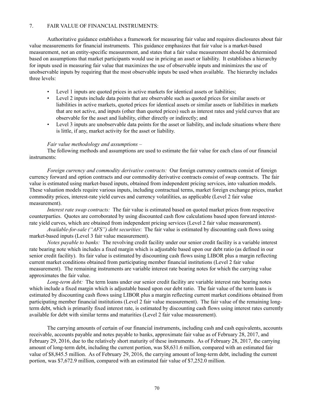# 7. FAIR VALUE OF FINANCIAL INSTRUMENTS:

Authoritative guidance establishes a framework for measuring fair value and requires disclosures about fair value measurements for financial instruments. This guidance emphasizes that fair value is a market-based measurement, not an entity-specific measurement, and states that a fair value measurement should be determined based on assumptions that market participants would use in pricing an asset or liability. It establishes a hierarchy for inputs used in measuring fair value that maximizes the use of observable inputs and minimizes the use of unobservable inputs by requiring that the most observable inputs be used when available. The hierarchy includes three levels:

- Level 1 inputs are quoted prices in active markets for identical assets or liabilities;
- Level 2 inputs include data points that are observable such as quoted prices for similar assets or liabilities in active markets, quoted prices for identical assets or similar assets or liabilities in markets that are not active, and inputs (other than quoted prices) such as interest rates and yield curves that are observable for the asset and liability, either directly or indirectly; and
- Level 3 inputs are unobservable data points for the asset or liability, and include situations where there is little, if any, market activity for the asset or liability.

# *Fair value methodology and assumptions –*

The following methods and assumptions are used to estimate the fair value for each class of our financial instruments:

*Foreign currency and commodity derivative contracts:* Our foreign currency contracts consist of foreign currency forward and option contracts and our commodity derivative contracts consist of swap contracts. The fair value is estimated using market-based inputs, obtained from independent pricing services, into valuation models. These valuation models require various inputs, including contractual terms, market foreign exchange prices, market commodity prices, interest-rate yield curves and currency volatilities, as applicable (Level 2 fair value measurement).

*Interest rate swap contracts:* The fair value is estimated based on quoted market prices from respective counterparties. Quotes are corroborated by using discounted cash flow calculations based upon forward interestrate yield curves, which are obtained from independent pricing services (Level 2 fair value measurement).

*Available-for-sale ("AFS") debt securities*: The fair value is estimated by discounting cash flows using market-based inputs (Level 3 fair value measurement).

*Notes payable to banks:* The revolving credit facility under our senior credit facility is a variable interest rate bearing note which includes a fixed margin which is adjustable based upon our debt ratio (as defined in our senior credit facility). Its fair value is estimated by discounting cash flows using LIBOR plus a margin reflecting current market conditions obtained from participating member financial institutions (Level 2 fair value measurement). The remaining instruments are variable interest rate bearing notes for which the carrying value approximates the fair value.

*Long-term debt:* The term loans under our senior credit facility are variable interest rate bearing notes which include a fixed margin which is adjustable based upon our debt ratio. The fair value of the term loans is estimated by discounting cash flows using LIBOR plus a margin reflecting current market conditions obtained from participating member financial institutions (Level 2 fair value measurement). The fair value of the remaining longterm debt, which is primarily fixed interest rate, is estimated by discounting cash flows using interest rates currently available for debt with similar terms and maturities (Level 2 fair value measurement).

The carrying amounts of certain of our financial instruments, including cash and cash equivalents, accounts receivable, accounts payable and notes payable to banks, approximate fair value as of February 28, 2017, and February 29, 2016, due to the relatively short maturity of these instruments. As of February 28, 2017, the carrying amount of long-term debt, including the current portion, was \$8,631.6 million, compared with an estimated fair value of \$8,845.5 million. As of February 29, 2016, the carrying amount of long-term debt, including the current portion, was \$7,672.9 million, compared with an estimated fair value of \$7,252.0 million.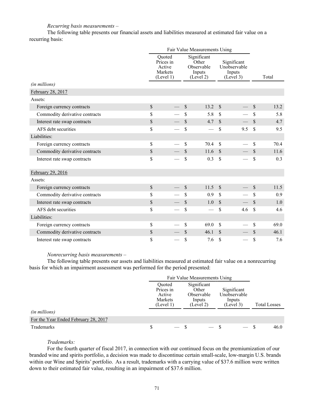## *Recurring basis measurements –*

The following table presents our financial assets and liabilities measured at estimated fair value on a recurring basis:

|                                |               | Fair Value Measurements Using                         |               |                                                           |               |                                                    |               |       |
|--------------------------------|---------------|-------------------------------------------------------|---------------|-----------------------------------------------------------|---------------|----------------------------------------------------|---------------|-------|
|                                |               | Quoted<br>Prices in<br>Active<br>Markets<br>(Level 1) |               | Significant<br>Other<br>Observable<br>Inputs<br>(Level 2) |               | Significant<br>Unobservable<br>Inputs<br>(Level 3) |               | Total |
| (in millions)                  |               |                                                       |               |                                                           |               |                                                    |               |       |
| February 28, 2017              |               |                                                       |               |                                                           |               |                                                    |               |       |
| Assets:                        |               |                                                       |               |                                                           |               |                                                    |               |       |
| Foreign currency contracts     | $\mathcal{S}$ |                                                       | $\mathcal{S}$ | 13.2                                                      | <sup>\$</sup> |                                                    | $\$$          | 13.2  |
| Commodity derivative contracts | \$            |                                                       | $\mathbb S$   | 5.8                                                       | \$            |                                                    | \$            | 5.8   |
| Interest rate swap contracts   | \$            |                                                       | \$            | 4.7                                                       | $\mathcal{S}$ |                                                    | \$            | 4.7   |
| AFS debt securities            | \$            |                                                       | \$            |                                                           | $\mathbb{S}$  | 9.5                                                | $\mathbf S$   | 9.5   |
| Liabilities:                   |               |                                                       |               |                                                           |               |                                                    |               |       |
| Foreign currency contracts     | \$            |                                                       | $\mathsf{\$}$ | 70.4                                                      | $\mathbb{S}$  |                                                    | \$            | 70.4  |
| Commodity derivative contracts | $\mathcal{S}$ |                                                       | $\mathbb{S}$  | 11.6                                                      | $\mathcal{S}$ |                                                    | $\mathbb{S}$  | 11.6  |
| Interest rate swap contracts   | \$            |                                                       | $\mathsf{\$}$ | 0.3                                                       | $\mathcal{S}$ |                                                    | $\mathsf{\$}$ | 0.3   |
| February 29, 2016              |               |                                                       |               |                                                           |               |                                                    |               |       |
| Assets:                        |               |                                                       |               |                                                           |               |                                                    |               |       |
| Foreign currency contracts     | $\mathcal{S}$ |                                                       | \$            | 11.5                                                      | $\mathcal{S}$ |                                                    | \$            | 11.5  |
| Commodity derivative contracts | \$            |                                                       | $\mathcal{S}$ | 0.9                                                       | $\mathcal{S}$ |                                                    | \$            | 0.9   |
| Interest rate swap contracts   | \$            |                                                       | \$            | 1.0                                                       | $\mathcal{S}$ |                                                    | $\mathcal{S}$ | 1.0   |
| AFS debt securities            | \$            |                                                       | \$            |                                                           | \$            | 4.6                                                | $\mathsf{\$}$ | 4.6   |
| Liabilities:                   |               |                                                       |               |                                                           |               |                                                    |               |       |
| Foreign currency contracts     | \$            |                                                       | $\mathsf{\$}$ | 69.0                                                      | S             |                                                    | \$            | 69.0  |
| Commodity derivative contracts | $\mathbb{S}$  |                                                       | \$            | 46.1                                                      | $\mathcal{S}$ |                                                    | $\mathbb{S}$  | 46.1  |
| Interest rate swap contracts   | \$            |                                                       | \$            | 7.6                                                       | \$            |                                                    | \$            | 7.6   |

## *Nonrecurring basis measurements –*

The following table presents our assets and liabilities measured at estimated fair value on a nonrecurring basis for which an impairment assessment was performed for the period presented:

|                                      | Fair Value Measurements Using                         |  |  |                                                           |  |                                                    |  |                     |
|--------------------------------------|-------------------------------------------------------|--|--|-----------------------------------------------------------|--|----------------------------------------------------|--|---------------------|
|                                      | Ouoted<br>Prices in<br>Active<br>Markets<br>(Level 1) |  |  | Significant<br>Other<br>Observable<br>Inputs<br>(Level 2) |  | Significant<br>Unobservable<br>Inputs<br>(Level 3) |  | <b>Total Losses</b> |
| ( <i>in millions</i> )               |                                                       |  |  |                                                           |  |                                                    |  |                     |
| For the Year Ended February 28, 2017 |                                                       |  |  |                                                           |  |                                                    |  |                     |
| Trademarks                           | S                                                     |  |  |                                                           |  |                                                    |  | 46.0                |

## *Trademarks:*

For the fourth quarter of fiscal 2017, in connection with our continued focus on the premiumization of our branded wine and spirits portfolio, a decision was made to discontinue certain small-scale, low-margin U.S. brands within our Wine and Spirits' portfolio. As a result, trademarks with a carrying value of \$37.6 million were written down to their estimated fair value, resulting in an impairment of \$37.6 million.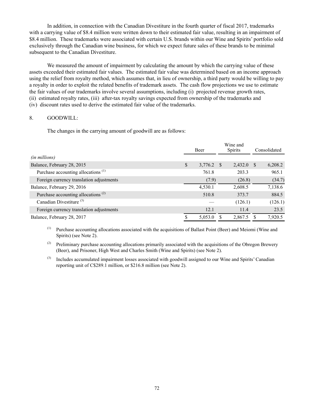In addition, in connection with the Canadian Divestiture in the fourth quarter of fiscal 2017, trademarks with a carrying value of \$8.4 million were written down to their estimated fair value, resulting in an impairment of \$8.4 million. These trademarks were associated with certain U.S. brands within our Wine and Spirits' portfolio sold exclusively through the Canadian wine business, for which we expect future sales of these brands to be minimal subsequent to the Canadian Divestiture.

We measured the amount of impairment by calculating the amount by which the carrying value of these assets exceeded their estimated fair values. The estimated fair value was determined based on an income approach using the relief from royalty method, which assumes that, in lieu of ownership, a third party would be willing to pay a royalty in order to exploit the related benefits of trademark assets. The cash flow projections we use to estimate the fair values of our trademarks involve several assumptions, including (i) projected revenue growth rates, (ii) estimated royalty rates, (iii) after-tax royalty savings expected from ownership of the trademarks and (iv) discount rates used to derive the estimated fair value of the trademarks.

#### 8. GOODWILL:

The changes in the carrying amount of goodwill are as follows:

|                                                | Beer |              |  | Wine and<br>Spirits |  | Consolidated |  |
|------------------------------------------------|------|--------------|--|---------------------|--|--------------|--|
| <i>(in millions)</i>                           |      |              |  |                     |  |              |  |
| Balance, February 28, 2015                     | \$   | $3,776.2$ \$ |  | $2,432.0$ \$        |  | 6,208.2      |  |
| Purchase accounting allocations <sup>(1)</sup> |      | 761.8        |  | 203.3               |  | 965.1        |  |
| Foreign currency translation adjustments       |      | (7.9)        |  | (26.8)              |  | (34.7)       |  |
| Balance, February 29, 2016                     |      | 4,530.1      |  | 2,608.5             |  | 7,138.6      |  |
| Purchase accounting allocations <sup>(2)</sup> |      | 510.8        |  | 373.7               |  | 884.5        |  |
| Canadian Divestiture <sup>(3)</sup>            |      |              |  | (126.1)             |  | (126.1)      |  |
| Foreign currency translation adjustments       |      | 12.1         |  | 11.4                |  | 23.5         |  |
| Balance, February 28, 2017                     | \$   | 5.053.0      |  | 2.867.5             |  | 7,920.5      |  |

(1) Purchase accounting allocations associated with the acquisitions of Ballast Point (Beer) and Meiomi (Wine and Spirits) (see Note 2).

 $(2)$  Preliminary purchase accounting allocations primarily associated with the acquisitions of the Obregon Brewery (Beer), and Prisoner, High West and Charles Smith (Wine and Spirits) (see Note 2).

<sup>(3)</sup> Includes accumulated impairment losses associated with goodwill assigned to our Wine and Spirits' Canadian reporting unit of C\$289.1 million, or \$216.8 million (see Note 2).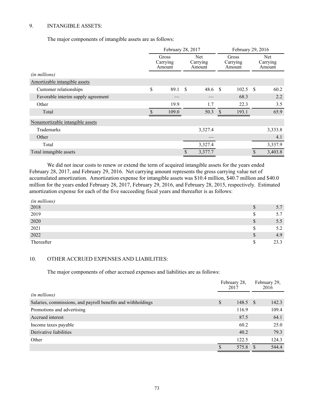# 9. INTANGIBLE ASSETS:

The major components of intangible assets are as follows:

|                                    |                             | February 28, 2017 |                           |         |                             |            | February 29, 2016         |         |  |  |
|------------------------------------|-----------------------------|-------------------|---------------------------|---------|-----------------------------|------------|---------------------------|---------|--|--|
|                                    | Gross<br>Carrying<br>Amount |                   | Net<br>Carrying<br>Amount |         | Gross<br>Carrying<br>Amount |            | Net<br>Carrying<br>Amount |         |  |  |
| (in millions)                      |                             |                   |                           |         |                             |            |                           |         |  |  |
| Amortizable intangible assets      |                             |                   |                           |         |                             |            |                           |         |  |  |
| Customer relationships             | \$                          | 89.1              | <b>S</b>                  | 48.6 \$ |                             | $102.5$ \$ |                           | 60.2    |  |  |
| Favorable interim supply agreement |                             |                   |                           |         |                             | 68.3       |                           | 2.2     |  |  |
| Other                              |                             | 19.9              |                           | 1.7     |                             | 22.3       |                           | 3.5     |  |  |
| Total                              | S                           | 109.0             |                           | 50.3    | \$.                         | 193.1      |                           | 65.9    |  |  |
| Nonamortizable intangible assets   |                             |                   |                           |         |                             |            |                           |         |  |  |
| Trademarks                         |                             |                   |                           | 3,327.4 |                             |            |                           | 3,333.8 |  |  |
| Other                              |                             |                   |                           |         |                             |            |                           | 4.1     |  |  |
| Total                              |                             |                   |                           | 3,327.4 |                             |            |                           | 3,337.9 |  |  |
| Total intangible assets            |                             |                   | \$                        | 3,377.7 |                             |            | \$                        | 3,403.8 |  |  |

We did not incur costs to renew or extend the term of acquired intangible assets for the years ended February 28, 2017, and February 29, 2016. Net carrying amount represents the gross carrying value net of accumulated amortization. Amortization expense for intangible assets was \$10.4 million, \$40.7 million and \$40.0 million for the years ended February 28, 2017, February 29, 2016, and February 28, 2015, respectively. Estimated amortization expense for each of the five succeeding fiscal years and thereafter is as follows:

| (in millions)                               |   |      |
|---------------------------------------------|---|------|
| $2018\,$                                    | D | 5.7  |
| 2019                                        | ъ | 5.7  |
| $\begin{array}{c} 2020 \\ 2021 \end{array}$ | J | 5.5  |
|                                             | D | 5.2  |
| 2022                                        | P | 4.9  |
| Thereafter                                  | P | 23.3 |

## 10. OTHER ACCRUED EXPENSES AND LIABILITIES:

The major components of other accrued expenses and liabilities are as follows:

|                                                              | February 28,<br>2017 |  | February 29,<br>2016 |
|--------------------------------------------------------------|----------------------|--|----------------------|
| (in millions)                                                |                      |  |                      |
| Salaries, commissions, and payroll benefits and withholdings | \$<br>148.5 \$       |  | 142.3                |
| Promotions and advertising                                   | 116.9                |  | 109.4                |
| Accrued interest                                             | 87.5                 |  | 64.1                 |
| Income taxes payable                                         | 60.2                 |  | 25.0                 |
| Derivative liabilities                                       | 40.2                 |  | 79.3                 |
| Other                                                        | 122.5                |  | 124.3                |
|                                                              | 575.8 \$             |  | 544.4                |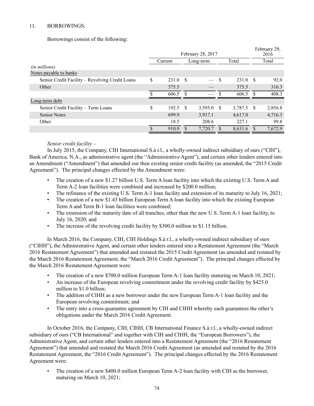# 11. BORROWINGS:

Borrowings consist of the following:

|                                                 | February 28, 2017             |       |               |         |          |         |      | February 29,<br>2016 |  |
|-------------------------------------------------|-------------------------------|-------|---------------|---------|----------|---------|------|----------------------|--|
|                                                 | Total<br>Long-term<br>Current |       |               |         |          | Total   |      |                      |  |
| (in millions)                                   |                               |       |               |         |          |         |      |                      |  |
| Notes payable to banks                          |                               |       |               |         |          |         |      |                      |  |
| Senior Credit Facility - Revolving Credit Loans | \$                            | 231.0 | - \$          |         | -S       | 231.0   | - \$ | 92.0                 |  |
| Other                                           |                               | 375.5 |               |         |          | 375.5   |      | 316.3                |  |
|                                                 |                               | 606.5 | S             |         | \$       | 606.5   | -S   | 408.3                |  |
| Long-term debt                                  |                               |       |               |         |          |         |      |                      |  |
| Senior Credit Facility - Term Loans             | \$                            | 192.5 | -S            | 3,595.0 | - S      | 3,787.5 | - \$ | 2,856.8              |  |
| <b>Senior Notes</b>                             |                               | 699.9 |               | 3,917.1 |          | 4,617.0 |      | 4,716.3              |  |
| Other                                           |                               | 18.5  |               | 208.6   |          | 227.1   |      | 99.8                 |  |
|                                                 |                               | 910.9 | <sup>\$</sup> | 7,720.7 | <b>S</b> | 8,631.6 | -S   | 7,672.9              |  |

# *Senior credit facility –*

In July 2015, the Company, CIH International S.à r.l., a wholly-owned indirect subsidiary of ours ("CIH"), Bank of America, N.A., as administrative agent (the "Administrative Agent"), and certain other lenders entered into an Amendment ("Amendment") that amended our then existing senior credit facility (as amended, the "2015 Credit Agreement"). The principal changes effected by the Amendment were:

- The creation of a new \$1.27 billion U.S. Term A loan facility into which the existing U.S. Term A and Term A-2 loan facilities were combined and increased by \$200.0 million;
- The refinance of the existing U.S. Term A-1 loan facility and extension of its maturity to July 16, 2021;
- The creation of a new \$1.43 billion European Term A loan facility into which the existing European Term A and Term B-1 loan facilities were combined;
- The extension of the maturity date of all tranches, other than the new U.S. Term A-1 loan facility, to July 16, 2020; and
- The increase of the revolving credit facility by \$300.0 million to \$1.15 billion.

In March 2016, the Company, CIH, CIH Holdings S.à r.l., a wholly-owned indirect subsidiary of ours ("CIHH"), the Administrative Agent, and certain other lenders entered into a Restatement Agreement (the "March 2016 Restatement Agreement") that amended and restated the 2015 Credit Agreement (as amended and restated by the March 2016 Restatement Agreement, the "March 2016 Credit Agreement"). The principal changes effected by the March 2016 Restatement Agreement were:

- The creation of a new \$700.0 million European Term A-1 loan facility maturing on March 10, 2021;
- An increase of the European revolving commitment under the revolving credit facility by \$425.0 million to \$1.0 billion;
- The addition of CIHH as a new borrower under the new European Term A-1 loan facility and the European revolving commitment; and
- The entry into a cross-guarantee agreement by CIH and CIHH whereby each guarantees the other's obligations under the March 2016 Credit Agreement.

In October 2016, the Company, CIH, CIHH, CB International Finance S.à r.l., a wholly-owned indirect subsidiary of ours ("CB International" and together with CIH and CIHH, the "European Borrowers"), the Administrative Agent, and certain other lenders entered into a Restatement Agreement (the "2016 Restatement Agreement") that amended and restated the March 2016 Credit Agreement (as amended and restated by the 2016 Restatement Agreement, the "2016 Credit Agreement"). The principal changes effected by the 2016 Restatement Agreement were:

• The creation of a new \$400.0 million European Term A-2 loan facility with CIH as the borrower, maturing on March 10, 2021;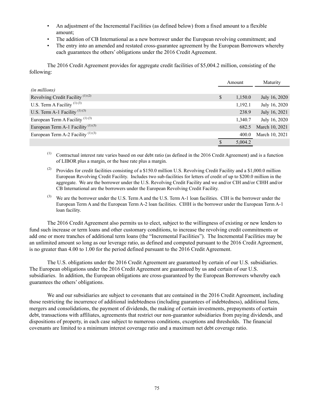- An adjustment of the Incremental Facilities (as defined below) from a fixed amount to a flexible amount;
- The addition of CB International as a new borrower under the European revolving commitment; and
- The entry into an amended and restated cross-guarantee agreement by the European Borrowers whereby each guarantees the others' obligations under the 2016 Credit Agreement.

The 2016 Credit Agreement provides for aggregate credit facilities of \$5,004.2 million, consisting of the following:

|                                              | Amount        | Maturity       |
|----------------------------------------------|---------------|----------------|
| <i>(in millions)</i>                         |               |                |
| Revolving Credit Facility <sup>(1)(2)</sup>  | \$<br>1,150.0 | July 16, 2020  |
| U.S. Term A Facility $(1)(3)$                | 1,192.1       | July 16, 2020  |
| U.S. Term A-1 Facility $(1)(3)$              | 238.9         | July 16, 2021  |
| European Term A Facility $(1)(3)$            | 1,340.7       | July 16, 2020  |
| European Term A-1 Facility <sup>(1)(3)</sup> | 682.5         | March 10, 2021 |
| European Term A-2 Facility <sup>(1)(3)</sup> | 400.0         | March 10, 2021 |
|                                              | 5,004.2       |                |

 $<sup>(1)</sup>$  Contractual interest rate varies based on our debt ratio (as defined in the 2016 Credit Agreement) and is a function</sup> of LIBOR plus a margin, or the base rate plus a margin.

- (2) Provides for credit facilities consisting of a \$150.0 million U.S. Revolving Credit Facility and a \$1,000.0 million European Revolving Credit Facility. Includes two sub-facilities for letters of credit of up to \$200.0 million in the aggregate. We are the borrower under the U.S. Revolving Credit Facility and we and/or CIH and/or CIHH and/or CB International are the borrowers under the European Revolving Credit Facility.
- (3) We are the borrower under the U.S. Term A and the U.S. Term A-1 loan facilities. CIH is the borrower under the European Term A and the European Term A-2 loan facilities. CIHH is the borrower under the European Term A-1 loan facility.

The 2016 Credit Agreement also permits us to elect, subject to the willingness of existing or new lenders to fund such increase or term loans and other customary conditions, to increase the revolving credit commitments or add one or more tranches of additional term loans (the "Incremental Facilities"). The Incremental Facilities may be an unlimited amount so long as our leverage ratio, as defined and computed pursuant to the 2016 Credit Agreement, is no greater than 4.00 to 1.00 for the period defined pursuant to the 2016 Credit Agreement.

The U.S. obligations under the 2016 Credit Agreement are guaranteed by certain of our U.S. subsidiaries. The European obligations under the 2016 Credit Agreement are guaranteed by us and certain of our U.S. subsidiaries. In addition, the European obligations are cross-guaranteed by the European Borrowers whereby each guarantees the others' obligations.

We and our subsidiaries are subject to covenants that are contained in the 2016 Credit Agreement, including those restricting the incurrence of additional indebtedness (including guarantees of indebtedness), additional liens, mergers and consolidations, the payment of dividends, the making of certain investments, prepayments of certain debt, transactions with affiliates, agreements that restrict our non-guarantor subsidiaries from paying dividends, and dispositions of property, in each case subject to numerous conditions, exceptions and thresholds. The financial covenants are limited to a minimum interest coverage ratio and a maximum net debt coverage ratio.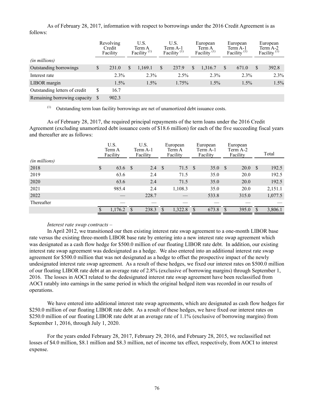As of February 28, 2017, information with respect to borrowings under the 2016 Credit Agreement is as follows:

|                               | Revolving<br>Credit<br>Facility |   | U.S.<br>Term A<br>Facility <sup><math>(1)</math></sup> | U.S.<br>Term A-1<br>Facility <sup>(1)</sup> | European<br>Term A<br>Facility <sup><math>(1)</math></sup> |         |   | European<br>Term A-1<br>Facility <sup>(1)</sup> |   | European<br>Term A-2<br>Facility <sup>(1)</sup> |
|-------------------------------|---------------------------------|---|--------------------------------------------------------|---------------------------------------------|------------------------------------------------------------|---------|---|-------------------------------------------------|---|-------------------------------------------------|
| (in millions)                 |                                 |   |                                                        |                                             |                                                            |         |   |                                                 |   |                                                 |
| Outstanding borrowings        | \$<br>231.0                     | S | 1.169.1                                                | \$<br>237.9                                 | \$                                                         | 1,316.7 | S | 671.0                                           | S | 392.8                                           |
| Interest rate                 | 2.3%                            |   | 2.3%                                                   | 2.5%                                        |                                                            | 2.3%    |   | 2.3%                                            |   | 2.3%                                            |
| LIBOR margin                  | 1.5%                            |   | 1.5%                                                   | 1.75%                                       |                                                            | 1.5%    |   | 1.5%                                            |   | 1.5%                                            |
| Outstanding letters of credit | \$<br>16.7                      |   |                                                        |                                             |                                                            |         |   |                                                 |   |                                                 |
| Remaining borrowing capacity  | 902.3                           |   |                                                        |                                             |                                                            |         |   |                                                 |   |                                                 |

(1) Outstanding term loan facility borrowings are net of unamortized debt issuance costs.

As of February 28, 2017, the required principal repayments of the term loans under the 2016 Credit Agreement (excluding unamortized debt issuance costs of \$18.6 million) for each of the five succeeding fiscal years and thereafter are as follows:

|               | U.S.<br>Term A<br>Facility |     | U.S.<br>Term A-1<br>Facility |      | European<br>Term A<br>Facility |               | European<br>Term A-1<br>Facility | European<br>Term A-2<br>Facility |       |      | Total   |
|---------------|----------------------------|-----|------------------------------|------|--------------------------------|---------------|----------------------------------|----------------------------------|-------|------|---------|
| (in millions) |                            |     |                              |      |                                |               |                                  |                                  |       |      |         |
| 2018          | \$<br>63.6                 | - S | 2.4                          | - \$ | 71.5 \$                        |               | 35.0                             | -S                               | 20.0  | - \$ | 192.5   |
| 2019          | 63.6                       |     | 2.4                          |      | 71.5                           |               | 35.0                             |                                  | 20.0  |      | 192.5   |
| 2020          | 63.6                       |     | 2.4                          |      | 71.5                           |               | 35.0                             |                                  | 20.0  |      | 192.5   |
| 2021          | 985.4                      |     | 2.4                          |      | 1,108.3                        |               | 35.0                             |                                  | 20.0  |      | 2,151.1 |
| 2022          |                            |     | 228.7                        |      |                                |               | 533.8                            |                                  | 315.0 |      | 1,077.5 |
| Thereafter    |                            |     |                              |      |                                |               |                                  |                                  |       |      |         |
|               | 1,176.2                    | S   | 238.3                        | S    | 1,322.8                        | <sup>\$</sup> | 673.8                            | <sup>\$</sup>                    | 395.0 | -S   | 3,806.1 |

## *Interest rate swap contracts –*

In April 2012, we transitioned our then existing interest rate swap agreement to a one-month LIBOR base rate versus the existing three-month LIBOR base rate by entering into a new interest rate swap agreement which was designated as a cash flow hedge for \$500.0 million of our floating LIBOR rate debt. In addition, our existing interest rate swap agreement was dedesignated as a hedge. We also entered into an additional interest rate swap agreement for \$500.0 million that was not designated as a hedge to offset the prospective impact of the newly undesignated interest rate swap agreement. As a result of these hedges, we fixed our interest rates on \$500.0 million of our floating LIBOR rate debt at an average rate of 2.8% (exclusive of borrowing margins) through September 1, 2016. The losses in AOCI related to the dedesignated interest rate swap agreement have been reclassified from AOCI ratably into earnings in the same period in which the original hedged item was recorded in our results of operations.

We have entered into additional interest rate swap agreements, which are designated as cash flow hedges for \$250.0 million of our floating LIBOR rate debt. As a result of these hedges, we have fixed our interest rates on \$250.0 million of our floating LIBOR rate debt at an average rate of 1.1% (exclusive of borrowing margins) from September 1, 2016, through July 1, 2020.

For the years ended February 28, 2017, February 29, 2016, and February 28, 2015, we reclassified net losses of \$4.0 million, \$8.1 million and \$8.3 million, net of income tax effect, respectively, from AOCI to interest expense.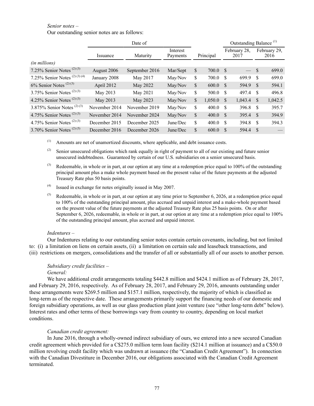## *Senior notes –*

Our outstanding senior notes are as follows:

|                                 |               |                |                      |               |           | Outstanding Balance <sup>(1)</sup> |         |               |                      |
|---------------------------------|---------------|----------------|----------------------|---------------|-----------|------------------------------------|---------|---------------|----------------------|
|                                 | Issuance      | Maturity       | Interest<br>Payments |               | Principal | February 28,<br>2017               |         |               | February 29,<br>2016 |
| (in millions)                   |               |                |                      |               |           |                                    |         |               |                      |
| 7.25% Senior Notes $^{(2)(3)}$  | August 2006   | September 2016 | Mar/Sept             | \$            | 700.0     | -S                                 |         | <sup>S</sup>  | 699.0                |
| 7.25% Senior Notes $(2)(3)(4)$  | January 2008  | May 2017       | May/Nov              | \$            | 700.0     | S                                  | 699.9   | -S            | 699.0                |
| $6\%$ Senior Notes $^{(2)(3)}$  | April 2012    | May 2022       | May/Nov              | \$            | 600.0     | <sup>\$</sup>                      | 594.9   | <sup>\$</sup> | 594.1                |
| 3.75% Senior Notes $^{(2)(3)}$  | May 2013      | May 2021       | May/Nov              | \$            | 500.0     | <b>S</b>                           | 497.4   | -S            | 496.8                |
| 4.25% Senior Notes $^{(2)(3)}$  | May 2013      | May 2023       | May/Nov              | \$            | 1,050.0   | <sup>S</sup>                       | 1,043.4 | <sup>\$</sup> | 1,042.5              |
| 3.875% Senior Notes $^{(2)(3)}$ | November 2014 | November 2019  | May/Nov              | \$            | 400.0     | <b>S</b>                           | 396.8   | -S            | 395.7                |
| 4.75% Senior Notes $^{(2)(3)}$  | November 2014 | November 2024  | May/Nov              | $\mathcal{S}$ | 400.0     | <sup>\$</sup>                      | 395.4   | -S            | 394.9                |
| 4.75% Senior Notes $^{(2)(3)}$  | December 2015 | December 2025  | June/Dec             | \$            | 400.0     | S                                  | 394.8   | -S            | 394.3                |
| 3.70% Senior Notes $^{(2)(5)}$  | December 2016 | December 2026  | June/Dec             | \$            | 600.0     | S                                  | 594.4   | -S            |                      |

(1) Amounts are net of unamortized discounts, where applicable, and debt issuance costs.

(2) Senior unsecured obligations which rank equally in right of payment to all of our existing and future senior unsecured indebtedness. Guaranteed by certain of our U.S. subsidiaries on a senior unsecured basis.

- $(3)$  Redeemable, in whole or in part, at our option at any time at a redemption price equal to 100% of the outstanding principal amount plus a make whole payment based on the present value of the future payments at the adjusted Treasury Rate plus 50 basis points.
- $(4)$  Issued in exchange for notes originally issued in May 2007.

 $(5)$  Redeemable, in whole or in part, at our option at any time prior to September 6, 2026, at a redemption price equal to 100% of the outstanding principal amount, plus accrued and unpaid interest and a make-whole payment based on the present value of the future payments at the adjusted Treasury Rate plus 25 basis points. On or after September 6, 2026, redeemable, in whole or in part, at our option at any time at a redemption price equal to 100% of the outstanding principal amount, plus accrued and unpaid interest.

## *Indentures* –

Our Indentures relating to our outstanding senior notes contain certain covenants, including, but not limited to: (i) a limitation on liens on certain assets, (ii) a limitation on certain sale and leaseback transactions, and (iii) restrictions on mergers, consolidations and the transfer of all or substantially all of our assets to another person.

# *Subsidiary credit facilities –*

*General:*

We have additional credit arrangements totaling \$442.8 million and \$424.1 million as of February 28, 2017, and February 29, 2016, respectively. As of February 28, 2017, and February 29, 2016, amounts outstanding under these arrangements were \$269.5 million and \$157.1 million, respectively, the majority of which is classified as long-term as of the respective date. These arrangements primarily support the financing needs of our domestic and foreign subsidiary operations, as well as our glass production plant joint venture (see "other long-term debt" below). Interest rates and other terms of these borrowings vary from country to country, depending on local market conditions.

## *Canadian credit agreement:*

In June 2016, through a wholly-owned indirect subsidiary of ours, we entered into a new secured Canadian credit agreement which provided for a C\$275.0 million term loan facility (\$214.1 million at issuance) and a C\$50.0 million revolving credit facility which was undrawn at issuance (the "Canadian Credit Agreement"). In connection with the Canadian Divestiture in December 2016, our obligations associated with the Canadian Credit Agreement terminated.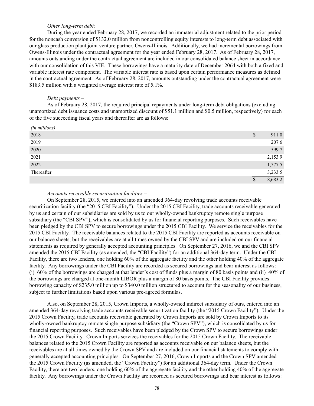#### *Other long-term debt:*

During the year ended February 28, 2017, we recorded an immaterial adjustment related to the prior period for the noncash conversion of \$132.0 million from noncontrolling equity interests to long-term debt associated with our glass production plant joint venture partner, Owens-Illinois. Additionally, we had incremental borrowings from Owens-Illinois under the contractual agreement for the year ended February 28, 2017. As of February 28, 2017, amounts outstanding under the contractual agreement are included in our consolidated balance sheet in accordance with our consolidation of this VIE. These borrowings have a maturity date of December 2064 with both a fixed and variable interest rate component. The variable interest rate is based upon certain performance measures as defined in the contractual agreement. As of February 28, 2017, amounts outstanding under the contractual agreement were \$183.5 million with a weighted average interest rate of 5.1%.

## *Debt payments* –

As of February 28, 2017, the required principal repayments under long-term debt obligations (excluding unamortized debt issuance costs and unamortized discount of \$51.1 million and \$0.5 million, respectively) for each of the five succeeding fiscal years and thereafter are as follows:

| (in millions) |    |         |
|---------------|----|---------|
| 2018          | \$ | 911.0   |
| 2019          |    | 207.6   |
| 2020          |    | 599.7   |
| 2021          |    | 2,153.9 |
| 2022          |    | 1,577.5 |
| Thereafter    |    | 3,233.5 |
|               | S  | 8,683.2 |

## *Accounts receivable securitization facilities –*

On September 28, 2015, we entered into an amended 364-day revolving trade accounts receivable securitization facility (the "2015 CBI Facility"). Under the 2015 CBI Facility, trade accounts receivable generated by us and certain of our subsidiaries are sold by us to our wholly-owned bankruptcy remote single purpose subsidiary (the "CBI SPV"), which is consolidated by us for financial reporting purposes. Such receivables have been pledged by the CBI SPV to secure borrowings under the 2015 CBI Facility. We service the receivables for the 2015 CBI Facility. The receivable balances related to the 2015 CBI Facility are reported as accounts receivable on our balance sheets, but the receivables are at all times owned by the CBI SPV and are included on our financial statements as required by generally accepted accounting principles. On September 27, 2016, we and the CBI SPV amended the 2015 CBI Facility (as amended, the "CBI Facility") for an additional 364-day term. Under the CBI Facility, there are two lenders, one holding 60% of the aggregate facility and the other holding 40% of the aggregate facility. Any borrowings under the CBI Facility are recorded as secured borrowings and bear interest as follows: (i) 60% of the borrowings are charged at that lender's cost of funds plus a margin of 80 basis points and (ii) 40% of the borrowings are charged at one-month LIBOR plus a margin of 80 basis points. The CBI Facility provides borrowing capacity of \$235.0 million up to \$340.0 million structured to account for the seasonality of our business, subject to further limitations based upon various pre-agreed formulas.

Also, on September 28, 2015, Crown Imports, a wholly-owned indirect subsidiary of ours, entered into an amended 364-day revolving trade accounts receivable securitization facility (the "2015 Crown Facility"). Under the 2015 Crown Facility, trade accounts receivable generated by Crown Imports are sold by Crown Imports to its wholly-owned bankruptcy remote single purpose subsidiary (the "Crown SPV"), which is consolidated by us for financial reporting purposes. Such receivables have been pledged by the Crown SPV to secure borrowings under the 2015 Crown Facility. Crown Imports services the receivables for the 2015 Crown Facility. The receivable balances related to the 2015 Crown Facility are reported as accounts receivable on our balance sheets, but the receivables are at all times owned by the Crown SPV and are included on our financial statements to comply with generally accepted accounting principles. On September 27, 2016, Crown Imports and the Crown SPV amended the 2015 Crown Facility (as amended, the "Crown Facility") for an additional 364-day term. Under the Crown Facility, there are two lenders, one holding 60% of the aggregate facility and the other holding 40% of the aggregate facility. Any borrowings under the Crown Facility are recorded as secured borrowings and bear interest as follows: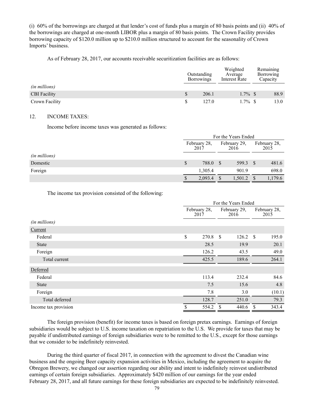(i) 60% of the borrowings are charged at that lender's cost of funds plus a margin of 80 basis points and (ii) 40% of the borrowings are charged at one-month LIBOR plus a margin of 80 basis points. The Crown Facility provides borrowing capacity of \$120.0 million up to \$210.0 million structured to account for the seasonality of Crown Imports' business.

As of February 28, 2017, our accounts receivable securitization facilities are as follows:

|                     | Outstanding<br><b>Borrowings</b> | Weighted<br>Average<br>Interest Rate | Remaining<br><b>Borrowing</b><br>Capacity |
|---------------------|----------------------------------|--------------------------------------|-------------------------------------------|
| (in millions)       |                                  |                                      |                                           |
| <b>CBI</b> Facility | 206.1                            | $1.7\%$ \$                           | 88.9                                      |
| Crown Facility      | 127.0                            | $1.7\%$ \$                           | 13.0                                      |

## 12. INCOME TAXES:

Income before income taxes was generated as follows:

|               | For the Years Ended |                      |  |                      |  |                      |  |  |  |
|---------------|---------------------|----------------------|--|----------------------|--|----------------------|--|--|--|
|               |                     | February 28,<br>2017 |  | February 29,<br>2016 |  | February 28,<br>2015 |  |  |  |
| (in millions) |                     |                      |  |                      |  |                      |  |  |  |
| Domestic      | <sup>S</sup>        | 788.0 \$             |  | 599.3 \$             |  | 481.6                |  |  |  |
| Foreign       |                     | 1.305.4              |  | 901.9                |  | 698.0                |  |  |  |
|               | S                   | $2,093.4$ \$         |  | $1,501.2$ \$         |  | 1,179.6              |  |  |  |

The income tax provision consisted of the following:

|                      | For the Years Ended  |       |               |                      |               |                      |  |  |  |
|----------------------|----------------------|-------|---------------|----------------------|---------------|----------------------|--|--|--|
|                      | February 28,<br>2017 |       |               | February 29,<br>2016 |               | February 28,<br>2015 |  |  |  |
| (in millions)        |                      |       |               |                      |               |                      |  |  |  |
| Current              |                      |       |               |                      |               |                      |  |  |  |
| Federal              | \$                   | 270.8 | - \$          | 126.2                | - \$          | 195.0                |  |  |  |
| State                |                      | 28.5  |               | 19.9                 |               | 20.1                 |  |  |  |
| Foreign              |                      | 126.2 |               | 43.5                 |               | 49.0                 |  |  |  |
| Total current        |                      | 425.5 |               | 189.6                |               | 264.1                |  |  |  |
| Deferred             |                      |       |               |                      |               |                      |  |  |  |
| Federal              |                      | 113.4 |               | 232.4                |               | 84.6                 |  |  |  |
| State                |                      | 7.5   |               | 15.6                 |               | 4.8                  |  |  |  |
| Foreign              |                      | 7.8   |               | 3.0                  |               | (10.1)               |  |  |  |
| Total deferred       |                      | 128.7 |               | 251.0                |               | 79.3                 |  |  |  |
| Income tax provision | \$                   | 554.2 | <sup>\$</sup> | 440.6                | <sup>\$</sup> | 343.4                |  |  |  |

The foreign provision (benefit) for income taxes is based on foreign pretax earnings. Earnings of foreign subsidiaries would be subject to U.S. income taxation on repatriation to the U.S. We provide for taxes that may be payable if undistributed earnings of foreign subsidiaries were to be remitted to the U.S., except for those earnings that we consider to be indefinitely reinvested.

During the third quarter of fiscal 2017, in connection with the agreement to divest the Canadian wine business and the ongoing Beer capacity expansion activities in Mexico, including the agreement to acquire the Obregon Brewery, we changed our assertion regarding our ability and intent to indefinitely reinvest undistributed earnings of certain foreign subsidiaries. Approximately \$420 million of our earnings for the year ended February 28, 2017, and all future earnings for these foreign subsidiaries are expected to be indefinitely reinvested.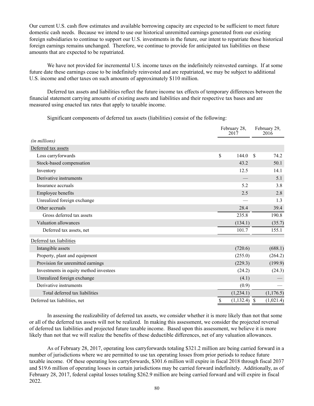Our current U.S. cash flow estimates and available borrowing capacity are expected to be sufficient to meet future domestic cash needs. Because we intend to use our historical unremitted earnings generated from our existing foreign subsidiaries to continue to support our U.S. investments in the future, our intent to repatriate those historical foreign earnings remains unchanged. Therefore, we continue to provide for anticipated tax liabilities on these amounts that are expected to be repatriated.

We have not provided for incremental U.S. income taxes on the indefinitely reinvested earnings. If at some future date these earnings cease to be indefinitely reinvested and are repatriated, we may be subject to additional U.S. income and other taxes on such amounts of approximately \$110 million.

Deferred tax assets and liabilities reflect the future income tax effects of temporary differences between the financial statement carrying amounts of existing assets and liabilities and their respective tax bases and are measured using enacted tax rates that apply to taxable income.

Significant components of deferred tax assets (liabilities) consist of the following:

|                                        | February 28,<br>2017           | February 29,<br>2016 |
|----------------------------------------|--------------------------------|----------------------|
| (in millions)                          |                                |                      |
| Deferred tax assets                    |                                |                      |
| Loss carryforwards                     | \$<br>144.0                    | -S<br>74.2           |
| Stock-based compensation               | 43.2                           | 50.1                 |
| Inventory                              | 12.5                           | 14.1                 |
| Derivative instruments                 |                                | 5.1                  |
| Insurance accruals                     | 5.2                            | 3.8                  |
| Employee benefits                      | 2.5                            | 2.8                  |
| Unrealized foreign exchange            |                                | 1.3                  |
| Other accruals                         | 28.4                           | 39.4                 |
| Gross deferred tax assets              | 235.8                          | 190.8                |
| Valuation allowances                   | (134.1)                        | (35.7)               |
| Deferred tax assets, net               | 101.7                          | 155.1                |
| Deferred tax liabilities               |                                |                      |
| Intangible assets                      | (720.6)                        | (688.1)              |
| Property, plant and equipment          | (255.0)                        | (264.2)              |
| Provision for unremitted earnings      | (229.3)                        | (199.9)              |
| Investments in equity method investees | (24.2)                         | (24.3)               |
| Unrealized foreign exchange            | (4.1)                          |                      |
| Derivative instruments                 | (0.9)                          |                      |
| Total deferred tax liabilities         | (1,234.1)                      | (1, 176.5)           |
| Deferred tax liabilities, net          | $\mathbb{S}$<br>$(1,132.4)$ \$ | (1,021.4)            |

In assessing the realizability of deferred tax assets, we consider whether it is more likely than not that some or all of the deferred tax assets will not be realized. In making this assessment, we consider the projected reversal of deferred tax liabilities and projected future taxable income. Based upon this assessment, we believe it is more likely than not that we will realize the benefits of these deductible differences, net of any valuation allowances.

As of February 28, 2017, operating loss carryforwards totaling \$321.2 million are being carried forward in a number of jurisdictions where we are permitted to use tax operating losses from prior periods to reduce future taxable income. Of these operating loss carryforwards, \$301.6 million will expire in fiscal 2018 through fiscal 2037 and \$19.6 million of operating losses in certain jurisdictions may be carried forward indefinitely. Additionally, as of February 28, 2017, federal capital losses totaling \$262.9 million are being carried forward and will expire in fiscal 2022.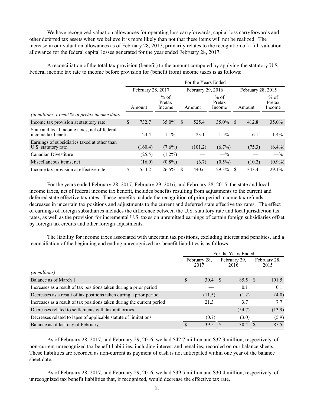We have recognized valuation allowances for operating loss carryforwards, capital loss carryforwards and other deferred tax assets when we believe it is more likely than not that these items will not be realized. The increase in our valuation allowances as of February 28, 2017, primarily relates to the recognition of a full valuation allowance for the federal capital losses generated for the year ended February 28, 2017.

A reconciliation of the total tax provision (benefit) to the amount computed by applying the statutory U.S. Federal income tax rate to income before provision for (benefit from) income taxes is as follows:

|                                                                     | For the Years Ended |                   |                            |                                      |                   |           |                   |                            |           |  |  |  |
|---------------------------------------------------------------------|---------------------|-------------------|----------------------------|--------------------------------------|-------------------|-----------|-------------------|----------------------------|-----------|--|--|--|
|                                                                     |                     | February 28, 2017 |                            |                                      | February 29, 2016 |           | February 28, 2015 |                            |           |  |  |  |
|                                                                     |                     | Amount            | $%$ of<br>Pretax<br>Income | $%$ of<br>Pretax<br>Amount<br>Income |                   | Amount    |                   | $%$ of<br>Pretax<br>Income |           |  |  |  |
| $(in$ millions, except % of pretax income data)                     |                     |                   |                            |                                      |                   |           |                   |                            |           |  |  |  |
| Income tax provision at statutory rate                              | $\mathbb{S}$        | 732.7             | $35.0\%$                   | <sup>S</sup>                         | 525.4             | $35.0\%$  | -S                | 412.8                      | $35.0\%$  |  |  |  |
| State and local income taxes, net of federal<br>income tax benefit  |                     | 23.4              | $1.1\%$                    |                                      | 23.1              | $1.5\%$   |                   | 16.1                       | $1.4\%$   |  |  |  |
| Earnings of subsidiaries taxed at other than<br>U.S. statutory rate |                     | (160.4)           | $(7.6\%)$                  |                                      | (101.2)           | $(6.7\%)$ |                   | (75.3)                     | $(6.4\%)$ |  |  |  |
| Canadian Divestiture                                                |                     | (25.5)            | $(1.2\%)$                  |                                      |                   | $-$ %     |                   |                            | $-$ %     |  |  |  |
| Miscellaneous items, net                                            |                     | (16.0)            | $(0.8\%)$                  |                                      | (6.7)             | $(0.5\%)$ |                   | (10.2)                     | $(0.9\%)$ |  |  |  |
| Income tax provision at effective rate                              |                     | 554.2             | 26.5%                      |                                      | 440.6             | 29.3%     |                   | 343.4                      | 29.1%     |  |  |  |

For the years ended February 28, 2017, February 29, 2016, and February 28, 2015, the state and local income taxes, net of federal income tax benefit, includes benefits resulting from adjustments to the current and deferred state effective tax rates. These benefits include the recognition of prior period income tax refunds, decreases in uncertain tax positions and adjustments to the current and deferred state effective tax rates. The effect of earnings of foreign subsidiaries includes the difference between the U.S. statutory rate and local jurisdiction tax rates, as well as the provision for incremental U.S. taxes on unremitted earnings of certain foreign subsidiaries offset by foreign tax credits and other foreign adjustments.

The liability for income taxes associated with uncertain tax positions, excluding interest and penalties, and a reconciliation of the beginning and ending unrecognized tax benefit liabilities is as follows:

|                                                                        | For the Years Ended  |        |  |                      |  |                      |  |  |
|------------------------------------------------------------------------|----------------------|--------|--|----------------------|--|----------------------|--|--|
|                                                                        | February 28,<br>2017 |        |  | February 29,<br>2016 |  | February 28,<br>2015 |  |  |
| <i>(in millions)</i>                                                   |                      |        |  |                      |  |                      |  |  |
| Balance as of March 1                                                  | \$                   | 30.4 S |  | 85.5 \$              |  | 101.5                |  |  |
| Increases as a result of tax positions taken during a prior period     |                      |        |  | 0.1                  |  | 0.1                  |  |  |
| Decreases as a result of tax positions taken during a prior period     |                      | (11.5) |  | (1.2)                |  | (4.0)                |  |  |
| Increases as a result of tax positions taken during the current period |                      | 21.3   |  | 3.7                  |  | 7.7                  |  |  |
| Decreases related to settlements with tax authorities                  |                      |        |  | (54.7)               |  | (13.9)               |  |  |
| Decreases related to lapse of applicable statute of limitations        |                      | (0.7)  |  | (3.0)                |  | (5.9)                |  |  |
| Balance as of last day of February                                     |                      | 39.5   |  | 30.4                 |  | 85.5                 |  |  |

As of February 28, 2017, and February 29, 2016, we had \$42.7 million and \$32.3 million, respectively, of non-current unrecognized tax benefit liabilities, including interest and penalties, recorded on our balance sheets. These liabilities are recorded as non-current as payment of cash is not anticipated within one year of the balance sheet date.

As of February 28, 2017, and February 29, 2016, we had \$39.5 million and \$30.4 million, respectively, of unrecognized tax benefit liabilities that, if recognized, would decrease the effective tax rate.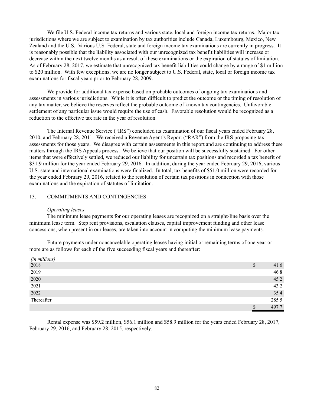We file U.S. Federal income tax returns and various state, local and foreign income tax returns. Major tax jurisdictions where we are subject to examination by tax authorities include Canada, Luxembourg, Mexico, New Zealand and the U.S. Various U.S. Federal, state and foreign income tax examinations are currently in progress. It is reasonably possible that the liability associated with our unrecognized tax benefit liabilities will increase or decrease within the next twelve months as a result of these examinations or the expiration of statutes of limitation. As of February 28, 2017, we estimate that unrecognized tax benefit liabilities could change by a range of \$1 million to \$20 million. With few exceptions, we are no longer subject to U.S. Federal, state, local or foreign income tax examinations for fiscal years prior to February 28, 2009.

We provide for additional tax expense based on probable outcomes of ongoing tax examinations and assessments in various jurisdictions. While it is often difficult to predict the outcome or the timing of resolution of any tax matter, we believe the reserves reflect the probable outcome of known tax contingencies. Unfavorable settlement of any particular issue would require the use of cash. Favorable resolution would be recognized as a reduction to the effective tax rate in the year of resolution.

The Internal Revenue Service ("IRS") concluded its examination of our fiscal years ended February 28, 2010, and February 28, 2011. We received a Revenue Agent's Report ("RAR") from the IRS proposing tax assessments for those years. We disagree with certain assessments in this report and are continuing to address these matters through the IRS Appeals process. We believe that our position will be successfully sustained. For other items that were effectively settled, we reduced our liability for uncertain tax positions and recorded a tax benefit of \$31.9 million for the year ended February 29, 2016. In addition, during the year ended February 29, 2016, various U.S. state and international examinations were finalized. In total, tax benefits of \$51.0 million were recorded for the year ended February 29, 2016, related to the resolution of certain tax positions in connection with those examinations and the expiration of statutes of limitation.

## 13. COMMITMENTS AND CONTINGENCIES:

#### *Operating leases –*

The minimum lease payments for our operating leases are recognized on a straight-line basis over the minimum lease term. Step rent provisions, escalation clauses, capital improvement funding and other lease concessions, when present in our leases, are taken into account in computing the minimum lease payments.

Future payments under noncancelable operating leases having initial or remaining terms of one year or more are as follows for each of the five succeeding fiscal years and thereafter:

| (in millions) |    |       |
|---------------|----|-------|
| 2018          | \$ | 41.6  |
| 2019          |    | 46.8  |
| 2020          |    | 45.2  |
| 2021          |    | 43.2  |
| 2022          |    | 35.4  |
| Thereafter    |    | 285.5 |
|               | P  | 497.7 |

Rental expense was \$59.2 million, \$56.1 million and \$58.9 million for the years ended February 28, 2017, February 29, 2016, and February 28, 2015, respectively.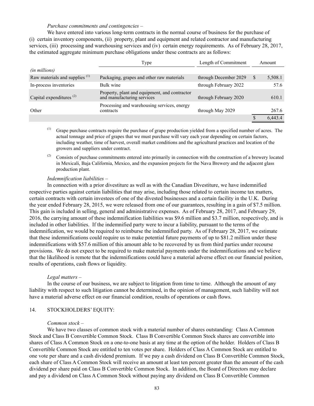## *Purchase commitments and contingencies –*

We have entered into various long-term contracts in the normal course of business for the purchase of (i) certain inventory components, (ii) property, plant and equipment and related contractor and manufacturing services, (iii) processing and warehousing services and (iv) certain energy requirements. As of February 28, 2017, the estimated aggregate minimum purchase obligations under these contracts are as follows:

|                                           | Type                                                                        | Length of Commitment  |              | Amount  |
|-------------------------------------------|-----------------------------------------------------------------------------|-----------------------|--------------|---------|
| (in millions)                             |                                                                             |                       |              |         |
| Raw materials and supplies <sup>(1)</sup> | Packaging, grapes and other raw materials                                   | through December 2029 | <sup>S</sup> | 5,508.1 |
| In-process inventories                    | Bulk wine                                                                   | through February 2022 |              | 57.6    |
| Capital expenditures <sup>(2)</sup>       | Property, plant and equipment, and contractor<br>and manufacturing services | through February 2020 |              | 610.1   |
| Other                                     | Processing and warehousing services, energy<br>contracts                    | through May 2029      |              | 267.6   |
|                                           |                                                                             |                       |              | 6.443.4 |

(1) Grape purchase contracts require the purchase of grape production yielded from a specified number of acres. The actual tonnage and price of grapes that we must purchase will vary each year depending on certain factors, including weather, time of harvest, overall market conditions and the agricultural practices and location of the growers and suppliers under contract.

(2) Consists of purchase commitments entered into primarily in connection with the construction of a brewery located in Mexicali, Baja California, Mexico, and the expansion projects for the Nava Brewery and the adjacent glass production plant.

## *Indemnification liabilities –*

In connection with a prior divestiture as well as with the Canadian Divestiture, we have indemnified respective parties against certain liabilities that may arise, including those related to certain income tax matters, certain contracts with certain investees of one of the divested businesses and a certain facility in the U.K. During the year ended February 28, 2015, we were released from one of our guarantees, resulting in a gain of \$7.5 million. This gain is included in selling, general and administrative expenses. As of February 28, 2017, and February 29, 2016, the carrying amount of these indemnification liabilities was \$9.6 million and \$3.7 million, respectively, and is included in other liabilities. If the indemnified party were to incur a liability, pursuant to the terms of the indemnification, we would be required to reimburse the indemnified party. As of February 28, 2017, we estimate that these indemnifications could require us to make potential future payments of up to \$81.2 million under these indemnifications with \$57.6 million of this amount able to be recovered by us from third parties under recourse provisions. We do not expect to be required to make material payments under the indemnifications and we believe that the likelihood is remote that the indemnifications could have a material adverse effect on our financial position, results of operations, cash flows or liquidity.

## *Legal matters –*

In the course of our business, we are subject to litigation from time to time. Although the amount of any liability with respect to such litigation cannot be determined, in the opinion of management, such liability will not have a material adverse effect on our financial condition, results of operations or cash flows.

# 14. STOCKHOLDERS' EQUITY:

## *Common stock –*

We have two classes of common stock with a material number of shares outstanding: Class A Common Stock and Class B Convertible Common Stock. Class B Convertible Common Stock shares are convertible into shares of Class A Common Stock on a one-to-one basis at any time at the option of the holder. Holders of Class B Convertible Common Stock are entitled to ten votes per share. Holders of Class A Common Stock are entitled to one vote per share and a cash dividend premium. If we pay a cash dividend on Class B Convertible Common Stock, each share of Class A Common Stock will receive an amount at least ten percent greater than the amount of the cash dividend per share paid on Class B Convertible Common Stock. In addition, the Board of Directors may declare and pay a dividend on Class A Common Stock without paying any dividend on Class B Convertible Common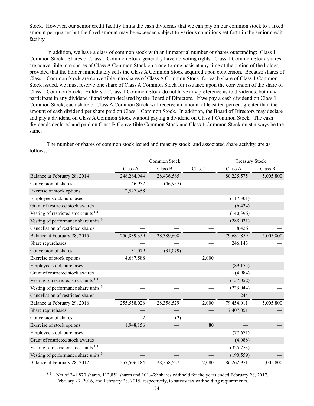Stock. However, our senior credit facility limits the cash dividends that we can pay on our common stock to a fixed amount per quarter but the fixed amount may be exceeded subject to various conditions set forth in the senior credit facility.

In addition, we have a class of common stock with an immaterial number of shares outstanding: Class 1 Common Stock. Shares of Class 1 Common Stock generally have no voting rights. Class 1 Common Stock shares are convertible into shares of Class A Common Stock on a one-to-one basis at any time at the option of the holder, provided that the holder immediately sells the Class A Common Stock acquired upon conversion. Because shares of Class 1 Common Stock are convertible into shares of Class A Common Stock, for each share of Class 1 Common Stock issued, we must reserve one share of Class A Common Stock for issuance upon the conversion of the share of Class 1 Common Stock. Holders of Class 1 Common Stock do not have any preference as to dividends, but may participate in any dividend if and when declared by the Board of Directors. If we pay a cash dividend on Class 1 Common Stock, each share of Class A Common Stock will receive an amount at least ten percent greater than the amount of cash dividend per share paid on Class 1 Common Stock. In addition, the Board of Directors may declare and pay a dividend on Class A Common Stock without paying a dividend on Class 1 Common Stock. The cash dividends declared and paid on Class B Convertible Common Stock and Class 1 Common Stock must always be the same.

The number of shares of common stock issued and treasury stock, and associated share activity, are as follows:

|                                                  |             | Common Stock | <b>Treasury Stock</b> |            |           |
|--------------------------------------------------|-------------|--------------|-----------------------|------------|-----------|
|                                                  | Class A     | Class B      | Class 1               | Class A    | Class B   |
| Balance at February 28, 2014                     | 248,264,944 | 28,436,565   |                       | 80,225,575 | 5,005,800 |
| Conversion of shares                             | 46,957      | (46,957)     |                       |            |           |
| Exercise of stock options                        | 2,527,458   |              |                       |            |           |
| Employee stock purchases                         |             |              |                       | (117,301)  |           |
| Grant of restricted stock awards                 |             |              |                       | (6, 424)   |           |
| Vesting of restricted stock units <sup>(1)</sup> |             |              |                       | (140, 396) |           |
| Vesting of performance share units $^{(2)}$      |             |              |                       | (288, 021) |           |
| Cancellation of restricted shares                |             |              |                       | 8,426      |           |
| Balance at February 28, 2015                     | 250,839,359 | 28,389,608   |                       | 79,681,859 | 5,005,800 |
| Share repurchases                                |             |              |                       | 246,143    |           |
| Conversion of shares                             | 31,079      | (31,079)     |                       |            |           |
| Exercise of stock options                        | 4,687,588   |              | 2,000                 |            |           |
| Employee stock purchases                         |             |              |                       | (89, 155)  |           |
| Grant of restricted stock awards                 |             |              |                       | (4,984)    |           |
| Vesting of restricted stock units $(1)$          |             |              |                       | (157, 052) |           |
| Vesting of performance share units $^{(2)}$      |             |              |                       | (223, 044) |           |
| Cancellation of restricted shares                |             |              |                       | 244        |           |
| Balance at February 29, 2016                     | 255,558,026 | 28,358,529   | 2,000                 | 79,454,011 | 5,005,800 |
| Share repurchases                                |             |              |                       | 7,407,051  |           |
| Conversion of shares                             | 2           | (2)          |                       |            |           |
| Exercise of stock options                        | 1,948,156   |              | 80                    |            |           |
| Employee stock purchases                         |             |              |                       | (77, 671)  |           |
| Grant of restricted stock awards                 |             |              |                       | (4,088)    |           |
| Vesting of restricted stock units $(1)$          |             |              |                       | (325, 773) |           |
| Vesting of performance share units $^{(2)}$      |             |              |                       | (190, 559) |           |
| Balance at February 28, 2017                     | 257,506,184 | 28,358,527   | 2,080                 | 86,262,971 | 5,005,800 |

(1) Net of 241,870 shares, 112,851 shares and 101,499 shares withheld for the years ended February 28, 2017, February 29, 2016, and February 28, 2015, respectively, to satisfy tax withholding requirements.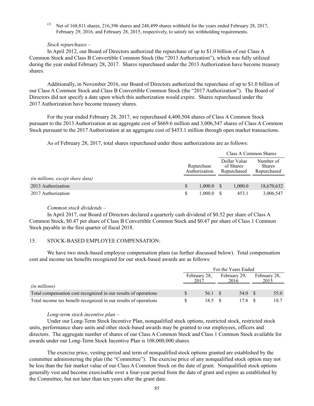(2) Net of 168,811 shares, 216,396 shares and 248,499 shares withheld for the years ended February 28, 2017, February 29, 2016, and February 28, 2015, respectively, to satisfy tax withholding requirements.

## *Stock repurchases –*

In April 2012, our Board of Directors authorized the repurchase of up to \$1.0 billion of our Class A Common Stock and Class B Convertible Common Stock (the "2013 Authorization"), which was fully utilized during the year ended February 28, 2017. Shares repurchased under the 2013 Authorization have become treasury shares.

Additionally, in November 2016, our Board of Directors authorized the repurchase of up to \$1.0 billion of our Class A Common Stock and Class B Convertible Common Stock (the "2017 Authorization"). The Board of Directors did not specify a date upon which this authorization would expire. Shares repurchased under the 2017 Authorization have become treasury shares.

For the year ended February 28, 2017, we repurchased 4,400,504 shares of Class A Common Stock pursuant to the 2013 Authorization at an aggregate cost of \$669.6 million and 3,006,547 shares of Class A Common Stock pursuant to the 2017 Authorization at an aggregate cost of \$453.1 million through open market transactions.

As of February 28, 2017, total shares repurchased under these authorizations are as follows:

|                                         |    |                             | Class A Common Shares                    |                                           |
|-----------------------------------------|----|-----------------------------|------------------------------------------|-------------------------------------------|
|                                         |    | Repurchase<br>Authorization | Dollar Value<br>of Shares<br>Repurchased | Number of<br><b>Shares</b><br>Repurchased |
| <i>(in millions, except share data)</i> |    |                             |                                          |                                           |
| 2013 Authorization                      | S. | 1,000.0                     | 1,000.0                                  | 18,670,632                                |
| 2017 Authorization                      | \$ | 1,000.0                     | 453.1                                    | 3,006,547                                 |

## *Common stock dividends –*

In April 2017, our Board of Directors declared a quarterly cash dividend of \$0.52 per share of Class A Common Stock, \$0.47 per share of Class B Convertible Common Stock and \$0.47 per share of Class 1 Common Stock payable in the first quarter of fiscal 2018.

# 15. STOCK-BASED EMPLOYEE COMPENSATION:

We have two stock-based employee compensation plans (as further discussed below). Total compensation cost and income tax benefits recognized for our stock-based awards are as follows:

|                                                                  |              |        | For the Years Ended  |                      |
|------------------------------------------------------------------|--------------|--------|----------------------|----------------------|
|                                                                  | February 28, | 2017   | February 29.<br>2016 | February 28,<br>2015 |
| <i>(in millions)</i>                                             |              |        |                      |                      |
| Total compensation cost recognized in our results of operations  |              | 56.1 S | 54.0 \$              | 55.0                 |
| Total income tax benefit recognized in our results of operations |              | 18.5 S | 178 S                | 18.7                 |

## *Long-term stock incentive plan –*

Under our Long-Term Stock Incentive Plan, nonqualified stock options, restricted stock, restricted stock units, performance share units and other stock-based awards may be granted to our employees, officers and directors. The aggregate number of shares of our Class A Common Stock and Class 1 Common Stock available for awards under our Long-Term Stock Incentive Plan is 108,000,000 shares.

The exercise price, vesting period and term of nonqualified stock options granted are established by the committee administering the plan (the "Committee"). The exercise price of any nonqualified stock option may not be less than the fair market value of our Class A Common Stock on the date of grant. Nonqualified stock options generally vest and become exercisable over a four-year period from the date of grant and expire as established by the Committee, but not later than ten years after the grant date.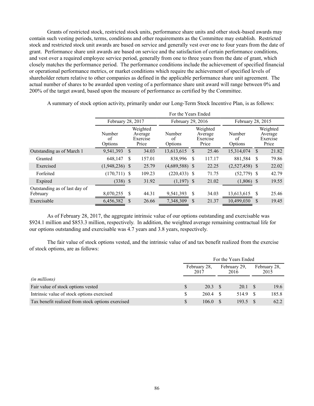Grants of restricted stock, restricted stock units, performance share units and other stock-based awards may contain such vesting periods, terms, conditions and other requirements as the Committee may establish. Restricted stock and restricted stock unit awards are based on service and generally vest over one to four years from the date of grant. Performance share unit awards are based on service and the satisfaction of certain performance conditions, and vest over a required employee service period, generally from one to three years from the date of grant, which closely matches the performance period. The performance conditions include the achievement of specified financial or operational performance metrics, or market conditions which require the achievement of specified levels of shareholder return relative to other companies as defined in the applicable performance share unit agreement. The actual number of shares to be awarded upon vesting of a performance share unit award will range between 0% and 200% of the target award, based upon the measure of performance as certified by the Committee.

|                                           | For the Years Ended     |                                          |        |                         |                                          |        |                         |               |                                          |  |  |  |  |
|-------------------------------------------|-------------------------|------------------------------------------|--------|-------------------------|------------------------------------------|--------|-------------------------|---------------|------------------------------------------|--|--|--|--|
|                                           | February 28, 2017       |                                          |        | February 29, 2016       |                                          |        | February 28, 2015       |               |                                          |  |  |  |  |
|                                           | Number<br>of<br>Options | Weighted<br>Average<br>Exercise<br>Price |        | Number<br>of<br>Options | Weighted<br>Average<br>Exercise<br>Price |        | Number<br>Ωf<br>Options |               | Weighted<br>Average<br>Exercise<br>Price |  |  |  |  |
| Outstanding as of March 1                 | 9,541,393               | \$                                       | 34.03  | 13,613,615              | -S                                       | 25.46  | 15,314,074              | <sup>S</sup>  | 21.82                                    |  |  |  |  |
| Granted                                   | 648,147                 | \$                                       | 157.01 | 838,996                 | \$.                                      | 117.17 | 881,584                 | -S            | 79.86                                    |  |  |  |  |
| Exercised                                 | $(1,948,236)$ \$        |                                          | 25.79  | $(4,689,588)$ \$        |                                          | 22.25  | $(2,527,458)$ \$        |               | 22.02                                    |  |  |  |  |
| Forfeited                                 | $(170, 711)$ \$         |                                          | 109.23 | $(220, 433)$ \$         |                                          | 71.75  | $(52,779)$ \$           |               | 42.79                                    |  |  |  |  |
| Expired                                   | $(338)$ \$              |                                          | 31.92  | $(1,197)$ \$            |                                          | 21.02  | $(1,806)$ \$            |               | 19.55                                    |  |  |  |  |
| Outstanding as of last day of<br>February | 8,070,255               | \$                                       | 44.31  | 9,541,393               | \$                                       | 34.03  | 13,613,615              | S             | 25.46                                    |  |  |  |  |
| Exercisable                               | 6,456,382               | S                                        | 26.66  | 7,348,309               | \$                                       | 21.37  | 10,499,030              | <sup>\$</sup> | 19.45                                    |  |  |  |  |

A summary of stock option activity, primarily under our Long-Term Stock Incentive Plan, is as follows:

As of February 28, 2017, the aggregate intrinsic value of our options outstanding and exercisable was \$924.1 million and \$853.3 million, respectively. In addition, the weighted average remaining contractual life for our options outstanding and exercisable was 4.7 years and 3.8 years, respectively.

The fair value of stock options vested, and the intrinsic value of and tax benefit realized from the exercise of stock options, are as follows:

|                                                   | For the Years Ended  |                 |     |                      |  |                      |  |  |  |  |  |
|---------------------------------------------------|----------------------|-----------------|-----|----------------------|--|----------------------|--|--|--|--|--|
|                                                   | February 28,<br>2017 |                 |     | February 29,<br>2016 |  | February 28,<br>2015 |  |  |  |  |  |
| (in millions)                                     |                      |                 |     |                      |  |                      |  |  |  |  |  |
| Fair value of stock options vested                | \$.                  | $20.3 \quad$ \$ |     | $20.1 \text{ }$ \$   |  | 19.6                 |  |  |  |  |  |
| Intrinsic value of stock options exercised        | S.                   | 260.4           | - S | 514.9 \$             |  | 185.8                |  |  |  |  |  |
| Tax benefit realized from stock options exercised | $\mathbb{S}$         | 106.0 S         |     | $193.5$ \$           |  | 62.2                 |  |  |  |  |  |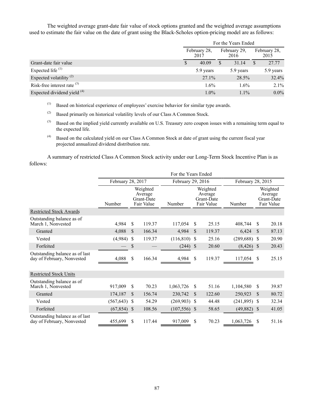The weighted average grant-date fair value of stock options granted and the weighted average assumptions used to estimate the fair value on the date of grant using the Black-Scholes option-pricing model are as follows:

|                                        |              |                      | For the Years Ended  |                      |           |
|----------------------------------------|--------------|----------------------|----------------------|----------------------|-----------|
|                                        |              | February 28,<br>2017 | February 29,<br>2016 | February 28,<br>2015 |           |
| Grant-date fair value                  | <sup>S</sup> | 40.09                | \$<br>31.14          | <sup>S</sup>         | 27.77     |
| Expected life $(1)$                    |              | 5.9 years            | 5.9 years            |                      | 5.9 years |
| Expected volatility <sup>(2)</sup>     |              | 27.1%                | 28.5%                |                      | 32.4%     |
| Risk-free interest rate $(3)$          |              | $1.6\%$              | $1.6\%$              |                      | 2.1%      |
| Expected dividend yield <sup>(4)</sup> |              | $1.0\%$              | $1.1\%$              |                      | $0.0\%$   |

- (1) Based on historical experience of employees' exercise behavior for similar type awards.
- (2) Based primarily on historical volatility levels of our Class A Common Stock.
- <sup>(3)</sup> Based on the implied yield currently available on U.S. Treasury zero coupon issues with a remaining term equal to the expected life.
- (4) Based on the calculated yield on our Class A Common Stock at date of grant using the current fiscal year projected annualized dividend distribution rate.

A summary of restricted Class A Common Stock activity under our Long-Term Stock Incentive Plan is as follows:

|                                                              | For the Years Ended |                                                 |        |                   |                                                 |        |                   |               |                                                 |  |  |  |
|--------------------------------------------------------------|---------------------|-------------------------------------------------|--------|-------------------|-------------------------------------------------|--------|-------------------|---------------|-------------------------------------------------|--|--|--|
|                                                              | February 28, 2017   |                                                 |        | February 29, 2016 |                                                 |        | February 28, 2015 |               |                                                 |  |  |  |
|                                                              | Number              | Weighted<br>Average<br>Grant-Date<br>Fair Value |        | Number            | Weighted<br>Average<br>Grant-Date<br>Fair Value |        | Number            |               | Weighted<br>Average<br>Grant-Date<br>Fair Value |  |  |  |
| <b>Restricted Stock Awards</b>                               |                     |                                                 |        |                   |                                                 |        |                   |               |                                                 |  |  |  |
| Outstanding balance as of<br>March 1, Nonvested              | 4,984               | \$                                              | 119.37 | 117,054           | \$                                              | 25.15  | 408,744           | S             | 20.18                                           |  |  |  |
| Granted                                                      | 4,088               | \$                                              | 166.34 | 4,984             | S                                               | 119.37 | 6,424             | <sup>\$</sup> | 87.13                                           |  |  |  |
| Vested                                                       | (4,984)             | S                                               | 119.37 | $(116, 810)$ \$   |                                                 | 25.16  | $(289, 688)$ \$   |               | 20.90                                           |  |  |  |
| Forfeited                                                    |                     | \$                                              |        | $(244)$ \$        |                                                 | 20.60  | $(8,426)$ \$      |               | 20.43                                           |  |  |  |
| Outstanding balance as of last<br>day of February, Nonvested | 4,088               | \$                                              | 166.34 | 4,984             | <sup>\$</sup>                                   | 119.37 | 117,054           | S             | 25.15                                           |  |  |  |
| <b>Restricted Stock Units</b>                                |                     |                                                 |        |                   |                                                 |        |                   |               |                                                 |  |  |  |
| Outstanding balance as of<br>March 1, Nonvested              | 917,009             | \$                                              | 70.23  | 1,063,726         | S                                               | 51.16  | 1,104,580         | S             | 39.87                                           |  |  |  |
| Granted                                                      | 174,187             | \$.                                             | 156.74 | 230,742           | <sup>\$</sup>                                   | 122.60 | 250,923           | <sup>S</sup>  | 80.72                                           |  |  |  |
| Vested                                                       | (567, 643)          | S                                               | 54.29  | $(269,903)$ \$    |                                                 | 44.48  | (241, 895)        | <sup>S</sup>  | 32.34                                           |  |  |  |
| Forfeited                                                    | (67, 854)           | <sup>S</sup>                                    | 108.56 | $(107, 556)$ \$   |                                                 | 58.65  | (49, 882)         | -S            | 41.05                                           |  |  |  |
| Outstanding balance as of last<br>day of February, Nonvested | 455,699             | \$                                              | 117.44 | 917,009           | \$                                              | 70.23  | 1,063,726         | S             | 51.16                                           |  |  |  |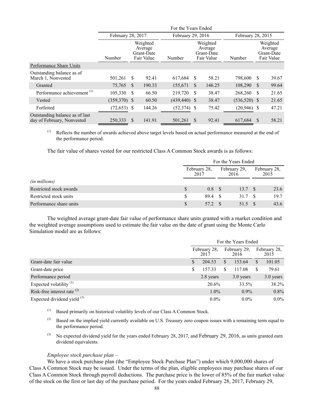|                                                              | For the Years Ended                                       |    |        |                   |                                                 |        |                   |                                                 |       |  |  |  |  |
|--------------------------------------------------------------|-----------------------------------------------------------|----|--------|-------------------|-------------------------------------------------|--------|-------------------|-------------------------------------------------|-------|--|--|--|--|
|                                                              | February 28, 2017                                         |    |        | February 29, 2016 |                                                 |        | February 28, 2015 |                                                 |       |  |  |  |  |
|                                                              | Weighted<br>Average<br>Grant-Date<br>Fair Value<br>Number |    | Number |                   | Weighted<br>Average<br>Grant-Date<br>Fair Value | Number |                   | Weighted<br>Average<br>Grant-Date<br>Fair Value |       |  |  |  |  |
| Performance Share Units                                      |                                                           |    |        |                   |                                                 |        |                   |                                                 |       |  |  |  |  |
| Outstanding balance as of<br>March 1, Nonvested              | 501,261                                                   | S  | 92.41  | 617,684           | -S                                              | 58.21  | 798,600           | -S                                              | 39.67 |  |  |  |  |
| Granted                                                      | 75,765                                                    | \$ | 190.33 | 155,671           | <sup>\$</sup>                                   | 146.25 | 108,290           | S                                               | 99.64 |  |  |  |  |
| Performance achievement <sup>(1)</sup>                       | 105,330                                                   | S  | 66.50  | 219,720           | -S                                              | 38.47  | 268,260           | \$.                                             | 21.65 |  |  |  |  |
| Vested                                                       | $(359,370)$ \$                                            |    | 60.50  | $(439, 440)$ \$   |                                                 | 38.47  | $(536, 520)$ \$   |                                                 | 21.65 |  |  |  |  |
| Forfeited                                                    | $(72, 653)$ \$                                            |    | 144.26 | $(52,374)$ \$     |                                                 | 75.42  | $(20, 946)$ \$    |                                                 | 47.21 |  |  |  |  |
| Outstanding balance as of last<br>day of February, Nonvested | 250,333                                                   | \$ | 141.91 | 501,261           | <sup>S</sup>                                    | 92.41  | 617,684           | S                                               | 58.21 |  |  |  |  |

(1) Reflects the number of awards achieved above target levels based on actual performance measured at the end of the performance period.

The fair value of shares vested for our restricted Class A Common Stock awards is as follows:

|                         | For the Years Ended |                      |  |                      |  |                      |  |  |  |  |  |
|-------------------------|---------------------|----------------------|--|----------------------|--|----------------------|--|--|--|--|--|
|                         |                     | February 28,<br>2017 |  | February 29,<br>2016 |  | February 28,<br>2015 |  |  |  |  |  |
| (in millions)           |                     |                      |  |                      |  |                      |  |  |  |  |  |
| Restricted stock awards |                     | 0.8 <sup>°</sup>     |  | 13.7 S               |  | 23.6                 |  |  |  |  |  |
| Restricted stock units  | <sup>S</sup>        | 89.4 \$              |  | 31.7 \$              |  | 19.7                 |  |  |  |  |  |
| Performance share units | \$.                 | 57.2 \$              |  | 51.5 \$              |  | 43.6                 |  |  |  |  |  |

The weighted average grant-date fair value of performance share units granted with a market condition and the weighted average assumptions used to estimate the fair value on the date of grant using the Monte Carlo Simulation model are as follows:

|                               |    |                      |   | For the Years Ended  |   |                      |
|-------------------------------|----|----------------------|---|----------------------|---|----------------------|
|                               |    | February 28,<br>2017 |   | February 29,<br>2016 |   | February 28,<br>2015 |
| Grant-date fair value         | S  | 204.53               | S | 153.64               | S | 101.05               |
| Grant-date price              | \$ | 157.33               | S | 117.08               |   | 79.61                |
| Performance period            |    | 2.8 years            |   | 3.0 years            |   | 3.0 years            |
| Expected volatility $(1)$     |    | 20.6%                |   | 33.5%                |   | 38.2%                |
| Risk-free interest rate $(2)$ |    | $1.0\%$              |   | $0.9\%$              |   | 0.8%                 |
| Expected dividend yield $(3)$ |    | $0.0\%$              |   | $0.0\%$              |   | $0.0\%$              |

- (1) Based primarily on historical volatility levels of our Class A Common Stock.
- <sup>(2)</sup> Based on the implied yield currently available on U.S. Treasury zero coupon issues with a remaining term equal to the performance period.
- (3) No expected dividend yield for the years ended February 28, 2017, and February 29, 2016, as units granted earn dividend equivalents.

## *Employee stock purchase plan –*

We have a stock purchase plan (the "Employee Stock Purchase Plan") under which 9,000,000 shares of Class A Common Stock may be issued. Under the terms of the plan, eligible employees may purchase shares of our Class A Common Stock through payroll deductions. The purchase price is the lower of 85% of the fair market value of the stock on the first or last day of the purchase period. For the years ended February 28, 2017, February 29,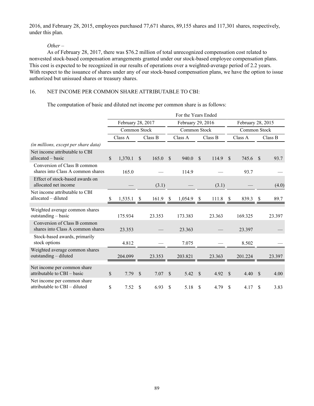2016, and February 28, 2015, employees purchased 77,671 shares, 89,155 shares and 117,301 shares, respectively, under this plan.

## *Other –*

As of February 28, 2017, there was \$76.2 million of total unrecognized compensation cost related to nonvested stock-based compensation arrangements granted under our stock-based employee compensation plans. This cost is expected to be recognized in our results of operations over a weighted-average period of 2.2 years. With respect to the issuance of shares under any of our stock-based compensation plans, we have the option to issue authorized but unissued shares or treasury shares.

# 16. NET INCOME PER COMMON SHARE ATTRIBUTABLE TO CBI:

The computation of basic and diluted net income per common share is as follows:

|                                                                   | For the Years Ended |                   |               |         |                   |              |               |         |                   |              |    |         |  |
|-------------------------------------------------------------------|---------------------|-------------------|---------------|---------|-------------------|--------------|---------------|---------|-------------------|--------------|----|---------|--|
|                                                                   |                     | February 28, 2017 |               |         | February 29, 2016 |              |               |         | February 28, 2015 |              |    |         |  |
|                                                                   |                     | Common Stock      |               |         |                   | Common Stock |               |         |                   | Common Stock |    |         |  |
|                                                                   |                     | Class A           |               | Class B |                   | Class A      |               | Class B | Class A           |              |    | Class B |  |
| (in millions, except per share data)                              |                     |                   |               |         |                   |              |               |         |                   |              |    |         |  |
| Net income attributable to CBI<br>allocated - basic               | $\mathbb{S}$        | 1,370.1           | <sup>\$</sup> | 165.0   | <sup>\$</sup>     | 940.0        | <sup>\$</sup> | 114.9   | $\mathcal{S}$     | 745.6 \$     |    | 93.7    |  |
| Conversion of Class B common<br>shares into Class A common shares |                     | 165.0             |               |         |                   | 114.9        |               |         |                   | 93.7         |    |         |  |
| Effect of stock-based awards on<br>allocated net income           |                     |                   |               | (3.1)   |                   |              |               | (3.1)   |                   |              |    | (4.0)   |  |
| Net income attributable to CBI<br>allocated - diluted             | S.                  | 1,535.1           | <sup>\$</sup> | 161.9   | <sup>\$</sup>     | 1,054.9      | S             | 111.8   | <sup>\$</sup>     | 839.3        | -S | 89.7    |  |
| Weighted average common shares<br>outstanding - basic             |                     | 175.934           |               | 23.353  |                   | 173.383      |               | 23.363  |                   | 169.325      |    | 23.397  |  |
| Conversion of Class B common<br>shares into Class A common shares |                     | 23.353            |               |         |                   | 23.363       |               |         |                   | 23.397       |    |         |  |
| Stock-based awards, primarily<br>stock options                    |                     | 4.812             |               |         |                   | 7.075        |               |         |                   | 8.502        |    |         |  |
| Weighted average common shares<br>outstanding - diluted           |                     | 204.099           |               | 23.353  |                   | 203.821      |               | 23.363  |                   | 201.224      |    | 23.397  |  |
| Net income per common share<br>attributable to CBI – basic        | $\mathcal{S}$       | $7.79$ \$         |               | 7.07    | <sup>\$</sup>     | 5.42         | <b>S</b>      | 4.92    | <b>S</b>          | 4.40 S       |    | 4.00    |  |
| Net income per common share<br>attributable to CBI - diluted      | \$                  | 7.52              | S             | 6.93    | S                 | 5.18         | <sup>\$</sup> | 4.79S   |                   | 4.17         | S  | 3.83    |  |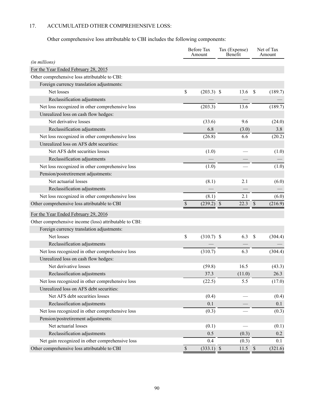# 17. ACCUMULATED OTHER COMPREHENSIVE LOSS:

Other comprehensive loss attributable to CBI includes the following components:

|                                                        |               | <b>Before Tax</b><br>Amount | Tax (Expense)<br>Benefit |               | Net of Tax<br>Amount |
|--------------------------------------------------------|---------------|-----------------------------|--------------------------|---------------|----------------------|
| (in millions)                                          |               |                             |                          |               |                      |
| For the Year Ended February 28, 2015                   |               |                             |                          |               |                      |
| Other comprehensive loss attributable to CBI:          |               |                             |                          |               |                      |
| Foreign currency translation adjustments:              |               |                             |                          |               |                      |
| Net losses                                             | \$            | $(203.3)$ \$                | 13.6                     | S             | (189.7)              |
| Reclassification adjustments                           |               |                             |                          |               |                      |
| Net loss recognized in other comprehensive loss        |               | (203.3)                     | 13.6                     |               | (189.7)              |
| Unrealized loss on cash flow hedges:                   |               |                             |                          |               |                      |
| Net derivative losses                                  |               | (33.6)                      | 9.6                      |               | (24.0)               |
| Reclassification adjustments                           |               | 6.8                         | (3.0)                    |               | 3.8                  |
| Net loss recognized in other comprehensive loss        |               | (26.8)                      | 6.6                      |               | (20.2)               |
| Unrealized loss on AFS debt securities:                |               |                             |                          |               |                      |
| Net AFS debt securities losses                         |               | (1.0)                       |                          |               | (1.0)                |
| Reclassification adjustments                           |               |                             |                          |               |                      |
| Net loss recognized in other comprehensive loss        |               | (1.0)                       |                          |               | (1.0)                |
| Pension/postretirement adjustments:                    |               |                             |                          |               |                      |
| Net actuarial losses                                   |               | (8.1)                       | 2.1                      |               | (6.0)                |
| Reclassification adjustments                           |               |                             |                          |               |                      |
| Net loss recognized in other comprehensive loss        |               | (8.1)                       | 2.1                      |               | (6.0)                |
| Other comprehensive loss attributable to CBI           | \$            | $(239.2)$ \$                | 22.3                     | $\mathcal{S}$ | (216.9)              |
| For the Year Ended February 29, 2016                   |               |                             |                          |               |                      |
| Other comprehensive income (loss) attributable to CBI: |               |                             |                          |               |                      |
| Foreign currency translation adjustments:              |               |                             |                          |               |                      |
| Net losses                                             | \$            | $(310.7)$ \$                | 6.3                      | $\mathbb{S}$  | (304.4)              |
| Reclassification adjustments                           |               |                             |                          |               |                      |
| Net loss recognized in other comprehensive loss        |               | (310.7)                     | 6.3                      |               | (304.4)              |
| Unrealized loss on cash flow hedges:                   |               |                             |                          |               |                      |
| Net derivative losses                                  |               | (59.8)                      | 16.5                     |               | (43.3)               |
| Reclassification adjustments                           |               | 37.3                        | (11.0)                   |               | 26.3                 |
| Net loss recognized in other comprehensive loss        |               | (22.5)                      | 5.5                      |               | (17.0)               |
| Unrealized loss on AFS debt securities:                |               |                             |                          |               |                      |
| Net AFS debt securities losses                         |               | (0.4)                       |                          |               | (0.4)                |
| Reclassification adjustments                           |               | 0.1                         |                          |               | 0.1                  |
| Net loss recognized in other comprehensive loss        |               | (0.3)                       |                          |               | (0.3)                |
| Pension/postretirement adjustments:                    |               |                             |                          |               |                      |
| Net actuarial losses                                   |               | (0.1)                       |                          |               | (0.1)                |
| Reclassification adjustments                           |               | 0.5                         | (0.3)                    |               | 0.2                  |
| Net gain recognized in other comprehensive loss        |               | 0.4                         | (0.3)                    |               | 0.1                  |
| Other comprehensive loss attributable to CBI           | $\mathcal{S}$ | $(333.1)$ \$                | $11.5$ \$                |               | (321.6)              |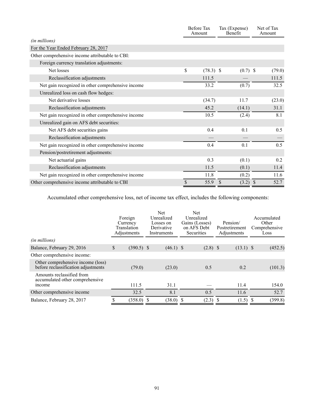|                                                   |               | <b>Before Tax</b><br>Amount | Tax (Expense)<br><b>Benefit</b> | Net of Tax<br>Amount |
|---------------------------------------------------|---------------|-----------------------------|---------------------------------|----------------------|
| (in millions)                                     |               |                             |                                 |                      |
| For the Year Ended February 28, 2017              |               |                             |                                 |                      |
| Other comprehensive income attributable to CBI:   |               |                             |                                 |                      |
| Foreign currency translation adjustments:         |               |                             |                                 |                      |
| Net losses                                        | S             | $(78.3)$ \$                 | $(0.7)$ \$                      | (79.0)               |
| Reclassification adjustments                      |               | 111.5                       |                                 | 111.5                |
| Net gain recognized in other comprehensive income |               | 33.2                        | (0.7)                           | 32.5                 |
| Unrealized loss on cash flow hedges:              |               |                             |                                 |                      |
| Net derivative losses                             |               | (34.7)                      | 11.7                            | (23.0)               |
| Reclassification adjustments                      |               | 45.2                        | (14.1)                          | 31.1                 |
| Net gain recognized in other comprehensive income |               | 10.5                        | (2.4)                           | 8.1                  |
| Unrealized gain on AFS debt securities:           |               |                             |                                 |                      |
| Net AFS debt securities gains                     |               | 0.4                         | 0.1                             | 0.5                  |
| Reclassification adjustments                      |               |                             |                                 |                      |
| Net gain recognized in other comprehensive income |               | 0.4                         | 0.1                             | 0.5                  |
| Pension/postretirement adjustments:               |               |                             |                                 |                      |
| Net actuarial gains                               |               | 0.3                         | (0.1)                           | 0.2                  |
| Reclassification adjustments                      |               | 11.5                        | (0.1)                           | 11.4                 |
| Net gain recognized in other comprehensive income |               | 11.8                        | (0.2)                           | 11.6                 |
| Other comprehensive income attributable to CBI    | <sup>\$</sup> | 55.9                        | $(3.2)$ \$<br><sup>\$</sup>     | 52.7                 |

Accumulated other comprehensive loss, net of income tax effect, includes the following components:

|                                                                              | Foreign<br>Currency<br>Translation<br>Adjustments |              | Net.<br>Unrealized<br>Losses on<br>Derivative<br>Instruments |             | <b>Net</b><br>Unrealized<br>Gains (Losses)<br>on AFS Debt<br>Securities |            | Pension/<br>Postretirement<br>Adjustments |   | Accumulated<br>Other<br>Comprehensive<br>Loss |  |
|------------------------------------------------------------------------------|---------------------------------------------------|--------------|--------------------------------------------------------------|-------------|-------------------------------------------------------------------------|------------|-------------------------------------------|---|-----------------------------------------------|--|
| (in millions)                                                                |                                                   |              |                                                              |             |                                                                         |            |                                           |   |                                               |  |
| Balance, February 29, 2016                                                   | \$                                                | $(390.5)$ \$ |                                                              | $(46.1)$ \$ |                                                                         | $(2.8)$ \$ | $(13.1)$ \$                               |   | (452.5)                                       |  |
| Other comprehensive income:                                                  |                                                   |              |                                                              |             |                                                                         |            |                                           |   |                                               |  |
| Other comprehensive income (loss)<br>before reclassification adjustments     |                                                   | (79.0)       |                                                              | (23.0)      |                                                                         | 0.5        | 0.2                                       |   | (101.3)                                       |  |
| Amounts reclassified from<br>accumulated other comprehensive<br><i>ncome</i> |                                                   | 111.5        |                                                              | 31.1        |                                                                         |            | 11.4                                      |   | 154.0                                         |  |
| Other comprehensive income                                                   |                                                   | 32.5         |                                                              | 8.1         |                                                                         | 0.5        | 11.6                                      |   | 52.7                                          |  |
| Balance, February 28, 2017                                                   | S                                                 | $(358.0)$ \$ |                                                              | $(38.0)$ \$ |                                                                         | (2.3)      | (1.5)<br>S                                | S | (399.8)                                       |  |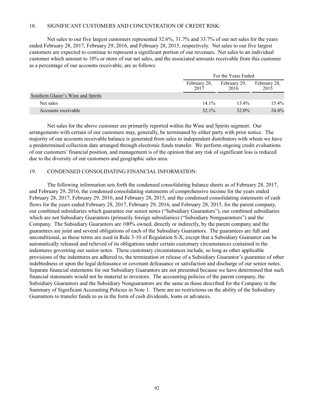## 18. SIGNIFICANT CUSTOMERS AND CONCENTRATION OF CREDIT RISK:

Net sales to our five largest customers represented 32.6%, 31.7% and 33.7% of our net sales for the years ended February 28, 2017, February 29, 2016, and February 28, 2015, respectively. Net sales to our five largest customers are expected to continue to represent a significant portion of our revenues. Net sales to an individual customer which amount to 10% or more of our net sales, and the associated amounts receivable from this customer as a percentage of our accounts receivable, are as follows:

|                                    |                      | For the Years Ended  |                      |
|------------------------------------|----------------------|----------------------|----------------------|
|                                    | February 28,<br>2017 | February 29,<br>2016 | February 28,<br>2015 |
| Southern Glazer's Wine and Spirits |                      |                      |                      |
| Net sales                          | $14.1\%$             | $13.4\%$             | 15.4%                |
| Accounts receivable                | $32.1\%$             | 32.0%                | 24.4%                |

Net sales for the above customer are primarily reported within the Wine and Spirits segment. Our arrangements with certain of our customers may, generally, be terminated by either party with prior notice. The majority of our accounts receivable balance is generated from sales to independent distributors with whom we have a predetermined collection date arranged through electronic funds transfer. We perform ongoing credit evaluations of our customers' financial position, and management is of the opinion that any risk of significant loss is reduced due to the diversity of our customers and geographic sales area.

## 19. CONDENSED CONSOLIDATING FINANCIAL INFORMATION:

The following information sets forth the condensed consolidating balance sheets as of February 28, 2017, and February 29, 2016, the condensed consolidating statements of comprehensive income for the years ended February 28, 2017, February 29, 2016, and February 28, 2015, and the condensed consolidating statements of cash flows for the years ended February 28, 2017, February 29, 2016, and February 28, 2015, for the parent company, our combined subsidiaries which guarantee our senior notes ("Subsidiary Guarantors"), our combined subsidiaries which are not Subsidiary Guarantors (primarily foreign subsidiaries) ("Subsidiary Nonguarantors") and the Company. The Subsidiary Guarantors are 100% owned, directly or indirectly, by the parent company and the guarantees are joint and several obligations of each of the Subsidiary Guarantors. The guarantees are full and unconditional, as those terms are used in Rule 3-10 of Regulation S-X, except that a Subsidiary Guarantor can be automatically released and relieved of its obligations under certain customary circumstances contained in the indentures governing our senior notes. These customary circumstances include, so long as other applicable provisions of the indentures are adhered to, the termination or release of a Subsidiary Guarantor's guarantee of other indebtedness or upon the legal defeasance or covenant defeasance or satisfaction and discharge of our senior notes. Separate financial statements for our Subsidiary Guarantors are not presented because we have determined that such financial statements would not be material to investors. The accounting policies of the parent company, the Subsidiary Guarantors and the Subsidiary Nonguarantors are the same as those described for the Company in the Summary of Significant Accounting Policies in Note 1. There are no restrictions on the ability of the Subsidiary Guarantors to transfer funds to us in the form of cash dividends, loans or advances.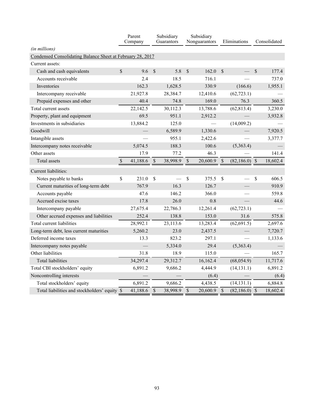|                                                            |               | Parent<br>Company |               | Subsidiary<br>Guarantors |               | Subsidiary<br>Nonguarantors |               | Eliminations    |              | Consolidated |
|------------------------------------------------------------|---------------|-------------------|---------------|--------------------------|---------------|-----------------------------|---------------|-----------------|--------------|--------------|
| (in millions)                                              |               |                   |               |                          |               |                             |               |                 |              |              |
| Condensed Consolidating Balance Sheet at February 28, 2017 |               |                   |               |                          |               |                             |               |                 |              |              |
| Current assets:                                            |               |                   |               |                          |               |                             |               |                 |              |              |
| Cash and cash equivalents                                  | $\mathbb{S}$  | 9.6               | <sup>\$</sup> | 5.8                      | $\mathcal{S}$ | 162.0                       | <sup>\$</sup> |                 | $\mathbb{S}$ | 177.4        |
| Accounts receivable                                        |               | 2.4               |               | 18.5                     |               | 716.1                       |               |                 |              | 737.0        |
| Inventories                                                |               | 162.3             |               | 1,628.5                  |               | 330.9                       |               | (166.6)         |              | 1,955.1      |
| Intercompany receivable                                    |               | 21,927.8          |               | 28,384.7                 |               | 12,410.6                    |               | (62, 723.1)     |              |              |
| Prepaid expenses and other                                 |               | 40.4              |               | 74.8                     |               | 169.0                       |               | 76.3            |              | 360.5        |
| Total current assets                                       |               | 22,142.5          |               | 30,112.3                 |               | 13,788.6                    |               | (62, 813.4)     |              | 3,230.0      |
| Property, plant and equipment                              |               | 69.5              |               | 951.1                    |               | 2,912.2                     |               |                 |              | 3,932.8      |
| Investments in subsidiaries                                |               | 13,884.2          |               | 125.0                    |               |                             |               | (14,009.2)      |              |              |
| Goodwill                                                   |               |                   |               | 6,589.9                  |               | 1,330.6                     |               |                 |              | 7,920.5      |
| Intangible assets                                          |               |                   |               | 955.1                    |               | 2,422.6                     |               |                 |              | 3,377.7      |
| Intercompany notes receivable                              |               | 5,074.5           |               | 188.3                    |               | 100.6                       |               | (5,363.4)       |              |              |
| Other assets                                               |               | 17.9              |               | 77.2                     |               | 46.3                        |               |                 |              | 141.4        |
| Total assets                                               | $\mathcal{S}$ | 41,188.6          | $\mathcal{S}$ | 38,998.9                 | $\mathbf S$   | 20,600.9                    | $\mathcal{S}$ | $(82,186.0)$ \$ |              | 18,602.4     |
| Current liabilities:                                       |               |                   |               |                          |               |                             |               |                 |              |              |
| Notes payable to banks                                     | \$            | 231.0             | \$            |                          | \$            | 375.5                       | \$            |                 | \$           | 606.5        |
| Current maturities of long-term debt                       |               | 767.9             |               | 16.3                     |               | 126.7                       |               |                 |              | 910.9        |
| Accounts payable                                           |               | 47.6              |               | 146.2                    |               | 366.0                       |               |                 |              | 559.8        |
| Accrued excise taxes                                       |               | 17.8              |               | 26.0                     |               | 0.8                         |               |                 |              | 44.6         |
| Intercompany payable                                       |               | 27,675.4          |               | 22,786.3                 |               | 12,261.4                    |               | (62, 723.1)     |              |              |
| Other accrued expenses and liabilities                     |               | 252.4             |               | 138.8                    |               | 153.0                       |               | 31.6            |              | 575.8        |
| Total current liabilities                                  |               | 28,992.1          |               | 23,113.6                 |               | 13,283.4                    |               | (62, 691.5)     |              | 2,697.6      |
| Long-term debt, less current maturities                    |               | 5,260.2           |               | 23.0                     |               | 2,437.5                     |               |                 |              | 7,720.7      |
| Deferred income taxes                                      |               | 13.3              |               | 823.2                    |               | 297.1                       |               |                 |              | 1,133.6      |
| Intercompany notes payable                                 |               |                   |               | 5,334.0                  |               | 29.4                        |               | (5,363.4)       |              |              |
| Other liabilities                                          |               | 31.8              |               | 18.9                     |               | 115.0                       |               |                 |              | 165.7        |
| <b>Total liabilities</b>                                   |               | 34,297.4          |               | 29,312.7                 |               | 16,162.4                    |               | (68, 054.9)     |              | 11,717.6     |
| Total CBI stockholders' equity                             |               | 6,891.2           |               | 9,686.2                  |               | 4,444.9                     |               | (14, 131.1)     |              | 6,891.2      |
| Noncontrolling interests                                   |               |                   |               |                          |               | (6.4)                       |               |                 |              | (6.4)        |
| Total stockholders' equity                                 |               | 6,891.2           |               | 9,686.2                  |               | 4,438.5                     |               | (14, 131.1)     |              | 6,884.8      |
| Total liabilities and stockholders' equity \$              |               | 41,188.6          | $\mathcal{S}$ | 38,998.9                 | $\mathcal{S}$ | 20,600.9                    | $\mathcal{S}$ | $(82,186.0)$ \$ |              | 18,602.4     |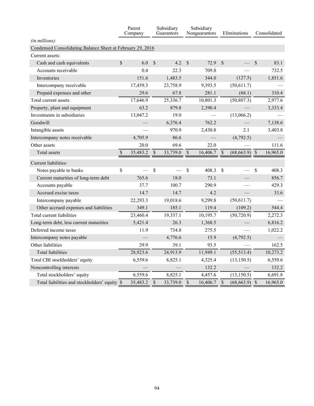|                                                            |               | Parent<br>Company |               | Subsidiary<br>Guarantors |               | Subsidiary<br>Nonguarantors |               | Eliminations     |              | Consolidated |
|------------------------------------------------------------|---------------|-------------------|---------------|--------------------------|---------------|-----------------------------|---------------|------------------|--------------|--------------|
| (in millions)                                              |               |                   |               |                          |               |                             |               |                  |              |              |
| Condensed Consolidating Balance Sheet at February 29, 2016 |               |                   |               |                          |               |                             |               |                  |              |              |
| Current assets:                                            |               |                   |               |                          |               |                             |               |                  |              |              |
| Cash and cash equivalents                                  | $\mathcal{S}$ | 6.0               | $\mathcal{S}$ | 4.2                      | $\mathbb{S}$  | 72.9                        | \$            |                  | $\mathbb{S}$ | 83.1         |
| Accounts receivable                                        |               | 0.4               |               | 22.3                     |               | 709.8                       |               |                  |              | 732.5        |
| Inventories                                                |               | 151.6             |               | 1,483.5                  |               | 344.0                       |               | (127.5)          |              | 1,851.6      |
| Intercompany receivable                                    |               | 17,459.3          |               | 23,758.9                 |               | 9,393.5                     |               | (50,611.7)       |              |              |
| Prepaid expenses and other                                 |               | 29.6              |               | 67.8                     |               | 281.1                       |               | (68.1)           |              | 310.4        |
| Total current assets                                       |               | 17,646.9          |               | 25,336.7                 |               | $10,801.\overline{3}$       |               | (50, 807.3)      |              | 2,977.6      |
| Property, plant and equipment                              |               | 63.2              |               | 879.8                    |               | 2,390.4                     |               |                  |              | 3,333.4      |
| Investments in subsidiaries                                |               | 13,047.2          |               | 19.0                     |               |                             |               | (13,066.2)       |              |              |
| Goodwill                                                   |               |                   |               | 6,376.4                  |               | 762.2                       |               |                  |              | 7,138.6      |
| Intangible assets                                          |               |                   |               | 970.9                    |               | 2,430.8                     |               | 2.1              |              | 3,403.8      |
| Intercompany notes receivable                              |               | 4,705.9           |               | 86.6                     |               |                             |               | (4,792.5)        |              |              |
| Other assets                                               |               | 20.0              |               | 69.6                     |               | 22.0                        |               |                  |              | 111.6        |
| Total assets                                               | $\mathcal{S}$ | 35,483.2          | $\mathcal{S}$ | 33,739.0                 | $\mathbf S$   | 16,406.7                    | $\mathcal{S}$ | $(68,663.9)$ \$  |              | 16,965.0     |
| Current liabilities:                                       |               |                   |               |                          |               |                             |               |                  |              |              |
| Notes payable to banks                                     | \$            |                   | $\mathsf{\$}$ |                          | \$            | 408.3                       | \$            |                  | \$           | 408.3        |
| Current maturities of long-term debt                       |               | 765.6             |               | 18.0                     |               | 73.1                        |               |                  |              | 856.7        |
| Accounts payable                                           |               | 37.7              |               | 100.7                    |               | 290.9                       |               |                  |              | 429.3        |
| Accrued excise taxes                                       |               | 14.7              |               | 14.7                     |               | 4.2                         |               |                  |              | 33.6         |
| Intercompany payable                                       |               | 22,293.3          |               | 19,018.6                 |               | 9,299.8                     |               | (50,611.7)       |              |              |
| Other accrued expenses and liabilities                     |               | 349.1             |               | 185.1                    |               | 119.4                       |               | (109.2)          |              | 544.4        |
| Total current liabilities                                  |               | 23,460.4          |               | 19,337.1                 |               | 10,195.7                    |               | (50, 720.9)      |              | 2,272.3      |
| Long-term debt, less current maturities                    |               | 5,421.4           |               | 26.3                     |               | 1,368.5                     |               |                  |              | 6,816.2      |
| Deferred income taxes                                      |               | 11.9              |               | 734.8                    |               | 275.5                       |               |                  |              | 1,022.2      |
| Intercompany notes payable                                 |               |                   |               | 4,776.6                  |               | 15.9                        |               | (4,792.5)        |              |              |
| Other liabilities                                          |               | 29.9              |               | 39.1                     |               | 93.5                        |               |                  |              | 162.5        |
| <b>Total liabilities</b>                                   |               | 28,923.6          |               | 24,913.9                 |               | 11,949.1                    |               | (55, 513.4)      |              | 10,273.2     |
| Total CBI stockholders' equity                             |               | 6,559.6           |               | 8,825.1                  |               | 4,325.4                     |               | (13, 150.5)      |              | 6,559.6      |
| Noncontrolling interests                                   |               |                   |               |                          |               | 132.2                       |               |                  |              | 132.2        |
| Total stockholders' equity                                 |               | 6,559.6           |               | 8,825.1                  |               | 4,457.6                     |               | (13, 150.5)      |              | 6,691.8      |
| Total liabilities and stockholders' equity \$              |               | 35,483.2          | $\mathcal{S}$ | 33,739.0                 | $\mathcal{S}$ | 16,406.7                    | $\mathcal{S}$ | $(68, 663.9)$ \$ |              | 16,965.0     |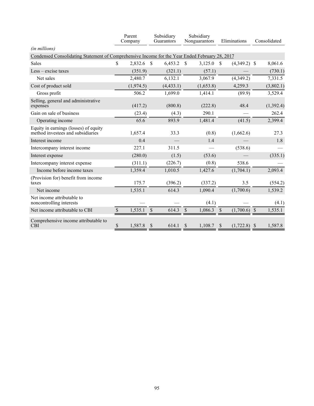|                                                                                                |               | Parent<br>Company |               |            | Subsidiary<br>Subsidiary<br>Guarantors<br>Nonguarantors |           | Eliminations                    | Consolidated |
|------------------------------------------------------------------------------------------------|---------------|-------------------|---------------|------------|---------------------------------------------------------|-----------|---------------------------------|--------------|
| (in millions)                                                                                  |               |                   |               |            |                                                         |           |                                 |              |
| Condensed Consolidating Statement of Comprehensive Income for the Year Ended February 28, 2017 |               |                   |               |            |                                                         |           |                                 |              |
| Sales                                                                                          | \$            | 2,832.6           | <sup>\$</sup> | 6,453.2    | <sup>\$</sup>                                           | 3,125.0   | <sup>\$</sup><br>$(4,349.2)$ \$ | 8,061.6      |
| $Less - excise taxes$                                                                          |               | (351.9)           |               | (321.1)    |                                                         | (57.1)    |                                 | (730.1)      |
| Net sales                                                                                      |               | 2,480.7           |               | 6,132.1    |                                                         | 3,067.9   | (4,349.2)                       | 7,331.5      |
| Cost of product sold                                                                           |               | (1,974.5)         |               | (4, 433.1) |                                                         | (1,653.8) | 4,259.3                         | (3,802.1)    |
| Gross profit                                                                                   |               | 506.2             |               | 1,699.0    |                                                         | 1,414.1   | (89.9)                          | 3,529.4      |
| Selling, general and administrative<br>expenses                                                |               | (417.2)           |               | (800.8)    |                                                         | (222.8)   | 48.4                            | (1,392.4)    |
| Gain on sale of business                                                                       |               | (23.4)            |               | (4.3)      |                                                         | 290.1     |                                 | 262.4        |
| Operating income                                                                               |               | 65.6              |               | 893.9      |                                                         | 1,481.4   | (41.5)                          | 2,399.4      |
| Equity in earnings (losses) of equity<br>method investees and subsidiaries                     |               | 1,657.4           |               | 33.3       |                                                         | (0.8)     | (1,662.6)                       | 27.3         |
| Interest income                                                                                |               | 0.4               |               |            |                                                         | 1.4       |                                 | 1.8          |
| Intercompany interest income                                                                   |               | 227.1             |               | 311.5      |                                                         |           | (538.6)                         |              |
| Interest expense                                                                               |               | (280.0)           |               | (1.5)      |                                                         | (53.6)    |                                 | (335.1)      |
| Intercompany interest expense                                                                  |               | (311.1)           |               | (226.7)    |                                                         | (0.8)     | 538.6                           |              |
| Income before income taxes                                                                     |               | 1,359.4           |               | 1,010.5    |                                                         | 1,427.6   | (1,704.1)                       | 2,093.4      |
| (Provision for) benefit from income<br>taxes                                                   |               | 175.7             |               | (396.2)    |                                                         | (337.2)   | 3.5                             | (554.2)      |
| Net income                                                                                     |               | 1,535.1           |               | 614.3      |                                                         | 1,090.4   | (1,700.6)                       | 1,539.2      |
| Net income attributable to<br>noncontrolling interests                                         |               |                   |               |            |                                                         | (4.1)     |                                 | (4.1)        |
| Net income attributable to CBI                                                                 | $\mathcal{S}$ | 1,535.1           | $\mathcal{S}$ | 614.3      | $\mathcal{S}$                                           | 1,086.3   | $\mathcal{S}$<br>$(1,700.6)$ \$ | 1,535.1      |
| Comprehensive income attributable to<br><b>CBI</b>                                             | \$            | 1,587.8           | S             | 614.1      | <sup>\$</sup>                                           | 1,108.7   | $\mathcal{S}$<br>$(1,722.8)$ \$ | 1,587.8      |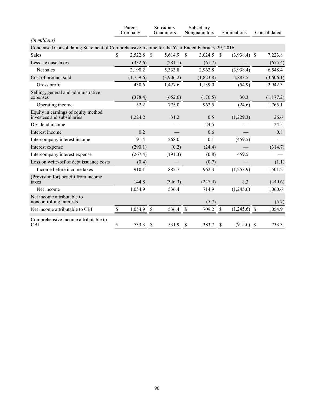|                                                                                                | Parent<br>Company | Subsidiary<br>Guarantors | Subsidiary<br>Nonguarantors | Eliminations                         | Consolidated |
|------------------------------------------------------------------------------------------------|-------------------|--------------------------|-----------------------------|--------------------------------------|--------------|
| (in millions)                                                                                  |                   |                          |                             |                                      |              |
| Condensed Consolidating Statement of Comprehensive Income for the Year Ended February 29, 2016 |                   |                          |                             |                                      |              |
| Sales                                                                                          | \$<br>2,522.8     | \$<br>5,614.9            | $\mathcal{S}$<br>3,024.5    | $(3,938.4)$ \$<br>-S                 | 7,223.8      |
| $Less - excise taxes$                                                                          | (332.6)           | (281.1)                  | (61.7)                      |                                      | (675.4)      |
| Net sales                                                                                      | 2,190.2           | 5,333.8                  | 2,962.8                     | (3,938.4)                            | 6,548.4      |
| Cost of product sold                                                                           | (1,759.6)         | (3,906.2)                | (1,823.8)                   | 3,883.5                              | (3,606.1)    |
| Gross profit                                                                                   | 430.6             | 1,427.6                  | 1,139.0                     | (54.9)                               | 2,942.3      |
| Selling, general and administrative<br>expenses                                                | (378.4)           | (652.6)                  | (176.5)                     | 30.3                                 | (1, 177.2)   |
| Operating income                                                                               | 52.2              | 775.0                    | 962.5                       | (24.6)                               | 1,765.1      |
| Equity in earnings of equity method<br>investees and subsidiaries                              | 1,224.2           | 31.2                     | 0.5                         | (1,229.3)                            | 26.6         |
| Dividend income                                                                                |                   |                          | 24.5                        |                                      | 24.5         |
| Interest income                                                                                | 0.2               |                          | 0.6                         |                                      | 0.8          |
| Intercompany interest income                                                                   | 191.4             | 268.0                    | 0.1                         | (459.5)                              |              |
| Interest expense                                                                               | (290.1)           | (0.2)                    | (24.4)                      |                                      | (314.7)      |
| Intercompany interest expense                                                                  | (267.4)           | (191.3)                  | (0.8)                       | 459.5                                |              |
| Loss on write-off of debt issuance costs                                                       | (0.4)             |                          | (0.7)                       |                                      | (1.1)        |
| Income before income taxes                                                                     | 910.1             | 882.7                    | 962.3                       | (1,253.9)                            | 1,501.2      |
| (Provision for) benefit from income<br>taxes                                                   | 144.8             | (346.3)                  | (247.4)                     | 8.3                                  | (440.6)      |
| Net income                                                                                     | 1,054.9           | 536.4                    | 714.9                       | (1,245.6)                            | 1,060.6      |
| Net income attributable to<br>noncontrolling interests                                         |                   |                          | (5.7)                       |                                      | (5.7)        |
| Net income attributable to CBI                                                                 | \$<br>1,054.9     | 536.4<br>$\mathcal{S}$   | 709.2<br>\$                 | $\mathbf{\hat{s}}$<br>$(1,245.6)$ \$ | 1,054.9      |
| Comprehensive income attributable to<br><b>CBI</b>                                             | \$<br>733.3       | $\mathcal{S}$<br>531.9   | <sup>\$</sup><br>383.7      | <sup>\$</sup><br>$(915.6)$ \$        | 733.3        |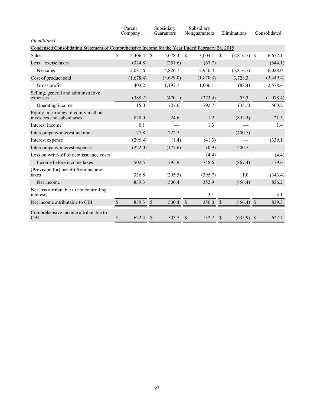|                                                                                                |              | Parent<br>Company | Subsidiary<br>Guarantors | Subsidiary<br>Nonguarantors | Eliminations                    | Consolidated |  |
|------------------------------------------------------------------------------------------------|--------------|-------------------|--------------------------|-----------------------------|---------------------------------|--------------|--|
| (in millions)                                                                                  |              |                   |                          |                             |                                 |              |  |
| Condensed Consolidating Statement of Comprehensive Income for the Year Ended February 28, 2015 |              |                   |                          |                             |                                 |              |  |
| Sales                                                                                          | S            | 2,406.4           | <sup>\$</sup><br>5,078.3 | <sup>S</sup><br>3,004.1     | <sup>\$</sup><br>$(3,816.7)$ \$ | 6,672.1      |  |
| $Less - excise taxes$                                                                          |              | (324.8)           | (251.6)                  | (67.7)                      |                                 | (644.1)      |  |
| Net sales                                                                                      |              | 2,081.6           | 4,826.7                  | 2,936.4                     | (3,816.7)                       | 6,028.0      |  |
| Cost of product sold                                                                           |              | (1,678.4)         | (3,629.0)                | (1,870.3)                   | 3,728.3                         | (3,449.4)    |  |
| Gross profit                                                                                   |              | 403.2             | 1,197.7                  | 1,066.1                     | (88.4)                          | 2,578.6      |  |
| Selling, general and administrative<br>expenses                                                |              | (388.2)           | (470.1)                  | (273.4)                     | 53.3                            | (1,078.4)    |  |
| Operating income                                                                               |              | 15.0              | 727.6                    | 792.7                       | (35.1)                          | 1,500.2      |  |
| Equity in earnings of equity method<br>investees and subsidiaries                              |              | 828.0             | 24.6                     | 1.2                         | (832.3)                         | 21.5         |  |
| Interest income                                                                                |              | 0.1               |                          | 1.3                         |                                 | 1.4          |  |
| Intercompany interest income                                                                   |              | 177.8             | 222.7                    |                             | (400.5)                         |              |  |
| Interest expense                                                                               |              | (296.4)           | (1.4)                    | (41.3)                      |                                 | (339.1)      |  |
| Intercompany interest expense                                                                  |              | (222.0)           | (177.6)                  | (0.9)                       | 400.5                           |              |  |
| Loss on write-off of debt issuance costs                                                       |              |                   |                          | (4.4)                       |                                 | (4.4)        |  |
| Income before income taxes                                                                     |              | 502.5             | 795.9                    | 748.6                       | (867.4)                         | 1,179.6      |  |
| (Provision for) benefit from income<br>taxes                                                   |              | 336.8             | (295.5)                  | (395.7)                     | 11.0                            | (343.4)      |  |
| Net income                                                                                     |              | 839.3             | 500.4                    | 352.9                       | (856.4)                         | 836.2        |  |
| Net loss attributable to noncontrolling<br>interests                                           |              |                   |                          | 3.1                         |                                 | 3.1          |  |
| Net income attributable to CBI                                                                 | $\mathbb{S}$ | 839.3             | $\mathcal{S}$<br>500.4   | $\mathcal{S}$<br>356.0      | $\mathcal{S}$<br>$(856.4)$ \$   | 839.3        |  |
| Comprehensive income attributable to<br><b>CBI</b>                                             | $\$$         | 622.4             | 503.7<br><sup>\$</sup>   | 132.2<br><sup>S</sup>       | <sup>\$</sup><br>$(635.9)$ \$   | 622.4        |  |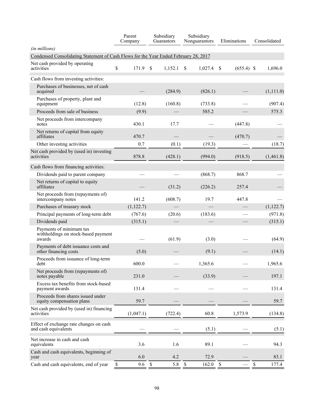|                                                                                      | Parent<br>Company     | Subsidiary<br>Guarantors | Subsidiary<br>Nonguarantors | Eliminations                 | Consolidated         |  |
|--------------------------------------------------------------------------------------|-----------------------|--------------------------|-----------------------------|------------------------------|----------------------|--|
| (in millions)                                                                        |                       |                          |                             |                              |                      |  |
| Condensed Consolidating Statement of Cash Flows for the Year Ended February 28, 2017 |                       |                          |                             |                              |                      |  |
| Net cash provided by operating<br>activities                                         | $\mathbb{S}$<br>171.9 | -S<br>1,152.1            | $\mathbb{S}$<br>1,027.4     | $\mathbb{S}$<br>$(655.4)$ \$ | 1,696.0              |  |
| Cash flows from investing activities:                                                |                       |                          |                             |                              |                      |  |
| Purchases of businesses, net of cash<br>acquired                                     |                       | (284.9)                  | (826.1)                     |                              | (1,111.0)            |  |
| Purchases of property, plant and<br>equipment                                        | (12.8)                | (160.8)                  | (733.8)                     |                              | (907.4)              |  |
| Proceeds from sale of business                                                       | (9.9)                 |                          | 585.2                       |                              | 575.3                |  |
| Net proceeds from intercompany<br>notes                                              | 430.1                 | 17.7                     |                             | (447.8)                      |                      |  |
| Net returns of capital from equity<br>affiliates                                     | 470.7                 |                          |                             | (470.7)                      |                      |  |
| Other investing activities                                                           | 0.7                   | (0.1)                    | (19.3)                      |                              | (18.7)               |  |
| Net cash provided by (used in) investing<br>activities                               | 878.8                 | (428.1)                  | (994.0)                     | (918.5)                      | (1,461.8)            |  |
| Cash flows from financing activities:                                                |                       |                          |                             |                              |                      |  |
| Dividends paid to parent company                                                     |                       |                          | (868.7)                     | 868.7                        |                      |  |
| Net returns of capital to equity<br>affiliates                                       |                       | (31.2)                   | (226.2)                     | 257.4                        |                      |  |
| Net proceeds from (repayments of)<br>intercompany notes                              | 141.2                 | (608.7)                  | 19.7                        | 447.8                        |                      |  |
| Purchases of treasury stock                                                          | (1, 122.7)            |                          |                             |                              | (1, 122.7)           |  |
| Principal payments of long-term debt                                                 | (767.6)               | (20.6)                   | (183.6)                     |                              | (971.8)              |  |
| Dividends paid                                                                       | (315.1)               |                          |                             |                              | (315.1)              |  |
| Payments of minimum tax<br>withholdings on stock-based payment<br>awards             |                       | (61.9)                   | (3.0)                       |                              | (64.9)               |  |
| Payments of debt issuance costs and<br>other financing costs                         | (5.0)                 |                          | (9.1)                       |                              | (14.1)               |  |
| Proceeds from issuance of long-term<br>debt                                          | 600.0                 |                          | 1,365.6                     |                              | 1,965.6              |  |
| Net proceeds from (repayments of)<br>notes payable                                   | 231.0                 |                          | (33.9)                      |                              | 197.1                |  |
| Excess tax benefits from stock-based<br>payment awards                               | 131.4                 |                          |                             |                              | 131.4                |  |
| Proceeds from shares issued under<br>equity compensation plans                       | 59.7                  |                          |                             |                              | 59.7                 |  |
| Net cash provided by (used in) financing<br>activities                               | (1,047.1)             | (722.4)                  | 60.8                        | 1,573.9                      | (134.8)              |  |
| Effect of exchange rate changes on cash<br>and cash equivalents                      |                       |                          | (5.1)                       |                              | (5.1)                |  |
| Net increase in cash and cash<br>equivalents                                         | 3.6                   | 1.6                      | 89.1                        |                              | 94.3                 |  |
| Cash and cash equivalents, beginning of<br>year                                      | 6.0                   | 4.2                      | 72.9                        |                              | 83.1                 |  |
| Cash and cash equivalents, end of year                                               | 9.6<br>\$             | 5.8<br>$\mathcal{S}$     | $\mathcal{S}$<br>162.0      | $\mathbb{S}$                 | $\mathbb S$<br>177.4 |  |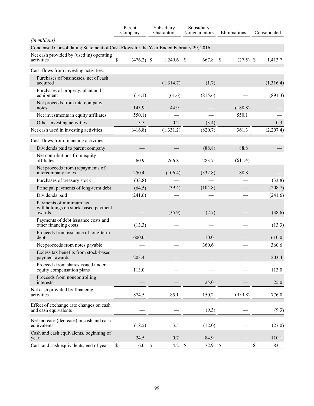|                                                                                      | Parent<br>Company   | Subsidiary<br>Guarantors | Subsidiary<br>Nonguarantors | Eliminations                | Consolidated        |  |
|--------------------------------------------------------------------------------------|---------------------|--------------------------|-----------------------------|-----------------------------|---------------------|--|
| (in millions)                                                                        |                     |                          |                             |                             |                     |  |
| Condensed Consolidating Statement of Cash Flows for the Year Ended February 29, 2016 |                     |                          |                             |                             |                     |  |
| Net cash provided by (used in) operating<br>activities                               | $(476.2)$ \$<br>\$. | 1,249.6                  | $\mathbb{S}$<br>667.8       | $\mathbb{S}$<br>$(27.5)$ \$ | 1,413.7             |  |
| Cash flows from investing activities:                                                |                     |                          |                             |                             |                     |  |
| Purchases of businesses, net of cash<br>acquired                                     |                     | (1,314.7)                | (1.7)                       |                             | (1,316.4)           |  |
| Purchases of property, plant and<br>equipment                                        | (14.1)              | (61.6)                   | (815.6)                     |                             | (891.3)             |  |
| Net proceeds from intercompany<br>notes                                              | 143.9               | 44.9                     |                             | (188.8)                     |                     |  |
| Net investments in equity affiliates                                                 | (550.1)             |                          |                             | 550.1                       |                     |  |
| Other investing activities                                                           | 3.5                 | 0.2                      | (3.4)                       |                             | 0.3                 |  |
| Net cash used in investing activities                                                | (416.8)             | (1,331.2)                | (820.7)                     | 361.3                       | (2,207.4)           |  |
| Cash flows from financing activities:                                                |                     |                          |                             |                             |                     |  |
| Dividends paid to parent company                                                     |                     |                          | (88.8)                      | 88.8                        |                     |  |
| Net contributions from equity<br>affiliates                                          | 60.9                | 266.8                    | 283.7                       | (611.4)                     |                     |  |
| Net proceeds from (repayments of)<br>intercompany notes                              | 250.4               | (106.4)                  | (332.8)                     | 188.8                       |                     |  |
| Purchases of treasury stock                                                          | (33.8)              |                          |                             |                             | (33.8)              |  |
| Principal payments of long-term debt                                                 | (64.5)              | (39.4)                   | (104.8)                     |                             | (208.7)             |  |
| Dividends paid                                                                       | (241.6)             |                          |                             |                             | (241.6)             |  |
| Payments of minimum tax<br>withholdings on stock-based payment<br>awards             |                     | (35.9)                   | (2.7)                       |                             | (38.6)              |  |
| Payments of debt issuance costs and<br>other financing costs                         | (13.3)              |                          |                             |                             | (13.3)              |  |
| Proceeds from issuance of long-term<br>debt                                          | 600.0               |                          | 10.0                        |                             | 610.0               |  |
| Net proceeds from notes payable                                                      |                     |                          | 360.6                       |                             | 360.6               |  |
| Excess tax benefits from stock-based<br>payment awards                               | 203.4               |                          |                             |                             | 203.4               |  |
| Proceeds from shares issued under<br>equity compensation plans                       | 113.0               |                          |                             |                             | 113.0               |  |
| Proceeds from noncontrolling<br>interests                                            |                     |                          | 25.0                        |                             | 25.0                |  |
| Net cash provided by financing<br>activities                                         | 874.5               | 85.1                     | 150.2                       | (333.8)                     | 776.0               |  |
| Effect of exchange rate changes on cash<br>and cash equivalents                      |                     |                          | (9.3)                       |                             | (9.3)               |  |
| Net increase (decrease) in cash and cash<br>equivalents                              | (18.5)              | 3.5                      | (12.0)                      |                             | (27.0)              |  |
| Cash and cash equivalents, beginning of<br>year                                      | 24.5                | 0.7                      | 84.9                        |                             | 110.1               |  |
| Cash and cash equivalents, end of year                                               | $\mathbb S$<br>6.0  | $\mathbb S$<br>4.2       | $\mathbb S$<br>72.9         | $\mathbb{S}$                | $\mathbb S$<br>83.1 |  |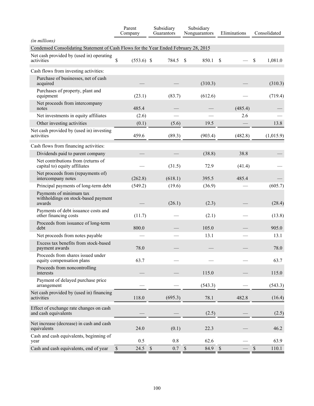|                                                                                      | Parent<br>Company    | Subsidiary<br>Guarantors | Subsidiary<br>Nonguarantors | Eliminations  | Consolidated          |  |
|--------------------------------------------------------------------------------------|----------------------|--------------------------|-----------------------------|---------------|-----------------------|--|
| (in millions)                                                                        |                      |                          |                             |               |                       |  |
| Condensed Consolidating Statement of Cash Flows for the Year Ended February 28, 2015 |                      |                          |                             |               |                       |  |
| Net cash provided by (used in) operating<br>activities                               | \$<br>$(553.6)$ \$   | 784.5                    | $\mathbb{S}$<br>850.1       | $\mathcal{S}$ | \$<br>1,081.0         |  |
| Cash flows from investing activities:                                                |                      |                          |                             |               |                       |  |
| Purchase of businesses, net of cash<br>acquired                                      |                      |                          | (310.3)                     |               | (310.3)               |  |
| Purchases of property, plant and<br>equipment                                        | (23.1)               | (83.7)                   | (612.6)                     |               | (719.4)               |  |
| Net proceeds from intercompany<br>notes                                              | 485.4                |                          |                             | (485.4)       |                       |  |
| Net investments in equity affiliates                                                 | (2.6)                |                          |                             | 2.6           |                       |  |
| Other investing activities                                                           | (0.1)                | (5.6)                    | 19.5                        |               | 13.8                  |  |
| Net cash provided by (used in) investing<br>activities                               | 459.6                | (89.3)                   | (903.4)                     | (482.8)       | (1,015.9)             |  |
| Cash flows from financing activities:                                                |                      |                          |                             |               |                       |  |
| Dividends paid to parent company                                                     |                      |                          | (38.8)                      | 38.8          |                       |  |
| Net contributions from (returns of<br>capital to) equity affiliates                  |                      | (31.5)                   | 72.9                        | (41.4)        |                       |  |
| Net proceeds from (repayments of)<br>intercompany notes                              | (262.8)              | (618.1)                  | 395.5                       | 485.4         |                       |  |
| Principal payments of long-term debt                                                 | (549.2)              | (19.6)                   | (36.9)                      |               | (605.7)               |  |
| Payments of minimum tax<br>withholdings on stock-based payment<br>awards             |                      | (26.1)                   | (2.3)                       |               | (28.4)                |  |
| Payments of debt issuance costs and<br>other financing costs                         | (11.7)               |                          | (2.1)                       |               | (13.8)                |  |
| Proceeds from issuance of long-term<br>debt                                          | 800.0                |                          | 105.0                       |               | 905.0                 |  |
| Net proceeds from notes payable                                                      |                      |                          | 13.1                        |               | 13.1                  |  |
| Excess tax benefits from stock-based<br>payment awards                               | 78.0                 |                          |                             |               | 78.0                  |  |
| Proceeds from shares issued under<br>equity compensation plans                       | 63.7                 |                          |                             |               | 63.7                  |  |
| Proceeds from noncontrolling<br>interests                                            |                      |                          | 115.0                       |               | 115.0                 |  |
| Payment of delayed purchase price<br>arrangement                                     |                      |                          | (543.3)                     |               | (543.3)               |  |
| Net cash provided by (used in) financing<br>activities                               | 118.0                | (695.3)                  | 78.1                        | 482.8         | (16.4)                |  |
| Effect of exchange rate changes on cash<br>and cash equivalents                      |                      |                          | (2.5)                       |               | (2.5)                 |  |
| Net increase (decrease) in cash and cash<br>equivalents                              | 24.0                 | (0.1)                    | 22.3                        |               | 46.2                  |  |
| Cash and cash equivalents, beginning of<br>year                                      | 0.5                  | $0.8\,$                  | 62.6                        |               | 63.9                  |  |
| Cash and cash equivalents, end of year                                               | $\mathbb{S}$<br>24.5 | $\mathcal{S}$<br>0.7     | $\mathbb{S}$<br>84.9        | $\mathcal{S}$ | $\mathbb{S}$<br>110.1 |  |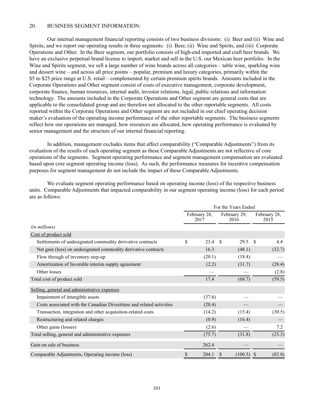## 20. BUSINESS SEGMENT INFORMATION:

Our internal management financial reporting consists of two business divisions: (i) Beer and (ii) Wine and Spirits, and we report our operating results in three segments: (i)Beer, (ii)Wine and Spirits, and (iii)Corporate Operations and Other. In the Beer segment, our portfolio consists of high-end imported and craft beer brands. We have an exclusive perpetual brand license to import, market and sell in the U.S. our Mexican beer portfolio. In the Wine and Spirits segment, we sell a large number of wine brands across all categories – table wine, sparkling wine and dessert wine – and across all price points – popular, premium and luxury categories, primarily within the \$5 to \$25 price range at U.S. retail – complemented by certain premium spirits brands. Amounts included in the Corporate Operations and Other segment consist of costs of executive management, corporate development, corporate finance, human resources, internal audit, investor relations, legal, public relations and information technology. The amounts included in the Corporate Operations and Other segment are general costs that are applicable to the consolidated group and are therefore not allocated to the other reportable segments. All costs reported within the Corporate Operations and Other segment are not included in our chief operating decision maker's evaluation of the operating income performance of the other reportable segments. The business segments reflect how our operations are managed, how resources are allocated, how operating performance is evaluated by senior management and the structure of our internal financial reporting.

In addition, management excludes items that affect comparability ("Comparable Adjustments") from its evaluation of the results of each operating segment as these Comparable Adjustments are not reflective of core operations of the segments. Segment operating performance and segment management compensation are evaluated based upon core segment operating income (loss). As such, the performance measures for incentive compensation purposes for segment management do not include the impact of these Comparable Adjustments.

We evaluate segment operating performance based on operating income (loss) of the respective business units. Comparable Adjustments that impacted comparability in our segment operating income (loss) for each period are as follows:

|                                                                       |                      |                      | For the Years Ended |   |                      |
|-----------------------------------------------------------------------|----------------------|----------------------|---------------------|---|----------------------|
|                                                                       | February 28,<br>2017 | February 29,<br>2016 |                     |   | February 28,<br>2015 |
| (in millions)                                                         |                      |                      |                     |   |                      |
| Cost of product sold                                                  |                      |                      |                     |   |                      |
| Settlements of undesignated commodity derivative contracts            | \$<br>23.4           | <sup>\$</sup>        | 29.5                | S | 4.4                  |
| Net gain (loss) on undesignated commodity derivative contracts        | 16.3                 |                      | (48.1)              |   | (32.7)               |
| Flow through of inventory step-up                                     | (20.1)               |                      | (18.4)              |   |                      |
| Amortization of favorable interim supply agreement                    | (2.2)                |                      | (31.7)              |   | (28.4)               |
| Other losses                                                          |                      |                      |                     |   | (2.8)                |
| Total cost of product sold                                            | 17.4                 |                      | (68.7)              |   | (59.5)               |
| Selling, general and administrative expenses                          |                      |                      |                     |   |                      |
| Impairment of intangible assets                                       | (37.6)               |                      |                     |   |                      |
| Costs associated with the Canadian Divestiture and related activities | (20.4)               |                      |                     |   |                      |
| Transaction, integration and other acquisition-related costs          | (14.2)               |                      | (15.4)              |   | (30.5)               |
| Restructuring and related charges                                     | (0.9)                |                      | (16.4)              |   |                      |
| Other gains (losses)                                                  | (2.6)                |                      |                     |   | 7.2                  |
| Total selling, general and administrative expenses                    | (75.7)               |                      | (31.8)              |   | (23.3)               |
| Gain on sale of business                                              | 262.4                |                      |                     |   |                      |
| Comparable Adjustments, Operating income (loss)                       | \$<br>204.1          | <sup>\$</sup>        | $(100.5)$ \$        |   | (82.8)               |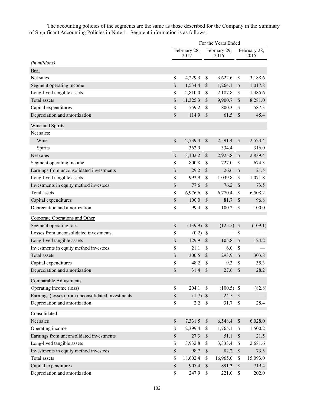The accounting policies of the segments are the same as those described for the Company in the Summary of Significant Accounting Policies in Note 1. Segment information is as follows:

|                                                   |                      |            | For the Years Ended       |              |                                                                       |          |
|---------------------------------------------------|----------------------|------------|---------------------------|--------------|-----------------------------------------------------------------------|----------|
|                                                   | February 28,<br>2017 |            | February 29,<br>2016      |              | February 28,<br>2015                                                  |          |
| (in millions)                                     |                      |            |                           |              |                                                                       |          |
| Beer                                              |                      |            |                           |              |                                                                       |          |
| Net sales                                         | \$                   | 4,229.3    | \$                        | 3,622.6      | $\mathbb{S}$                                                          | 3,188.6  |
| Segment operating income                          | \$                   | 1,534.4    | $\$$                      | 1,264.1      | $\mathcal{S}$                                                         | 1,017.8  |
| Long-lived tangible assets                        | \$                   | 2,810.0    | \$                        | 2,187.8      | \$                                                                    | 1,485.6  |
| <b>Total</b> assets                               | \$                   | 11,325.3   | \$                        | 9,900.7      | $\mathcal{S}$                                                         | 8,281.0  |
| Capital expenditures                              | \$                   | 759.2      | \$                        | 800.3        | \$                                                                    | 587.3    |
| Depreciation and amortization                     | \$                   | 114.9      | \$                        | 61.5         | \$                                                                    | 45.4     |
| Wine and Spirits                                  |                      |            |                           |              |                                                                       |          |
| Net sales:                                        |                      |            |                           |              |                                                                       |          |
| Wine                                              | $\mathcal{S}$        | 2,739.3    | $\mathcal{S}$             | 2,591.4      | $\mathcal{S}$                                                         | 2,523.4  |
| Spirits                                           |                      | 362.9      |                           | 334.4        |                                                                       | 316.0    |
| Net sales                                         | $\mathcal{S}$        | 3,102.2    | $\mathbb{S}$              | 2,925.8      | $\mathcal{S}$                                                         | 2,839.4  |
| Segment operating income                          | \$                   | 800.8      | \$                        | 727.0        | \$                                                                    | 674.3    |
| Earnings from unconsolidated investments          | \$                   | 29.2       | \$                        | 26.6         | \$                                                                    | 21.5     |
| Long-lived tangible assets                        | \$                   | 992.9      | \$                        | 1,039.8      | \$                                                                    | 1,071.8  |
| Investments in equity method investees            | \$                   | 77.6       | $\mathcal{S}$             | 76.2         | $\mathcal{S}$                                                         | 73.5     |
| Total assets                                      | \$                   | 6,976.6    | \$                        | 6,770.4      | \$                                                                    | 6,508.2  |
| Capital expenditures                              | \$                   | 100.0      | <sup>\$</sup>             | 81.7         | <sup>\$</sup>                                                         | 96.8     |
| Depreciation and amortization                     | \$                   | 99.4       | \$                        | 100.2        | \$                                                                    | 100.0    |
| Corporate Operations and Other                    |                      |            |                           |              |                                                                       |          |
| Segment operating loss                            | $\mathbb{S}$         | (139.9)    | - \$                      | (125.5)      | $\mathcal{S}$                                                         | (109.1)  |
| Losses from unconsolidated investments            | \$                   | (0.2)      | $\boldsymbol{\mathsf{S}}$ |              | \$                                                                    |          |
| Long-lived tangible assets                        | \$                   | 129.9      | $\mathcal{S}$             | 105.8        | $\mathbb{S}$                                                          | 124.2    |
| Investments in equity method investees            | \$                   | 21.1       | \$                        | 6.0          | \$                                                                    |          |
| <b>Total</b> assets                               | \$                   | 300.5      | \$                        | 293.9        | $\mathcal{S}$                                                         | 303.8    |
| Capital expenditures                              | \$                   | 48.2       | \$                        | 9.3          | \$                                                                    | 35.3     |
| Depreciation and amortization                     | \$                   | 31.4       | $\mathbb{S}$              | 27.6         | $\mathbb{S}$                                                          | 28.2     |
| Comparable Adjustments                            |                      |            |                           |              |                                                                       |          |
| Operating income (loss)                           | \$                   | 204.1      | $\mathbb S$               | $(100.5)$ \$ |                                                                       | (82.8)   |
| Earnings (losses) from unconsolidated investments | \$                   | $(1.7)$ \$ |                           | 24.5         | $\mathbb{S}$                                                          |          |
| Depreciation and amortization                     | $\mathbb{S}$         | 2.2        | \$                        | 31.7         | $\mathbb S$                                                           | 28.4     |
| Consolidated                                      |                      |            |                           |              |                                                                       |          |
| Net sales                                         | $\mathbb{S}$         | 7,331.5    | \$                        | 6,548.4      | $\$$                                                                  | 6,028.0  |
| Operating income                                  | \$                   | 2,399.4    | \$                        | 1,765.1      | $\mathbb{S}$                                                          | 1,500.2  |
| Earnings from unconsolidated investments          | \$                   | 27.3       | $\mathbb{S}$              | 51.1         | $\mathbb{S}$                                                          | 21.5     |
| Long-lived tangible assets                        | \$                   | 3,932.8    | \$                        | 3,333.4      | $\mathbb{S}% _{t}\left( t\right) \equiv\mathbb{S}_{t}\left( t\right)$ | 2,681.6  |
| Investments in equity method investees            | \$                   | 98.7       | $\$$                      | 82.2         | $\mathbb{S}$                                                          | 73.5     |
| Total assets                                      | \$                   | 18,602.4   | \$                        | 16,965.0     | \$                                                                    | 15,093.0 |
| Capital expenditures                              | \$                   | 907.4      | $\mathbb{S}$              | 891.3        | $\mathbb{S}$                                                          | 719.4    |
| Depreciation and amortization                     | \$                   | 247.9      | \$                        | 221.0        | \$                                                                    | 202.0    |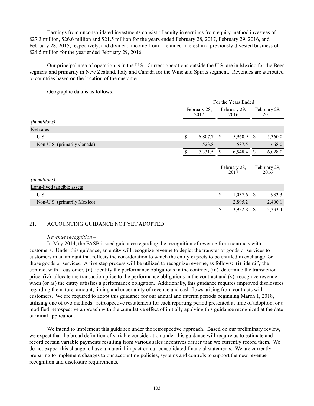Earnings from unconsolidated investments consist of equity in earnings from equity method investees of \$27.3 million, \$26.6 million and \$21.5 million for the years ended February 28, 2017, February 29, 2016, and February 28, 2015, respectively, and dividend income from a retained interest in a previously divested business of \$24.5 million for the year ended February 29, 2016.

Our principal area of operation is in the U.S. Current operations outside the U.S. are in Mexico for the Beer segment and primarily in New Zealand, Italy and Canada for the Wine and Spirits segment. Revenues are attributed to countries based on the location of the customer.

Geographic data is as follows:

|                             | For the Years Ended  |               |                      |              |                      |
|-----------------------------|----------------------|---------------|----------------------|--------------|----------------------|
|                             | February 28,<br>2017 |               | February 29,<br>2016 |              | February 28,<br>2015 |
| (in millions)               |                      |               |                      |              |                      |
| Net sales                   |                      |               |                      |              |                      |
| U.S.                        | \$<br>6,807.7        | <sup>\$</sup> | 5,960.9              | -S           | 5,360.0              |
| Non-U.S. (primarily Canada) | 523.8                |               | 587.5                |              | 668.0                |
|                             | 7,331.5              | - \$          | 6,548.4              | -S           | 6,028.0              |
|                             |                      |               | February 28,<br>2017 |              | February 29,<br>2016 |
| (in millions)               |                      |               |                      |              |                      |
| Long-lived tangible assets  |                      |               |                      |              |                      |
| U.S.                        |                      | \$            | 1,037.6              | <sup>S</sup> | 933.3                |
| Non-U.S. (primarily Mexico) |                      |               | 2,895.2              |              | 2,400.1              |
|                             |                      | \$            | 3,932.8              | \$           | 3,333.4              |

### 21. ACCOUNTING GUIDANCE NOT YET ADOPTED:

#### *Revenue recognition –*

In May 2014, the FASB issued guidance regarding the recognition of revenue from contracts with customers. Under this guidance, an entity will recognize revenue to depict the transfer of goods or services to customers in an amount that reflects the consideration to which the entity expects to be entitled in exchange for those goods or services. A five step process will be utilized to recognize revenue, as follows: (i) identify the contract with a customer, (ii) identify the performance obligations in the contract, (iii) determine the transaction price, (iv) allocate the transaction price to the performance obligations in the contract and (v) recognize revenue when (or as) the entity satisfies a performance obligation. Additionally, this guidance requires improved disclosures regarding the nature, amount, timing and uncertainty of revenue and cash flows arising from contracts with customers. We are required to adopt this guidance for our annual and interim periods beginning March 1, 2018, utilizing one of two methods: retrospective restatement for each reporting period presented at time of adoption, or a modified retrospective approach with the cumulative effect of initially applying this guidance recognized at the date of initial application.

We intend to implement this guidance under the retrospective approach. Based on our preliminary review, we expect that the broad definition of variable consideration under this guidance will require us to estimate and record certain variable payments resulting from various sales incentives earlier than we currently record them. We do not expect this change to have a material impact on our consolidated financial statements. We are currently preparing to implement changes to our accounting policies, systems and controls to support the new revenue recognition and disclosure requirements.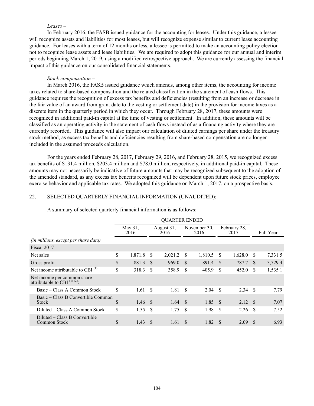#### *Leases –*

In February 2016, the FASB issued guidance for the accounting for leases. Under this guidance, a lessee will recognize assets and liabilities for most leases, but will recognize expense similar to current lease accounting guidance. For leases with a term of 12 months or less, a lessee is permitted to make an accounting policy election not to recognize lease assets and lease liabilities. We are required to adopt this guidance for our annual and interim periods beginning March 1, 2019, using a modified retrospective approach. We are currently assessing the financial impact of this guidance on our consolidated financial statements.

#### *Stock compensation –*

In March 2016, the FASB issued guidance which amends, among other items, the accounting for income taxes related to share-based compensation and the related classification in the statement of cash flows. This guidance requires the recognition of excess tax benefits and deficiencies (resulting from an increase or decrease in the fair value of an award from grant date to the vesting or settlement date) in the provision for income taxes as a discrete item in the quarterly period in which they occur. Through February 28, 2017, these amounts were recognized in additional paid-in capital at the time of vesting or settlement. In addition, these amounts will be classified as an operating activity in the statement of cash flows instead of as a financing activity where they are currently recorded. This guidance will also impact our calculation of diluted earnings per share under the treasury stock method, as excess tax benefits and deficiencies resulting from share-based compensation are no longer included in the assumed proceeds calculation.

For the years ended February 28, 2017, February 29, 2016, and February 28, 2015, we recognized excess tax benefits of \$131.4 million, \$203.4 million and \$78.0 million, respectively, in additional paid-in capital. These amounts may not necessarily be indicative of future amounts that may be recognized subsequent to the adoption of the amended standard, as any excess tax benefits recognized will be dependent upon future stock prices, employee exercise behavior and applicable tax rates. We adopted this guidance on March 1, 2017, on a prospective basis.

#### 22. SELECTED QUARTERLY FINANCIAL INFORMATION (UNAUDITED):

|                                                                  | <b>QUARTER ENDED</b> |                 |               |                    |               |                      |               |                      |               |                  |
|------------------------------------------------------------------|----------------------|-----------------|---------------|--------------------|---------------|----------------------|---------------|----------------------|---------------|------------------|
|                                                                  |                      | May 31,<br>2016 |               | August 31.<br>2016 |               | November 30,<br>2016 |               | February 28,<br>2017 |               | <b>Full Year</b> |
| <i>(in millions, except per share data)</i>                      |                      |                 |               |                    |               |                      |               |                      |               |                  |
| Fiscal 2017                                                      |                      |                 |               |                    |               |                      |               |                      |               |                  |
| Net sales                                                        | \$                   | 1,871.8         | S             | 2,021.2            | -S            | 1,810.5              | <sup>\$</sup> | 1,628.0              | <sup>\$</sup> | 7,331.5          |
| Gross profit                                                     | $\mathbb{S}$         | 881.3           | -S            | 969.0              | -S            | 891.4                | -S            | 787.7                | <b>S</b>      | 3,529.4          |
| Net income attributable to CBI $^{(1)}$                          | \$                   | 318.3           | -S            | 358.9              | <sup>\$</sup> | 405.9                | <sup>\$</sup> | 452.0                | S             | 1,535.1          |
| Net income per common share<br>attributable to CBI $^{(1)(2)}$ : |                      |                 |               |                    |               |                      |               |                      |               |                  |
| Basic – Class A Common Stock                                     | \$                   | 1.61            | - \$          | 1.81               | <sup>\$</sup> | 2.04                 | -S            | 2.34                 | - \$          | 7.79             |
| Basic – Class B Convertible Common<br><b>Stock</b>               | S                    | 1.46            | - \$          | 1.64               | -S            | 1.85                 | <sup>S</sup>  | 2.12                 | - S           | 7.07             |
| Diluted – Class A Common Stock                                   | \$                   | 1.55            | -S            | 1.75               | -S            | 1.98                 | <sup>\$</sup> | 2.26                 | -S            | 7.52             |
| Diluted – Class B Convertible<br>Common Stock                    | \$                   | 1.43            | <sup>\$</sup> | 1.61               | <sup>\$</sup> | 1.82                 | -S            | 2.09                 | \$.           | 6.93             |

A summary of selected quarterly financial information is as follows: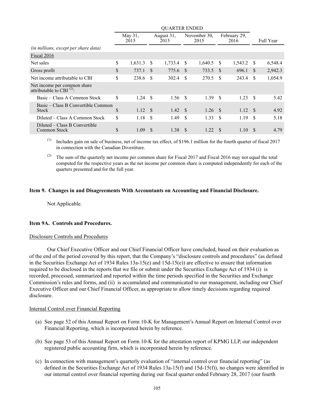|                                                               | <b>QUARTER ENDED</b> |                 |               |                    |               |                      |               |                      |               |                  |
|---------------------------------------------------------------|----------------------|-----------------|---------------|--------------------|---------------|----------------------|---------------|----------------------|---------------|------------------|
|                                                               |                      | May 31,<br>2015 |               | August 31.<br>2015 |               | November 30.<br>2015 |               | February 29,<br>2016 |               | <b>Full Year</b> |
| (in millions, except per share data)                          |                      |                 |               |                    |               |                      |               |                      |               |                  |
| Fiscal 2016                                                   |                      |                 |               |                    |               |                      |               |                      |               |                  |
| Net sales                                                     | \$                   | 1,631.3         | S             | 1,733.4            | -S            | 1,640.5              | -S            | 1,543.2              | -S            | 6,548.4          |
| Gross profit                                                  | \$                   | 737.1           | <sup>\$</sup> | 775.6              | <sup>\$</sup> | 733.5                | <sup>\$</sup> | 696.1                | <sup>\$</sup> | 2,942.3          |
| Net income attributable to CBI                                | \$                   | 238.6           | -S            | 302.4              | -S            | 270.5                | <sup>\$</sup> | 243.4                | -S            | 1,054.9          |
| Net income per common share<br>attributable to CBI $^{(2)}$ : |                      |                 |               |                    |               |                      |               |                      |               |                  |
| Basic – Class A Common Stock                                  | \$                   | 1.24            | -S            | 1.56               | -S            | 1.39                 | -S            | 1.23                 | -S            | 5.42             |
| Basic – Class B Convertible Common<br>Stock                   | S                    | 1.12            | - \$          | 1.42               | - \$          | 1.26                 | - \$          | 1.12                 | - S           | 4.92             |
| Diluted – Class A Common Stock                                | \$                   | 1.18            | -S            | 1.49               | -S            | 1.33                 | <sup>\$</sup> | 1.19                 | -S            | 5.18             |
| Diluted – Class B Convertible<br>Common Stock                 | \$                   | 1.09            | <sup>\$</sup> | 1.38               | -S            | 1.22                 | -S            | 1.10                 | <sup>\$</sup> | 4.79             |

 $(1)$  Includes gain on sale of business, net of income tax effect, of \$196.1 million for the fourth quarter of fiscal 2017 in connection with the Canadian Divestiture.

(2) The sum of the quarterly net income per common share for Fiscal 2017 and Fiscal 2016 may not equal the total computed for the respective years as the net income per common share is computed independently for each of the quarters presented and for the full year.

#### **Item 9. Changes in and Disagreements With Accountants on Accounting and Financial Disclosure.**

Not Applicable.

#### **Item 9A. Controls and Procedures.**

#### Disclosure Controls and Procedures

Our Chief Executive Officer and our Chief Financial Officer have concluded, based on their evaluation as of the end of the period covered by this report, that the Company's "disclosure controls and procedures" (as defined in the Securities Exchange Act of 1934 Rules 13a-15(e) and 15d-15(e)) are effective to ensure that information required to be disclosed in the reports that we file or submit under the Securities Exchange Act of 1934 (i) is recorded, processed, summarized and reported within the time periods specified in the Securities and Exchange Commission's rules and forms, and (ii) is accumulated and communicated to our management, including our Chief Executive Officer and our Chief Financial Officer, as appropriate to allow timely decisions regarding required disclosure.

#### Internal Control over Financial Reporting

- (a) See page 52 of this Annual Report on Form 10-K for Management's Annual Report on Internal Control over Financial Reporting, which is incorporated herein by reference.
- (b) See page 53 of this Annual Report on Form 10-K for the attestation report of KPMG LLP, our independent registered public accounting firm, which is incorporated herein by reference.
- (c) In connection with management's quarterly evaluation of "internal control over financial reporting" (as defined in the Securities Exchange Act of 1934 Rules 13a-15(f) and 15d-15(f)), no changes were identified in our internal control over financial reporting during our fiscal quarter ended February 28, 2017 (our fourth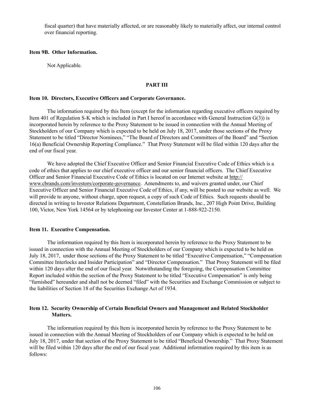fiscal quarter) that have materially affected, or are reasonably likely to materially affect, our internal control over financial reporting.

#### **Item 9B. Other Information.**

Not Applicable.

### **PART III**

#### **Item 10. Directors, Executive Officers and Corporate Governance.**

The information required by this Item (except for the information regarding executive officers required by Item 401 of Regulation S-K which is included in Part I hereof in accordance with General Instruction G(3)) is incorporated herein by reference to the Proxy Statement to be issued in connection with the Annual Meeting of Stockholders of our Company which is expected to be held on July 18, 2017, under those sections of the Proxy Statement to be titled "Director Nominees," "The Board of Directors and Committees of the Board" and "Section 16(a) Beneficial Ownership Reporting Compliance." That Proxy Statement will be filed within 120 days after the end of our fiscal year.

We have adopted the Chief Executive Officer and Senior Financial Executive Code of Ethics which is a code of ethics that applies to our chief executive officer and our senior financial officers. The Chief Executive Officer and Senior Financial Executive Code of Ethics is located on our Internet website at http:// www.cbrands.com/investors/corporate-governance. Amendments to, and waivers granted under, our Chief Executive Officer and Senior Financial Executive Code of Ethics, if any, will be posted to our website as well. We will provide to anyone, without charge, upon request, a copy of such Code of Ethics. Such requests should be directed in writing to Investor Relations Department, Constellation Brands, Inc., 207 High Point Drive, Building 100, Victor, New York 14564 or by telephoning our Investor Center at 1-888-922-2150.

#### **Item 11. Executive Compensation.**

The information required by this Item is incorporated herein by reference to the Proxy Statement to be issued in connection with the Annual Meeting of Stockholders of our Company which is expected to be held on July 18, 2017, under those sections of the Proxy Statement to be titled "Executive Compensation," "Compensation Committee Interlocks and Insider Participation" and "Director Compensation." That Proxy Statement will be filed within 120 days after the end of our fiscal year. Notwithstanding the foregoing, the Compensation Committee Report included within the section of the Proxy Statement to be titled "Executive Compensation" is only being "furnished" hereunder and shall not be deemed "filed" with the Securities and Exchange Commission or subject to the liabilities of Section 18 of the Securities Exchange Act of 1934.

#### **Item 12. Security Ownership of Certain Beneficial Owners and Management and Related Stockholder Matters.**

The information required by this Item is incorporated herein by reference to the Proxy Statement to be issued in connection with the Annual Meeting of Stockholders of our Company which is expected to be held on July 18, 2017, under that section of the Proxy Statement to be titled "Beneficial Ownership." That Proxy Statement will be filed within 120 days after the end of our fiscal year. Additional information required by this item is as follows: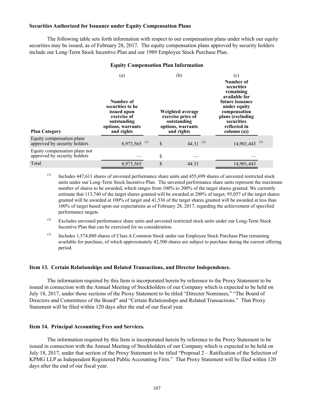#### **Securities Authorized for Issuance under Equity Compensation Plans**

The following table sets forth information with respect to our compensation plans under which our equity securities may be issued, as of February 28, 2017. The equity compensation plans approved by security holders include our Long-Term Stock Incentive Plan and our 1989 Employee Stock Purchase Plan.

#### (a)  $(b)$  (c) **Plan Category Number of securities to be issued upon exercise of outstanding options, warrants and rights Weighted average exercise price of outstanding options, warrants and rights Number of securities remaining available for future issuance under equity compensation plans (excluding securities reflected in column (a))** Equity compensation plans approved by security holders 8,973,565<sup>(1)</sup> \$ 44.31<sup>(2)</sup> 14,901,443<sup>(3)</sup> Equity compensation plans not approved by security holders  $\sim$  \$ Total 8,973,565  $\frac{14,901,443}{8,973,565}$   $\frac{14,901,443}{8,973,565}$

#### **Equity Compensation Plan Information**

- $(1)$  Includes 447,611 shares of unvested performance share units and 455,699 shares of unvested restricted stock units under our Long-Term Stock Incentive Plan. The unvested performance share units represent the maximum number of shares to be awarded, which ranges from 100% to 200% of the target shares granted. We currently estimate that 113,740 of the target shares granted will be awarded at 200% of target; 95,057 of the target shares granted will be awarded at 100% of target and 41,536 of the target shares granted will be awarded at less than 100% of target based upon our expectations as of February 28, 2017, regarding the achievement of specified performance targets.
- (2) Excludes unvested performance share units and unvested restricted stock units under our Long-Term Stock Incentive Plan that can be exercised for no consideration.
- (3) Includes 1,574,880 shares of Class A Common Stock under our Employee Stock Purchase Plan remaining available for purchase, of which approximately 42,500 shares are subject to purchase during the current offering period.

#### **Item 13. Certain Relationships and Related Transactions, and Director Independence.**

The information required by this Item is incorporated herein by reference to the Proxy Statement to be issued in connection with the Annual Meeting of Stockholders of our Company which is expected to be held on July 18, 2017, under those sections of the Proxy Statement to be titled "Director Nominees," "The Board of Directors and Committees of the Board" and "Certain Relationships and Related Transactions." That Proxy Statement will be filed within 120 days after the end of our fiscal year.

#### **Item 14. Principal Accounting Fees and Services.**

The information required by this Item is incorporated herein by reference to the Proxy Statement to be issued in connection with the Annual Meeting of Stockholders of our Company which is expected to be held on July 18, 2017, under that section of the Proxy Statement to be titled "Proposal 2 – Ratification of the Selection of KPMG LLP as Independent Registered Public Accounting Firm." That Proxy Statement will be filed within 120 days after the end of our fiscal year.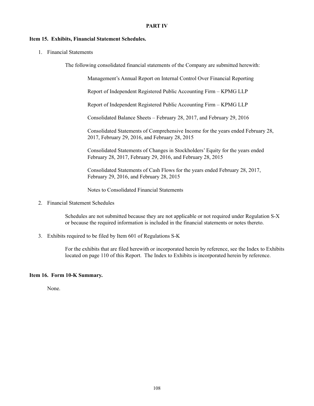#### **PART IV**

#### **Item 15. Exhibits, Financial Statement Schedules.**

1. Financial Statements

The following consolidated financial statements of the Company are submitted herewith:

Management's Annual Report on Internal Control Over Financial Reporting

Report of Independent Registered Public Accounting Firm – KPMG LLP

Report of Independent Registered Public Accounting Firm – KPMG LLP

Consolidated Balance Sheets – February 28, 2017, and February 29, 2016

Consolidated Statements of Comprehensive Income for the years ended February 28, 2017, February 29, 2016, and February 28, 2015

Consolidated Statements of Changes in Stockholders' Equity for the years ended February 28, 2017, February 29, 2016, and February 28, 2015

Consolidated Statements of Cash Flows for the years ended February 28, 2017, February 29, 2016, and February 28, 2015

Notes to Consolidated Financial Statements

2. Financial Statement Schedules

Schedules are not submitted because they are not applicable or not required under Regulation S-X or because the required information is included in the financial statements or notes thereto.

3. Exhibits required to be filed by Item 601 of Regulations S-K

For the exhibits that are filed herewith or incorporated herein by reference, see the Index to Exhibits located on page 110 of this Report. The Index to Exhibits is incorporated herein by reference.

### **Item 16. Form 10-K Summary.**

None.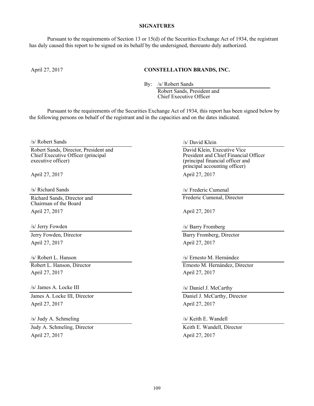#### **SIGNATURES**

Pursuant to the requirements of Section 13 or 15(d) of the Securities Exchange Act of 1934, the registrant has duly caused this report to be signed on its behalf by the undersigned, thereunto duly authorized.

#### April 27, 2017 **CONSTELLATION BRANDS, INC.**

By: /s/ Robert Sands

Robert Sands, President and Chief Executive Officer

Pursuant to the requirements of the Securities Exchange Act of 1934, this report has been signed below by the following persons on behalf of the registrant and in the capacities and on the dates indicated.

/s/ Robert Sands /s/ David Klein

Robert Sands, Director, President and Chief Executive Officer (principal executive officer)

April 27, 2017 **April 27, 2017** 

/s/ Richard Sands /s/ Frederic Cumenal

Richard Sands, Director and Chairman of the Board April 27, 2017 April 27, 2017

/s/ Jerry Fowden /s/ Barry Fromberg

April 27, 2017 April 27, 2017

April 27, 2017 **April 27, 2017** 

/s/ James A. Locke III /s/ Daniel J. McCarthy

April 27, 2017 **April 27, 2017** 

/s/ Judy A. Schmeling /s/ Keith E. Wandell

April 27, 2017 April 27, 2017

David Klein, Executive Vice President and Chief Financial Officer (principal financial officer and principal accounting officer)

Frederic Cumenal, Director

Jerry Fowden, Director Barry Fromberg, Director

/s/ Robert L. Hanson /s/ Ernesto M. Hernández Robert L. Hanson, Director **Example 2. Example 2. Example 2. Example 2. Example 2. Example 2. Example 2. Example 2. Example 2. Example 2. Example 2. Example 2. Example 2. Example 2. Example 2. Example 2. Example 2. Example** 

James A. Locke III, Director Daniel J. McCarthy, Director

Judy A. Schmeling, Director Keith E. Wandell, Director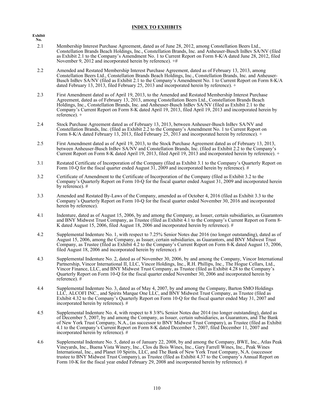#### **INDEX TO EXHIBITS**

| <b>Exhibit</b><br>No. |                                                                                                                                                                                                                                                                                                                                                                                                                                                         |
|-----------------------|---------------------------------------------------------------------------------------------------------------------------------------------------------------------------------------------------------------------------------------------------------------------------------------------------------------------------------------------------------------------------------------------------------------------------------------------------------|
| 2.1                   | Membership Interest Purchase Agreement, dated as of June 28, 2012, among Constellation Beers Ltd.,<br>Constellation Brands Beach Holdings, Inc., Constellation Brands, Inc. and Anheuser-Busch InBev SA/NV (filed<br>as Exhibit 2.1 to the Company's Amendment No. 1 to Current Report on Form 8-K/A dated June 28, 2012, filed<br>November 9, 2012 and incorporated herein by reference). $#$                                                          |
| 2.2                   | Amended and Restated Membership Interest Purchase Agreement, dated as of February 13, 2013, among<br>Constellation Beers Ltd., Constellation Brands Beach Holdings, Inc., Constellation Brands, Inc. and Anheuser-<br>Busch InBev SA/NV (filed as Exhibit 2.1 to the Company's Amendment No. 1 to Current Report on Form 8-K/A<br>dated February 13, 2013, filed February 25, 2013 and incorporated herein by reference). $+$                           |
| 2.3                   | First Amendment dated as of April 19, 2013, to the Amended and Restated Membership Interest Purchase<br>Agreement, dated as of February 13, 2013, among Constellation Beers Ltd., Constellation Brands Beach<br>Holdings, Inc., Constellation Brands, Inc. and Anheuser-Busch InBev SA/NV (filed as Exhibit 2.1 to the<br>Company's Current Report on Form 8-K dated April 19, 2013, filed April 19, 2013 and incorporated herein by<br>reference). $+$ |
| 2.4                   | Stock Purchase Agreement dated as of February 13, 2013, between Anheuser-Busch InBev SA/NV and<br>Constellation Brands, Inc. (filed as Exhibit 2.2 to the Company's Amendment No. 1 to Current Report on<br>Form 8-K/A dated February 13, 2013, filed February 25, 2013 and incorporated herein by reference). +                                                                                                                                        |
| 2.5                   | First Amendment dated as of April 19, 2013, to the Stock Purchase Agreement dated as of February 13, 2013,<br>between Anheuser-Busch InBev SA/NV and Constellation Brands, Inc. (filed as Exhibit 2.2 to the Company's<br>Current Report on Form 8-K dated April 19, 2013, filed April 19, 2013 and incorporated herein by reference). +                                                                                                                |
| 3.1                   | Restated Certificate of Incorporation of the Company (filed as Exhibit 3.1 to the Company's Quarterly Report on<br>Form 10-Q for the fiscal quarter ended August 31, 2009 and incorporated herein by reference). #                                                                                                                                                                                                                                      |
| 3.2                   | Certificate of Amendment to the Certificate of Incorporation of the Company (filed as Exhibit 3.2 to the<br>Company's Quarterly Report on Form 10-Q for the fiscal quarter ended August 31, 2009 and incorporated herein<br>by reference). #                                                                                                                                                                                                            |
| 3.3                   | Amended and Restated By-Laws of the Company, amended as of October 4, 2016 (filed as Exhibit 3.3 to the<br>Company's Quarterly Report on Form 10-Q for the fiscal quarter ended November 30, 2016 and incorporated<br>herein by reference).                                                                                                                                                                                                             |
|                       | $\mathbf{y}$ and $\mathbf{y}$ and $\mathbf{y}$ and $\mathbf{y}$ and $\mathbf{y}$ and $\mathbf{y}$ and $\mathbf{y}$ and $\mathbf{y}$ and $\mathbf{y}$ and $\mathbf{y}$ and $\mathbf{y}$ and $\mathbf{y}$ and $\mathbf{y}$ and $\mathbf{y}$ and $\mathbf{y}$ and $\mathbf{y}$ and $\mathbf{y}$ and                                                                                                                                                        |

- 4.1 Indenture, dated as of August 15, 2006, by and among the Company, as Issuer, certain subsidiaries, as Guarantors and BNY Midwest Trust Company, as Trustee (filed as Exhibit 4.1 to the Company's Current Report on Form 8- K dated August 15, 2006, filed August 18, 2006 and incorporated herein by reference). #
- 4.2 Supplemental Indenture No. 1, with respect to 7.25% Senior Notes due 2016 (no longer outstanding), dated as of August 15, 2006, among the Company, as Issuer, certain subsidiaries, as Guarantors, and BNY Midwest Trust Company, as Trustee (filed as Exhibit 4.2 to the Company's Current Report on Form 8-K dated August 15, 2006, filed August 18, 2006 and incorporated herein by reference). #
- 4.3 Supplemental Indenture No. 2, dated as of November 30, 2006, by and among the Company, Vincor International Partnership, Vincor International II, LLC, Vincor Holdings, Inc., R.H. Phillips, Inc., The Hogue Cellars, Ltd., Vincor Finance, LLC, and BNY Midwest Trust Company, as Trustee (filed as Exhibit 4.28 to the Company's Quarterly Report on Form 10-Q for the fiscal quarter ended November 30, 2006 and incorporated herein by reference). #
- 4.4 Supplemental Indenture No. 3, dated as of May 4, 2007, by and among the Company, Barton SMO Holdings LLC, ALCOFI INC., and Spirits Marque One LLC, and BNY Midwest Trust Company, as Trustee (filed as Exhibit 4.32 to the Company's Quarterly Report on Form 10-Q for the fiscal quarter ended May 31, 2007 and incorporated herein by reference). #
- 4.5 Supplemental Indenture No. 4, with respect to 8 3/8% Senior Notes due 2014 (no longer outstanding), dated as of December 5, 2007, by and among the Company, as Issuer, certain subsidiaries, as Guarantors, and The Bank of New York Trust Company, N.A., (as successor to BNY Midwest Trust Company), as Trustee (filed as Exhibit 4.1 to the Company's Current Report on Form 8-K dated December 5, 2007, filed December 11, 2007 and incorporated herein by reference). #
- 4.6 Supplemental Indenture No. 5, dated as of January 22, 2008, by and among the Company, BWE, Inc., Atlas Peak Vineyards, Inc., Buena Vista Winery, Inc., Clos du Bois Wines, Inc., Gary Farrell Wines, Inc., Peak Wines International, Inc., and Planet 10 Spirits, LLC, and The Bank of New York Trust Company, N.A. (successor trustee to BNY Midwest Trust Company), as Trustee (filed as Exhibit 4.37 to the Company's Annual Report on Form 10-K for the fiscal year ended February 29, 2008 and incorporated herein by reference). #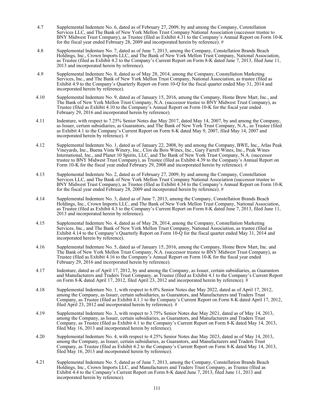- 4.7 Supplemental Indenture No. 6, dated as of February 27, 2009, by and among the Company, Constellation Services LLC, and The Bank of New York Mellon Trust Company National Association (successor trustee to BNY Midwest Trust Company), as Trustee (filed as Exhibit 4.31 to the Company's Annual Report on Form 10-K for the fiscal year ended February 28, 2009 and incorporated herein by reference). #
- 4.8 Supplemental Indenture No. 7, dated as of June 7, 2013, among the Company, Constellation Brands Beach Holdings, Inc., Crown Imports LLC, and The Bank of New York Mellon Trust Company, National Association, as Trustee (filed as Exhibit 4.2 to the Company's Current Report on Form 8-K dated June 7, 2013, filed June 11, 2013 and incorporated herein by reference).
- 4.9 Supplemental Indenture No. 8, dated as of May 28, 2014, among the Company, Constellation Marketing Services, Inc., and The Bank of New York Mellon Trust Company, National Association, as trustee (filed as Exhibit 4.9 to the Company's Quarterly Report on Form 10-Q for the fiscal quarter ended May 31, 2014 and incorporated herein by reference).
- 4.10 Supplemental Indenture No. 9, dated as of January 15, 2016, among the Company, Home Brew Mart, Inc., and The Bank of New York Mellon Trust Company, N.A. (successor trustee to BNY Midwest Trust Company), as Trustee (filed as Exhibit 4.10 to the Company's Annual Report on Form 10-K for the fiscal year ended February 29, 2016 and incorporated herein by reference).
- 4.11 Indenture, with respect to 7.25% Senior Notes due May 2017, dated May 14, 2007, by and among the Company, as Issuer, certain subsidiaries, as Guarantors, and The Bank of New York Trust Company, N.A., as Trustee (filed as Exhibit 4.1 to the Company's Current Report on Form 8-K dated May 9, 2007, filed May 14, 2007 and incorporated herein by reference). #
- 4.12 Supplemental Indenture No. 1, dated as of January 22, 2008, by and among the Company, BWE, Inc., Atlas Peak Vineyards, Inc., Buena Vista Winery, Inc., Clos du Bois Wines, Inc., Gary Farrell Wines, Inc., Peak Wines International, Inc., and Planet 10 Spirits, LLC, and The Bank of New York Trust Company, N.A. (successor trustee to BNY Midwest Trust Company), as Trustee (filed as Exhibit 4.39 to the Company's Annual Report on Form 10-K for the fiscal year ended February 29, 2008 and incorporated herein by reference). #
- 4.13 Supplemental Indenture No. 2, dated as of February 27, 2009, by and among the Company, Constellation Services LLC, and The Bank of New York Mellon Trust Company National Association (successor trustee to BNY Midwest Trust Company), as Trustee (filed as Exhibit 4.34 to the Company's Annual Report on Form 10-K for the fiscal year ended February 28, 2009 and incorporated herein by reference). #
- 4.14 Supplemental Indenture No. 3, dated as of June 7, 2013, among the Company, Constellation Brands Beach Holdings, Inc., Crown Imports LLC, and The Bank of New York Mellon Trust Company, National Association, as Trustee (filed as Exhibit 4.3 to the Company's Current Report on Form 8-K dated June 7, 2013, filed June 11, 2013 and incorporated herein by reference).
- 4.15 Supplemental Indenture No. 4, dated as of May 28, 2014, among the Company, Constellation Marketing Services, Inc., and The Bank of New York Mellon Trust Company, National Association, as trustee (filed as Exhibit 4.14 to the Company's Quarterly Report on Form 10-Q for the fiscal quarter ended May 31, 2014 and incorporated herein by reference).
- 4.16 Supplemental Indenture No. 5, dated as of January 15, 2016, among the Company, Home Brew Mart, Inc. and The Bank of New York Mellon Trust Company, N.A. (successor trustee to BNY Midwest Trust Company), as Trustee (filed as Exhibit 4.16 to the Company's Annual Report on Form 10-K for the fiscal year ended February 29, 2016 and incorporated herein by reference).
- 4.17 Indenture, dated as of April 17, 2012, by and among the Company, as Issuer, certain subsidiaries, as Guarantors and Manufacturers and Traders Trust Company, as Trustee (filed as Exhibit 4.1 to the Company's Current Report on Form 8-K dated April 17, 2012, filed April 23, 2012 and incorporated herein by reference). #
- 4.18 Supplemental Indenture No. 1, with respect to 6.0% Senior Notes due May 2022, dated as of April 17, 2012, among the Company, as Issuer, certain subsidiaries, as Guarantors, and Manufacturers and Traders Trust Company, as Trustee (filed as Exhibit 4.1.1 to the Company's Current Report on Form 8-K dated April 17, 2012, filed April 23, 2012 and incorporated herein by reference). #
- 4.19 Supplemental Indenture No. 3, with respect to 3.75% Senior Notes due May 2021, dated as of May 14, 2013, among the Company, as Issuer, certain subsidiaries, as Guarantors, and Manufacturers and Traders Trust Company, as Trustee (filed as Exhibit 4.1 to the Company's Current Report on Form 8-K dated May 14, 2013, filed May 16, 2013 and incorporated herein by reference).
- 4.20 Supplemental Indenture No. 4, with respect to 4.25% Senior Notes due May 2023, dated as of May 14, 2013, among the Company, as Issuer, certain subsidiaries, as Guarantors, and Manufacturers and Traders Trust Company, as Trustee (filed as Exhibit 4.2 to the Company's Current Report on Form 8-K dated May 14, 2013, filed May 16, 2013 and incorporated herein by reference).
- 4.21 Supplemental Indenture No. 5, dated as of June 7, 2013, among the Company, Constellation Brands Beach Holdings, Inc., Crown Imports LLC, and Manufacturers and Traders Trust Company, as Trustee (filed as Exhibit 4.4 to the Company's Current Report on Form 8-K dated June 7, 2013, filed June 11, 2013 and incorporated herein by reference).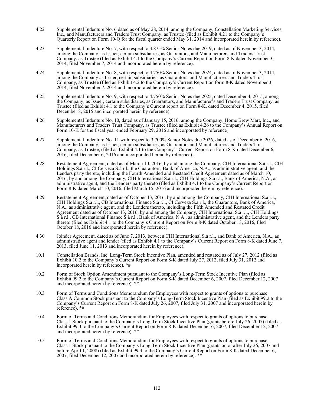- 4.22 Supplemental Indenture No. 6 dated as of May 28, 2014, among the Company, Constellation Marketing Services, Inc., and Manufacturers and Traders Trust Company, as Trustee (filed as Exhibit 4.21 to the Company's Quarterly Report on Form 10-Q for the fiscal quarter ended May 31, 2014 and incorporated herein by reference).
- 4.23 Supplemental Indenture No. 7, with respect to 3.875% Senior Notes due 2019, dated as of November 3, 2014, among the Company, as Issuer, certain subsidiaries, as Guarantors, and Manufacturers and Traders Trust Company, as Trustee (filed as Exhibit 4.1 to the Company's Current Report on Form 8-K dated November 3, 2014, filed November 7, 2014 and incorporated herein by reference).
- 4.24 Supplemental Indenture No. 8, with respect to 4.750% Senior Notes due 2024, dated as of November 3, 2014, among the Company as Issuer, certain subsidiaries, as Guarantors, and Manufacturers and Traders Trust Company, as Trustee (filed as Exhibit 4.2 to the Company's Current Report on form 8-K dated November 3, 2014, filed November 7, 2014 and incorporated herein by reference).
- 4.25 Supplemental Indenture No. 9, with respect to 4.750% Senior Notes due 2025, dated December 4, 2015, among the Company, as Issuer, certain subsidiaries, as Guarantors, and Manufacturer's and Traders Trust Company, as Trustee (filed as Exhibit 4.1 to the Company's Current report on Form 8-K, dated December 4, 2015, filed December 8, 2015 and incorporated herein by reference).
- 4.26 Supplemental Indenture No. 10, dated as of January 15, 2016, among the Company, Home Brew Mart, Inc., and Manufacturers and Traders Trust Company, as Trustee (filed as Exhibit 4.26 to the Company's Annual Report on Form 10-K for the fiscal year ended February 29, 2016 and incorporated by reference).
- 4.27 Supplemental Indenture No. 11 with respect to 3.700% Senior Notes due 2026, dated as of December 6, 2016, among the Company, as Issuer, certain subsidiaries, as Guarantors and Manufacturers and Traders Trust Company, as Trustee, (filed as Exhibit 4.1 to the Company's Current Report on Form 8-K dated December 6, 2016, filed December 6, 2016 and incorporated herein by reference).
- 4.28 Restatement Agreement, dated as of March 10, 2016, by and among the Company, CIH International S.à r.l., CIH Holdings S.à r.l., CI Cerveza S.à r.l., the Guarantors, Bank of America, N.A., as administrative agent, and the Lenders party thereto, including the Fourth Amended and Restated Credit Agreement dated as of March 10, 2016, by and among the Company, CIH International S.à r.l., CIH Holdings S.à r.l., Bank of America, N.A., as administrative agent, and the Lenders party thereto (filed as Exhibit 4.1 to the Company's Current Report on Form 8-K dated March 10, 2016, filed March 15, 2016 and incorporated herein by reference).
- 4.29 Restatement Agreement, dated as of October 13, 2016, by and among the Company, CIH International S.à r.l., CIH Holdings S.à r.l., CB International Finance S.à r.l., CI Cerveza S.à r.l., the Guarantors, Bank of America, N.A., as administrative agent, and the Lenders thereto, including the Fifth Amended and Restated Credit Agreement dated as of October 13, 2016, by and among the Company, CIH International S.à r.l., CIH Holdings S.à r.l., CB International Finance S.à r.l., Bank of America, N.A., as administrative agent, and the Lenders party thereto (filed as Exhibit 4.1 to the Company's Current Report on Form 8-K dated October 13, 2016, filed October 18, 2016 and incorporated herein by reference).
- 4.30 Joinder Agreement, dated as of June 7, 2013, between CIH International S.à r.l., and Bank of America, N.A., as administrative agent and lender (filed as Exhibit 4.1 to the Company's Current Report on Form 8-K dated June 7, 2013, filed June 11, 2013 and incorporated herein by reference).
- 10.1 Constellation Brands, Inc. Long-Term Stock Incentive Plan, amended and restated as of July 27, 2012 (filed as Exhibit 10.2 to the Company's Current Report on Form 8-K dated July 27, 2012, filed July 31, 2012 and incorporated herein by reference). \*#
- 10.2 Form of Stock Option Amendment pursuant to the Company's Long-Term Stock Incentive Plan (filed as Exhibit 99.2 to the Company's Current Report on Form 8-K dated December 6, 2007, filed December 12, 2007 and incorporated herein by reference). \*#
- 10.3 Form of Terms and Conditions Memorandum for Employees with respect to grants of options to purchase Class A Common Stock pursuant to the Company's Long-Term Stock Incentive Plan (filed as Exhibit 99.2 to the Company's Current Report on Form 8-K dated July 26, 2007, filed July 31, 2007 and incorporated herein by reference). \*#
- 10.4 Form of Terms and Conditions Memorandum for Employees with respect to grants of options to purchase Class 1 Stock pursuant to the Company's Long-Term Stock Incentive Plan (grants before July 26, 2007) (filed as Exhibit 99.3 to the Company's Current Report on Form 8-K dated December 6, 2007, filed December 12, 2007 and incorporated herein by reference). \*#
- 10.5 Form of Terms and Conditions Memorandum for Employees with respect to grants of options to purchase Class 1 Stock pursuant to the Company's Long-Term Stock Incentive Plan (grants on or after July 26, 2007 and before April 1, 2008) (filed as Exhibit 99.4 to the Company's Current Report on Form 8-K dated December 6, 2007, filed December 12, 2007 and incorporated herein by reference). \*#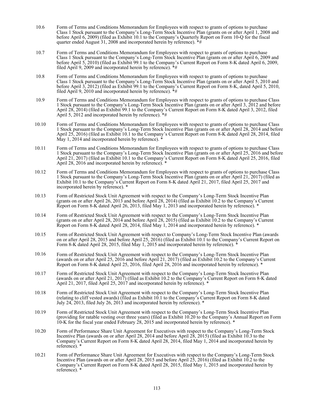- 10.6 Form of Terms and Conditions Memorandum for Employees with respect to grants of options to purchase Class 1 Stock pursuant to the Company's Long-Term Stock Incentive Plan (grants on or after April 1, 2008 and before April 6, 2009) (filed as Exhibit 10.1 to the Company's Quarterly Report on Form 10-Q for the fiscal quarter ended August 31, 2008 and incorporated herein by reference).  $*$ #
- 10.7 Form of Terms and Conditions Memorandum for Employees with respect to grants of options to purchase Class 1 Stock pursuant to the Company's Long-Term Stock Incentive Plan (grants on or after April 6, 2009 and before April 5, 2010) (filed as Exhibit 99.1 to the Company's Current Report on Form 8-K dated April 6, 2009, filed April 9, 2009 and incorporated herein by reference). \*#
- 10.8 Form of Terms and Conditions Memorandum for Employees with respect to grants of options to purchase Class 1 Stock pursuant to the Company's Long-Term Stock Incentive Plan (grants on or after April 5, 2010 and before April 3, 2012) (filed as Exhibit 99.1 to the Company's Current Report on Form 8-K, dated April 5, 2010, filed April 9, 2010 and incorporated herein by reference). \*#
- 10.9 Form of Terms and Conditions Memorandum for Employees with respect to grants of options to purchase Class 1 Stock pursuant to the Company's Long-Term Stock Incentive Plan (grants on or after April 3, 2012 and before April 28, 2014) (filed as Exhibit 99.1 to the Company's Current Report on Form 8-K dated April 3, 2012, filed April 5, 2012 and incorporated herein by reference).  $*$ #
- 10.10 Form of Terms and Conditions Memorandum for Employees with respect to grants of options to purchase Class 1 Stock pursuant to the Company's Long-Term Stock Incentive Plan (grants on or after April 28, 2014 and before April 25, 2016) (filed as Exhibit 10.1 to the Company's Current Report on Form 8-K dated April 28, 2014, filed May 1, 2014 and incorporated herein by reference).  $*$
- 10.11 Form of Terms and Conditions Memorandum for Employees with respect to grants of options to purchase Class 1 Stock pursuant to the Company's Long-Term Stock Incentive Plan (grants on or after April 25, 2016 and before April 21, 2017) (filed as Exhibit 10.1 to the Company's Current Report on Form 8-K dated April 25, 2016, filed April 28, 2016 and incorporated herein by reference). \*
- 10.12 Form of Terms and Conditions Memorandum for Employees with respect to grants of options to purchase Class 1 Stock pursuant to the Company's Long-Term Stock Incentive Plan (grants on or after April 21, 2017) (filed as Exhibit 10.1 to the Company's Current Report on Form 8-K dated April 21, 2017, filed April 25, 2017 and incorporated herein by reference). \*
- 10.13 Form of Restricted Stock Unit Agreement with respect to the Company's Long-Term Stock Incentive Plan (grants on or after April 26, 2013 and before April 28, 2014) (filed as Exhibit 10.2 to the Company's Current Report on Form 8-K dated April 26, 2013, filed May 1, 2013 and incorporated herein by reference). \*
- 10.14 Form of Restricted Stock Unit Agreement with respect to the Company's Long-Term Stock Incentive Plan (grants on or after April 28, 2014 and before April 28, 2015) (filed as Exhibit 10.2 to the Company's Current Report on Form 8-K dated April 28, 2014, filed May 1, 2014 and incorporated herein by reference). \*
- 10.15 Form of Restricted Stock Unit Agreement with respect to Company's Long-Term Stock Incentive Plan (awards on or after April 28, 2015 and before April 25, 2016) (filed as Exhibit 10.1 to the Company's Current Report on Form 8-K dated April 28, 2015, filed May 1, 2015 and incorporated herein by reference).  $*$
- 10.16 Form of Restricted Stock Unit Agreement with respect to the Company's Long-Term Stock Incentive Plan (awards on or after April 25, 2016 and before April 21, 2017) (filed as Exhibit 10.2 to the Company's Current Report on Form 8-K dated April 25, 2016, filed April 28, 2016 and incorporated herein by reference). \*
- 10.17 Form of Restricted Stock Unit Agreement with respect to the Company's Long-Term Stock Incentive Plan (awards on or after April 21, 2017) (filed as Exhibit 10.2 to the Company's Current Report on Form 8-K dated April 21, 2017, filed April 25, 2017 and incorporated herein by reference). \*
- 10.18 Form of Restricted Stock Unit Agreement with respect to the Company's Long-Term Stock Incentive Plan (relating to cliff vested awards) (filed as Exhibit 10.1 to the Company's Current Report on Form 8-K dated July 24, 2013, filed July 26, 2013 and incorporated herein by reference). \*
- 10.19 Form of Restricted Stock Unit Agreement with respect to the Company's Long-Term Stock Incentive Plan (providing for ratable vesting over three years) (filed as Exhibit 10.20 to the Company's Annual Report on Form 10-K for the fiscal year ended February 28, 2015 and incorporated herein by reference). \*
- 10.20 Form of Performance Share Unit Agreement for Executives with respect to the Company's Long-Term Stock Incentive Plan (awards on or after April 28, 2014 and before April 28, 2015) (filed as Exhibit 10.3 to the Company's Current Report on Form 8-K dated April 28, 2014, filed May 1, 2014 and incorporated herein by reference). \*
- 10.21 Form of Performance Share Unit Agreement for Executives with respect to the Company's Long-Term Stock Incentive Plan (awards on or after April 28, 2015 and before April 25, 2016) (filed as Exhibit 10.2 to the Company's Current Report on Form 8-K dated April 28, 2015, filed May 1, 2015 and incorporated herein by reference). \*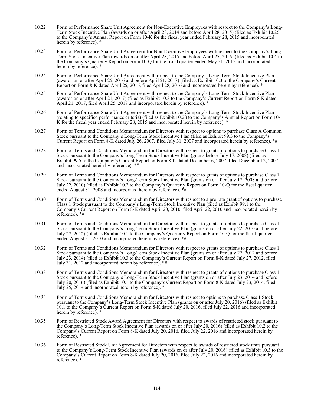- 10.22 Form of Performance Share Unit Agreement for Non-Executive Employees with respect to the Company's Long-Term Stock Incentive Plan (awards on or after April 28, 2014 and before April 28, 2015) (filed as Exhibit 10.26 to the Company's Annual Report on Form 10-K for the fiscal year ended February 28, 2015 and incorporated herein by reference).  $*$
- 10.23 Form of Performance Share Unit Agreement for Non-Executive Employees with respect to the Company's Long-Term Stock Incentive Plan (awards on or after April 28, 2015 and before April 25, 2016) (filed as Exhibit 10.4 to the Company's Quarterly Report on Form 10-Q for the fiscal quarter ended May 31, 2015 and incorporated herein by reference).  $*$
- 10.24 Form of Performance Share Unit Agreement with respect to the Company's Long-Term Stock Incentive Plan (awards on or after April 25, 2016 and before April 21, 2017) (filed as Exhibit 10.3 to the Company's Current Report on Form 8-K dated April 25, 2016, filed April 28, 2016 and incorporated herein by reference). \*
- 10.25 Form of Performance Share Unit Agreement with respect to the Company's Long-Term Stock Incentive Plan (awards on or after April 21, 2017) (filed as Exhibit 10.3 to the Company's Current Report on Form 8-K dated April 21, 2017, filed April 25, 2017 and incorporated herein by reference). \*
- 10.26 Form of Performance Share Unit Agreement with respect to the Company's Long-Term Stock Incentive Plan (relating to specified performance criteria) (filed as Exhibit 10.28 to the Company's Annual Report on Form 10-  $\hat{K}$  for the fiscal year ended February 28, 2015 and incorporated herein by reference).  $*$
- 10.27 Form of Terms and Conditions Memorandum for Directors with respect to options to purchase Class A Common Stock pursuant to the Company's Long-Term Stock Incentive Plan (filed as Exhibit 99.3 to the Company's Current Report on Form 8-K dated July 26, 2007, filed July 31, 2007 and incorporated herein by reference). \*#
- 10.28 Form of Terms and Conditions Memorandum for Directors with respect to grants of options to purchase Class 1 Stock pursuant to the Company's Long-Term Stock Incentive Plan (grants before July 17, 2008) (filed as Exhibit 99.5 to the Company's Current Report on Form 8-K dated December 6, 2007, filed December 12, 2007 and incorporated herein by reference). \*#
- 10.29 Form of Terms and Conditions Memorandum for Directors with respect to grants of options to purchase Class 1 Stock pursuant to the Company's Long-Term Stock Incentive Plan (grants on or after July 17, 2008 and before July 22, 2010) (filed as Exhibit 10.2 to the Company's Quarterly Report on Form 10-Q for the fiscal quarter ended August 31, 2008 and incorporated herein by reference).  $*$ #
- 10.30 Form of Terms and Conditions Memorandum for Directors with respect to a pro rata grant of options to purchase Class 1 Stock pursuant to the Company's Long-Term Stock Incentive Plan (filed as Exhibit 99.1 to the Company's Current Report on Form 8-K dated April 20, 2010, filed April 22, 2010 and incorporated herein by reference). \*#
- 10.31 Form of Terms and Conditions Memorandum for Directors with respect to grants of options to purchase Class 1 Stock pursuant to the Company's Long-Term Stock Incentive Plan (grants on or after July 22, 2010 and before July 27, 2012) (filed as Exhibit 10.1 to the Company's Quarterly Report on Form 10-Q for the fiscal quarter ended August 31, 2010 and incorporated herein by reference).  $*$ #
- 10.32 Form of Terms and Conditions Memorandum for Directors with respect to grants of options to purchase Class 1 Stock pursuant to the Company's Long-Term Stock Incentive Plan (grants on or after July 27, 2012 and before July 23, 2014) (filed as Exhibit 10.3 to the Company's Current Report on Form 8-K dated July 27, 2012, filed July 31, 2012 and incorporated herein by reference). \*#
- 10.33 Form of Terms and Conditions Memorandum for Directors with respect to grants of options to purchase Class 1 Stock pursuant to the Company's Long-Term Stock Incentive Plan (grants on or after July 23, 2014 and before July 20, 2016) (filed as Exhibit 10.1 to the Company's Current Report on Form 8-K dated July 23, 2014, filed July 25, 2014 and incorporated herein by reference). \*
- 10.34 Form of Terms and Conditions Memorandum for Directors with respect to options to purchase Class 1 Stock pursuant to the Company's Long-Term Stock Incentive Plan (grants on or after July 20, 2016) (filed as Exhibit 10.1 to the Company's Current Report on Form 8-K dated July 20, 2016, filed July 22, 2016 and incorporated herein by reference). \*
- 10.35 Form of Restricted Stock Award Agreement for Directors with respect to awards of restricted stock pursuant to the Company's Long-Term Stock Incentive Plan (awards on or after July 20, 2016) (filed as Exhibit 10.2 to the Company's Current Report on Form 8-K dated July 20, 2016, filed July 22, 2016 and incorporated herein by reference). \*
- 10.36 Form of Restricted Stock Unit Agreement for Directors with respect to awards of restricted stock units pursuant to the Company's Long-Term Stock Incentive Plan (awards on or after July 20, 2016) (filed as Exhibit 10.3 to the Company's Current Report on Form 8-K dated July 20, 2016, filed July 22, 2016 and incorporated herein by reference). \*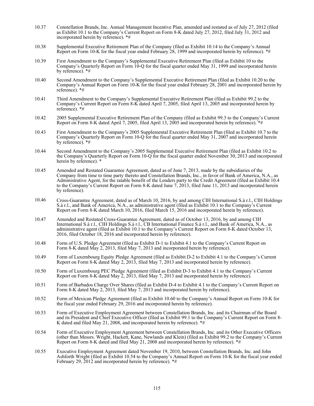- 10.37 Constellation Brands, Inc. Annual Management Incentive Plan, amended and restated as of July 27, 2012 (filed as Exhibit 10.1 to the Company's Current Report on Form 8-K dated July 27, 2012, filed July 31, 2012 and incorporated herein by reference). \*#
- 10.38 Supplemental Executive Retirement Plan of the Company (filed as Exhibit 10.14 to the Company's Annual Report on Form 10-K for the fiscal year ended February 28, 1999 and incorporated herein by reference).  $*$ #
- 10.39 First Amendment to the Company's Supplemental Executive Retirement Plan (filed as Exhibit 10 to the Company's Quarterly Report on Form 10-Q for the fiscal quarter ended May 31, 1999 and incorporated herein by reference). \*#
- 10.40 Second Amendment to the Company's Supplemental Executive Retirement Plan (filed as Exhibit 10.20 to the Company's Annual Report on Form 10-K for the fiscal year ended February 28, 2001 and incorporated herein by reference). \*#
- 10.41 Third Amendment to the Company's Supplemental Executive Retirement Plan (filed as Exhibit 99.2 to the Company's Current Report on Form 8-K dated April 7, 2005, filed April 13, 2005 and incorporated herein by reference). \*#
- 10.42 2005 Supplemental Executive Retirement Plan of the Company (filed as Exhibit 99.3 to the Company's Current Report on Form 8-K dated April 7, 2005, filed April 13, 2005 and incorporated herein by reference). \*#
- 10.43 First Amendment to the Company's 2005 Supplemental Executive Retirement Plan (filed as Exhibit 10.7 to the Company's Quarterly Report on Form 10-Q for the fiscal quarter ended May 31, 2007 and incorporated herein by reference). \*#
- 10.44 Second Amendment to the Company's 2005 Supplemental Executive Retirement Plan (filed as Exhibit 10.2 to the Company's Quarterly Report on Form 10-Q for the fiscal quarter ended November 30, 2013 and incorporated herein by reference). \*
- 10.45 Amended and Restated Guarantee Agreement, dated as of June 7, 2013, made by the subsidiaries of the Company from time to time party thereto and Constellation Brands, Inc., in favor of Bank of America, N.A., as Administrative Agent, for the ratable benefit of the Lenders party to the Credit Agreement (filed as Exhibit 10.4 to the Company's Current Report on Form 8-K dated June 7, 2013, filed June 11, 2013 and incorporated herein by reference).
- 10.46 Cross-Guarantee Agreement, dated as of March 10, 2016, by and among CIH International S.à r.l., CIH Holdings S.à r.l., and Bank of America, N.A., as administrative agent (filed as Exhibit 10.1 to the Company's Current Report on Form 8-K dated March 10, 2016, filed March 15, 2016 and incorporated herein by reference).
- 10.47 Amended and Restated Cross-Guarantee Agreement, dated as of October 13, 2016, by and among CIH International S.à r.l., CIH Holdings S.à r.l., CB International Finance S.à r.l., and Bank of America, N.A., as administrative agent (filed as Exhibit 10.1 to the Company's Current Report on Form 8-K dated October 13, 2016, filed October 18, 2016 and incorporated herein by reference).
- 10.48 Form of U.S. Pledge Agreement (filed as Exhibit D-1 to Exhibit 4.1 to the Company's Current Report on Form 8-K dated May 2, 2013, filed May 7, 2013 and incorporated herein by reference).
- 10.49 Form of Luxembourg Equity Pledge Agreement (filed as Exhibit D-2 to Exhibit 4.1 to the Company's Current Report on Form 8-K dated May 2, 2013, filed May 7, 2013 and incorporated herein by reference).
- 10.50 Form of Luxembourg PEC Pledge Agreement (filed as Exhibit D-3 to Exhibit 4.1 to the Company's Current Report on Form 8-K dated May 2, 2013, filed May 7, 2013 and incorporated herein by reference).
- 10.51 Form of Barbados Charge Over Shares (filed as Exhibit D-4 to Exhibit 4.1 to the Company's Current Report on Form 8-K dated May 2, 2013, filed May 7, 2013 and incorporated herein by reference).
- 10.52 Form of Mexican Pledge Agreement (filed as Exhibit 10.60 to the Company's Annual Report on Form 10-K for the fiscal year ended February 29, 2016 and incorporated herein by reference).
- 10.53 Form of Executive Employment Agreement between Constellation Brands, Inc. and its Chairman of the Board and its President and Chief Executive Officer (filed as Exhibit 99.1 to the Company's Current Report on Form 8- K dated and filed May 21, 2008, and incorporated herein by reference). \*#
- 10.54 Form of Executive Employment Agreement between Constellation Brands, Inc. and its Other Executive Officers (other than Messrs. Wright, Hackett, Kane, Newlands and Klein) (filed as Exhibit 99.2 to the Company's Current Report on Form 8-K dated and filed May 21, 2008 and incorporated herein by reference).  $*$ #
- 10.55 Executive Employment Agreement dated November 19, 2010, between Constellation Brands, Inc. and John Ashforth Wright (filed as Exhibit 10.54 to the Company's Annual Report on Form 10-K for the fiscal year ended February 29,  $\overline{2012}$  and incorporated herein by reference).  $*$ #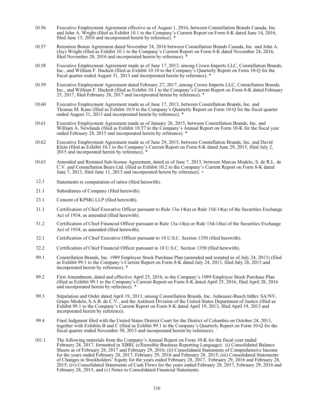- 10.56 Executive Employment Agreement effective as of August 1, 2016, between Constellation Brands Canada, Inc. and John A. Wright (filed as Exhibit 10.1 to the Company's Current Report on Form 8-K dated June 14, 2016, filed June 15, 2016 and incorporated herein by reference). \*
- 10.57 Retention Bonus Agreement dated November 24, 2016 between Constellation Brands Canada, Inc. and John A. (Jay) Wright (filed as Exhibit 10.1 to the Company's Current Report on Form 8-K dated November 24, 2016, filed November 28, 2016 and incorporated herein by reference).
- 10.58 Executive Employment Agreement made as of June 17, 2013, among Crown Imports LLC, Constellation Brands, Inc., and William F. Hackett (filed as Exhibit 10.10 to the Company's Quarterly Report on Form 10-Q for the fiscal quarter ended August 31, 2013 and incorporated herein by reference). \*
- 10.59 Executive Employment Agreement dated February 27, 2017, among Crown Imports LLC, Constellation Brands, Inc., and William F. Hackett (filed as Exhibit 10.1 to the Company's Current Report on Form 8-K dated February 25, 2017, filed February 28, 2017 and incorporated herein by reference). \*
- 10.60 Executive Employment Agreement made as of June 17, 2013, between Constellation Brands, Inc. and Thomas M. Kane (filed as Exhibit 10.9 to the Company's Quarterly Report on Form 10-Q for the fiscal quarter ended August 31, 2013 and incorporated herein by reference). \*
- 10.61 Executive Employment Agreement made as of January 26, 2015, between Constellation Brands, Inc. and William A. Newlands (filed as Exhibit 10.57 to the Company's Annual Report on Form 10-K for the fiscal year ended February 28, 2015 and incorporated herein by reference). \*
- 10.62 Executive Employment Agreement made as of June 29, 2015, between Constellation Brands, Inc. and David Klein (filed as Exhibit 10.1 to the Company's Current Report on Form 8-K dated June 29, 2015, filed July 2, 2015 and incorporated herein by reference). \*
- 10.63 Amended and Restated Sub-license Agreement, dated as of June 7, 2013, between Marcas Modelo, S. de R.L. de C.V. and Constellation Beers Ltd. (filed as Exhibit 10.2 to the Company's Current Report on Form 8-K dated June 7, 2013, filed June 11, 2013 and incorporated herein by reference). +
- 12.1 Statements re computation of ratios (filed herewith).
- 21.1 Subsidiaries of Company (filed herewith).
- 23.1 Consent of KPMG LLP (filed herewith).
- 31.1 Certification of Chief Executive Officer pursuant to Rule 13a-14(a) or Rule 15d-14(a) of the Securities Exchange Act of 1934, as amended (filed herewith).
- 31.2 Certification of Chief Financial Officer pursuant to Rule 13a-14(a) or Rule 15d-14(a) of the Securities Exchange Act of 1934, as amended (filed herewith).
- 32.1 Certification of Chief Executive Officer pursuant to 18 U.S.C. Section 1350 (filed herewith).
- 32.2 Certification of Chief Financial Officer pursuant to 18 U.S.C. Section 1350 (filed herewith).
- 99.1 Constellation Brands, Inc. 1989 Employee Stock Purchase Plan (amended and restated as of July 24, 2013) (filed as Exhibit 99.1 to the Company's Current Report on Form 8-K dated July 24, 2013, filed July 26, 2013 and incorporated herein by reference). \*
- 99.2 First Amendment, dated and effective April 25, 2016, to the Company's 1989 Employee Stock Purchase Plan (filed as Exhibit 99.1 to the Company's Current Report on Form 8-K dated April 25, 2016, filed April 28, 2016 and incorporated herein by reference). \*
- 99.3 Stipulation and Order dated April 19, 2013, among Constellation Brands, Inc. Anheuser-Busch InBev SA/NV, Grupo Modelo, S.A.B. de C.V., and the Antitrust Division of the United States Department of Justice (filed as Exhibit 99.1 to the Company's Current Report on Form 8-K dated April 19, 2013, filed April 19, 2013 and incorporated herein by reference).
- 99.4 Final Judgment filed with the United States District Court for the District of Columbia on October 24, 2013, together with Exhibits B and C (filed as Exhibit 99.1 to the Company's Quarterly Report on Form 10-Q for the fiscal quarter ended November 30, 2013 and incorporated herein by reference).
- 101.1 The following materials from the Company's Annual Report on Form 10-K for the fiscal year ended February 28, 2017, formatted in XBRL (eXtensible Business Reporting Language): (i) Consolidated Balance Sheets as of February 28, 2017 and February 29, 2016; (ii) Consolidated Statements of Comprehensive Income for the years ended February 28, 2017, February 29, 2016 and February 28, 2015; (iii) Consolidated Statements of Changes in Stockholders' Equity for the years ended February 28, 2017, February 29, 2016 and February 28, 2015; (iv) Consolidated Statements of Cash Flows for the years ended February 28, 2017, February 29, 2016 and February 28, 2015; and (v) Notes to Consolidated Financial Statements.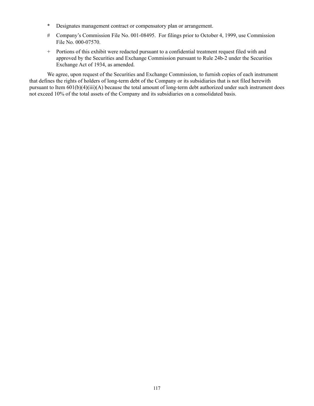- \* Designates management contract or compensatory plan or arrangement.
- # Company's Commission File No. 001-08495. For filings prior to October 4, 1999, use Commission File No. 000-07570.
- + Portions of this exhibit were redacted pursuant to a confidential treatment request filed with and approved by the Securities and Exchange Commission pursuant to Rule 24b-2 under the Securities Exchange Act of 1934, as amended.

We agree, upon request of the Securities and Exchange Commission, to furnish copies of each instrument that defines the rights of holders of long-term debt of the Company or its subsidiaries that is not filed herewith pursuant to Item 601(b)(4)(iii)(A) because the total amount of long-term debt authorized under such instrument does not exceed 10% of the total assets of the Company and its subsidiaries on a consolidated basis.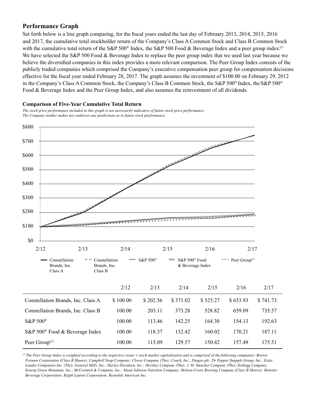# **Performance Graph**

Set forth below is a line graph comparing, for the fiscal years ended the last day of February 2013, 2014, 2015, 2016 and 2017, the cumulative total stockholder return of the Company's Class A Common Stock and Class B Common Stock with the cumulative total return of the S&P 500<sup>®</sup> Index, the S&P 500 Food & Beverage Index and a peer group index.<sup>(1)</sup> We have selected the S&P 500 Food & Beverage Index to replace the peer group index that we used last year because we believe the diversified companies in this index provides a more relevant comparison. The Peer Group Index consists of the publicly traded companies which comprised the Company's executive compensation peer group for compensation decisions effective for the fiscal year ended February 28, 2017. The graph assumes the investment of \$100.00 on February 29, 2012 in the Company's Class A Common Stock, the Company's Class B Common Stock, the S&P 500® Index, the S&P 500® Food & Beverage Index and the Peer Group Index, and also assumes the reinvestment of all dividends.

#### **Comparison of Five-Year Cumulative Total Return**

*The stock price performance included in this graph is not necessarily indicative of future stock price performance. The Company neither makes nor endorses any predictions as to future stock performance.*



*(1) The Peer Group Index is weighted according to the respective issuer's stock market capitalization and is comprised of the following companies: Brown-Forman Corporation (Class B Shares); Campbell Soup Company; Clorox Company (The); Coach, Inc.; Diageo plc; Dr Pepper Snapple Group, Inc.; Estée Lauder Companies Inc. (The); General Mills, Inc.; Harley-Davidson, Inc.; Hershey Company (The); J. M. Smucker Company (The); Kellogg Company; Keurig Green Mountain, Inc.; McCormick & Company, Inc.; Mead Johnson Nutrition Company; Molson Coors Brewing Company (Class B Shares); Monster Beverage Corporation; Ralph Lauren Corporation; Reynolds American Inc.*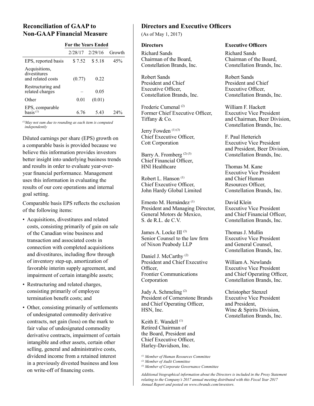# **Reconciliation of GAAP to Non-GAAP Financial Measure**

|                                                    | <b>For the Years Ended</b> |         |        |  |  |  |  |
|----------------------------------------------------|----------------------------|---------|--------|--|--|--|--|
|                                                    | 2/28/17                    | 2/29/16 | Growth |  |  |  |  |
| EPS, reported basis                                | \$7.52                     | \$5.18  | 45%    |  |  |  |  |
| Acquisitions,<br>divestitures<br>and related costs | (0.77)                     | 0.22    |        |  |  |  |  |
| Restructuring and<br>related charges               |                            | 0.05    |        |  |  |  |  |
| Other                                              | 0.01                       | (0.01)  |        |  |  |  |  |
| EPS, comparable<br>$hasis^{(1)}$                   | 6 76                       | 543     | 24%    |  |  |  |  |

*(1)May not sum due to rounding as each item is computed independently*

Diluted earnings per share (EPS) growth on a comparable basis is provided because we believe this information provides investors better insight into underlying business trends and results in order to evaluate year-overyear financial performance. Management uses this information in evaluating the results of our core operations and internal goal setting.

Comparable basis EPS reflects the exclusion of the following items:

- Acquisitions, divestitures and related costs, consisting primarily of gain on sale of the Canadian wine business and transaction and associated costs in connection with completed acquisitions and divestitures, including flow through of inventory step-up, amortization of favorable interim supply agreement, and impairment of certain intangible assets;
- Restructuring and related charges, consisting primarily of employee termination benefit costs; and
- Other, consisting primarily of settlements of undesignated commodity derivative contracts, net gain (loss) on the mark to fair value of undesignated commodity derivative contracts, impairment of certain intangible and other assets, certain other selling, general and administrative costs, dividend income from a retained interest in a previously divested business and loss on write-off of financing costs.

# **Directors and Executive Officers**

(As of May 1, 2017)

#### **Directors**

Richard Sands Chairman of the Board, Constellation Brands, Inc.

Robert Sands President and Chief Executive Officer, Constellation Brands, Inc.

Frederic Cumenal (2) Former Chief Executive Officer, Tiffany & Co.

Jerry Fowden (1) (3) Chief Executive Officer, Cott Corporation

Barry A. Fromberg <sup>(2) (3)</sup> Chief Financial Officer, HNI Healthcare

Robert L. Hanson (1) Chief Executive Officer, John Hardy Global Limited

Ernesto M. Hernández (1) President and Managing Director, General Motors de Mexico, S. de R.L. de C.V.

James A. Locke III<sup>(3)</sup> Senior Counsel to the law firm of Nixon Peabody LLP

Daniel J. McCarthy<sup>(2)</sup> President and Chief Executive Officer, Frontier Communications Corporation

Judy A. Schmeling (2) President of Cornerstone Brands and Chief Operating Officer, HSN, Inc.

Keith E. Wandell<sup>(1)</sup> Retired Chairman of the Board, President and Chief Executive Officer, Harley-Davidson, Inc.

*(1) Member of Human Resources Committee*

*(2) Member of Audit Committee*

*(3) Member of Corporate Governance Committee*

*Additional biographical information about the Directors is included in the Proxy Statement relating to the Company's 2017 annual meeting distributed with this Fiscal Year 2017 Annual Report and posted on www.cbrands.com/investors.*

#### **Executive Officers**

Richard Sands Chairman of the Board, Constellation Brands, Inc.

Robert Sands President and Chief Executive Officer, Constellation Brands, Inc.

William F. Hackett Executive Vice President and Chairman, Beer Division, Constellation Brands, Inc.

F. Paul Hetterich Executive Vice President and President, Beer Division, Constellation Brands, Inc.

Thomas M. Kane Executive Vice President and Chief Human Resources Officer, Constellation Brands, Inc.

David Klein Executive Vice President and Chief Financial Officer, Constellation Brands, Inc.

Thomas J. Mullin Executive Vice President and General Counsel, Constellation Brands, Inc.

William A. Newlands Executive Vice President and Chief Operating Officer, Constellation Brands, Inc.

Christopher Stenzel Executive Vice President and President, Wine & Spirits Division, Constellation Brands, Inc.